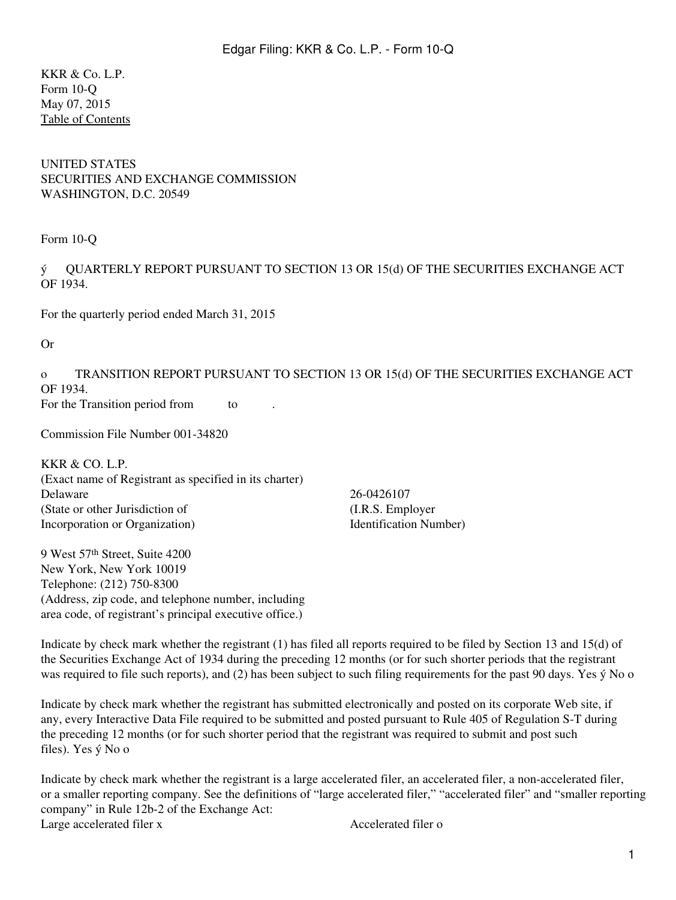KKR & Co. L.P. Form 10-Q May 07, 2015 [Table of Contents](#page-2-0)

#### UNITED STATES SECURITIES AND EXCHANGE COMMISSION WASHINGTON, D.C. 20549

Form 10-Q

ý QUARTERLY REPORT PURSUANT TO SECTION 13 OR 15(d) OF THE SECURITIES EXCHANGE ACT OF 1934.

For the quarterly period ended March 31, 2015

Or

o TRANSITION REPORT PURSUANT TO SECTION 13 OR 15(d) OF THE SECURITIES EXCHANGE ACT OF 1934. For the Transition period from to

Commission File Number 001-34820

KKR & CO. L.P. (Exact name of Registrant as specified in its charter) Delaware 26-0426107 (State or other Jurisdiction of Incorporation or Organization)

9 West 57th Street, Suite 4200 New York, New York 10019 Telephone: (212) 750-8300 (Address, zip code, and telephone number, including area code, of registrant's principal executive office.)

(I.R.S. Employer Identification Number)

Indicate by check mark whether the registrant (1) has filed all reports required to be filed by Section 13 and 15(d) of the Securities Exchange Act of 1934 during the preceding 12 months (or for such shorter periods that the registrant was required to file such reports), and (2) has been subject to such filing requirements for the past 90 days. Yes  $\acute{y}$  No o

Indicate by check mark whether the registrant has submitted electronically and posted on its corporate Web site, if any, every Interactive Data File required to be submitted and posted pursuant to Rule 405 of Regulation S-T during the preceding 12 months (or for such shorter period that the registrant was required to submit and post such files). Yes ý No o

Indicate by check mark whether the registrant is a large accelerated filer, an accelerated filer, a non-accelerated filer, or a smaller reporting company. See the definitions of "large accelerated filer," "accelerated filer" and "smaller reporting company" in Rule 12b-2 of the Exchange Act: Large accelerated filer x Accelerated filer o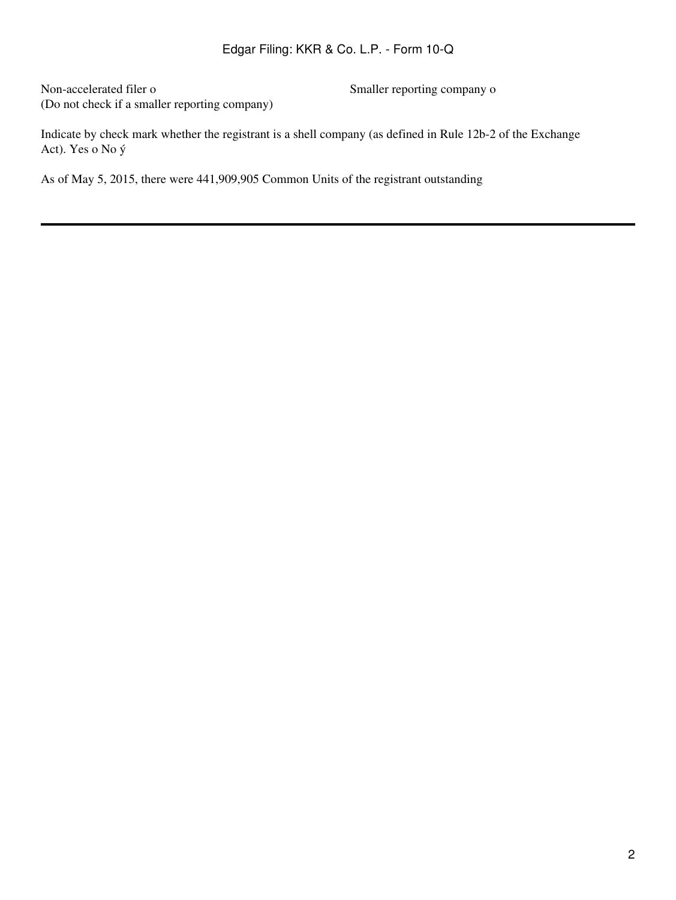Non-accelerated filer o Smaller reporting company o (Do not check if a smaller reporting company)

Indicate by check mark whether the registrant is a shell company (as defined in Rule 12b-2 of the Exchange Act). Yes o No ý

As of May 5, 2015, there were 441,909,905 Common Units of the registrant outstanding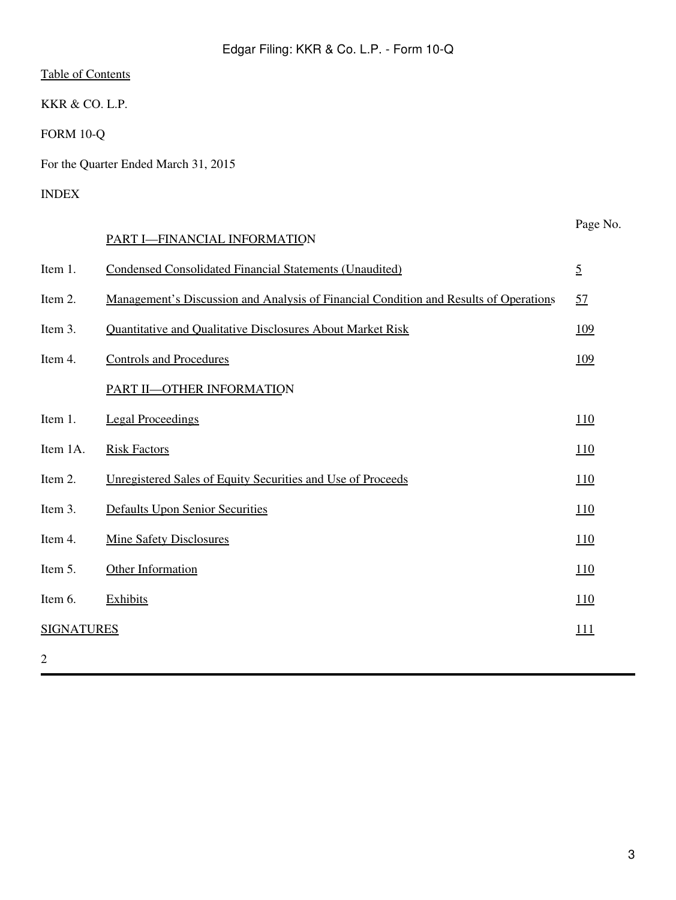<span id="page-2-0"></span>KKR & CO. L.P.

FORM 10-Q

For the Quarter Ended March 31, 2015

## INDEX

|                   | PART I-FINANCIAL INFORMATION                                                          | Page No.       |
|-------------------|---------------------------------------------------------------------------------------|----------------|
| Item 1.           | <b>Condensed Consolidated Financial Statements (Unaudited)</b>                        | $\overline{2}$ |
| Item 2.           | Management's Discussion and Analysis of Financial Condition and Results of Operations | 57             |
| Item 3.           | Quantitative and Qualitative Disclosures About Market Risk                            | <u>109</u>     |
| Item 4.           | <b>Controls and Procedures</b>                                                        | 109            |
|                   | PART II-OTHER INFORMATION                                                             |                |
| Item 1.           | <b>Legal Proceedings</b>                                                              | 110            |
| Item 1A.          | <b>Risk Factors</b>                                                                   | <u>110</u>     |
| Item 2.           | Unregistered Sales of Equity Securities and Use of Proceeds                           | 110            |
| Item 3.           | <b>Defaults Upon Senior Securities</b>                                                | 110            |
| Item 4.           | <b>Mine Safety Disclosures</b>                                                        | 110            |
| Item 5.           | Other Information                                                                     | 110            |
| Item 6.           | <b>Exhibits</b>                                                                       | <u>110</u>     |
| <b>SIGNATURES</b> |                                                                                       | 111            |
| 2                 |                                                                                       |                |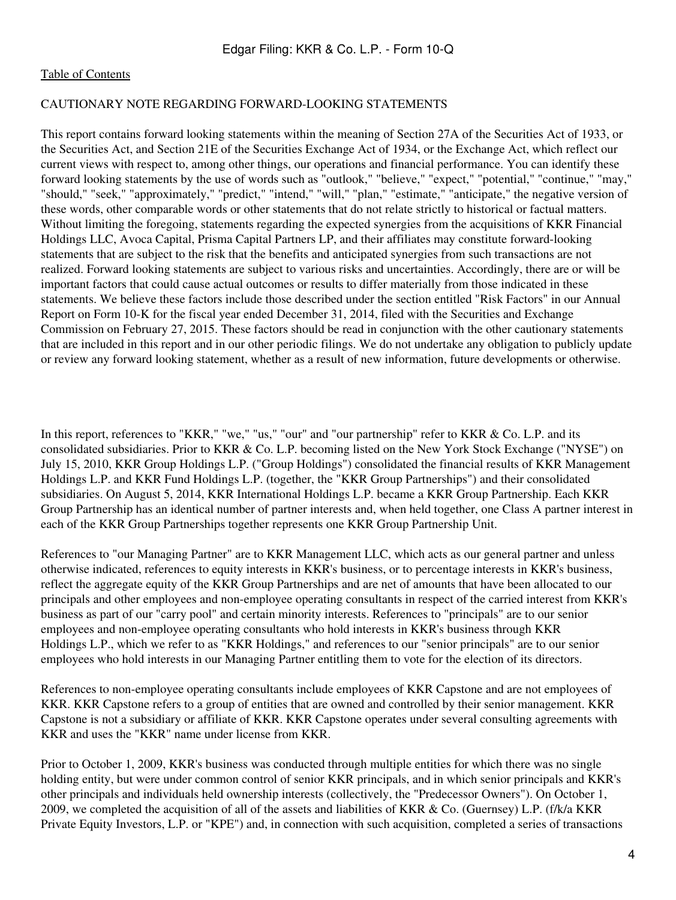#### CAUTIONARY NOTE REGARDING FORWARD-LOOKING STATEMENTS

This report contains forward looking statements within the meaning of Section 27A of the Securities Act of 1933, or the Securities Act, and Section 21E of the Securities Exchange Act of 1934, or the Exchange Act, which reflect our current views with respect to, among other things, our operations and financial performance. You can identify these forward looking statements by the use of words such as "outlook," "believe," "expect," "potential," "continue," "may," "should," "seek," "approximately," "predict," "intend," "will," "plan," "estimate," "anticipate," the negative version of these words, other comparable words or other statements that do not relate strictly to historical or factual matters. Without limiting the foregoing, statements regarding the expected synergies from the acquisitions of KKR Financial Holdings LLC, Avoca Capital, Prisma Capital Partners LP, and their affiliates may constitute forward-looking statements that are subject to the risk that the benefits and anticipated synergies from such transactions are not realized. Forward looking statements are subject to various risks and uncertainties. Accordingly, there are or will be important factors that could cause actual outcomes or results to differ materially from those indicated in these statements. We believe these factors include those described under the section entitled "Risk Factors" in our Annual Report on Form 10-K for the fiscal year ended December 31, 2014, filed with the Securities and Exchange Commission on February 27, 2015. These factors should be read in conjunction with the other cautionary statements that are included in this report and in our other periodic filings. We do not undertake any obligation to publicly update or review any forward looking statement, whether as a result of new information, future developments or otherwise.

In this report, references to "KKR," "we," "us," "our" and "our partnership" refer to KKR & Co. L.P. and its consolidated subsidiaries. Prior to KKR & Co. L.P. becoming listed on the New York Stock Exchange ("NYSE") on July 15, 2010, KKR Group Holdings L.P. ("Group Holdings") consolidated the financial results of KKR Management Holdings L.P. and KKR Fund Holdings L.P. (together, the "KKR Group Partnerships") and their consolidated subsidiaries. On August 5, 2014, KKR International Holdings L.P. became a KKR Group Partnership. Each KKR Group Partnership has an identical number of partner interests and, when held together, one Class A partner interest in each of the KKR Group Partnerships together represents one KKR Group Partnership Unit.

References to "our Managing Partner" are to KKR Management LLC, which acts as our general partner and unless otherwise indicated, references to equity interests in KKR's business, or to percentage interests in KKR's business, reflect the aggregate equity of the KKR Group Partnerships and are net of amounts that have been allocated to our principals and other employees and non-employee operating consultants in respect of the carried interest from KKR's business as part of our "carry pool" and certain minority interests. References to "principals" are to our senior employees and non-employee operating consultants who hold interests in KKR's business through KKR Holdings L.P., which we refer to as "KKR Holdings," and references to our "senior principals" are to our senior employees who hold interests in our Managing Partner entitling them to vote for the election of its directors.

References to non-employee operating consultants include employees of KKR Capstone and are not employees of KKR. KKR Capstone refers to a group of entities that are owned and controlled by their senior management. KKR Capstone is not a subsidiary or affiliate of KKR. KKR Capstone operates under several consulting agreements with KKR and uses the "KKR" name under license from KKR.

Prior to October 1, 2009, KKR's business was conducted through multiple entities for which there was no single holding entity, but were under common control of senior KKR principals, and in which senior principals and KKR's other principals and individuals held ownership interests (collectively, the "Predecessor Owners"). On October 1, 2009, we completed the acquisition of all of the assets and liabilities of KKR & Co. (Guernsey) L.P. (f/k/a KKR Private Equity Investors, L.P. or "KPE") and, in connection with such acquisition, completed a series of transactions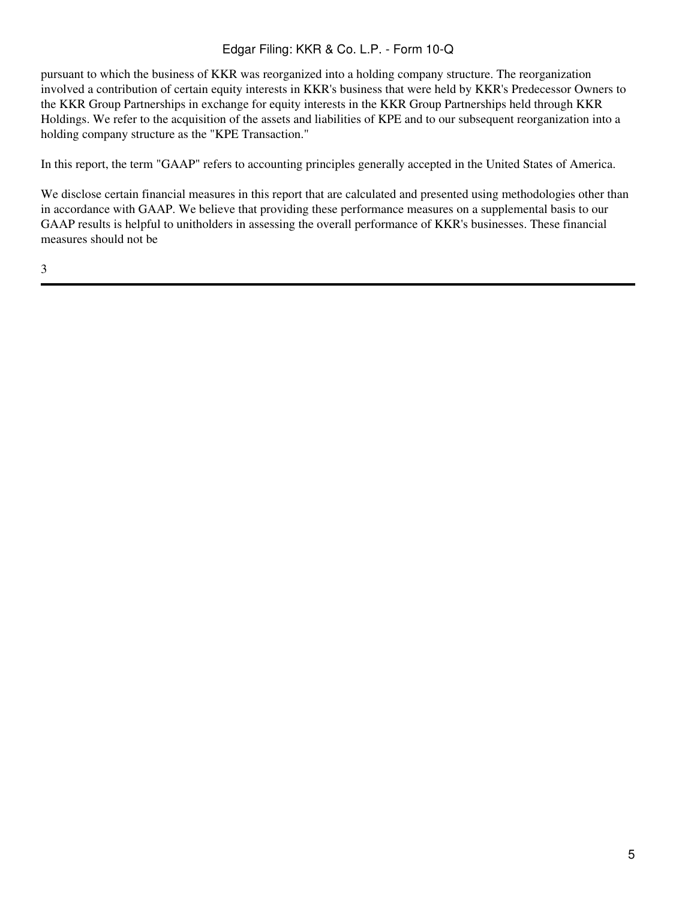pursuant to which the business of KKR was reorganized into a holding company structure. The reorganization involved a contribution of certain equity interests in KKR's business that were held by KKR's Predecessor Owners to the KKR Group Partnerships in exchange for equity interests in the KKR Group Partnerships held through KKR Holdings. We refer to the acquisition of the assets and liabilities of KPE and to our subsequent reorganization into a holding company structure as the "KPE Transaction."

In this report, the term "GAAP" refers to accounting principles generally accepted in the United States of America.

We disclose certain financial measures in this report that are calculated and presented using methodologies other than in accordance with GAAP. We believe that providing these performance measures on a supplemental basis to our GAAP results is helpful to unitholders in assessing the overall performance of KKR's businesses. These financial measures should not be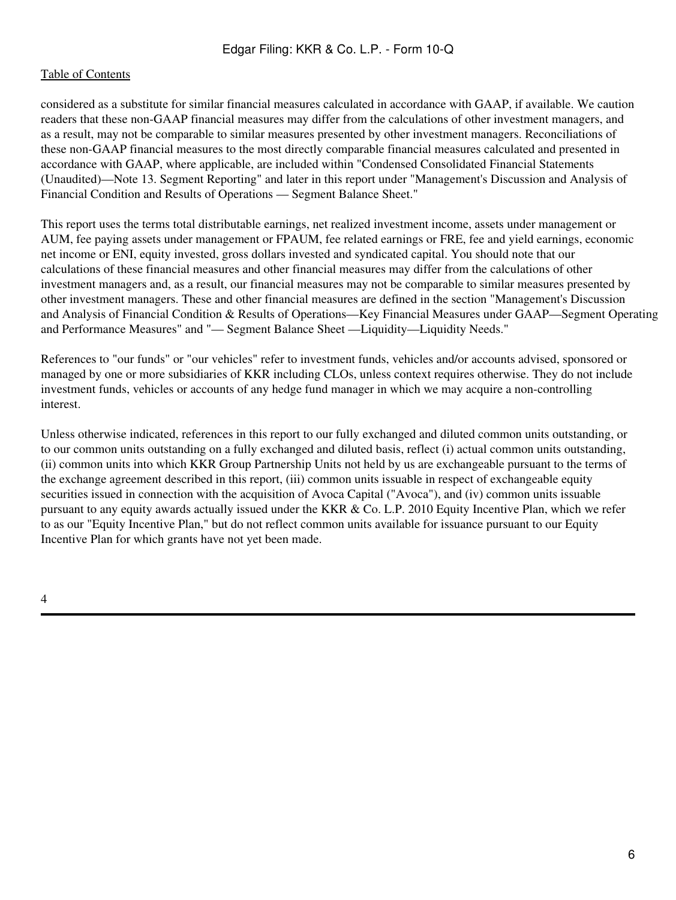#### [Table of Contents](#page-2-0)

considered as a substitute for similar financial measures calculated in accordance with GAAP, if available. We caution readers that these non-GAAP financial measures may differ from the calculations of other investment managers, and as a result, may not be comparable to similar measures presented by other investment managers. Reconciliations of these non-GAAP financial measures to the most directly comparable financial measures calculated and presented in accordance with GAAP, where applicable, are included within "Condensed Consolidated Financial Statements (Unaudited)—Note 13. Segment Reporting" and later in this report under "Management's Discussion and Analysis of Financial Condition and Results of Operations — Segment Balance Sheet."

This report uses the terms total distributable earnings, net realized investment income, assets under management or AUM, fee paying assets under management or FPAUM, fee related earnings or FRE, fee and yield earnings, economic net income or ENI, equity invested, gross dollars invested and syndicated capital. You should note that our calculations of these financial measures and other financial measures may differ from the calculations of other investment managers and, as a result, our financial measures may not be comparable to similar measures presented by other investment managers. These and other financial measures are defined in the section "Management's Discussion and Analysis of Financial Condition & Results of Operations—Key Financial Measures under GAAP—Segment Operating and Performance Measures" and "— Segment Balance Sheet —Liquidity—Liquidity Needs."

References to "our funds" or "our vehicles" refer to investment funds, vehicles and/or accounts advised, sponsored or managed by one or more subsidiaries of KKR including CLOs, unless context requires otherwise. They do not include investment funds, vehicles or accounts of any hedge fund manager in which we may acquire a non-controlling interest.

Unless otherwise indicated, references in this report to our fully exchanged and diluted common units outstanding, or to our common units outstanding on a fully exchanged and diluted basis, reflect (i) actual common units outstanding, (ii) common units into which KKR Group Partnership Units not held by us are exchangeable pursuant to the terms of the exchange agreement described in this report, (iii) common units issuable in respect of exchangeable equity securities issued in connection with the acquisition of Avoca Capital ("Avoca"), and (iv) common units issuable pursuant to any equity awards actually issued under the KKR & Co. L.P. 2010 Equity Incentive Plan, which we refer to as our "Equity Incentive Plan," but do not reflect common units available for issuance pursuant to our Equity Incentive Plan for which grants have not yet been made.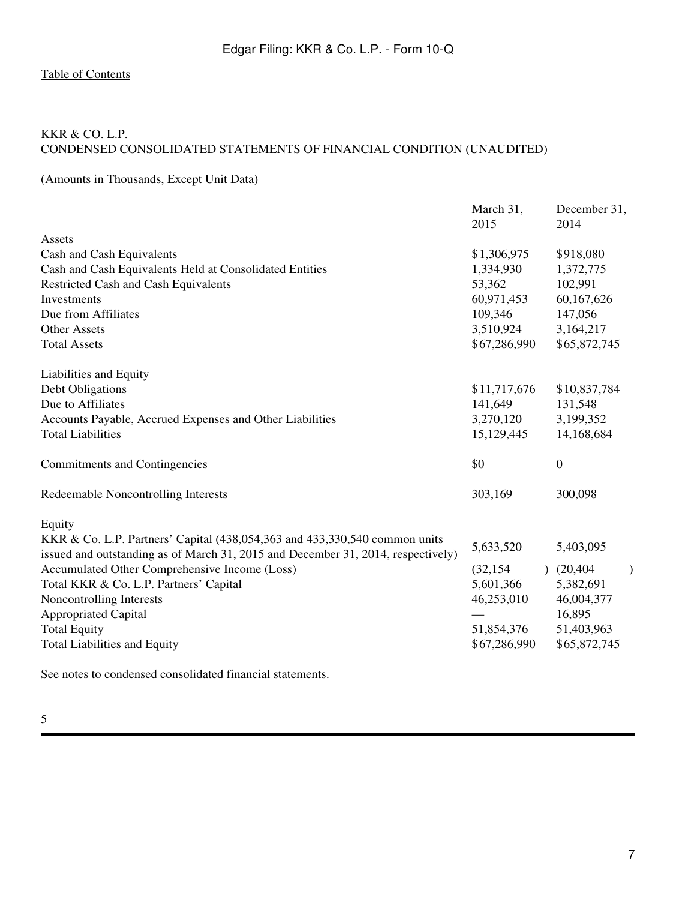### <span id="page-6-1"></span><span id="page-6-0"></span>KKR & CO. L.P. CONDENSED CONSOLIDATED STATEMENTS OF FINANCIAL CONDITION (UNAUDITED)

(Amounts in Thousands, Except Unit Data)

|                                                                                  | March 31,<br>2015 | December 31,<br>2014 |
|----------------------------------------------------------------------------------|-------------------|----------------------|
| Assets                                                                           |                   |                      |
| Cash and Cash Equivalents                                                        | \$1,306,975       | \$918,080            |
| Cash and Cash Equivalents Held at Consolidated Entities                          | 1,334,930         | 1,372,775            |
| Restricted Cash and Cash Equivalents                                             | 53,362            | 102,991              |
| Investments                                                                      | 60,971,453        | 60,167,626           |
| Due from Affiliates                                                              | 109,346           | 147,056              |
| <b>Other Assets</b>                                                              | 3,510,924         | 3,164,217            |
| <b>Total Assets</b>                                                              | \$67,286,990      | \$65,872,745         |
| Liabilities and Equity                                                           |                   |                      |
| Debt Obligations                                                                 | \$11,717,676      | \$10,837,784         |
| Due to Affiliates                                                                | 141,649           | 131,548              |
| Accounts Payable, Accrued Expenses and Other Liabilities                         | 3,270,120         | 3,199,352            |
| <b>Total Liabilities</b>                                                         | 15,129,445        | 14,168,684           |
| <b>Commitments and Contingencies</b>                                             | \$0               | $\boldsymbol{0}$     |
| Redeemable Noncontrolling Interests                                              | 303,169           | 300,098              |
| Equity                                                                           |                   |                      |
| KKR & Co. L.P. Partners' Capital (438,054,363 and 433,330,540 common units       | 5,633,520         | 5,403,095            |
| issued and outstanding as of March 31, 2015 and December 31, 2014, respectively) |                   |                      |
| Accumulated Other Comprehensive Income (Loss)                                    | (32, 154)         | (20, 404)            |
| Total KKR & Co. L.P. Partners' Capital                                           | 5,601,366         | 5,382,691            |
| Noncontrolling Interests                                                         | 46,253,010        | 46,004,377           |
| <b>Appropriated Capital</b>                                                      |                   | 16,895               |
| <b>Total Equity</b>                                                              | 51,854,376        | 51,403,963           |
| <b>Total Liabilities and Equity</b>                                              | \$67,286,990      | \$65,872,745         |
|                                                                                  |                   |                      |

See notes to condensed consolidated financial statements.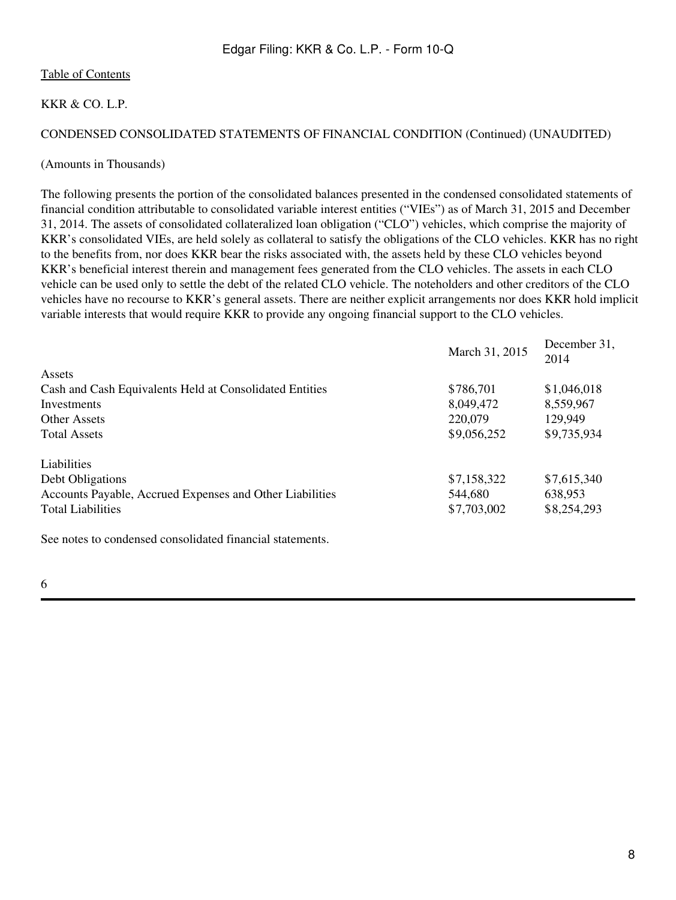#### KKR & CO. L.P.

#### CONDENSED CONSOLIDATED STATEMENTS OF FINANCIAL CONDITION (Continued) (UNAUDITED)

#### (Amounts in Thousands)

The following presents the portion of the consolidated balances presented in the condensed consolidated statements of financial condition attributable to consolidated variable interest entities ("VIEs") as of March 31, 2015 and December 31, 2014. The assets of consolidated collateralized loan obligation ("CLO") vehicles, which comprise the majority of KKR's consolidated VIEs, are held solely as collateral to satisfy the obligations of the CLO vehicles. KKR has no right to the benefits from, nor does KKR bear the risks associated with, the assets held by these CLO vehicles beyond KKR's beneficial interest therein and management fees generated from the CLO vehicles. The assets in each CLO vehicle can be used only to settle the debt of the related CLO vehicle. The noteholders and other creditors of the CLO vehicles have no recourse to KKR's general assets. There are neither explicit arrangements nor does KKR hold implicit variable interests that would require KKR to provide any ongoing financial support to the CLO vehicles.

|                                                           | March 31, 2015 | December 31,<br>2014 |
|-----------------------------------------------------------|----------------|----------------------|
| Assets                                                    |                |                      |
| Cash and Cash Equivalents Held at Consolidated Entities   | \$786,701      | \$1,046,018          |
| Investments                                               | 8,049,472      | 8,559,967            |
| Other Assets                                              | 220,079        | 129,949              |
| <b>Total Assets</b>                                       | \$9,056,252    | \$9,735,934          |
| Liabilities                                               |                |                      |
| Debt Obligations                                          | \$7,158,322    | \$7,615,340          |
| Accounts Payable, Accrued Expenses and Other Liabilities  | 544,680        | 638,953              |
| <b>Total Liabilities</b>                                  | \$7,703,002    | \$8,254,293          |
| See notes to condensed consolidated financial statements. |                |                      |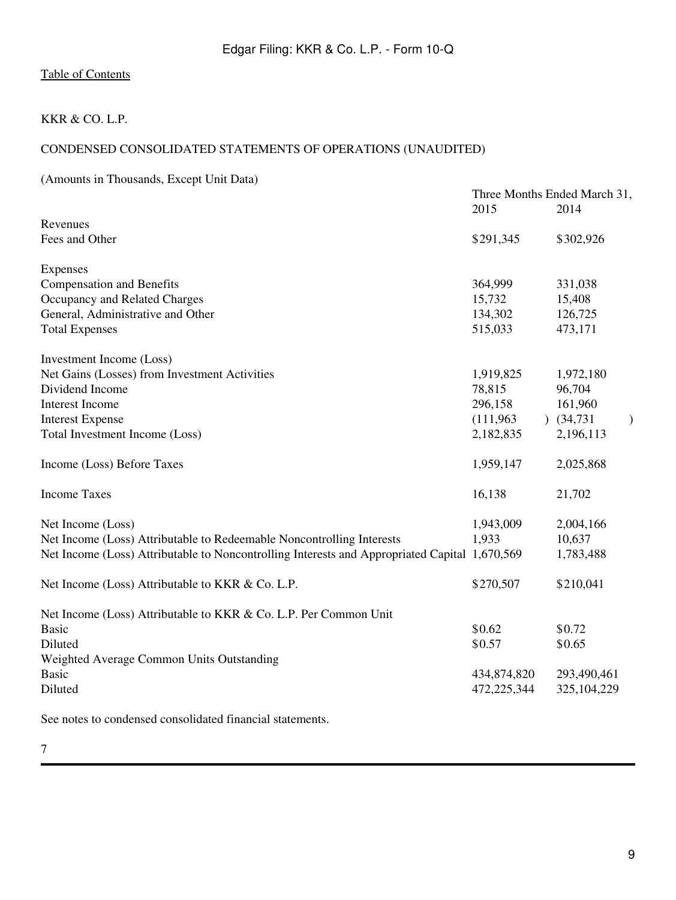### KKR & CO. L.P.

### CONDENSED CONSOLIDATED STATEMENTS OF OPERATIONS (UNAUDITED)

(Amounts in Thousands, Except Unit Data)

|                                                                                               | 2015        | Three Months Ended March 31,<br>2014 |  |  |  |  |
|-----------------------------------------------------------------------------------------------|-------------|--------------------------------------|--|--|--|--|
| Revenues                                                                                      |             |                                      |  |  |  |  |
| Fees and Other                                                                                | \$291,345   | \$302,926                            |  |  |  |  |
|                                                                                               |             |                                      |  |  |  |  |
| Expenses                                                                                      |             |                                      |  |  |  |  |
| <b>Compensation and Benefits</b>                                                              | 364,999     | 331,038                              |  |  |  |  |
| Occupancy and Related Charges                                                                 | 15,732      | 15,408                               |  |  |  |  |
| General, Administrative and Other                                                             | 134,302     | 126,725                              |  |  |  |  |
| <b>Total Expenses</b>                                                                         | 515,033     | 473,171                              |  |  |  |  |
| Investment Income (Loss)                                                                      |             |                                      |  |  |  |  |
| Net Gains (Losses) from Investment Activities                                                 | 1,919,825   | 1,972,180                            |  |  |  |  |
| Dividend Income                                                                               | 78,815      | 96,704                               |  |  |  |  |
| Interest Income                                                                               | 296,158     | 161,960                              |  |  |  |  |
| <b>Interest Expense</b>                                                                       | (111,963)   | $)$ (34,731)<br>)                    |  |  |  |  |
| Total Investment Income (Loss)                                                                | 2,182,835   | 2,196,113                            |  |  |  |  |
| Income (Loss) Before Taxes                                                                    | 1,959,147   | 2,025,868                            |  |  |  |  |
| <b>Income Taxes</b>                                                                           | 16,138      | 21,702                               |  |  |  |  |
| Net Income (Loss)                                                                             | 1,943,009   | 2,004,166                            |  |  |  |  |
| Net Income (Loss) Attributable to Redeemable Noncontrolling Interests                         | 1,933       | 10,637                               |  |  |  |  |
| Net Income (Loss) Attributable to Noncontrolling Interests and Appropriated Capital 1,670,569 |             | 1,783,488                            |  |  |  |  |
| Net Income (Loss) Attributable to KKR & Co. L.P.                                              | \$270,507   | \$210,041                            |  |  |  |  |
| Net Income (Loss) Attributable to KKR & Co. L.P. Per Common Unit                              |             |                                      |  |  |  |  |
| <b>Basic</b>                                                                                  | \$0.62      | \$0.72                               |  |  |  |  |
| Diluted                                                                                       | \$0.57      | \$0.65                               |  |  |  |  |
| Weighted Average Common Units Outstanding                                                     |             |                                      |  |  |  |  |
| <b>Basic</b>                                                                                  | 434,874,820 | 293,490,461                          |  |  |  |  |
| Diluted                                                                                       | 472,225,344 | 325,104,229                          |  |  |  |  |
| See notes to condensed consolidated financial statements.                                     |             |                                      |  |  |  |  |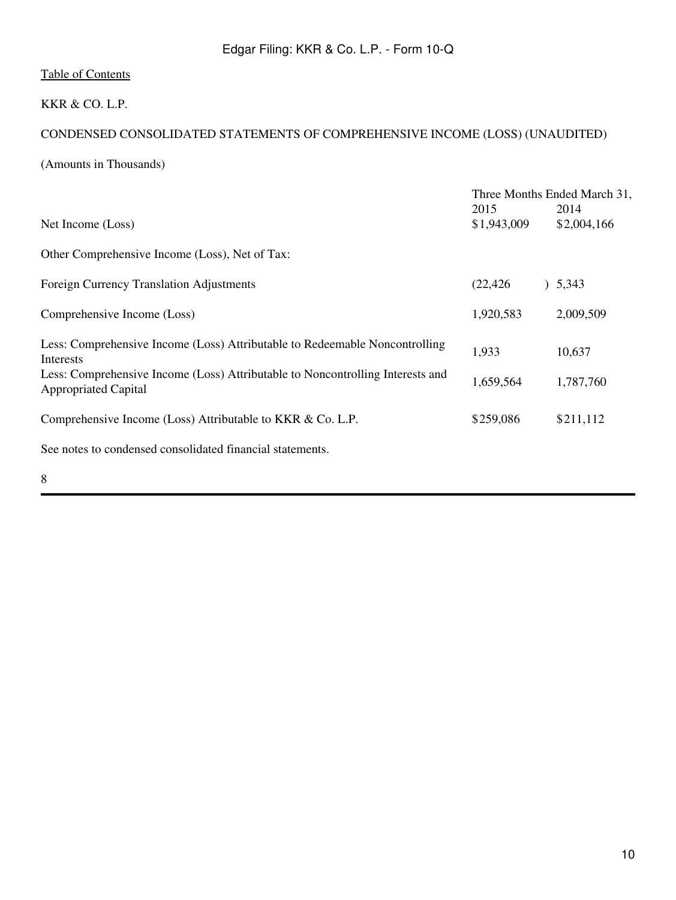### KKR & CO. L.P.

## CONDENSED CONSOLIDATED STATEMENTS OF COMPREHENSIVE INCOME (LOSS) (UNAUDITED)

(Amounts in Thousands)

|                                                                                                               |                     | Three Months Ended March 31, |
|---------------------------------------------------------------------------------------------------------------|---------------------|------------------------------|
| Net Income (Loss)                                                                                             | 2015<br>\$1,943,009 | 2014<br>\$2,004,166          |
| Other Comprehensive Income (Loss), Net of Tax:                                                                |                     |                              |
| Foreign Currency Translation Adjustments                                                                      | (22, 426)           | ) 5,343                      |
| Comprehensive Income (Loss)                                                                                   | 1,920,583           | 2,009,509                    |
| Less: Comprehensive Income (Loss) Attributable to Redeemable Noncontrolling<br><b>Interests</b>               | 1,933               | 10,637                       |
| Less: Comprehensive Income (Loss) Attributable to Noncontrolling Interests and<br><b>Appropriated Capital</b> | 1,659,564           | 1,787,760                    |
| Comprehensive Income (Loss) Attributable to KKR & Co. L.P.                                                    | \$259,086           | \$211,112                    |
| See notes to condensed consolidated financial statements.                                                     |                     |                              |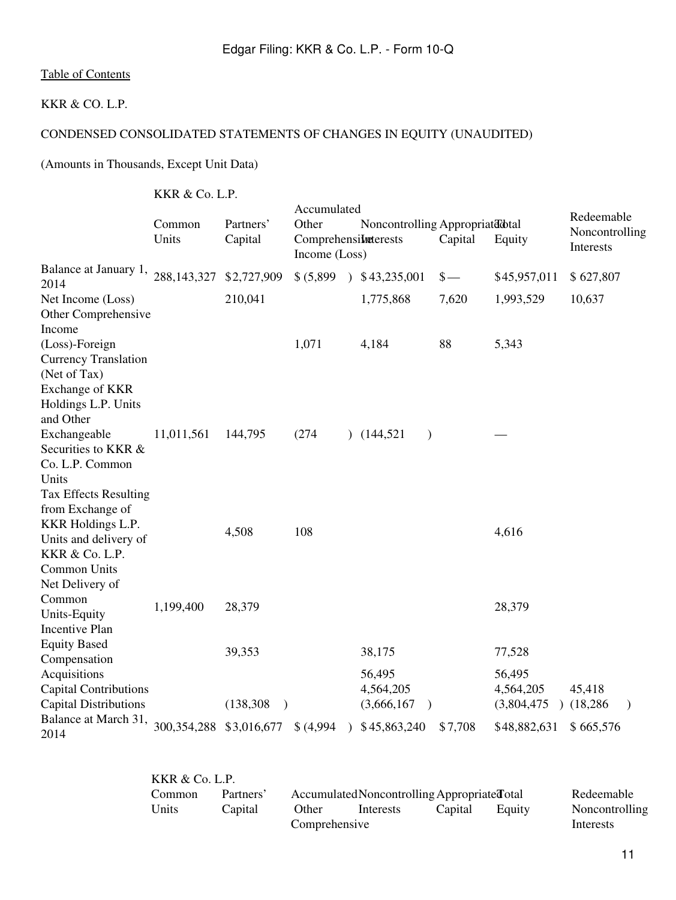#### KKR & CO. L.P.

## CONDENSED CONSOLIDATED STATEMENTS OF CHANGES IN EQUITY (UNAUDITED)

(Amounts in Thousands, Except Unit Data)

KKR & Co. L.P.

|                                                                                                                      | $\sum_{i=1}^{n} \sum_{i=1}^{n} \sum_{i=1}^{n} \sum_{i=1}^{n} \sum_{i=1}^{n} \sum_{i=1}^{n} \sum_{i=1}^{n} \sum_{i=1}^{n} \sum_{i=1}^{n} \sum_{i=1}^{n} \sum_{i=1}^{n} \sum_{i=1}^{n} \sum_{i=1}^{n} \sum_{i=1}^{n} \sum_{i=1}^{n} \sum_{i=1}^{n} \sum_{i=1}^{n} \sum_{i=1}^{n} \sum_{i=1}^{n} \sum_{i=1}^{n} \sum_{i=1}^{n} \sum_{i=1}^{n}$ |                         |                                                               |               |                                               |               |                                    |                                           |
|----------------------------------------------------------------------------------------------------------------------|---------------------------------------------------------------------------------------------------------------------------------------------------------------------------------------------------------------------------------------------------------------------------------------------------------------------------------------------|-------------------------|---------------------------------------------------------------|---------------|-----------------------------------------------|---------------|------------------------------------|-------------------------------------------|
|                                                                                                                      | Common<br>Units                                                                                                                                                                                                                                                                                                                             | Partners'<br>Capital    | Accumulated<br>Other<br>Comprehensiketerests<br>Income (Loss) |               | Noncontrolling Appropriated dtal              | Capital       | Equity                             | Redeemable<br>Noncontrolling<br>Interests |
| Balance at January 1,<br>2014                                                                                        | 288, 143, 327                                                                                                                                                                                                                                                                                                                               | \$2,727,909             | \$ (5,899)                                                    |               | $\frac{1}{2}$ \$43,235,001                    | $\frac{1}{2}$ | \$45,957,011                       | \$627,807                                 |
| Net Income (Loss)<br>Other Comprehensive<br>Income                                                                   |                                                                                                                                                                                                                                                                                                                                             | 210,041                 |                                                               |               | 1,775,868                                     | 7,620         | 1,993,529                          | 10,637                                    |
| (Loss)-Foreign<br><b>Currency Translation</b><br>(Net of Tax)<br>Exchange of KKR<br>Holdings L.P. Units<br>and Other |                                                                                                                                                                                                                                                                                                                                             |                         | 1,071                                                         |               | 4,184                                         | 88            | 5,343                              |                                           |
| Exchangeable<br>Securities to KKR &<br>Co. L.P. Common<br>Units<br><b>Tax Effects Resulting</b><br>from Exchange of  | 11,011,561                                                                                                                                                                                                                                                                                                                                  | 144,795                 | (274)                                                         |               | (144, 521)<br>$\mathcal{E}$                   |               |                                    |                                           |
| KKR Holdings L.P.<br>Units and delivery of<br>KKR & Co. L.P.<br>Common Units<br>Net Delivery of                      |                                                                                                                                                                                                                                                                                                                                             | 4,508                   | 108                                                           |               |                                               |               | 4,616                              |                                           |
| Common<br>Units-Equity<br><b>Incentive Plan</b>                                                                      | 1,199,400                                                                                                                                                                                                                                                                                                                                   | 28,379                  |                                                               |               |                                               |               | 28,379                             |                                           |
| <b>Equity Based</b><br>Compensation                                                                                  |                                                                                                                                                                                                                                                                                                                                             | 39,353                  |                                                               |               | 38,175                                        |               | 77,528                             |                                           |
| Acquisitions<br><b>Capital Contributions</b><br><b>Capital Distributions</b>                                         |                                                                                                                                                                                                                                                                                                                                             | (138, 308)<br>$\lambda$ |                                                               |               | 56,495<br>4,564,205<br>(3,666,167)<br>$\big)$ |               | 56,495<br>4,564,205<br>(3,804,475) | 45,418<br>(18,286)<br>$\lambda$           |
| Balance at March 31,<br>2014                                                                                         | 300, 354, 288 \$3, 016, 677                                                                                                                                                                                                                                                                                                                 |                         | \$ (4,994)                                                    | $\mathcal{L}$ | \$45,863,240                                  | \$7,708       | \$48,882,631                       | \$665,576                                 |

| KKR & Co. L.P. |           |               |                                              |         |        |                |
|----------------|-----------|---------------|----------------------------------------------|---------|--------|----------------|
| Common         | Partners' |               | Accumulated Noncontrolling Appropriated otal |         |        | Redeemable     |
| Units          | Capital   | Other         | Interests                                    | Capital | Equity | Noncontrolling |
|                |           | Comprehensive |                                              |         |        | Interests      |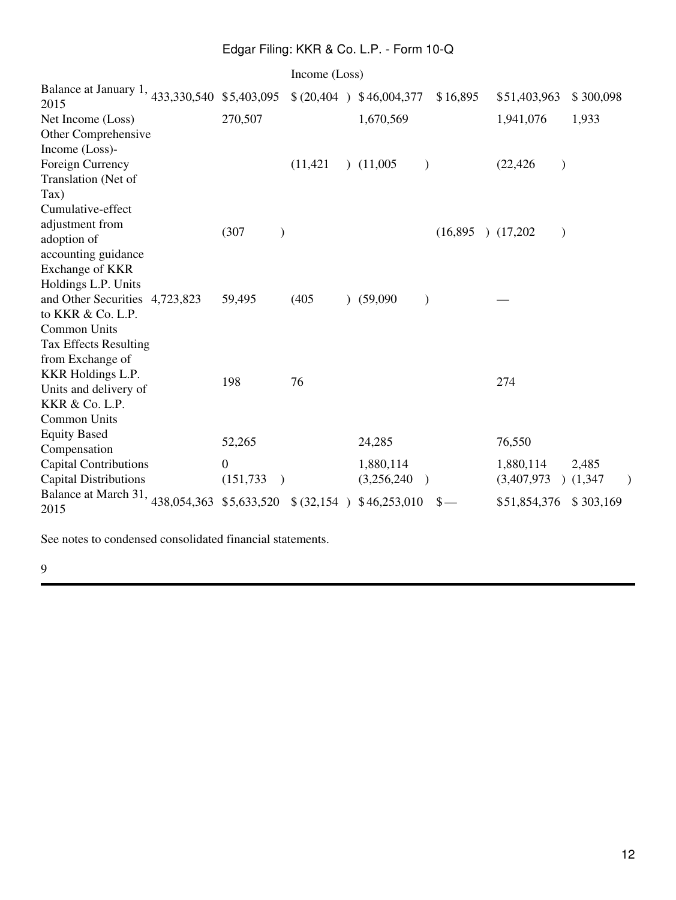|                                                                                                                                         |                                               | Income (Loss) |                           |               |                |                          |               |                  |
|-----------------------------------------------------------------------------------------------------------------------------------------|-----------------------------------------------|---------------|---------------------------|---------------|----------------|--------------------------|---------------|------------------|
| Balance at January 1, 433,330,540 \$5,403,095<br>2015                                                                                   |                                               |               | \$ (20,404 ) \$46,004,377 |               | \$16,895       | \$51,403,963             |               | \$300,098        |
| Net Income (Loss)<br>Other Comprehensive                                                                                                | 270,507                                       |               | 1,670,569                 |               |                | 1,941,076                |               | 1,933            |
| Income (Loss)-<br>Foreign Currency<br>Translation (Net of<br>Tax)                                                                       |                                               | (11, 421)     | (11,005)                  | $\mathcal{E}$ |                | (22, 426)                | $\mathcal{E}$ |                  |
| Cumulative-effect<br>adjustment from<br>adoption of<br>accounting guidance<br>Exchange of KKR                                           | (307)<br>$\mathcal{E}$                        |               |                           |               | (16,895)       | (17,202)                 | $\mathcal{E}$ |                  |
| Holdings L.P. Units<br>and Other Securities 4,723,823<br>to KKR & Co. L.P.<br><b>Common Units</b>                                       | 59,495                                        | (405)         | (59,090)                  | $\mathcal{E}$ |                |                          |               |                  |
| <b>Tax Effects Resulting</b><br>from Exchange of<br>KKR Holdings L.P.<br>Units and delivery of<br>KKR & Co. L.P.<br><b>Common Units</b> | 198                                           | 76            |                           |               |                | 274                      |               |                  |
| <b>Equity Based</b><br>Compensation                                                                                                     | 52,265                                        |               | 24,285                    |               |                | 76,550                   |               |                  |
| <b>Capital Contributions</b><br><b>Capital Distributions</b>                                                                            | $\overline{0}$<br>(151, 733)<br>$\rightarrow$ |               | 1,880,114<br>(3,256,240)  | $\rightarrow$ |                | 1,880,114<br>(3,407,973) |               | 2,485<br>(1,347) |
| Balance at March 31, 438,054,363<br>2015                                                                                                | \$5,633,520                                   |               | \$ (32,154 ) \$46,253,010 |               | $\mathbf{s}$ — | \$51,854,376             |               | \$303,169        |

See notes to condensed consolidated financial statements.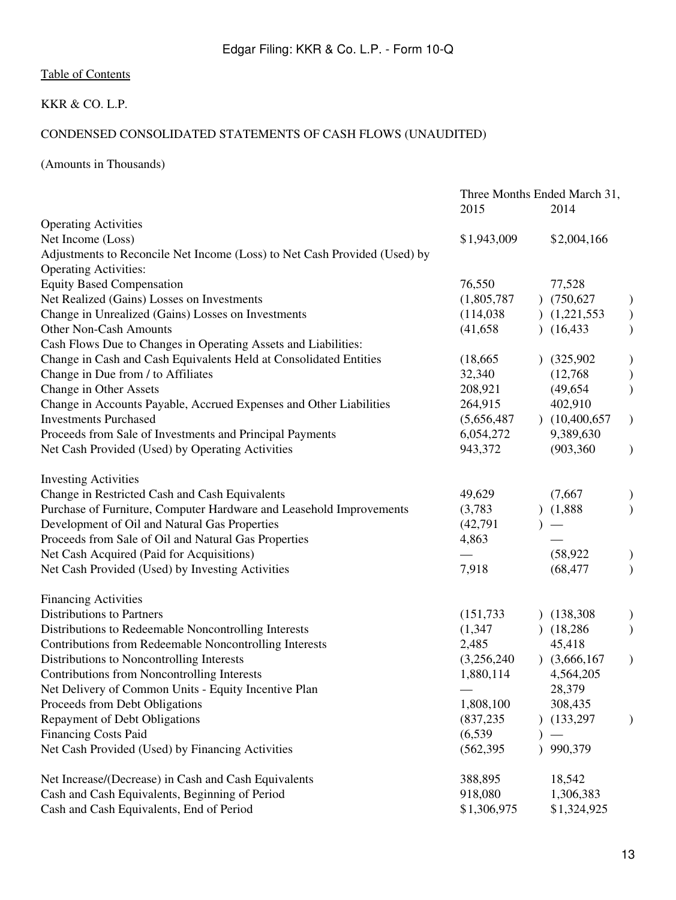## KKR & CO. L.P.

## CONDENSED CONSOLIDATED STATEMENTS OF CASH FLOWS (UNAUDITED)

(Amounts in Thousands)

|                                                                           | Three Months Ended March 31, |  |                 |               |
|---------------------------------------------------------------------------|------------------------------|--|-----------------|---------------|
|                                                                           | 2015                         |  | 2014            |               |
| <b>Operating Activities</b>                                               |                              |  |                 |               |
| Net Income (Loss)                                                         | \$1,943,009                  |  | \$2,004,166     |               |
| Adjustments to Reconcile Net Income (Loss) to Net Cash Provided (Used) by |                              |  |                 |               |
| <b>Operating Activities:</b>                                              |                              |  |                 |               |
| <b>Equity Based Compensation</b>                                          | 76,550                       |  | 77,528          |               |
| Net Realized (Gains) Losses on Investments                                | (1,805,787)                  |  | (750,627)       | $\mathcal{E}$ |
| Change in Unrealized (Gains) Losses on Investments                        | (114,038)                    |  | (1,221,553)     | $)$           |
| <b>Other Non-Cash Amounts</b>                                             | (41, 658)                    |  | (16, 433)       |               |
| Cash Flows Due to Changes in Operating Assets and Liabilities:            |                              |  |                 |               |
| Change in Cash and Cash Equivalents Held at Consolidated Entities         | (18,665)                     |  | (325,902)       | $\big)$       |
| Change in Due from / to Affiliates                                        | 32,340                       |  | (12,768)        |               |
| Change in Other Assets                                                    | 208,921                      |  | (49, 654)       | )             |
| Change in Accounts Payable, Accrued Expenses and Other Liabilities        | 264,915                      |  | 402,910         |               |
| <b>Investments Purchased</b>                                              | (5,656,487)                  |  | (10,400,657)    | $\bm{)}$      |
| Proceeds from Sale of Investments and Principal Payments                  | 6,054,272                    |  | 9,389,630       |               |
| Net Cash Provided (Used) by Operating Activities                          | 943,372                      |  | (903, 360)      | $\mathcal{E}$ |
| <b>Investing Activities</b>                                               |                              |  |                 |               |
| Change in Restricted Cash and Cash Equivalents                            | 49,629                       |  | (7,667)         | $\mathcal{E}$ |
| Purchase of Furniture, Computer Hardware and Leasehold Improvements       | (3,783)                      |  | (1,888)         | $\mathcal{E}$ |
| Development of Oil and Natural Gas Properties                             | (42, 791)                    |  |                 |               |
| Proceeds from Sale of Oil and Natural Gas Properties                      | 4,863                        |  |                 |               |
| Net Cash Acquired (Paid for Acquisitions)                                 |                              |  | (58, 922)       | $\mathcal{E}$ |
| Net Cash Provided (Used) by Investing Activities                          | 7,918                        |  | (68, 477)       | $\mathcal{E}$ |
| <b>Financing Activities</b>                                               |                              |  |                 |               |
| Distributions to Partners                                                 | (151, 733)                   |  | (138, 308)      | $\mathcal{Y}$ |
| Distributions to Redeemable Noncontrolling Interests                      | (1, 347)                     |  | (18,286)        | $\mathcal{E}$ |
| Contributions from Redeemable Noncontrolling Interests                    | 2,485                        |  | 45,418          |               |
| Distributions to Noncontrolling Interests                                 | (3,256,240)                  |  | $)$ (3,666,167) | $\mathcal{E}$ |
| Contributions from Noncontrolling Interests                               | 1,880,114                    |  | 4,564,205       |               |
| Net Delivery of Common Units - Equity Incentive Plan                      |                              |  | 28,379          |               |
| Proceeds from Debt Obligations                                            | 1,808,100                    |  | 308,435         |               |
| Repayment of Debt Obligations                                             | (837, 235)                   |  | (133, 297)      |               |
| <b>Financing Costs Paid</b>                                               | (6, 539)                     |  |                 |               |
| Net Cash Provided (Used) by Financing Activities                          | (562, 395)                   |  | 990,379         |               |
| Net Increase/(Decrease) in Cash and Cash Equivalents                      | 388,895                      |  | 18,542          |               |
| Cash and Cash Equivalents, Beginning of Period                            | 918,080                      |  | 1,306,383       |               |
| Cash and Cash Equivalents, End of Period                                  | \$1,306,975                  |  | \$1,324,925     |               |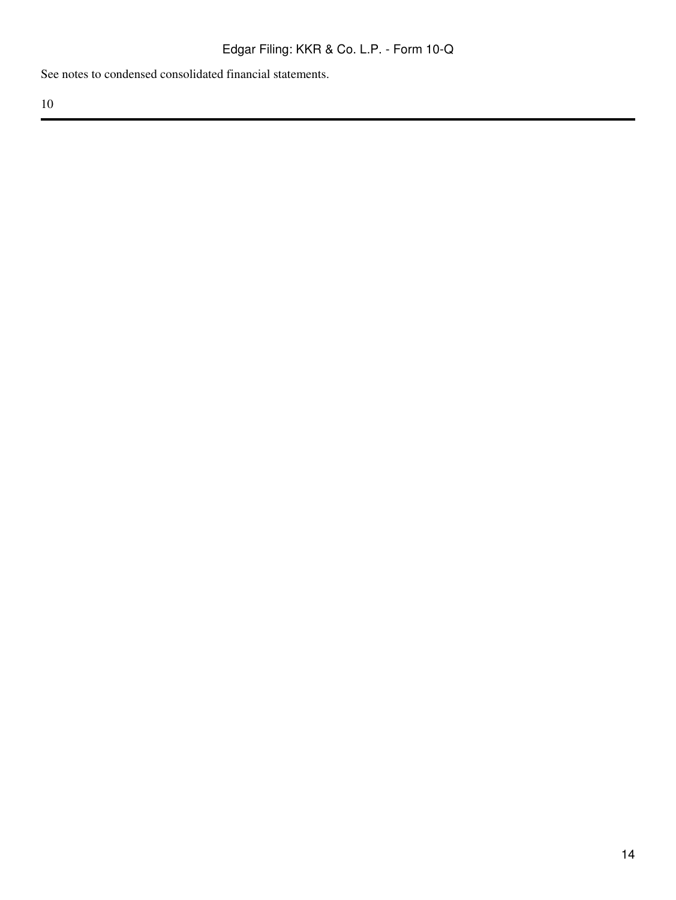See notes to condensed consolidated financial statements.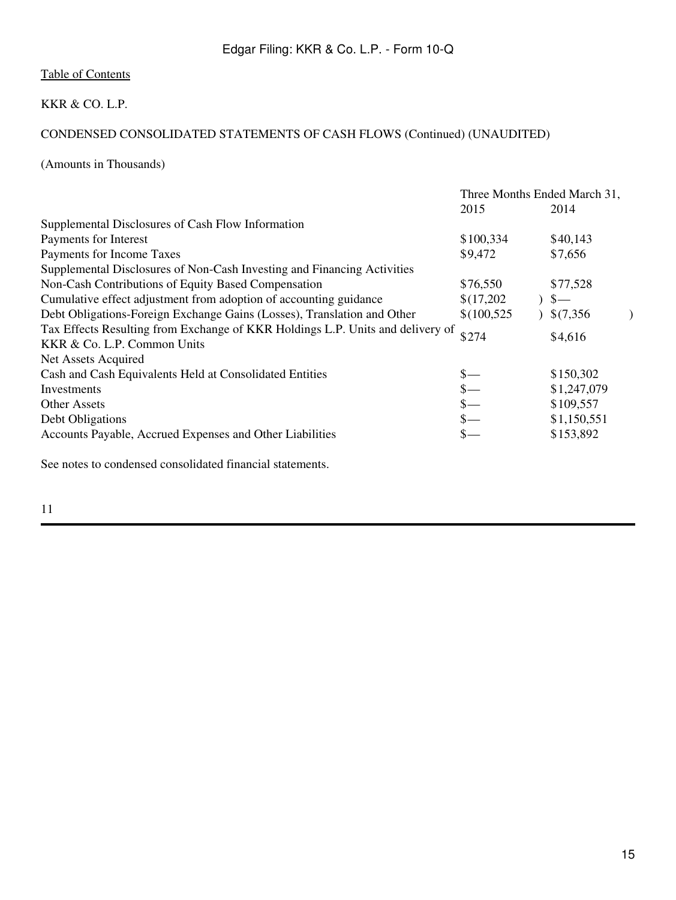### KKR & CO. L.P.

## CONDENSED CONSOLIDATED STATEMENTS OF CASH FLOWS (Continued) (UNAUDITED)

(Amounts in Thousands)

|                                                                                | Three Months Ended March 31, |  |             |  |
|--------------------------------------------------------------------------------|------------------------------|--|-------------|--|
|                                                                                | 2015                         |  | 2014        |  |
| Supplemental Disclosures of Cash Flow Information                              |                              |  |             |  |
| Payments for Interest                                                          | \$100,334                    |  | \$40,143    |  |
| Payments for Income Taxes                                                      | \$9,472                      |  | \$7,656     |  |
| Supplemental Disclosures of Non-Cash Investing and Financing Activities        |                              |  |             |  |
| Non-Cash Contributions of Equity Based Compensation                            | \$76,550                     |  | \$77,528    |  |
| Cumulative effect adjustment from adoption of accounting guidance              | \$(17,202)                   |  | $S-$        |  |
| Debt Obligations-Foreign Exchange Gains (Losses), Translation and Other        | \$(100,525)                  |  | \$(7,356)   |  |
| Tax Effects Resulting from Exchange of KKR Holdings L.P. Units and delivery of | \$274                        |  | \$4,616     |  |
| KKR & Co. L.P. Common Units                                                    |                              |  |             |  |
| Net Assets Acquired                                                            |                              |  |             |  |
| Cash and Cash Equivalents Held at Consolidated Entities                        |                              |  | \$150,302   |  |
| Investments                                                                    |                              |  | \$1,247,079 |  |
| <b>Other Assets</b>                                                            | $\frac{\S}{\S}$              |  | \$109,557   |  |
| Debt Obligations                                                               |                              |  | \$1,150,551 |  |
| Accounts Payable, Accrued Expenses and Other Liabilities                       |                              |  | \$153,892   |  |
|                                                                                |                              |  |             |  |

See notes to condensed consolidated financial statements.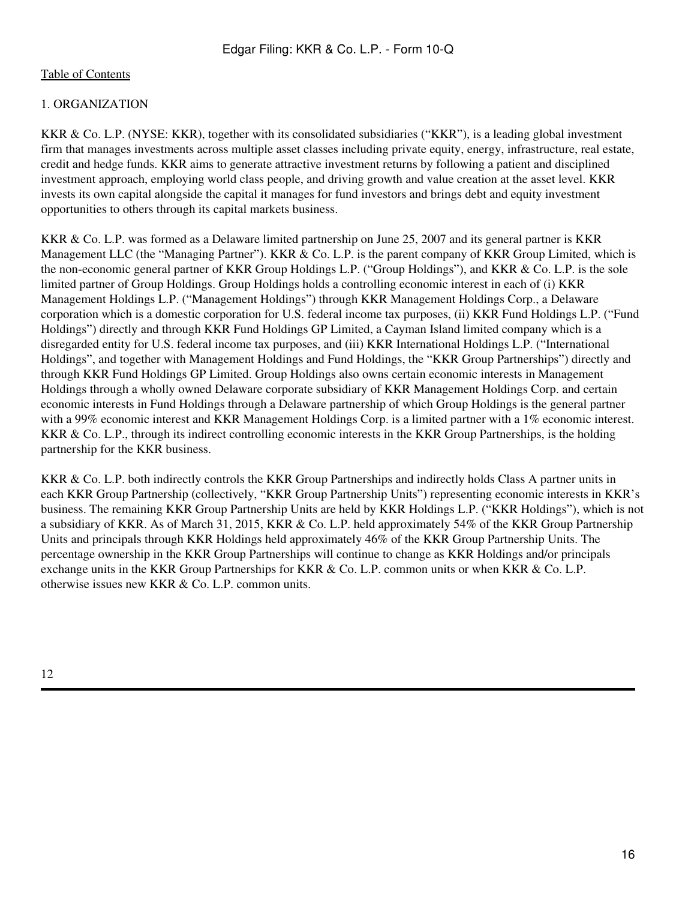### 1. ORGANIZATION

KKR & Co. L.P. (NYSE: KKR), together with its consolidated subsidiaries ("KKR"), is a leading global investment firm that manages investments across multiple asset classes including private equity, energy, infrastructure, real estate, credit and hedge funds. KKR aims to generate attractive investment returns by following a patient and disciplined investment approach, employing world class people, and driving growth and value creation at the asset level. KKR invests its own capital alongside the capital it manages for fund investors and brings debt and equity investment opportunities to others through its capital markets business.

KKR & Co. L.P. was formed as a Delaware limited partnership on June 25, 2007 and its general partner is KKR Management LLC (the "Managing Partner"). KKR & Co. L.P. is the parent company of KKR Group Limited, which is the non-economic general partner of KKR Group Holdings L.P. ("Group Holdings"), and KKR & Co. L.P. is the sole limited partner of Group Holdings. Group Holdings holds a controlling economic interest in each of (i) KKR Management Holdings L.P. ("Management Holdings") through KKR Management Holdings Corp., a Delaware corporation which is a domestic corporation for U.S. federal income tax purposes, (ii) KKR Fund Holdings L.P. ("Fund Holdings") directly and through KKR Fund Holdings GP Limited, a Cayman Island limited company which is a disregarded entity for U.S. federal income tax purposes, and (iii) KKR International Holdings L.P. ("International Holdings", and together with Management Holdings and Fund Holdings, the "KKR Group Partnerships") directly and through KKR Fund Holdings GP Limited. Group Holdings also owns certain economic interests in Management Holdings through a wholly owned Delaware corporate subsidiary of KKR Management Holdings Corp. and certain economic interests in Fund Holdings through a Delaware partnership of which Group Holdings is the general partner with a 99% economic interest and KKR Management Holdings Corp. is a limited partner with a 1% economic interest. KKR & Co. L.P., through its indirect controlling economic interests in the KKR Group Partnerships, is the holding partnership for the KKR business.

KKR & Co. L.P. both indirectly controls the KKR Group Partnerships and indirectly holds Class A partner units in each KKR Group Partnership (collectively, "KKR Group Partnership Units") representing economic interests in KKR's business. The remaining KKR Group Partnership Units are held by KKR Holdings L.P. ("KKR Holdings"), which is not a subsidiary of KKR. As of March 31, 2015, KKR & Co. L.P. held approximately 54% of the KKR Group Partnership Units and principals through KKR Holdings held approximately 46% of the KKR Group Partnership Units. The percentage ownership in the KKR Group Partnerships will continue to change as KKR Holdings and/or principals exchange units in the KKR Group Partnerships for KKR & Co. L.P. common units or when KKR & Co. L.P. otherwise issues new KKR & Co. L.P. common units.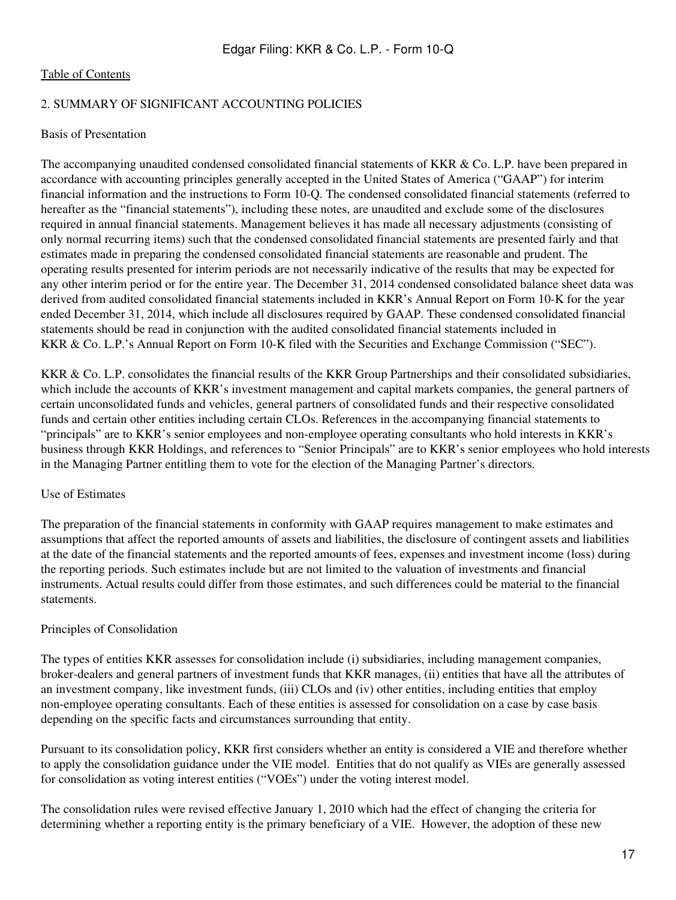#### 2. SUMMARY OF SIGNIFICANT ACCOUNTING POLICIES

#### Basis of Presentation

The accompanying unaudited condensed consolidated financial statements of KKR & Co. L.P. have been prepared in accordance with accounting principles generally accepted in the United States of America ("GAAP") for interim financial information and the instructions to Form 10-Q. The condensed consolidated financial statements (referred to hereafter as the "financial statements"), including these notes, are unaudited and exclude some of the disclosures required in annual financial statements. Management believes it has made all necessary adjustments (consisting of only normal recurring items) such that the condensed consolidated financial statements are presented fairly and that estimates made in preparing the condensed consolidated financial statements are reasonable and prudent. The operating results presented for interim periods are not necessarily indicative of the results that may be expected for any other interim period or for the entire year. The December 31, 2014 condensed consolidated balance sheet data was derived from audited consolidated financial statements included in KKR's Annual Report on Form 10-K for the year ended December 31, 2014, which include all disclosures required by GAAP. These condensed consolidated financial statements should be read in conjunction with the audited consolidated financial statements included in KKR & Co. L.P.'s Annual Report on Form 10-K filed with the Securities and Exchange Commission ("SEC").

KKR & Co. L.P. consolidates the financial results of the KKR Group Partnerships and their consolidated subsidiaries, which include the accounts of KKR's investment management and capital markets companies, the general partners of certain unconsolidated funds and vehicles, general partners of consolidated funds and their respective consolidated funds and certain other entities including certain CLOs. References in the accompanying financial statements to "principals" are to KKR's senior employees and non-employee operating consultants who hold interests in KKR's business through KKR Holdings, and references to "Senior Principals" are to KKR's senior employees who hold interests in the Managing Partner entitling them to vote for the election of the Managing Partner's directors.

#### Use of Estimates

The preparation of the financial statements in conformity with GAAP requires management to make estimates and assumptions that affect the reported amounts of assets and liabilities, the disclosure of contingent assets and liabilities at the date of the financial statements and the reported amounts of fees, expenses and investment income (loss) during the reporting periods. Such estimates include but are not limited to the valuation of investments and financial instruments. Actual results could differ from those estimates, and such differences could be material to the financial statements.

#### Principles of Consolidation

The types of entities KKR assesses for consolidation include (i) subsidiaries, including management companies, broker-dealers and general partners of investment funds that KKR manages, (ii) entities that have all the attributes of an investment company, like investment funds, (iii) CLOs and (iv) other entities, including entities that employ non-employee operating consultants. Each of these entities is assessed for consolidation on a case by case basis depending on the specific facts and circumstances surrounding that entity.

Pursuant to its consolidation policy, KKR first considers whether an entity is considered a VIE and therefore whether to apply the consolidation guidance under the VIE model. Entities that do not qualify as VIEs are generally assessed for consolidation as voting interest entities ("VOEs") under the voting interest model.

The consolidation rules were revised effective January 1, 2010 which had the effect of changing the criteria for determining whether a reporting entity is the primary beneficiary of a VIE. However, the adoption of these new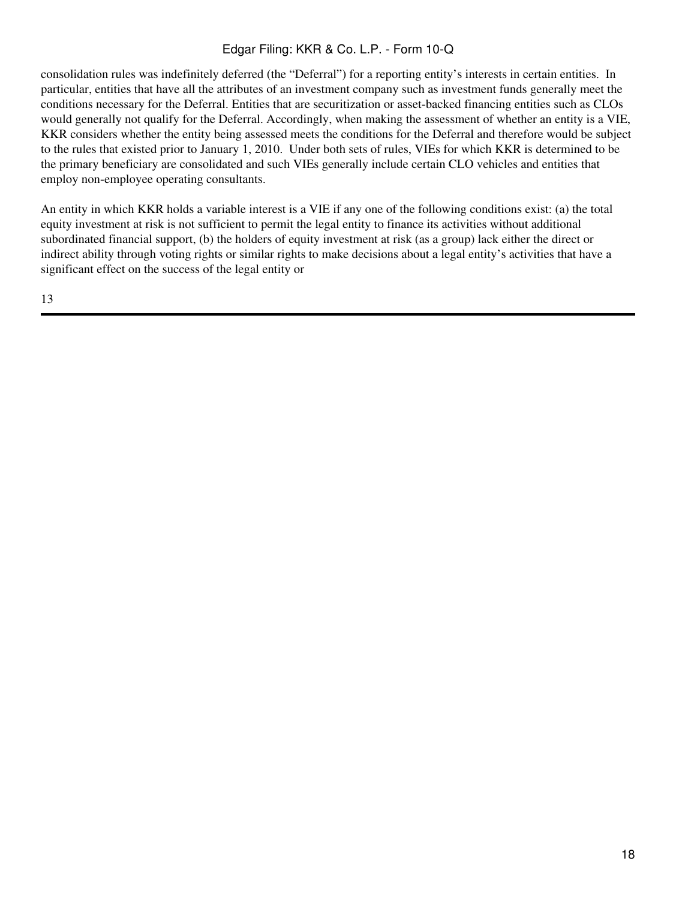consolidation rules was indefinitely deferred (the "Deferral") for a reporting entity's interests in certain entities. In particular, entities that have all the attributes of an investment company such as investment funds generally meet the conditions necessary for the Deferral. Entities that are securitization or asset-backed financing entities such as CLOs would generally not qualify for the Deferral. Accordingly, when making the assessment of whether an entity is a VIE, KKR considers whether the entity being assessed meets the conditions for the Deferral and therefore would be subject to the rules that existed prior to January 1, 2010. Under both sets of rules, VIEs for which KKR is determined to be the primary beneficiary are consolidated and such VIEs generally include certain CLO vehicles and entities that employ non-employee operating consultants.

An entity in which KKR holds a variable interest is a VIE if any one of the following conditions exist: (a) the total equity investment at risk is not sufficient to permit the legal entity to finance its activities without additional subordinated financial support, (b) the holders of equity investment at risk (as a group) lack either the direct or indirect ability through voting rights or similar rights to make decisions about a legal entity's activities that have a significant effect on the success of the legal entity or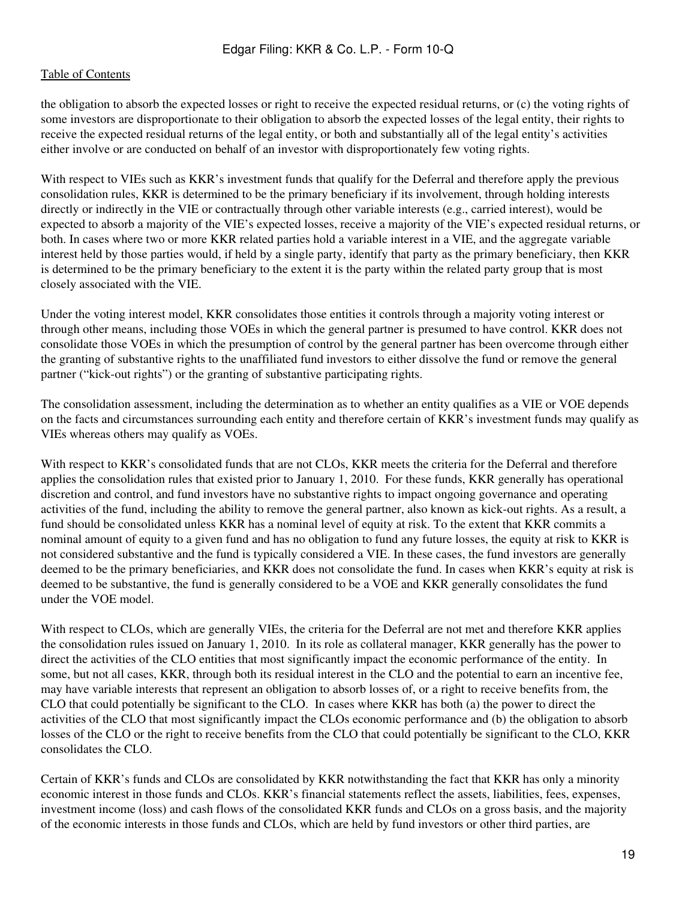the obligation to absorb the expected losses or right to receive the expected residual returns, or (c) the voting rights of some investors are disproportionate to their obligation to absorb the expected losses of the legal entity, their rights to receive the expected residual returns of the legal entity, or both and substantially all of the legal entity's activities either involve or are conducted on behalf of an investor with disproportionately few voting rights.

With respect to VIEs such as KKR's investment funds that qualify for the Deferral and therefore apply the previous consolidation rules, KKR is determined to be the primary beneficiary if its involvement, through holding interests directly or indirectly in the VIE or contractually through other variable interests (e.g., carried interest), would be expected to absorb a majority of the VIE's expected losses, receive a majority of the VIE's expected residual returns, or both. In cases where two or more KKR related parties hold a variable interest in a VIE, and the aggregate variable interest held by those parties would, if held by a single party, identify that party as the primary beneficiary, then KKR is determined to be the primary beneficiary to the extent it is the party within the related party group that is most closely associated with the VIE.

Under the voting interest model, KKR consolidates those entities it controls through a majority voting interest or through other means, including those VOEs in which the general partner is presumed to have control. KKR does not consolidate those VOEs in which the presumption of control by the general partner has been overcome through either the granting of substantive rights to the unaffiliated fund investors to either dissolve the fund or remove the general partner ("kick-out rights") or the granting of substantive participating rights.

The consolidation assessment, including the determination as to whether an entity qualifies as a VIE or VOE depends on the facts and circumstances surrounding each entity and therefore certain of KKR's investment funds may qualify as VIEs whereas others may qualify as VOEs.

With respect to KKR's consolidated funds that are not CLOs, KKR meets the criteria for the Deferral and therefore applies the consolidation rules that existed prior to January 1, 2010. For these funds, KKR generally has operational discretion and control, and fund investors have no substantive rights to impact ongoing governance and operating activities of the fund, including the ability to remove the general partner, also known as kick-out rights. As a result, a fund should be consolidated unless KKR has a nominal level of equity at risk. To the extent that KKR commits a nominal amount of equity to a given fund and has no obligation to fund any future losses, the equity at risk to KKR is not considered substantive and the fund is typically considered a VIE. In these cases, the fund investors are generally deemed to be the primary beneficiaries, and KKR does not consolidate the fund. In cases when KKR's equity at risk is deemed to be substantive, the fund is generally considered to be a VOE and KKR generally consolidates the fund under the VOE model.

With respect to CLOs, which are generally VIEs, the criteria for the Deferral are not met and therefore KKR applies the consolidation rules issued on January 1, 2010. In its role as collateral manager, KKR generally has the power to direct the activities of the CLO entities that most significantly impact the economic performance of the entity. In some, but not all cases, KKR, through both its residual interest in the CLO and the potential to earn an incentive fee, may have variable interests that represent an obligation to absorb losses of, or a right to receive benefits from, the CLO that could potentially be significant to the CLO. In cases where KKR has both (a) the power to direct the activities of the CLO that most significantly impact the CLOs economic performance and (b) the obligation to absorb losses of the CLO or the right to receive benefits from the CLO that could potentially be significant to the CLO, KKR consolidates the CLO.

Certain of KKR's funds and CLOs are consolidated by KKR notwithstanding the fact that KKR has only a minority economic interest in those funds and CLOs. KKR's financial statements reflect the assets, liabilities, fees, expenses, investment income (loss) and cash flows of the consolidated KKR funds and CLOs on a gross basis, and the majority of the economic interests in those funds and CLOs, which are held by fund investors or other third parties, are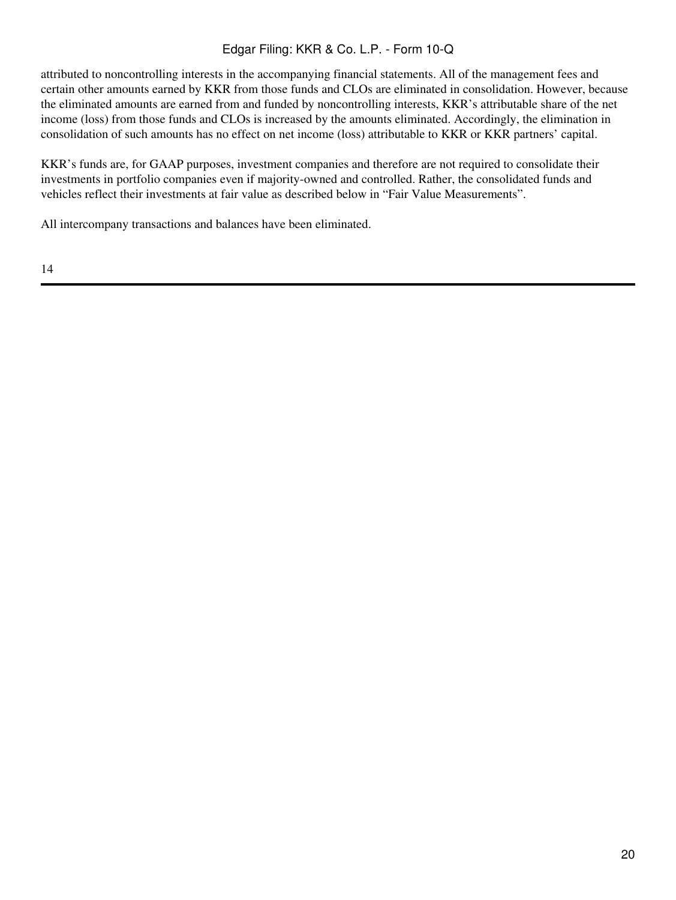attributed to noncontrolling interests in the accompanying financial statements. All of the management fees and certain other amounts earned by KKR from those funds and CLOs are eliminated in consolidation. However, because the eliminated amounts are earned from and funded by noncontrolling interests, KKR's attributable share of the net income (loss) from those funds and CLOs is increased by the amounts eliminated. Accordingly, the elimination in consolidation of such amounts has no effect on net income (loss) attributable to KKR or KKR partners' capital.

KKR's funds are, for GAAP purposes, investment companies and therefore are not required to consolidate their investments in portfolio companies even if majority-owned and controlled. Rather, the consolidated funds and vehicles reflect their investments at fair value as described below in "Fair Value Measurements".

All intercompany transactions and balances have been eliminated.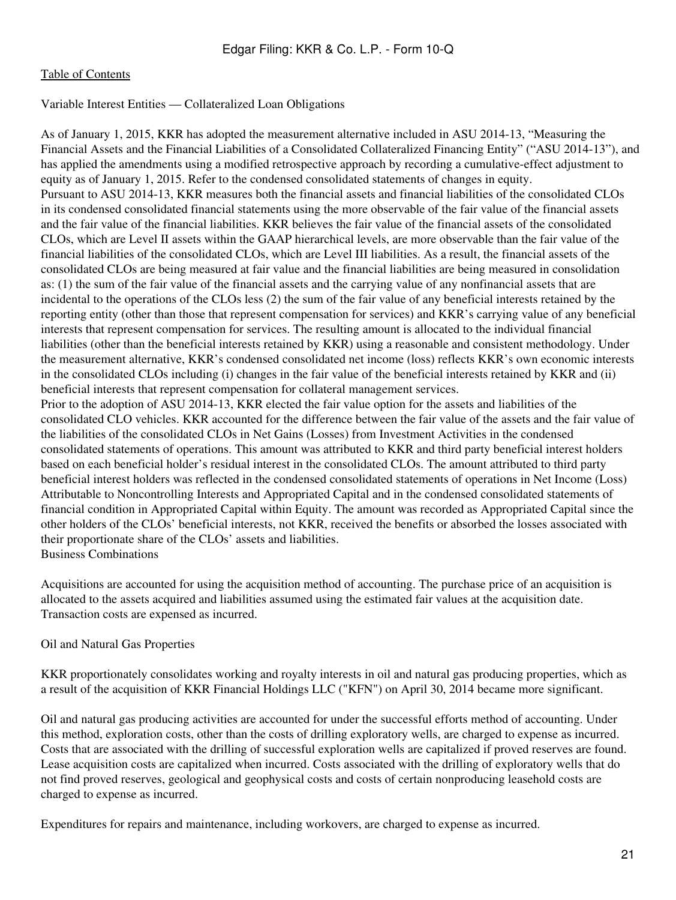Variable Interest Entities — Collateralized Loan Obligations

As of January 1, 2015, KKR has adopted the measurement alternative included in ASU 2014-13, "Measuring the Financial Assets and the Financial Liabilities of a Consolidated Collateralized Financing Entity" ("ASU 2014-13"), and has applied the amendments using a modified retrospective approach by recording a cumulative-effect adjustment to equity as of January 1, 2015. Refer to the condensed consolidated statements of changes in equity. Pursuant to ASU 2014-13, KKR measures both the financial assets and financial liabilities of the consolidated CLOs in its condensed consolidated financial statements using the more observable of the fair value of the financial assets and the fair value of the financial liabilities. KKR believes the fair value of the financial assets of the consolidated CLOs, which are Level II assets within the GAAP hierarchical levels, are more observable than the fair value of the financial liabilities of the consolidated CLOs, which are Level III liabilities. As a result, the financial assets of the consolidated CLOs are being measured at fair value and the financial liabilities are being measured in consolidation as: (1) the sum of the fair value of the financial assets and the carrying value of any nonfinancial assets that are incidental to the operations of the CLOs less (2) the sum of the fair value of any beneficial interests retained by the reporting entity (other than those that represent compensation for services) and KKR's carrying value of any beneficial interests that represent compensation for services. The resulting amount is allocated to the individual financial liabilities (other than the beneficial interests retained by KKR) using a reasonable and consistent methodology. Under the measurement alternative, KKR's condensed consolidated net income (loss) reflects KKR's own economic interests in the consolidated CLOs including (i) changes in the fair value of the beneficial interests retained by KKR and (ii) beneficial interests that represent compensation for collateral management services. Prior to the adoption of ASU 2014-13, KKR elected the fair value option for the assets and liabilities of the consolidated CLO vehicles. KKR accounted for the difference between the fair value of the assets and the fair value of the liabilities of the consolidated CLOs in Net Gains (Losses) from Investment Activities in the condensed consolidated statements of operations. This amount was attributed to KKR and third party beneficial interest holders based on each beneficial holder's residual interest in the consolidated CLOs. The amount attributed to third party beneficial interest holders was reflected in the condensed consolidated statements of operations in Net Income (Loss) Attributable to Noncontrolling Interests and Appropriated Capital and in the condensed consolidated statements of financial condition in Appropriated Capital within Equity. The amount was recorded as Appropriated Capital since the other holders of the CLOs' beneficial interests, not KKR, received the benefits or absorbed the losses associated with their proportionate share of the CLOs' assets and liabilities. Business Combinations

Acquisitions are accounted for using the acquisition method of accounting. The purchase price of an acquisition is allocated to the assets acquired and liabilities assumed using the estimated fair values at the acquisition date. Transaction costs are expensed as incurred.

#### Oil and Natural Gas Properties

KKR proportionately consolidates working and royalty interests in oil and natural gas producing properties, which as a result of the acquisition of KKR Financial Holdings LLC ("KFN") on April 30, 2014 became more significant.

Oil and natural gas producing activities are accounted for under the successful efforts method of accounting. Under this method, exploration costs, other than the costs of drilling exploratory wells, are charged to expense as incurred. Costs that are associated with the drilling of successful exploration wells are capitalized if proved reserves are found. Lease acquisition costs are capitalized when incurred. Costs associated with the drilling of exploratory wells that do not find proved reserves, geological and geophysical costs and costs of certain nonproducing leasehold costs are charged to expense as incurred.

Expenditures for repairs and maintenance, including workovers, are charged to expense as incurred.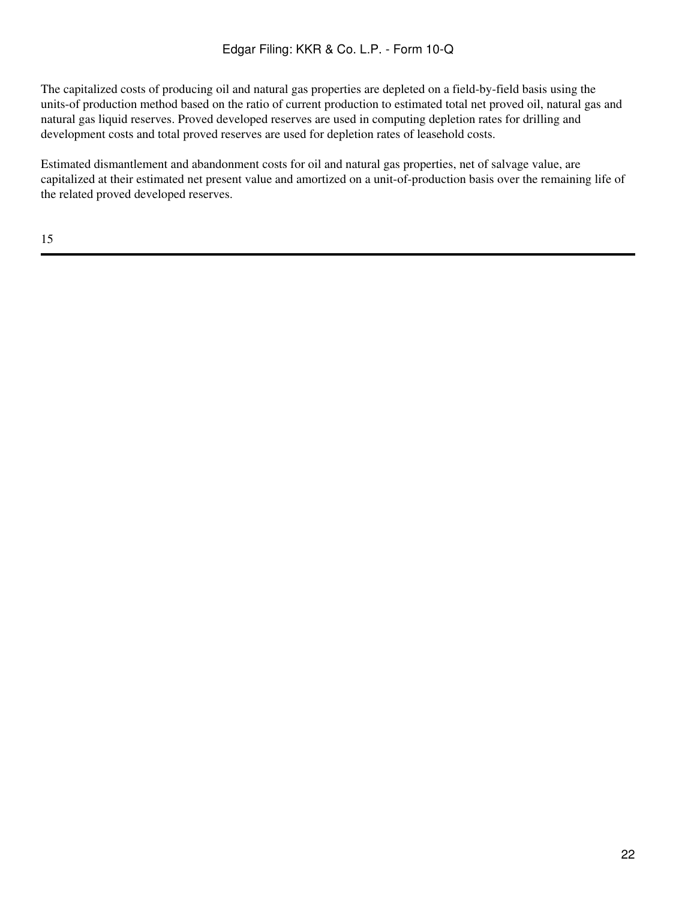The capitalized costs of producing oil and natural gas properties are depleted on a field-by-field basis using the units-of production method based on the ratio of current production to estimated total net proved oil, natural gas and natural gas liquid reserves. Proved developed reserves are used in computing depletion rates for drilling and development costs and total proved reserves are used for depletion rates of leasehold costs.

Estimated dismantlement and abandonment costs for oil and natural gas properties, net of salvage value, are capitalized at their estimated net present value and amortized on a unit-of-production basis over the remaining life of the related proved developed reserves.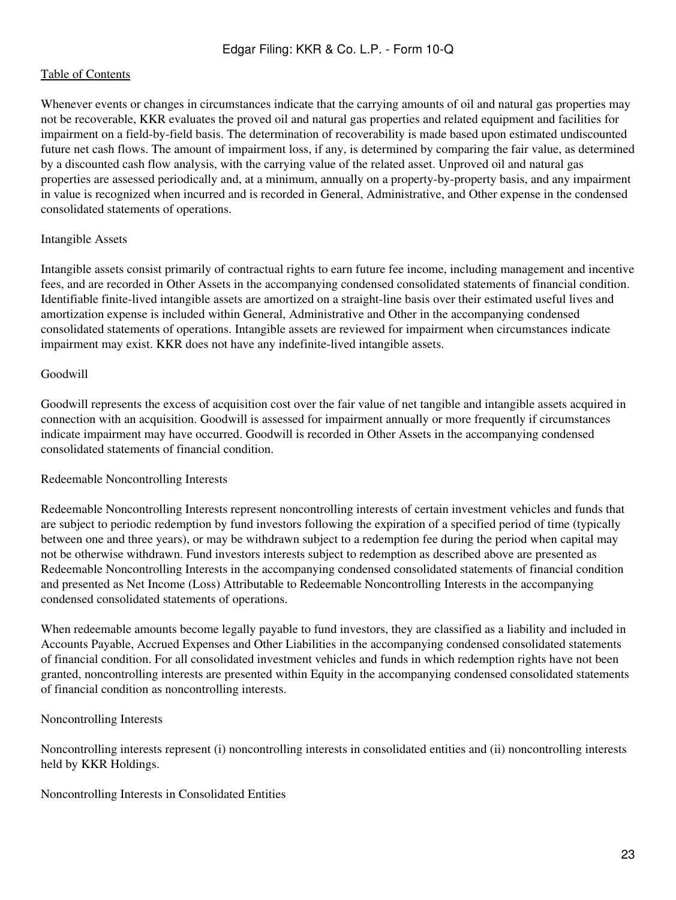Whenever events or changes in circumstances indicate that the carrying amounts of oil and natural gas properties may not be recoverable, KKR evaluates the proved oil and natural gas properties and related equipment and facilities for impairment on a field-by-field basis. The determination of recoverability is made based upon estimated undiscounted future net cash flows. The amount of impairment loss, if any, is determined by comparing the fair value, as determined by a discounted cash flow analysis, with the carrying value of the related asset. Unproved oil and natural gas properties are assessed periodically and, at a minimum, annually on a property-by-property basis, and any impairment in value is recognized when incurred and is recorded in General, Administrative, and Other expense in the condensed consolidated statements of operations.

#### Intangible Assets

Intangible assets consist primarily of contractual rights to earn future fee income, including management and incentive fees, and are recorded in Other Assets in the accompanying condensed consolidated statements of financial condition. Identifiable finite-lived intangible assets are amortized on a straight-line basis over their estimated useful lives and amortization expense is included within General, Administrative and Other in the accompanying condensed consolidated statements of operations. Intangible assets are reviewed for impairment when circumstances indicate impairment may exist. KKR does not have any indefinite-lived intangible assets.

#### Goodwill

Goodwill represents the excess of acquisition cost over the fair value of net tangible and intangible assets acquired in connection with an acquisition. Goodwill is assessed for impairment annually or more frequently if circumstances indicate impairment may have occurred. Goodwill is recorded in Other Assets in the accompanying condensed consolidated statements of financial condition.

#### Redeemable Noncontrolling Interests

Redeemable Noncontrolling Interests represent noncontrolling interests of certain investment vehicles and funds that are subject to periodic redemption by fund investors following the expiration of a specified period of time (typically between one and three years), or may be withdrawn subject to a redemption fee during the period when capital may not be otherwise withdrawn. Fund investors interests subject to redemption as described above are presented as Redeemable Noncontrolling Interests in the accompanying condensed consolidated statements of financial condition and presented as Net Income (Loss) Attributable to Redeemable Noncontrolling Interests in the accompanying condensed consolidated statements of operations.

When redeemable amounts become legally payable to fund investors, they are classified as a liability and included in Accounts Payable, Accrued Expenses and Other Liabilities in the accompanying condensed consolidated statements of financial condition. For all consolidated investment vehicles and funds in which redemption rights have not been granted, noncontrolling interests are presented within Equity in the accompanying condensed consolidated statements of financial condition as noncontrolling interests.

#### Noncontrolling Interests

Noncontrolling interests represent (i) noncontrolling interests in consolidated entities and (ii) noncontrolling interests held by KKR Holdings.

Noncontrolling Interests in Consolidated Entities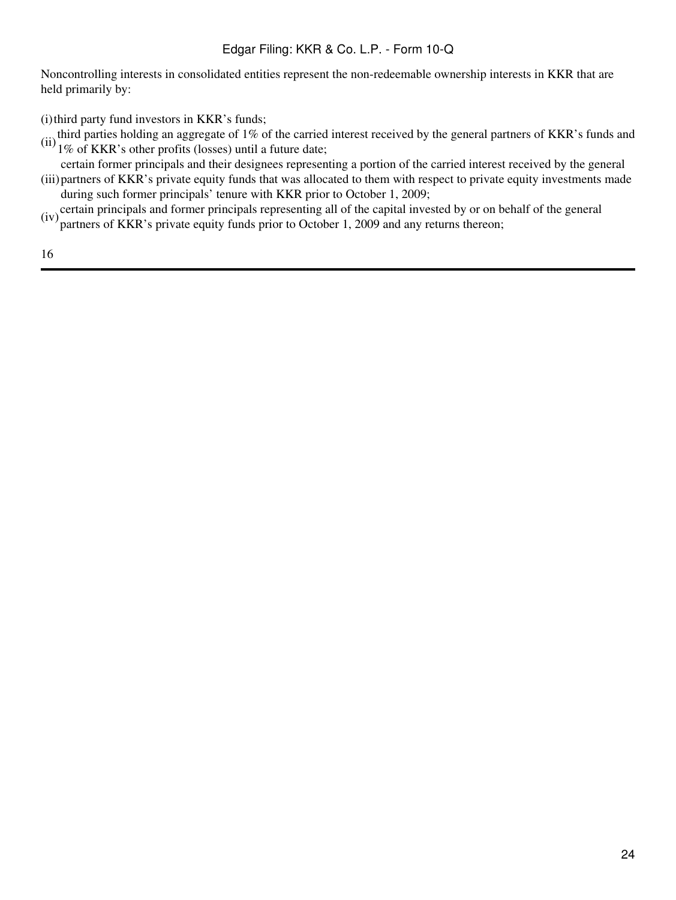Noncontrolling interests in consolidated entities represent the non-redeemable ownership interests in KKR that are held primarily by:

 $(i)$  third party fund investors in KKR's funds;

- (ii) third parties holding an aggregate of 1% of the carried interest received by the general partners of KKR's funds and  $1\%$  of KKR's other profits (losses) until a future date;
- (iii) partners of KKR's private equity funds that was allocated to them with respect to private equity investments made certain former principals and their designees representing a portion of the carried interest received by the general during such former principals' tenure with KKR prior to October 1, 2009;
- $(iv)$  certain principals and former principals representing all of the capital invested by or on behalf of the general partners of KKR's private equity funds prior to October 1, 2009 and any returns thereon;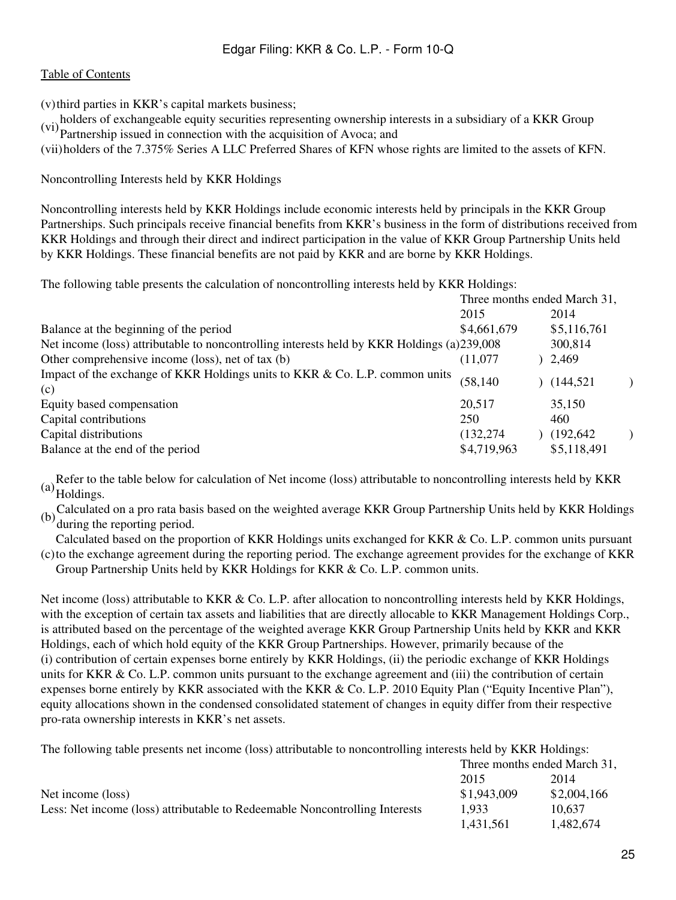#### [Table of Contents](#page-2-0)

(v)third parties in KKR's capital markets business;

holders of exchangeable equity securities representing ownership interests in a subsidiary of a KKR Group

(vi) partnership issued in connection with the acquisition of Avoca; and

(vii)holders of the 7.375% Series A LLC Preferred Shares of KFN whose rights are limited to the assets of KFN.

Noncontrolling Interests held by KKR Holdings

Noncontrolling interests held by KKR Holdings include economic interests held by principals in the KKR Group Partnerships. Such principals receive financial benefits from KKR's business in the form of distributions received from KKR Holdings and through their direct and indirect participation in the value of KKR Group Partnership Units held by KKR Holdings. These financial benefits are not paid by KKR and are borne by KKR Holdings.

The following table presents the calculation of noncontrolling interests held by KKR Holdings:

| 2015        |                                                                                            | 2014        |                                                                   |
|-------------|--------------------------------------------------------------------------------------------|-------------|-------------------------------------------------------------------|
| \$4,661,679 |                                                                                            | \$5,116,761 |                                                                   |
|             |                                                                                            | 300,814     |                                                                   |
| (11.077     |                                                                                            |             |                                                                   |
| (58, 140)   |                                                                                            |             |                                                                   |
| 20,517      |                                                                                            | 35,150      |                                                                   |
| 250         |                                                                                            | 460         |                                                                   |
| (132, 274)  |                                                                                            |             |                                                                   |
| \$4,719,963 |                                                                                            | \$5,118,491 |                                                                   |
|             | Net income (loss) attributable to noncontrolling interests held by KKR Holdings (a)239,008 |             | Three months ended March 31,<br>2,469<br>(144, 521)<br>(192, 642) |

(a)Refer to the table below for calculation of Net income (loss) attributable to noncontrolling interests held by KKR Holdings.

(b)Calculated on a pro rata basis based on the weighted average KKR Group Partnership Units held by KKR Holdings during the reporting period.

(c) to the exchange agreement during the reporting period. The exchange agreement provides for the exchange of KKR Calculated based on the proportion of KKR Holdings units exchanged for KKR & Co. L.P. common units pursuant

Group Partnership Units held by KKR Holdings for KKR & Co. L.P. common units.

Net income (loss) attributable to KKR & Co. L.P. after allocation to noncontrolling interests held by KKR Holdings, with the exception of certain tax assets and liabilities that are directly allocable to KKR Management Holdings Corp., is attributed based on the percentage of the weighted average KKR Group Partnership Units held by KKR and KKR Holdings, each of which hold equity of the KKR Group Partnerships. However, primarily because of the (i) contribution of certain expenses borne entirely by KKR Holdings, (ii) the periodic exchange of KKR Holdings units for KKR & Co. L.P. common units pursuant to the exchange agreement and (iii) the contribution of certain expenses borne entirely by KKR associated with the KKR & Co. L.P. 2010 Equity Plan ("Equity Incentive Plan"), equity allocations shown in the condensed consolidated statement of changes in equity differ from their respective pro-rata ownership interests in KKR's net assets.

The following table presents net income (loss) attributable to noncontrolling interests held by KKR Holdings:

|                                                                             |             | Three months ended March 31, |
|-----------------------------------------------------------------------------|-------------|------------------------------|
|                                                                             | 2015        | 2014                         |
| Net income (loss)                                                           | \$1,943,009 | \$2,004,166                  |
| Less: Net income (loss) attributable to Redeemable Noncontrolling Interests | 1.933       | 10.637                       |
|                                                                             | 1,431,561   | 1.482.674                    |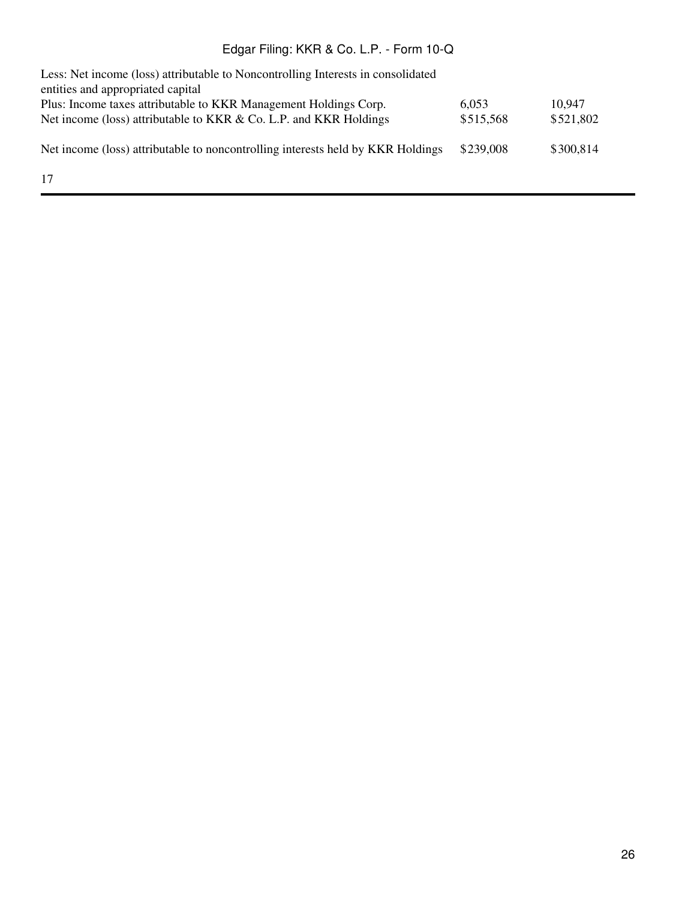| Less: Net income (loss) attributable to Noncontrolling Interests in consolidated<br>entities and appropriated capital |           |           |
|-----------------------------------------------------------------------------------------------------------------------|-----------|-----------|
| Plus: Income taxes attributable to KKR Management Holdings Corp.                                                      | 6.053     | 10,947    |
| Net income (loss) attributable to KKR & Co. L.P. and KKR Holdings                                                     | \$515,568 | \$521,802 |
| Net income (loss) attributable to noncontrolling interests held by KKR Holdings                                       | \$239,008 | \$300,814 |
| 17                                                                                                                    |           |           |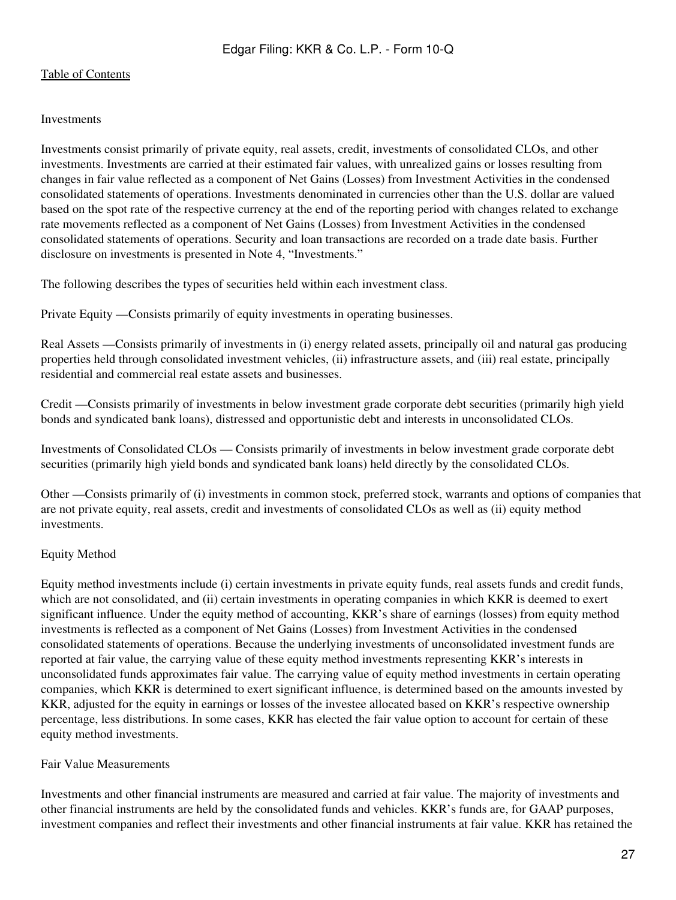#### Investments

Investments consist primarily of private equity, real assets, credit, investments of consolidated CLOs, and other investments. Investments are carried at their estimated fair values, with unrealized gains or losses resulting from changes in fair value reflected as a component of Net Gains (Losses) from Investment Activities in the condensed consolidated statements of operations. Investments denominated in currencies other than the U.S. dollar are valued based on the spot rate of the respective currency at the end of the reporting period with changes related to exchange rate movements reflected as a component of Net Gains (Losses) from Investment Activities in the condensed consolidated statements of operations. Security and loan transactions are recorded on a trade date basis. Further disclosure on investments is presented in Note 4, "Investments."

The following describes the types of securities held within each investment class.

Private Equity —Consists primarily of equity investments in operating businesses.

Real Assets —Consists primarily of investments in (i) energy related assets, principally oil and natural gas producing properties held through consolidated investment vehicles, (ii) infrastructure assets, and (iii) real estate, principally residential and commercial real estate assets and businesses.

Credit —Consists primarily of investments in below investment grade corporate debt securities (primarily high yield bonds and syndicated bank loans), distressed and opportunistic debt and interests in unconsolidated CLOs.

Investments of Consolidated CLOs — Consists primarily of investments in below investment grade corporate debt securities (primarily high yield bonds and syndicated bank loans) held directly by the consolidated CLOs.

Other —Consists primarily of (i) investments in common stock, preferred stock, warrants and options of companies that are not private equity, real assets, credit and investments of consolidated CLOs as well as (ii) equity method investments.

#### Equity Method

Equity method investments include (i) certain investments in private equity funds, real assets funds and credit funds, which are not consolidated, and (ii) certain investments in operating companies in which KKR is deemed to exert significant influence. Under the equity method of accounting, KKR's share of earnings (losses) from equity method investments is reflected as a component of Net Gains (Losses) from Investment Activities in the condensed consolidated statements of operations. Because the underlying investments of unconsolidated investment funds are reported at fair value, the carrying value of these equity method investments representing KKR's interests in unconsolidated funds approximates fair value. The carrying value of equity method investments in certain operating companies, which KKR is determined to exert significant influence, is determined based on the amounts invested by KKR, adjusted for the equity in earnings or losses of the investee allocated based on KKR's respective ownership percentage, less distributions. In some cases, KKR has elected the fair value option to account for certain of these equity method investments.

#### Fair Value Measurements

Investments and other financial instruments are measured and carried at fair value. The majority of investments and other financial instruments are held by the consolidated funds and vehicles. KKR's funds are, for GAAP purposes, investment companies and reflect their investments and other financial instruments at fair value. KKR has retained the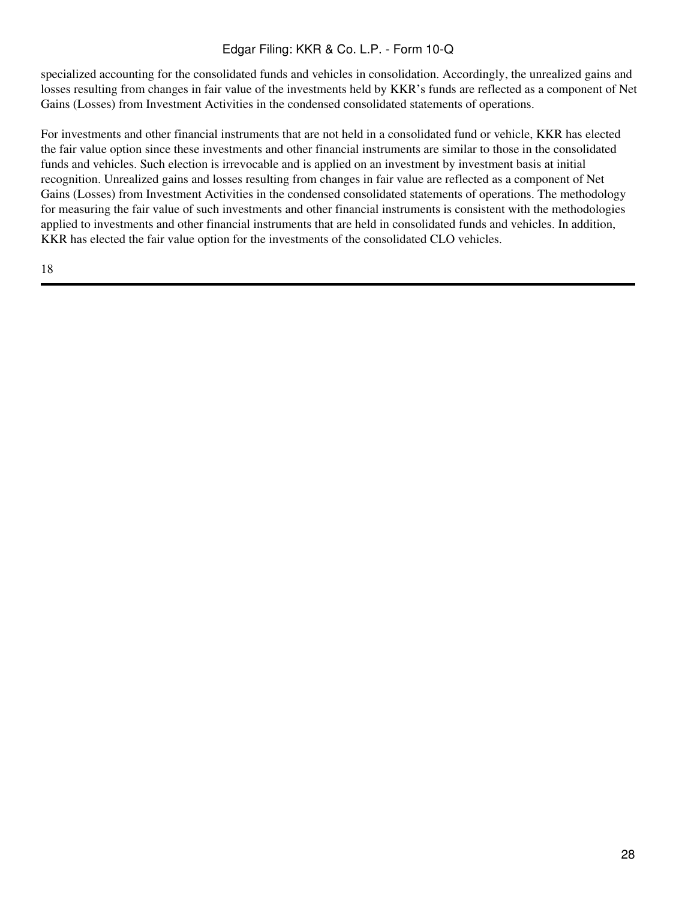specialized accounting for the consolidated funds and vehicles in consolidation. Accordingly, the unrealized gains and losses resulting from changes in fair value of the investments held by KKR's funds are reflected as a component of Net Gains (Losses) from Investment Activities in the condensed consolidated statements of operations.

For investments and other financial instruments that are not held in a consolidated fund or vehicle, KKR has elected the fair value option since these investments and other financial instruments are similar to those in the consolidated funds and vehicles. Such election is irrevocable and is applied on an investment by investment basis at initial recognition. Unrealized gains and losses resulting from changes in fair value are reflected as a component of Net Gains (Losses) from Investment Activities in the condensed consolidated statements of operations. The methodology for measuring the fair value of such investments and other financial instruments is consistent with the methodologies applied to investments and other financial instruments that are held in consolidated funds and vehicles. In addition, KKR has elected the fair value option for the investments of the consolidated CLO vehicles.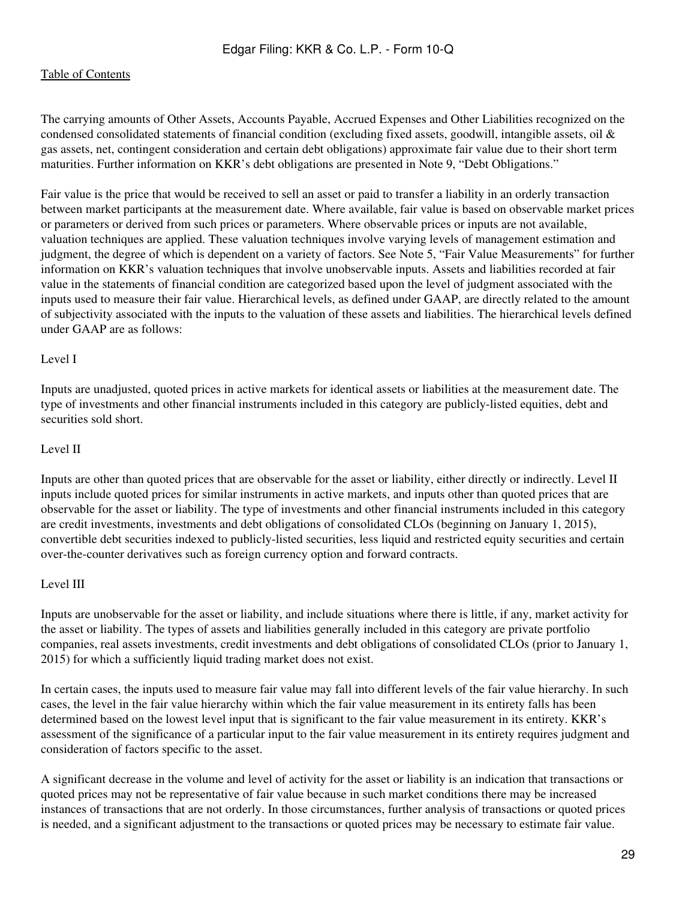#### [Table of Contents](#page-2-0)

The carrying amounts of Other Assets, Accounts Payable, Accrued Expenses and Other Liabilities recognized on the condensed consolidated statements of financial condition (excluding fixed assets, goodwill, intangible assets, oil  $\&$ gas assets, net, contingent consideration and certain debt obligations) approximate fair value due to their short term maturities. Further information on KKR's debt obligations are presented in Note 9, "Debt Obligations."

Fair value is the price that would be received to sell an asset or paid to transfer a liability in an orderly transaction between market participants at the measurement date. Where available, fair value is based on observable market prices or parameters or derived from such prices or parameters. Where observable prices or inputs are not available, valuation techniques are applied. These valuation techniques involve varying levels of management estimation and judgment, the degree of which is dependent on a variety of factors. See Note 5, "Fair Value Measurements" for further information on KKR's valuation techniques that involve unobservable inputs. Assets and liabilities recorded at fair value in the statements of financial condition are categorized based upon the level of judgment associated with the inputs used to measure their fair value. Hierarchical levels, as defined under GAAP, are directly related to the amount of subjectivity associated with the inputs to the valuation of these assets and liabilities. The hierarchical levels defined under GAAP are as follows:

#### Level I

Inputs are unadjusted, quoted prices in active markets for identical assets or liabilities at the measurement date. The type of investments and other financial instruments included in this category are publicly-listed equities, debt and securities sold short.

#### Level II

Inputs are other than quoted prices that are observable for the asset or liability, either directly or indirectly. Level II inputs include quoted prices for similar instruments in active markets, and inputs other than quoted prices that are observable for the asset or liability. The type of investments and other financial instruments included in this category are credit investments, investments and debt obligations of consolidated CLOs (beginning on January 1, 2015), convertible debt securities indexed to publicly-listed securities, less liquid and restricted equity securities and certain over-the-counter derivatives such as foreign currency option and forward contracts.

#### Level III

Inputs are unobservable for the asset or liability, and include situations where there is little, if any, market activity for the asset or liability. The types of assets and liabilities generally included in this category are private portfolio companies, real assets investments, credit investments and debt obligations of consolidated CLOs (prior to January 1, 2015) for which a sufficiently liquid trading market does not exist.

In certain cases, the inputs used to measure fair value may fall into different levels of the fair value hierarchy. In such cases, the level in the fair value hierarchy within which the fair value measurement in its entirety falls has been determined based on the lowest level input that is significant to the fair value measurement in its entirety. KKR's assessment of the significance of a particular input to the fair value measurement in its entirety requires judgment and consideration of factors specific to the asset.

A significant decrease in the volume and level of activity for the asset or liability is an indication that transactions or quoted prices may not be representative of fair value because in such market conditions there may be increased instances of transactions that are not orderly. In those circumstances, further analysis of transactions or quoted prices is needed, and a significant adjustment to the transactions or quoted prices may be necessary to estimate fair value.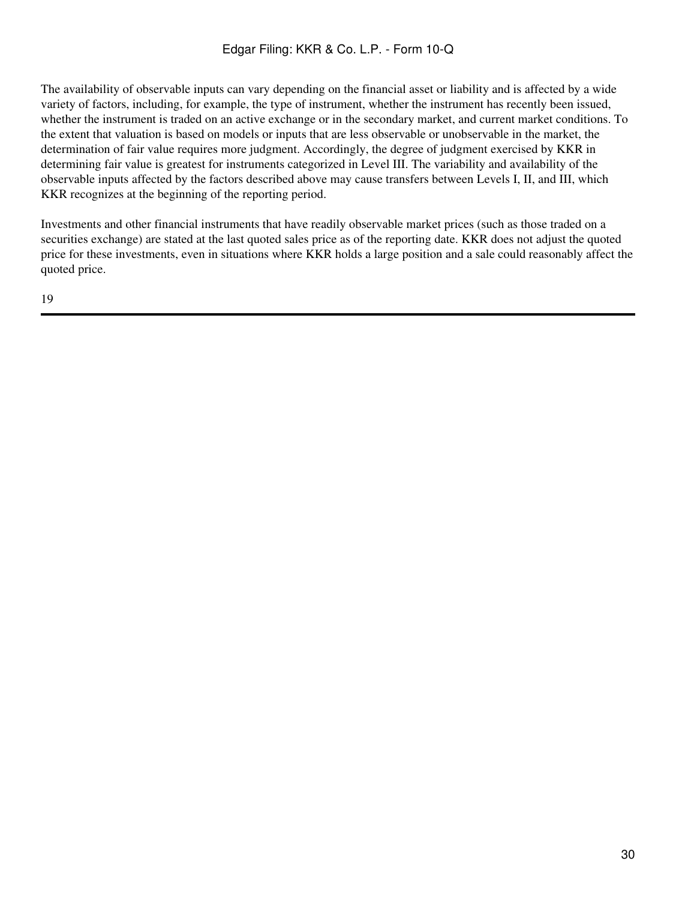The availability of observable inputs can vary depending on the financial asset or liability and is affected by a wide variety of factors, including, for example, the type of instrument, whether the instrument has recently been issued, whether the instrument is traded on an active exchange or in the secondary market, and current market conditions. To the extent that valuation is based on models or inputs that are less observable or unobservable in the market, the determination of fair value requires more judgment. Accordingly, the degree of judgment exercised by KKR in determining fair value is greatest for instruments categorized in Level III. The variability and availability of the observable inputs affected by the factors described above may cause transfers between Levels I, II, and III, which KKR recognizes at the beginning of the reporting period.

Investments and other financial instruments that have readily observable market prices (such as those traded on a securities exchange) are stated at the last quoted sales price as of the reporting date. KKR does not adjust the quoted price for these investments, even in situations where KKR holds a large position and a sale could reasonably affect the quoted price.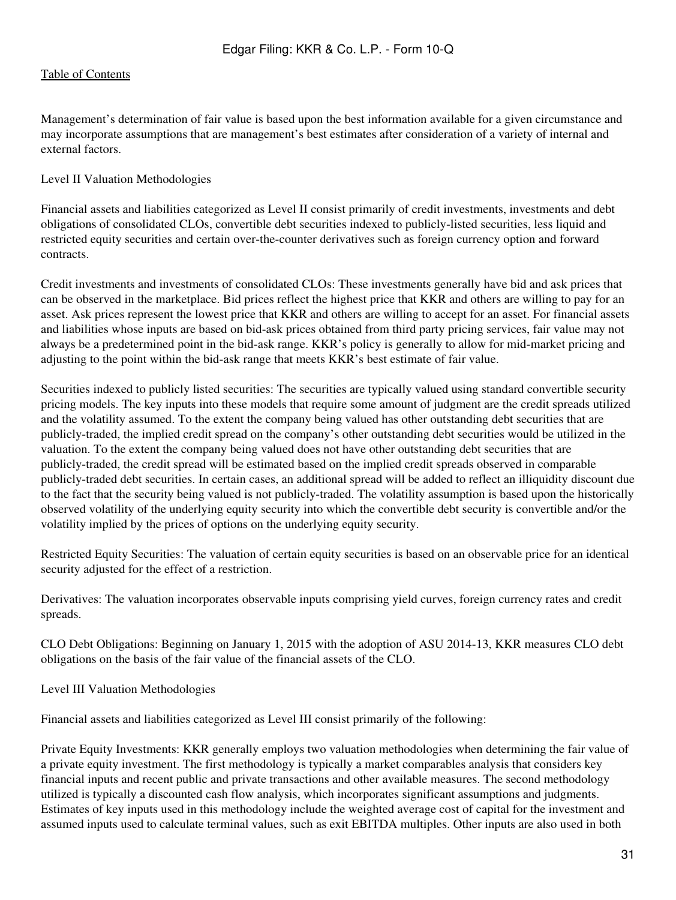Management's determination of fair value is based upon the best information available for a given circumstance and may incorporate assumptions that are management's best estimates after consideration of a variety of internal and external factors.

#### Level II Valuation Methodologies

Financial assets and liabilities categorized as Level II consist primarily of credit investments, investments and debt obligations of consolidated CLOs, convertible debt securities indexed to publicly-listed securities, less liquid and restricted equity securities and certain over-the-counter derivatives such as foreign currency option and forward contracts.

Credit investments and investments of consolidated CLOs: These investments generally have bid and ask prices that can be observed in the marketplace. Bid prices reflect the highest price that KKR and others are willing to pay for an asset. Ask prices represent the lowest price that KKR and others are willing to accept for an asset. For financial assets and liabilities whose inputs are based on bid-ask prices obtained from third party pricing services, fair value may not always be a predetermined point in the bid-ask range. KKR's policy is generally to allow for mid-market pricing and adjusting to the point within the bid-ask range that meets KKR's best estimate of fair value.

Securities indexed to publicly listed securities: The securities are typically valued using standard convertible security pricing models. The key inputs into these models that require some amount of judgment are the credit spreads utilized and the volatility assumed. To the extent the company being valued has other outstanding debt securities that are publicly-traded, the implied credit spread on the company's other outstanding debt securities would be utilized in the valuation. To the extent the company being valued does not have other outstanding debt securities that are publicly-traded, the credit spread will be estimated based on the implied credit spreads observed in comparable publicly-traded debt securities. In certain cases, an additional spread will be added to reflect an illiquidity discount due to the fact that the security being valued is not publicly-traded. The volatility assumption is based upon the historically observed volatility of the underlying equity security into which the convertible debt security is convertible and/or the volatility implied by the prices of options on the underlying equity security.

Restricted Equity Securities: The valuation of certain equity securities is based on an observable price for an identical security adjusted for the effect of a restriction.

Derivatives: The valuation incorporates observable inputs comprising yield curves, foreign currency rates and credit spreads.

CLO Debt Obligations: Beginning on January 1, 2015 with the adoption of ASU 2014-13, KKR measures CLO debt obligations on the basis of the fair value of the financial assets of the CLO.

Level III Valuation Methodologies

Financial assets and liabilities categorized as Level III consist primarily of the following:

Private Equity Investments: KKR generally employs two valuation methodologies when determining the fair value of a private equity investment. The first methodology is typically a market comparables analysis that considers key financial inputs and recent public and private transactions and other available measures. The second methodology utilized is typically a discounted cash flow analysis, which incorporates significant assumptions and judgments. Estimates of key inputs used in this methodology include the weighted average cost of capital for the investment and assumed inputs used to calculate terminal values, such as exit EBITDA multiples. Other inputs are also used in both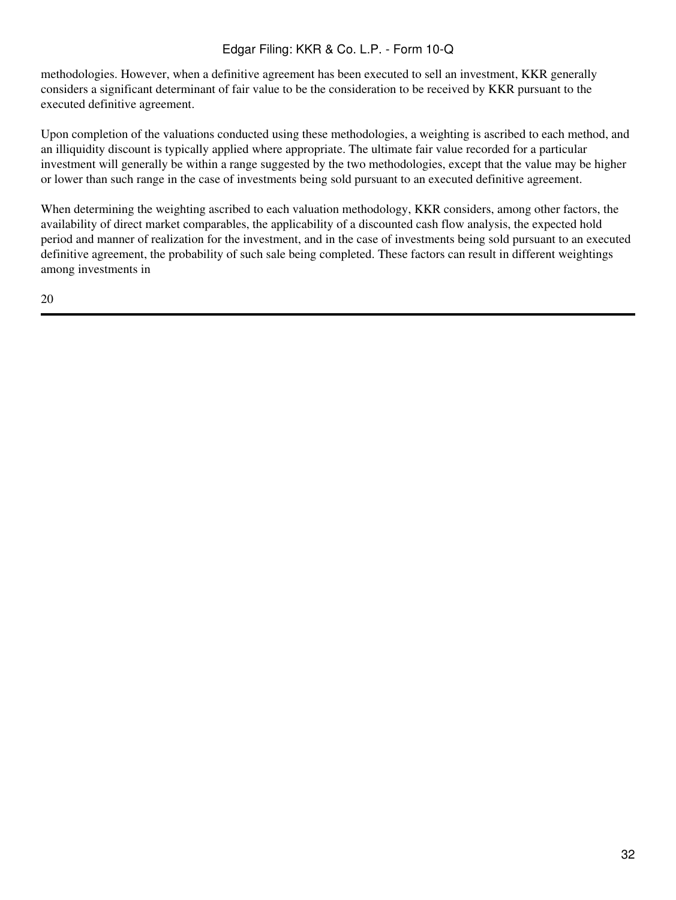methodologies. However, when a definitive agreement has been executed to sell an investment, KKR generally considers a significant determinant of fair value to be the consideration to be received by KKR pursuant to the executed definitive agreement.

Upon completion of the valuations conducted using these methodologies, a weighting is ascribed to each method, and an illiquidity discount is typically applied where appropriate. The ultimate fair value recorded for a particular investment will generally be within a range suggested by the two methodologies, except that the value may be higher or lower than such range in the case of investments being sold pursuant to an executed definitive agreement.

When determining the weighting ascribed to each valuation methodology, KKR considers, among other factors, the availability of direct market comparables, the applicability of a discounted cash flow analysis, the expected hold period and manner of realization for the investment, and in the case of investments being sold pursuant to an executed definitive agreement, the probability of such sale being completed. These factors can result in different weightings among investments in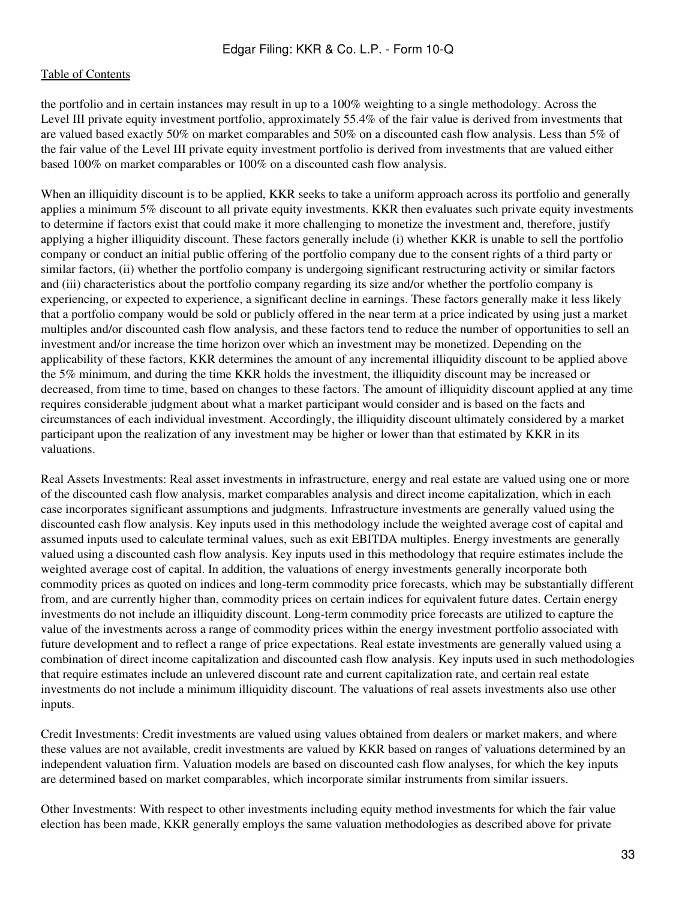the portfolio and in certain instances may result in up to a 100% weighting to a single methodology. Across the Level III private equity investment portfolio, approximately 55.4% of the fair value is derived from investments that are valued based exactly 50% on market comparables and 50% on a discounted cash flow analysis. Less than 5% of the fair value of the Level III private equity investment portfolio is derived from investments that are valued either based 100% on market comparables or 100% on a discounted cash flow analysis.

When an illiquidity discount is to be applied, KKR seeks to take a uniform approach across its portfolio and generally applies a minimum 5% discount to all private equity investments. KKR then evaluates such private equity investments to determine if factors exist that could make it more challenging to monetize the investment and, therefore, justify applying a higher illiquidity discount. These factors generally include (i) whether KKR is unable to sell the portfolio company or conduct an initial public offering of the portfolio company due to the consent rights of a third party or similar factors, (ii) whether the portfolio company is undergoing significant restructuring activity or similar factors and (iii) characteristics about the portfolio company regarding its size and/or whether the portfolio company is experiencing, or expected to experience, a significant decline in earnings. These factors generally make it less likely that a portfolio company would be sold or publicly offered in the near term at a price indicated by using just a market multiples and/or discounted cash flow analysis, and these factors tend to reduce the number of opportunities to sell an investment and/or increase the time horizon over which an investment may be monetized. Depending on the applicability of these factors, KKR determines the amount of any incremental illiquidity discount to be applied above the 5% minimum, and during the time KKR holds the investment, the illiquidity discount may be increased or decreased, from time to time, based on changes to these factors. The amount of illiquidity discount applied at any time requires considerable judgment about what a market participant would consider and is based on the facts and circumstances of each individual investment. Accordingly, the illiquidity discount ultimately considered by a market participant upon the realization of any investment may be higher or lower than that estimated by KKR in its valuations.

Real Assets Investments: Real asset investments in infrastructure, energy and real estate are valued using one or more of the discounted cash flow analysis, market comparables analysis and direct income capitalization, which in each case incorporates significant assumptions and judgments. Infrastructure investments are generally valued using the discounted cash flow analysis. Key inputs used in this methodology include the weighted average cost of capital and assumed inputs used to calculate terminal values, such as exit EBITDA multiples. Energy investments are generally valued using a discounted cash flow analysis. Key inputs used in this methodology that require estimates include the weighted average cost of capital. In addition, the valuations of energy investments generally incorporate both commodity prices as quoted on indices and long-term commodity price forecasts, which may be substantially different from, and are currently higher than, commodity prices on certain indices for equivalent future dates. Certain energy investments do not include an illiquidity discount. Long-term commodity price forecasts are utilized to capture the value of the investments across a range of commodity prices within the energy investment portfolio associated with future development and to reflect a range of price expectations. Real estate investments are generally valued using a combination of direct income capitalization and discounted cash flow analysis. Key inputs used in such methodologies that require estimates include an unlevered discount rate and current capitalization rate, and certain real estate investments do not include a minimum illiquidity discount. The valuations of real assets investments also use other inputs.

Credit Investments: Credit investments are valued using values obtained from dealers or market makers, and where these values are not available, credit investments are valued by KKR based on ranges of valuations determined by an independent valuation firm. Valuation models are based on discounted cash flow analyses, for which the key inputs are determined based on market comparables, which incorporate similar instruments from similar issuers.

Other Investments: With respect to other investments including equity method investments for which the fair value election has been made, KKR generally employs the same valuation methodologies as described above for private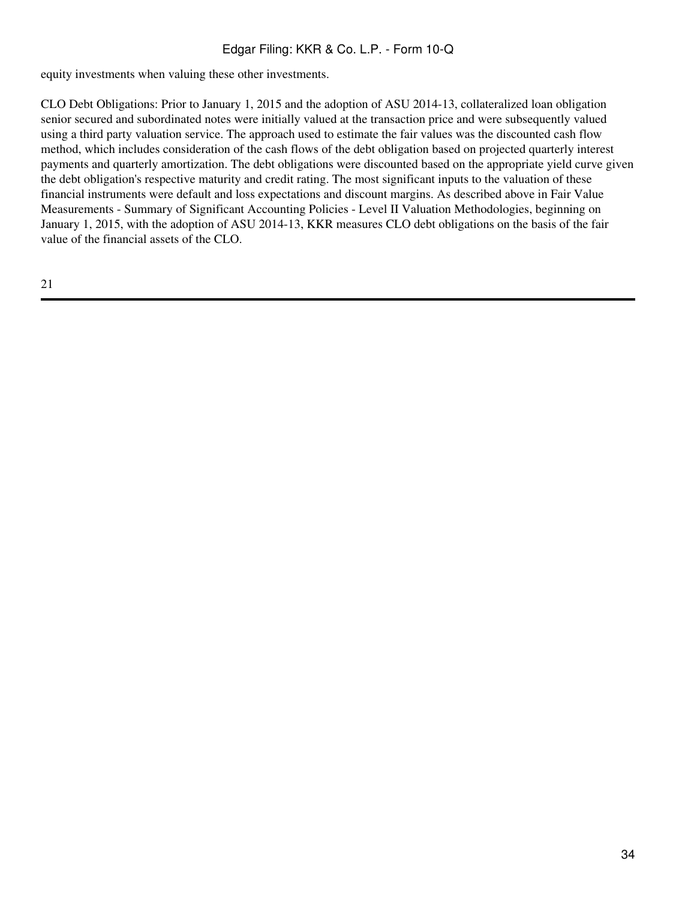equity investments when valuing these other investments.

CLO Debt Obligations: Prior to January 1, 2015 and the adoption of ASU 2014-13, collateralized loan obligation senior secured and subordinated notes were initially valued at the transaction price and were subsequently valued using a third party valuation service. The approach used to estimate the fair values was the discounted cash flow method, which includes consideration of the cash flows of the debt obligation based on projected quarterly interest payments and quarterly amortization. The debt obligations were discounted based on the appropriate yield curve given the debt obligation's respective maturity and credit rating. The most significant inputs to the valuation of these financial instruments were default and loss expectations and discount margins. As described above in Fair Value Measurements - Summary of Significant Accounting Policies - Level II Valuation Methodologies, beginning on January 1, 2015, with the adoption of ASU 2014-13, KKR measures CLO debt obligations on the basis of the fair value of the financial assets of the CLO.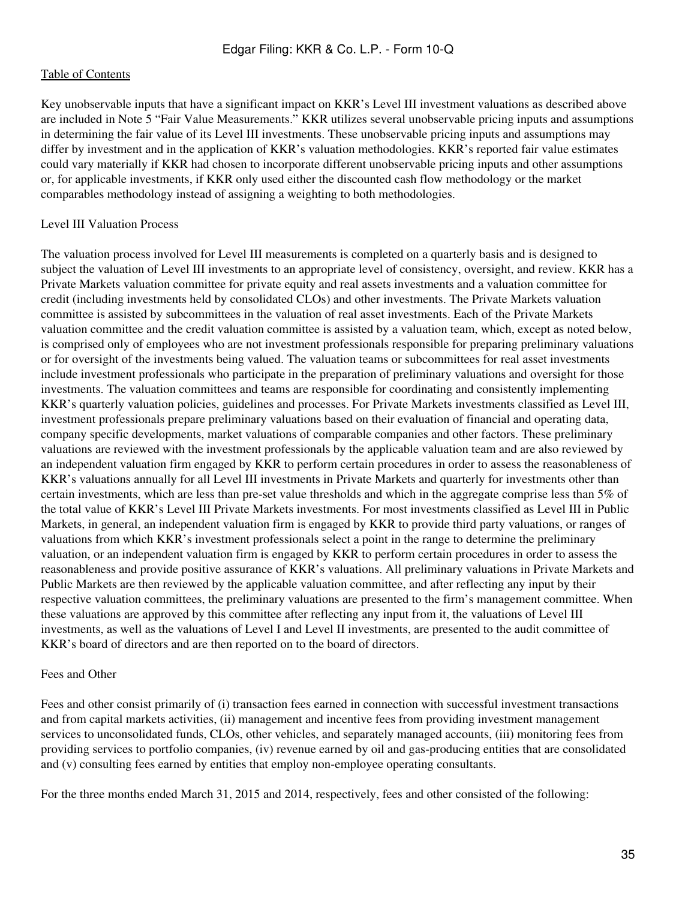Key unobservable inputs that have a significant impact on KKR's Level III investment valuations as described above are included in Note 5 "Fair Value Measurements." KKR utilizes several unobservable pricing inputs and assumptions in determining the fair value of its Level III investments. These unobservable pricing inputs and assumptions may differ by investment and in the application of KKR's valuation methodologies. KKR's reported fair value estimates could vary materially if KKR had chosen to incorporate different unobservable pricing inputs and other assumptions or, for applicable investments, if KKR only used either the discounted cash flow methodology or the market comparables methodology instead of assigning a weighting to both methodologies.

#### Level III Valuation Process

The valuation process involved for Level III measurements is completed on a quarterly basis and is designed to subject the valuation of Level III investments to an appropriate level of consistency, oversight, and review. KKR has a Private Markets valuation committee for private equity and real assets investments and a valuation committee for credit (including investments held by consolidated CLOs) and other investments. The Private Markets valuation committee is assisted by subcommittees in the valuation of real asset investments. Each of the Private Markets valuation committee and the credit valuation committee is assisted by a valuation team, which, except as noted below, is comprised only of employees who are not investment professionals responsible for preparing preliminary valuations or for oversight of the investments being valued. The valuation teams or subcommittees for real asset investments include investment professionals who participate in the preparation of preliminary valuations and oversight for those investments. The valuation committees and teams are responsible for coordinating and consistently implementing KKR's quarterly valuation policies, guidelines and processes. For Private Markets investments classified as Level III, investment professionals prepare preliminary valuations based on their evaluation of financial and operating data, company specific developments, market valuations of comparable companies and other factors. These preliminary valuations are reviewed with the investment professionals by the applicable valuation team and are also reviewed by an independent valuation firm engaged by KKR to perform certain procedures in order to assess the reasonableness of KKR's valuations annually for all Level III investments in Private Markets and quarterly for investments other than certain investments, which are less than pre-set value thresholds and which in the aggregate comprise less than 5% of the total value of KKR's Level III Private Markets investments. For most investments classified as Level III in Public Markets, in general, an independent valuation firm is engaged by KKR to provide third party valuations, or ranges of valuations from which KKR's investment professionals select a point in the range to determine the preliminary valuation, or an independent valuation firm is engaged by KKR to perform certain procedures in order to assess the reasonableness and provide positive assurance of KKR's valuations. All preliminary valuations in Private Markets and Public Markets are then reviewed by the applicable valuation committee, and after reflecting any input by their respective valuation committees, the preliminary valuations are presented to the firm's management committee. When these valuations are approved by this committee after reflecting any input from it, the valuations of Level III investments, as well as the valuations of Level I and Level II investments, are presented to the audit committee of KKR's board of directors and are then reported on to the board of directors.

#### Fees and Other

Fees and other consist primarily of (i) transaction fees earned in connection with successful investment transactions and from capital markets activities, (ii) management and incentive fees from providing investment management services to unconsolidated funds, CLOs, other vehicles, and separately managed accounts, (iii) monitoring fees from providing services to portfolio companies, (iv) revenue earned by oil and gas-producing entities that are consolidated and (v) consulting fees earned by entities that employ non-employee operating consultants.

For the three months ended March 31, 2015 and 2014, respectively, fees and other consisted of the following: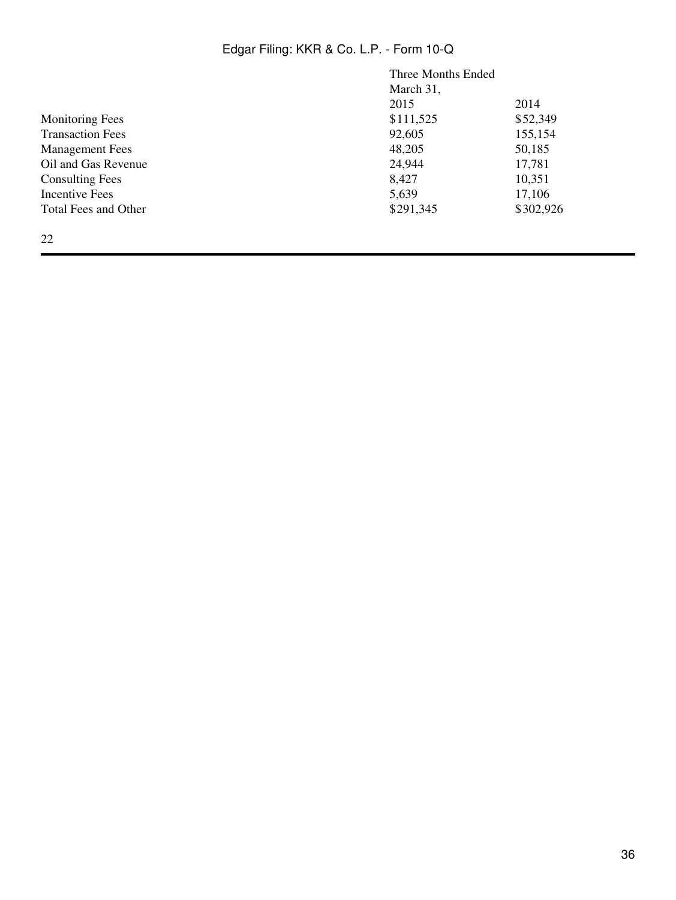|                         | Three Months Ended |           |
|-------------------------|--------------------|-----------|
|                         | March 31,          |           |
|                         | 2015               | 2014      |
| <b>Monitoring Fees</b>  | \$111,525          | \$52,349  |
| <b>Transaction Fees</b> | 92,605             | 155,154   |
| <b>Management Fees</b>  | 48,205             | 50,185    |
| Oil and Gas Revenue     | 24,944             | 17,781    |
| <b>Consulting Fees</b>  | 8,427              | 10,351    |
| Incentive Fees          | 5,639              | 17,106    |
| Total Fees and Other    | \$291,345          | \$302,926 |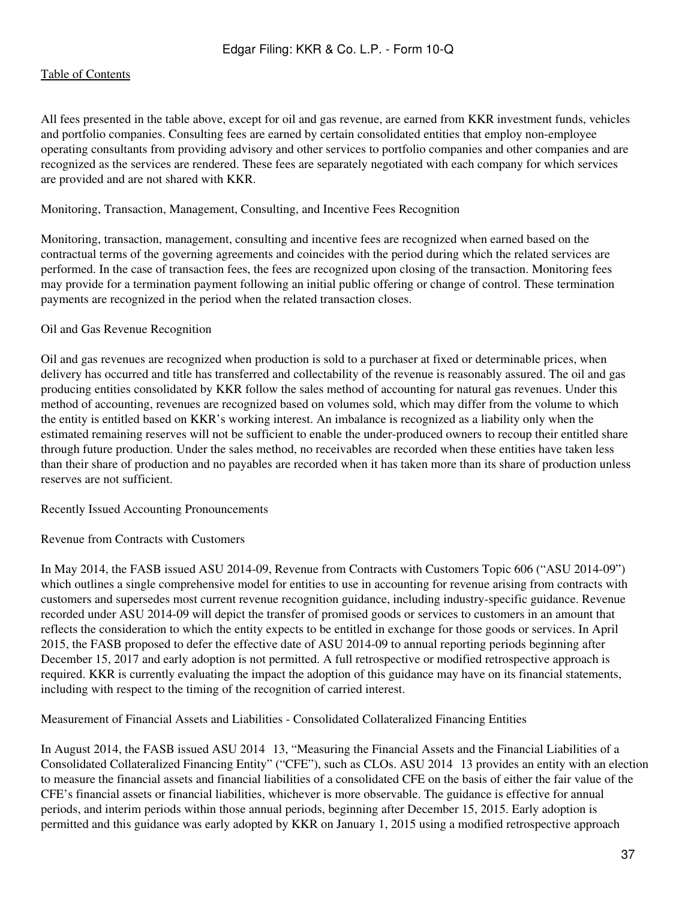All fees presented in the table above, except for oil and gas revenue, are earned from KKR investment funds, vehicles and portfolio companies. Consulting fees are earned by certain consolidated entities that employ non-employee operating consultants from providing advisory and other services to portfolio companies and other companies and are recognized as the services are rendered. These fees are separately negotiated with each company for which services are provided and are not shared with KKR.

#### Monitoring, Transaction, Management, Consulting, and Incentive Fees Recognition

Monitoring, transaction, management, consulting and incentive fees are recognized when earned based on the contractual terms of the governing agreements and coincides with the period during which the related services are performed. In the case of transaction fees, the fees are recognized upon closing of the transaction. Monitoring fees may provide for a termination payment following an initial public offering or change of control. These termination payments are recognized in the period when the related transaction closes.

#### Oil and Gas Revenue Recognition

Oil and gas revenues are recognized when production is sold to a purchaser at fixed or determinable prices, when delivery has occurred and title has transferred and collectability of the revenue is reasonably assured. The oil and gas producing entities consolidated by KKR follow the sales method of accounting for natural gas revenues. Under this method of accounting, revenues are recognized based on volumes sold, which may differ from the volume to which the entity is entitled based on KKR's working interest. An imbalance is recognized as a liability only when the estimated remaining reserves will not be sufficient to enable the under-produced owners to recoup their entitled share through future production. Under the sales method, no receivables are recorded when these entities have taken less than their share of production and no payables are recorded when it has taken more than its share of production unless reserves are not sufficient.

Recently Issued Accounting Pronouncements

Revenue from Contracts with Customers

In May 2014, the FASB issued ASU 2014-09, Revenue from Contracts with Customers Topic 606 ("ASU 2014-09") which outlines a single comprehensive model for entities to use in accounting for revenue arising from contracts with customers and supersedes most current revenue recognition guidance, including industry-specific guidance. Revenue recorded under ASU 2014-09 will depict the transfer of promised goods or services to customers in an amount that reflects the consideration to which the entity expects to be entitled in exchange for those goods or services. In April 2015, the FASB proposed to defer the effective date of ASU 2014-09 to annual reporting periods beginning after December 15, 2017 and early adoption is not permitted. A full retrospective or modified retrospective approach is required. KKR is currently evaluating the impact the adoption of this guidance may have on its financial statements, including with respect to the timing of the recognition of carried interest.

Measurement of Financial Assets and Liabilities - Consolidated Collateralized Financing Entities

In August 2014, the FASB issued ASU 2014–13, "Measuring the Financial Assets and the Financial Liabilities of a Consolidated Collateralized Financing Entity" ("CFE"), such as CLOs. ASU 2014‑13 provides an entity with an election to measure the financial assets and financial liabilities of a consolidated CFE on the basis of either the fair value of the CFE's financial assets or financial liabilities, whichever is more observable. The guidance is effective for annual periods, and interim periods within those annual periods, beginning after December 15, 2015. Early adoption is permitted and this guidance was early adopted by KKR on January 1, 2015 using a modified retrospective approach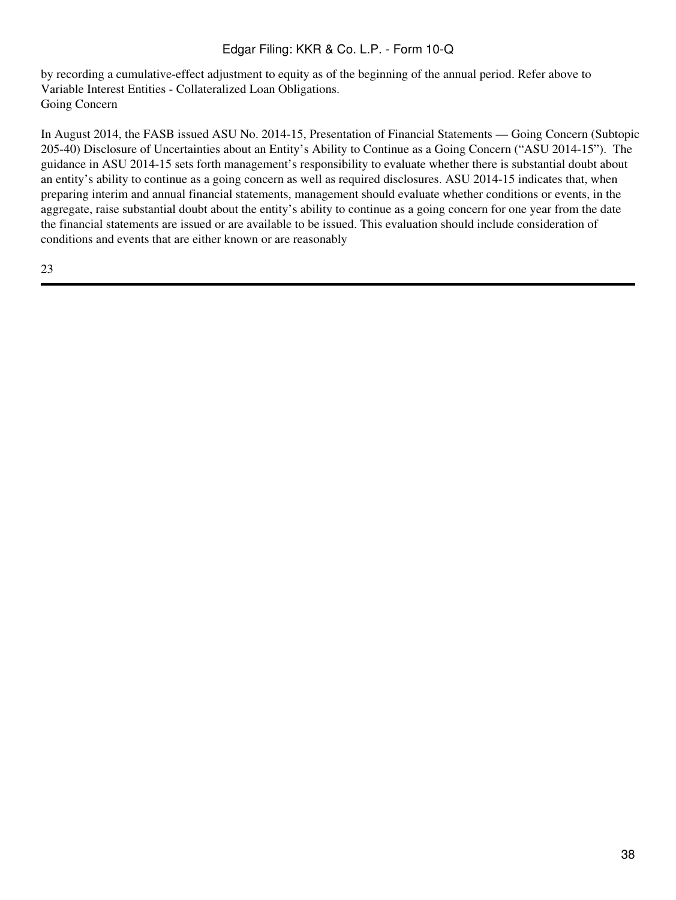by recording a cumulative-effect adjustment to equity as of the beginning of the annual period. Refer above to Variable Interest Entities - Collateralized Loan Obligations. Going Concern

In August 2014, the FASB issued ASU No. 2014-15, Presentation of Financial Statements — Going Concern (Subtopic 205-40) Disclosure of Uncertainties about an Entity's Ability to Continue as a Going Concern ("ASU 2014-15"). The guidance in ASU 2014-15 sets forth management's responsibility to evaluate whether there is substantial doubt about an entity's ability to continue as a going concern as well as required disclosures. ASU 2014-15 indicates that, when preparing interim and annual financial statements, management should evaluate whether conditions or events, in the aggregate, raise substantial doubt about the entity's ability to continue as a going concern for one year from the date the financial statements are issued or are available to be issued. This evaluation should include consideration of conditions and events that are either known or are reasonably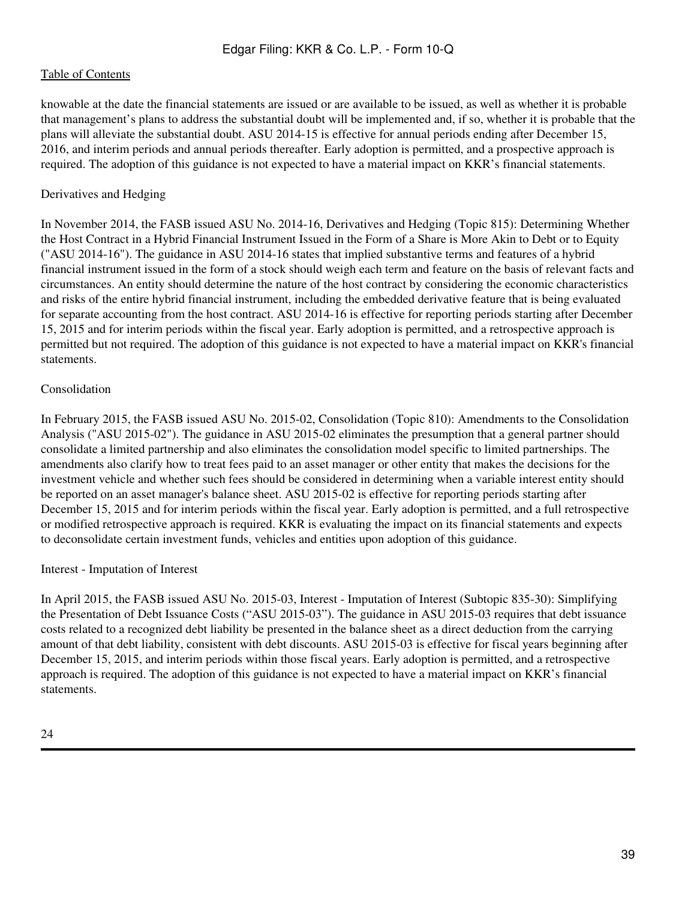knowable at the date the financial statements are issued or are available to be issued, as well as whether it is probable that management's plans to address the substantial doubt will be implemented and, if so, whether it is probable that the plans will alleviate the substantial doubt. ASU 2014-15 is effective for annual periods ending after December 15, 2016, and interim periods and annual periods thereafter. Early adoption is permitted, and a prospective approach is required. The adoption of this guidance is not expected to have a material impact on KKR's financial statements.

# Derivatives and Hedging

In November 2014, the FASB issued ASU No. 2014-16, Derivatives and Hedging (Topic 815): Determining Whether the Host Contract in a Hybrid Financial Instrument Issued in the Form of a Share is More Akin to Debt or to Equity ("ASU 2014-16"). The guidance in ASU 2014-16 states that implied substantive terms and features of a hybrid financial instrument issued in the form of a stock should weigh each term and feature on the basis of relevant facts and circumstances. An entity should determine the nature of the host contract by considering the economic characteristics and risks of the entire hybrid financial instrument, including the embedded derivative feature that is being evaluated for separate accounting from the host contract. ASU 2014-16 is effective for reporting periods starting after December 15, 2015 and for interim periods within the fiscal year. Early adoption is permitted, and a retrospective approach is permitted but not required. The adoption of this guidance is not expected to have a material impact on KKR's financial statements.

### Consolidation

In February 2015, the FASB issued ASU No. 2015-02, Consolidation (Topic 810): Amendments to the Consolidation Analysis ("ASU 2015-02"). The guidance in ASU 2015-02 eliminates the presumption that a general partner should consolidate a limited partnership and also eliminates the consolidation model specific to limited partnerships. The amendments also clarify how to treat fees paid to an asset manager or other entity that makes the decisions for the investment vehicle and whether such fees should be considered in determining when a variable interest entity should be reported on an asset manager's balance sheet. ASU 2015-02 is effective for reporting periods starting after December 15, 2015 and for interim periods within the fiscal year. Early adoption is permitted, and a full retrospective or modified retrospective approach is required. KKR is evaluating the impact on its financial statements and expects to deconsolidate certain investment funds, vehicles and entities upon adoption of this guidance.

#### Interest - Imputation of Interest

In April 2015, the FASB issued ASU No. 2015-03, Interest - Imputation of Interest (Subtopic 835-30): Simplifying the Presentation of Debt Issuance Costs ("ASU 2015-03"). The guidance in ASU 2015-03 requires that debt issuance costs related to a recognized debt liability be presented in the balance sheet as a direct deduction from the carrying amount of that debt liability, consistent with debt discounts. ASU 2015-03 is effective for fiscal years beginning after December 15, 2015, and interim periods within those fiscal years. Early adoption is permitted, and a retrospective approach is required. The adoption of this guidance is not expected to have a material impact on KKR's financial statements.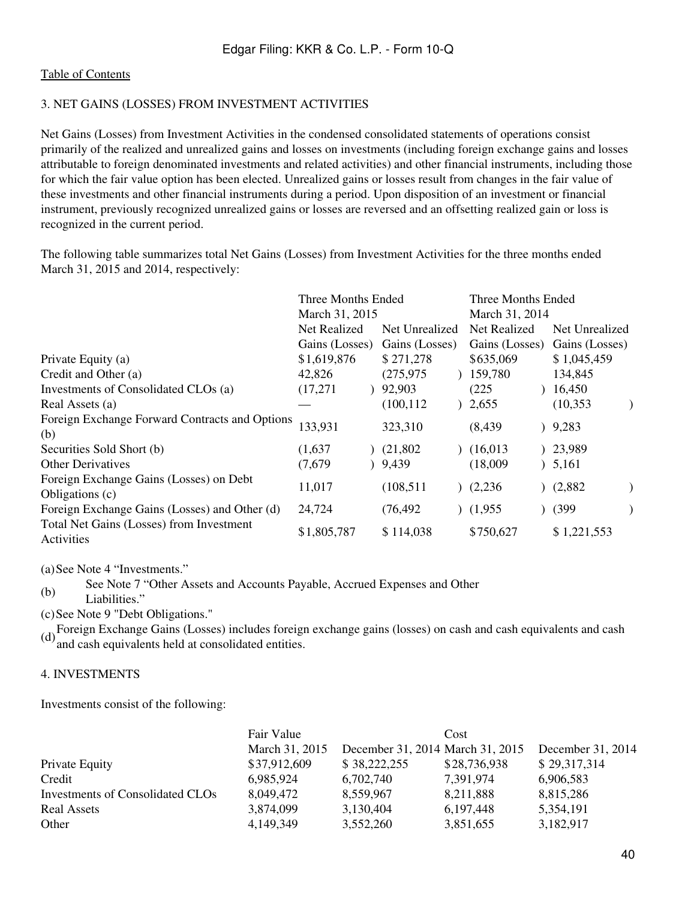# 3. NET GAINS (LOSSES) FROM INVESTMENT ACTIVITIES

Net Gains (Losses) from Investment Activities in the condensed consolidated statements of operations consist primarily of the realized and unrealized gains and losses on investments (including foreign exchange gains and losses attributable to foreign denominated investments and related activities) and other financial instruments, including those for which the fair value option has been elected. Unrealized gains or losses result from changes in the fair value of these investments and other financial instruments during a period. Upon disposition of an investment or financial instrument, previously recognized unrealized gains or losses are reversed and an offsetting realized gain or loss is recognized in the current period.

The following table summarizes total Net Gains (Losses) from Investment Activities for the three months ended March 31, 2015 and 2014, respectively:

|                                                            | Three Months Ended |                | Three Months Ended<br>March 31, 2014 |                |  |
|------------------------------------------------------------|--------------------|----------------|--------------------------------------|----------------|--|
|                                                            | March 31, 2015     |                |                                      |                |  |
|                                                            | Net Realized       | Net Unrealized | Net Realized                         | Net Unrealized |  |
|                                                            | Gains (Losses)     | Gains (Losses) | Gains (Losses)                       | Gains (Losses) |  |
| Private Equity (a)                                         | \$1,619,876        | \$271,278      | \$635,069                            | \$1,045,459    |  |
| Credit and Other (a)                                       | 42,826             | (275, 975)     | 159,780                              | 134,845        |  |
| Investments of Consolidated CLOs (a)                       | (17,271)           | 92,903         | (225)                                | 16,450         |  |
| Real Assets (a)                                            |                    | (100, 112)     | 2,655                                | (10, 353)      |  |
| Foreign Exchange Forward Contracts and Options<br>(b)      | 133,931            | 323,310        | (8, 439)<br>℩                        | 9,283          |  |
| Securities Sold Short (b)                                  | (1,637)            | (21,802)       | (16,013)                             | 23,989         |  |
| <b>Other Derivatives</b>                                   | (7,679)            | 9,439          | (18,009)<br>$\mathcal{L}$            | 5,161          |  |
| Foreign Exchange Gains (Losses) on Debt<br>Obligations (c) | 11,017             | (108, 511)     | (2,236)                              | (2,882)        |  |
| Foreign Exchange Gains (Losses) and Other (d)              | 24,724             | (76, 492)      | (1,955)                              | (399)          |  |
| Total Net Gains (Losses) from Investment<br>Activities     | \$1,805,787        | \$114,038      | \$750,627                            | \$1,221,553    |  |

(a)See Note 4 "Investments."

(b) See Note 7 "Other Assets and Accounts Payable, Accrued Expenses and Other

Liabilities."

(c)See Note 9 "Debt Obligations."

(d)Foreign Exchange Gains (Losses) includes foreign exchange gains (losses) on cash and cash equivalents and cash and cash equivalents held at consolidated entities.

### 4. INVESTMENTS

Investments consist of the following:

|                                  | Fair Value     |                                  | Cost         |                   |
|----------------------------------|----------------|----------------------------------|--------------|-------------------|
|                                  | March 31, 2015 | December 31, 2014 March 31, 2015 |              | December 31, 2014 |
| Private Equity                   | \$37,912,609   | \$38,222,255                     | \$28,736,938 | \$29,317,314      |
| Credit                           | 6,985,924      | 6,702,740                        | 7,391,974    | 6,906,583         |
| Investments of Consolidated CLOs | 8,049,472      | 8,559,967                        | 8,211,888    | 8,815,286         |
| Real Assets                      | 3,874,099      | 3,130,404                        | 6, 197, 448  | 5,354,191         |
| Other                            | 4,149,349      | 3,552,260                        | 3,851,655    | 3,182,917         |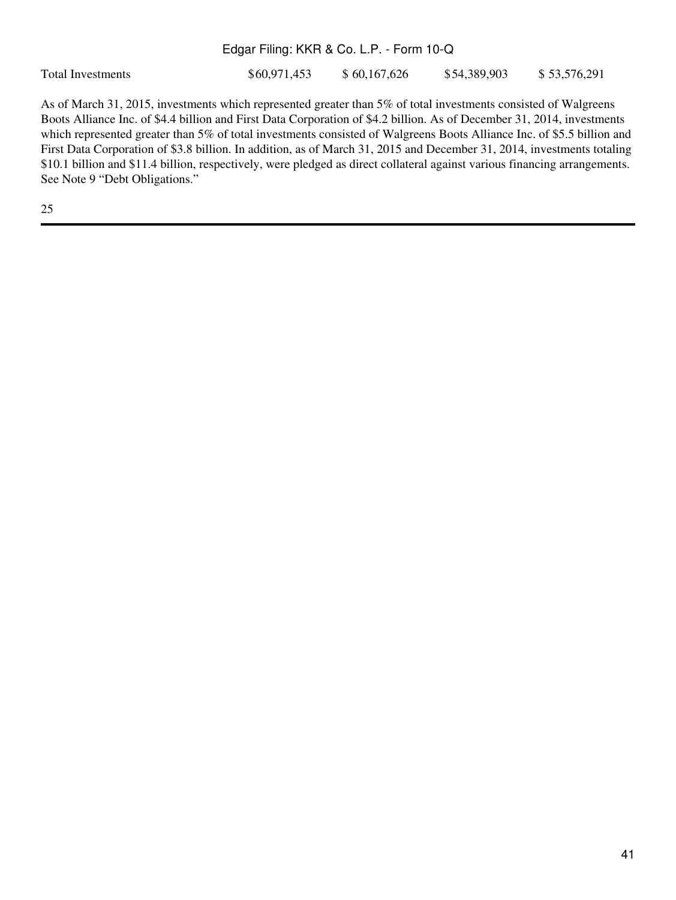Total Investments  $$60,971,453$   $$60,167,626$   $$54,389,903$   $$53,576,291$ 

As of March 31, 2015, investments which represented greater than 5% of total investments consisted of Walgreens Boots Alliance Inc. of \$4.4 billion and First Data Corporation of \$4.2 billion. As of December 31, 2014, investments which represented greater than 5% of total investments consisted of Walgreens Boots Alliance Inc. of \$5.5 billion and First Data Corporation of \$3.8 billion. In addition, as of March 31, 2015 and December 31, 2014, investments totaling \$10.1 billion and \$11.4 billion, respectively, were pledged as direct collateral against various financing arrangements. See Note 9 "Debt Obligations."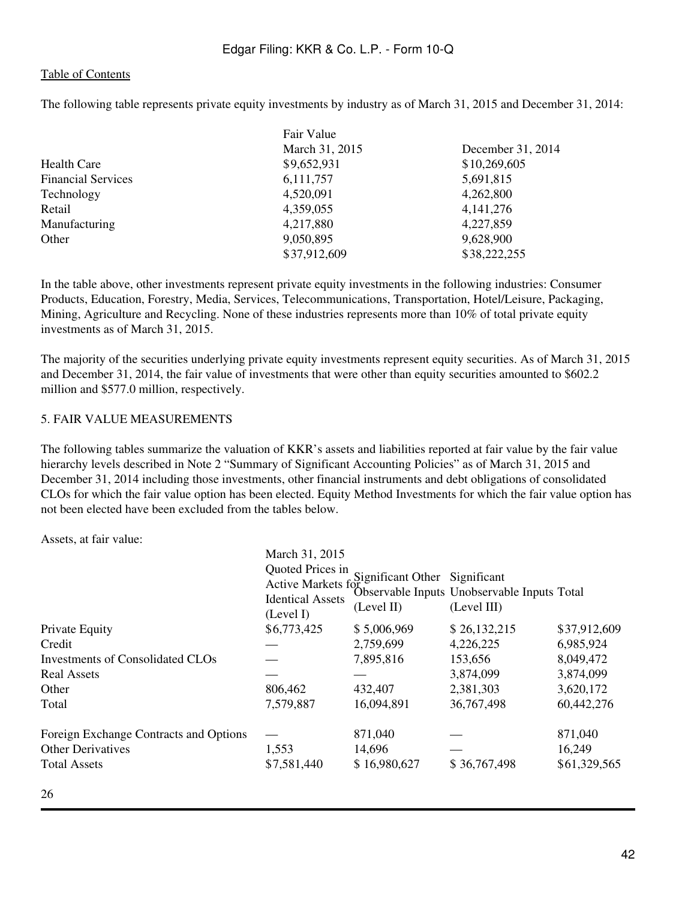The following table represents private equity investments by industry as of March 31, 2015 and December 31, 2014:

|                           | Fair Value     |                   |
|---------------------------|----------------|-------------------|
|                           | March 31, 2015 | December 31, 2014 |
| Health Care               | \$9,652,931    | \$10,269,605      |
| <b>Financial Services</b> | 6,111,757      | 5,691,815         |
| Technology                | 4,520,091      | 4,262,800         |
| Retail                    | 4,359,055      | 4, 141, 276       |
| Manufacturing             | 4,217,880      | 4,227,859         |
| Other                     | 9,050,895      | 9,628,900         |
|                           | \$37,912,609   | \$38,222,255      |

In the table above, other investments represent private equity investments in the following industries: Consumer Products, Education, Forestry, Media, Services, Telecommunications, Transportation, Hotel/Leisure, Packaging, Mining, Agriculture and Recycling. None of these industries represents more than 10% of total private equity investments as of March 31, 2015.

The majority of the securities underlying private equity investments represent equity securities. As of March 31, 2015 and December 31, 2014, the fair value of investments that were other than equity securities amounted to \$602.2 million and \$577.0 million, respectively.

### 5. FAIR VALUE MEASUREMENTS

The following tables summarize the valuation of KKR's assets and liabilities reported at fair value by the fair value hierarchy levels described in Note 2 "Summary of Significant Accounting Policies" as of March 31, 2015 and December 31, 2014 including those investments, other financial instruments and debt obligations of consolidated CLOs for which the fair value option has been elected. Equity Method Investments for which the fair value option has not been elected have been excluded from the tables below.

Assets, at fair value:

|                                        | March 31, 2015                                                                 |                                             |                                                            |              |
|----------------------------------------|--------------------------------------------------------------------------------|---------------------------------------------|------------------------------------------------------------|--------------|
|                                        | Quoted Prices in<br>Active Markets for<br><b>Identical Assets</b><br>(Level I) | Significant Other Significant<br>(Level II) | Observable Inputs Unobservable Inputs Total<br>(Level III) |              |
| Private Equity                         | \$6,773,425                                                                    | \$5,006,969                                 | \$26,132,215                                               | \$37,912,609 |
| Credit                                 |                                                                                | 2,759,699                                   | 4,226,225                                                  | 6,985,924    |
| Investments of Consolidated CLOs       |                                                                                | 7,895,816                                   | 153,656                                                    | 8,049,472    |
| <b>Real Assets</b>                     |                                                                                |                                             | 3,874,099                                                  | 3,874,099    |
| Other                                  | 806,462                                                                        | 432,407                                     | 2,381,303                                                  | 3,620,172    |
| Total                                  | 7,579,887                                                                      | 16,094,891                                  | 36,767,498                                                 | 60,442,276   |
| Foreign Exchange Contracts and Options |                                                                                | 871,040                                     |                                                            | 871,040      |
| <b>Other Derivatives</b>               | 1,553                                                                          | 14,696                                      |                                                            | 16,249       |
| <b>Total Assets</b>                    | \$7,581,440                                                                    | \$16,980,627                                | \$36,767,498                                               | \$61,329,565 |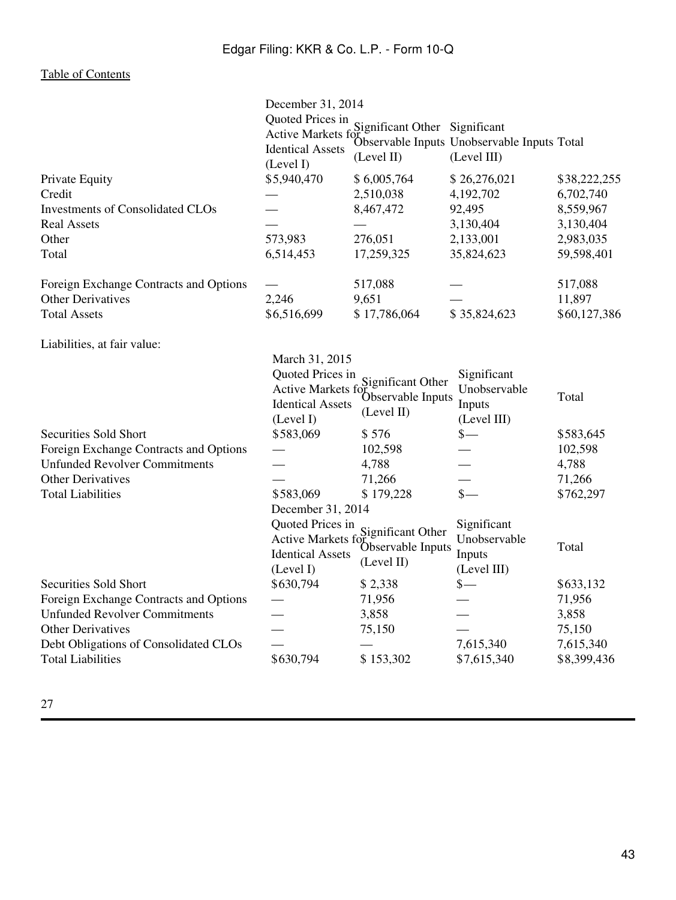| Quoted Prices in<br>Significant Other Significant<br>Active Markets for Supervable Inputs Unobservable Inputs Total<br><b>Identical Assets</b><br>(Level III)<br>(Level II)<br>(Level I)<br>\$5,940,470<br>\$6,005,764<br>\$26,276,021<br>\$38,222,255<br>2,510,038<br>4,192,702<br>6,702,740<br>8,467,472<br>92,495<br>8,559,967<br>3,130,404<br>3,130,404<br>573,983<br>276,051<br>2,133,001<br>2,983,035<br>6,514,453<br>35,824,623<br>17,259,325<br>59,598,401<br>517,088<br>517,088<br>2,246<br>9,651<br>11,897<br>\$6,516,699<br>\$17,786,064<br>\$35,824,623<br>\$60,127,386<br>March 31, 2015<br>Quoted Prices in<br>Significant<br>Significant Other<br>Unobservable<br>Active Markets fo<br>Observable Inputs<br>Total<br><b>Identical Assets</b><br>Inputs<br>(Level II)<br>(Level I)<br>(Level III)<br>Securities Sold Short<br>\$583,069<br>\$576<br>$\mathbb{S}-$<br>\$583,645<br>Foreign Exchange Contracts and Options<br>102,598<br>102,598<br><b>Unfunded Revolver Commitments</b><br>4,788<br>4,788<br><b>Other Derivatives</b><br>71,266<br>71,266<br>$\frac{\text{S}}{\text{}}$<br><b>Total Liabilities</b><br>\$583,069<br>\$179,228<br>\$762,297<br>December 31, 2014<br>Quoted Prices in<br>Significant<br>Significant Other<br>Unobservable<br>Active Markets fo<br>Observable Inputs<br>Total<br>Inputs<br><b>Identical Assets</b><br>(Level II)<br>(Level III)<br>(Level I)<br>$\frac{\ }{\ }$<br>\$630,794<br>\$2,338<br>\$633,132<br>71,956<br>71,956<br>3,858<br>3,858<br>75,150<br>75,150<br>7,615,340<br>7,615,340<br>\$630,794<br>\$153,302<br>\$7,615,340<br>\$8,399,436 |                                         | December 31, 2014 |  |  |
|------------------------------------------------------------------------------------------------------------------------------------------------------------------------------------------------------------------------------------------------------------------------------------------------------------------------------------------------------------------------------------------------------------------------------------------------------------------------------------------------------------------------------------------------------------------------------------------------------------------------------------------------------------------------------------------------------------------------------------------------------------------------------------------------------------------------------------------------------------------------------------------------------------------------------------------------------------------------------------------------------------------------------------------------------------------------------------------------------------------------------------------------------------------------------------------------------------------------------------------------------------------------------------------------------------------------------------------------------------------------------------------------------------------------------------------------------------------------------------------------------------------------------------------------------------------------------------------------------------|-----------------------------------------|-------------------|--|--|
|                                                                                                                                                                                                                                                                                                                                                                                                                                                                                                                                                                                                                                                                                                                                                                                                                                                                                                                                                                                                                                                                                                                                                                                                                                                                                                                                                                                                                                                                                                                                                                                                            |                                         |                   |  |  |
|                                                                                                                                                                                                                                                                                                                                                                                                                                                                                                                                                                                                                                                                                                                                                                                                                                                                                                                                                                                                                                                                                                                                                                                                                                                                                                                                                                                                                                                                                                                                                                                                            | Private Equity                          |                   |  |  |
|                                                                                                                                                                                                                                                                                                                                                                                                                                                                                                                                                                                                                                                                                                                                                                                                                                                                                                                                                                                                                                                                                                                                                                                                                                                                                                                                                                                                                                                                                                                                                                                                            | Credit                                  |                   |  |  |
|                                                                                                                                                                                                                                                                                                                                                                                                                                                                                                                                                                                                                                                                                                                                                                                                                                                                                                                                                                                                                                                                                                                                                                                                                                                                                                                                                                                                                                                                                                                                                                                                            | <b>Investments of Consolidated CLOs</b> |                   |  |  |
|                                                                                                                                                                                                                                                                                                                                                                                                                                                                                                                                                                                                                                                                                                                                                                                                                                                                                                                                                                                                                                                                                                                                                                                                                                                                                                                                                                                                                                                                                                                                                                                                            | <b>Real Assets</b>                      |                   |  |  |
|                                                                                                                                                                                                                                                                                                                                                                                                                                                                                                                                                                                                                                                                                                                                                                                                                                                                                                                                                                                                                                                                                                                                                                                                                                                                                                                                                                                                                                                                                                                                                                                                            | Other                                   |                   |  |  |
|                                                                                                                                                                                                                                                                                                                                                                                                                                                                                                                                                                                                                                                                                                                                                                                                                                                                                                                                                                                                                                                                                                                                                                                                                                                                                                                                                                                                                                                                                                                                                                                                            | Total                                   |                   |  |  |
|                                                                                                                                                                                                                                                                                                                                                                                                                                                                                                                                                                                                                                                                                                                                                                                                                                                                                                                                                                                                                                                                                                                                                                                                                                                                                                                                                                                                                                                                                                                                                                                                            | Foreign Exchange Contracts and Options  |                   |  |  |
|                                                                                                                                                                                                                                                                                                                                                                                                                                                                                                                                                                                                                                                                                                                                                                                                                                                                                                                                                                                                                                                                                                                                                                                                                                                                                                                                                                                                                                                                                                                                                                                                            | <b>Other Derivatives</b>                |                   |  |  |
|                                                                                                                                                                                                                                                                                                                                                                                                                                                                                                                                                                                                                                                                                                                                                                                                                                                                                                                                                                                                                                                                                                                                                                                                                                                                                                                                                                                                                                                                                                                                                                                                            | <b>Total Assets</b>                     |                   |  |  |
|                                                                                                                                                                                                                                                                                                                                                                                                                                                                                                                                                                                                                                                                                                                                                                                                                                                                                                                                                                                                                                                                                                                                                                                                                                                                                                                                                                                                                                                                                                                                                                                                            | Liabilities, at fair value:             |                   |  |  |
|                                                                                                                                                                                                                                                                                                                                                                                                                                                                                                                                                                                                                                                                                                                                                                                                                                                                                                                                                                                                                                                                                                                                                                                                                                                                                                                                                                                                                                                                                                                                                                                                            |                                         |                   |  |  |
|                                                                                                                                                                                                                                                                                                                                                                                                                                                                                                                                                                                                                                                                                                                                                                                                                                                                                                                                                                                                                                                                                                                                                                                                                                                                                                                                                                                                                                                                                                                                                                                                            |                                         |                   |  |  |
|                                                                                                                                                                                                                                                                                                                                                                                                                                                                                                                                                                                                                                                                                                                                                                                                                                                                                                                                                                                                                                                                                                                                                                                                                                                                                                                                                                                                                                                                                                                                                                                                            |                                         |                   |  |  |
|                                                                                                                                                                                                                                                                                                                                                                                                                                                                                                                                                                                                                                                                                                                                                                                                                                                                                                                                                                                                                                                                                                                                                                                                                                                                                                                                                                                                                                                                                                                                                                                                            |                                         |                   |  |  |
|                                                                                                                                                                                                                                                                                                                                                                                                                                                                                                                                                                                                                                                                                                                                                                                                                                                                                                                                                                                                                                                                                                                                                                                                                                                                                                                                                                                                                                                                                                                                                                                                            |                                         |                   |  |  |
|                                                                                                                                                                                                                                                                                                                                                                                                                                                                                                                                                                                                                                                                                                                                                                                                                                                                                                                                                                                                                                                                                                                                                                                                                                                                                                                                                                                                                                                                                                                                                                                                            |                                         |                   |  |  |
|                                                                                                                                                                                                                                                                                                                                                                                                                                                                                                                                                                                                                                                                                                                                                                                                                                                                                                                                                                                                                                                                                                                                                                                                                                                                                                                                                                                                                                                                                                                                                                                                            |                                         |                   |  |  |
|                                                                                                                                                                                                                                                                                                                                                                                                                                                                                                                                                                                                                                                                                                                                                                                                                                                                                                                                                                                                                                                                                                                                                                                                                                                                                                                                                                                                                                                                                                                                                                                                            |                                         |                   |  |  |
|                                                                                                                                                                                                                                                                                                                                                                                                                                                                                                                                                                                                                                                                                                                                                                                                                                                                                                                                                                                                                                                                                                                                                                                                                                                                                                                                                                                                                                                                                                                                                                                                            |                                         |                   |  |  |
|                                                                                                                                                                                                                                                                                                                                                                                                                                                                                                                                                                                                                                                                                                                                                                                                                                                                                                                                                                                                                                                                                                                                                                                                                                                                                                                                                                                                                                                                                                                                                                                                            |                                         |                   |  |  |
|                                                                                                                                                                                                                                                                                                                                                                                                                                                                                                                                                                                                                                                                                                                                                                                                                                                                                                                                                                                                                                                                                                                                                                                                                                                                                                                                                                                                                                                                                                                                                                                                            |                                         |                   |  |  |
|                                                                                                                                                                                                                                                                                                                                                                                                                                                                                                                                                                                                                                                                                                                                                                                                                                                                                                                                                                                                                                                                                                                                                                                                                                                                                                                                                                                                                                                                                                                                                                                                            |                                         |                   |  |  |
|                                                                                                                                                                                                                                                                                                                                                                                                                                                                                                                                                                                                                                                                                                                                                                                                                                                                                                                                                                                                                                                                                                                                                                                                                                                                                                                                                                                                                                                                                                                                                                                                            | Securities Sold Short                   |                   |  |  |
|                                                                                                                                                                                                                                                                                                                                                                                                                                                                                                                                                                                                                                                                                                                                                                                                                                                                                                                                                                                                                                                                                                                                                                                                                                                                                                                                                                                                                                                                                                                                                                                                            | Foreign Exchange Contracts and Options  |                   |  |  |
|                                                                                                                                                                                                                                                                                                                                                                                                                                                                                                                                                                                                                                                                                                                                                                                                                                                                                                                                                                                                                                                                                                                                                                                                                                                                                                                                                                                                                                                                                                                                                                                                            | <b>Unfunded Revolver Commitments</b>    |                   |  |  |
|                                                                                                                                                                                                                                                                                                                                                                                                                                                                                                                                                                                                                                                                                                                                                                                                                                                                                                                                                                                                                                                                                                                                                                                                                                                                                                                                                                                                                                                                                                                                                                                                            | <b>Other Derivatives</b>                |                   |  |  |
|                                                                                                                                                                                                                                                                                                                                                                                                                                                                                                                                                                                                                                                                                                                                                                                                                                                                                                                                                                                                                                                                                                                                                                                                                                                                                                                                                                                                                                                                                                                                                                                                            | Debt Obligations of Consolidated CLOs   |                   |  |  |
|                                                                                                                                                                                                                                                                                                                                                                                                                                                                                                                                                                                                                                                                                                                                                                                                                                                                                                                                                                                                                                                                                                                                                                                                                                                                                                                                                                                                                                                                                                                                                                                                            | <b>Total Liabilities</b>                |                   |  |  |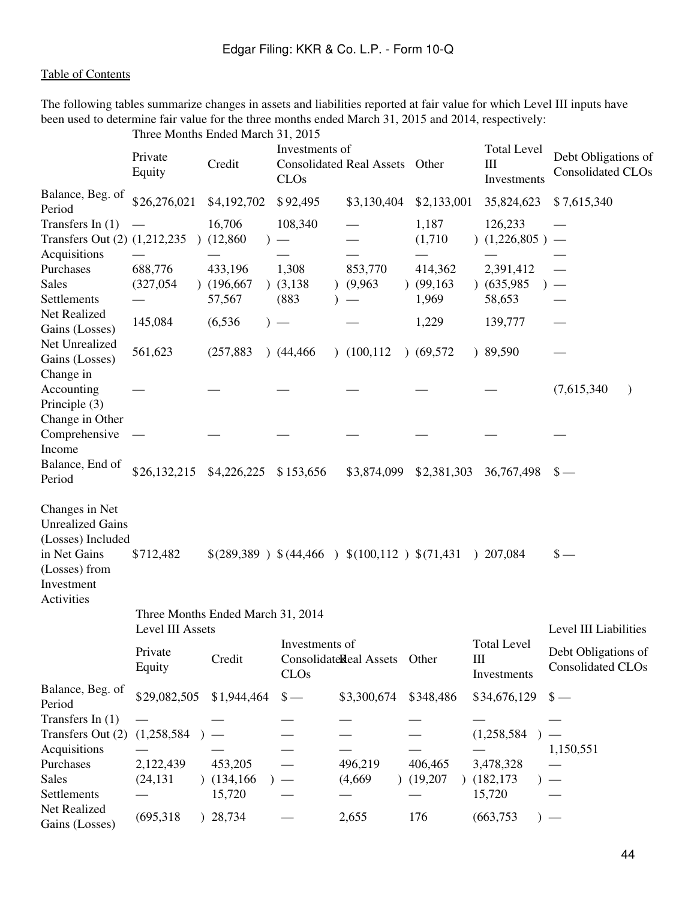The following tables summarize changes in assets and liabilities reported at fair value for which Level III inputs have been used to determine fair value for the three months ended March 31, 2015 and 2014, respectively:

|                                                                                                                             |                                       | Three Months Ended March 31, 2015 |                                    |                                                |                               |                                                                       |                                                 |
|-----------------------------------------------------------------------------------------------------------------------------|---------------------------------------|-----------------------------------|------------------------------------|------------------------------------------------|-------------------------------|-----------------------------------------------------------------------|-------------------------------------------------|
|                                                                                                                             | Private<br>Equity                     | Credit                            | Investments of<br>CLO <sub>s</sub> | <b>Consolidated Real Assets</b>                | Other                         | <b>Total Level</b><br>Ш<br>Investments                                | Debt Obligations of<br>Consolidated CLOs        |
| Balance, Beg. of<br>Period                                                                                                  | \$26,276,021                          | \$4,192,702                       | \$92,495                           | \$3,130,404                                    | \$2,133,001                   | 35,824,623                                                            | \$7,615,340                                     |
| Transfers In $(1)$<br>Transfers Out (2) (1,212,235)<br>Acquisitions                                                         |                                       | 16,706<br>(12,860)                | 108,340                            |                                                | 1,187<br>(1,710)              | 126,233<br>(1,226,805)                                                | $\overline{\phantom{m}}$                        |
| Purchases<br><b>Sales</b><br>Settlements                                                                                    | 688,776<br>(327,054)                  | 433,196<br>(196, 667)<br>57,567   | 1,308<br>(3,138)<br>(883)          | 853,770<br>(9,963)                             | 414,362<br>(99, 163)<br>1,969 | 2,391,412<br>(635,985)<br>58,653                                      |                                                 |
| Net Realized<br>Gains (Losses)                                                                                              | 145,084                               | (6, 536)                          | $)$ —                              |                                                | 1,229                         | 139,777                                                               |                                                 |
| Net Unrealized<br>Gains (Losses)                                                                                            | 561,623                               | (257, 883)                        | (44, 466)                          | (100, 112)                                     | (69,572)                      | 89,590                                                                |                                                 |
| Change in<br>Accounting<br>Principle (3)<br>Change in Other                                                                 |                                       |                                   |                                    |                                                |                               |                                                                       | (7,615,340)<br>$\lambda$                        |
| Comprehensive<br>Income                                                                                                     |                                       |                                   |                                    |                                                |                               |                                                                       |                                                 |
| Balance, End of<br>Period                                                                                                   | \$26,132,215                          | \$4,226,225                       | \$153,656                          | \$3,874,099                                    | \$2,381,303                   | 36,767,498                                                            | $S -$                                           |
| Changes in Net<br><b>Unrealized Gains</b><br>(Losses) Included<br>in Net Gains<br>(Losses) from<br>Investment<br>Activities | \$712,482                             |                                   |                                    | $$(289,389) \$(44,466) \$(100,112) \$(71,431)$ |                               | ) 207,084                                                             | $\mathsf{s}-$                                   |
|                                                                                                                             | Level III Assets                      | Three Months Ended March 31, 2014 |                                    |                                                |                               |                                                                       | Level III Liabilities                           |
|                                                                                                                             | Private<br>Equity                     | Credit                            | Investments of<br>CLO <sub>s</sub> | Consolidate Real Assets                        | Other                         | <b>Total Level</b><br>$\mathop{\mathrm{III}}\nolimits$<br>Investments | Debt Obligations of<br><b>Consolidated CLOs</b> |
| Balance, Beg. of<br>Period                                                                                                  | \$29,082,505                          | \$1,944,464                       | $\frac{\S}{\S}$                    | \$3,300,674                                    | \$348,486                     | \$34,676,129                                                          | $\frac{1}{2}$                                   |
| Transfers In $(1)$<br>Transfers Out (2)<br>Acquisitions<br>Purchases<br><b>Sales</b><br>Settlements                         | (1,258,584)<br>2,122,439<br>(24, 131) | 453,205<br>(134, 166)<br>15,720   |                                    | 496,219<br>(4,669)                             | 406,465<br>(19,207)           | (1,258,584)<br>3,478,328<br>(182, 173)<br>15,720                      | 1,150,551                                       |
| Net Realized<br>Gains (Losses)                                                                                              | (695, 318)                            | ) 28,734                          |                                    | 2,655                                          | 176                           | (663, 753)                                                            |                                                 |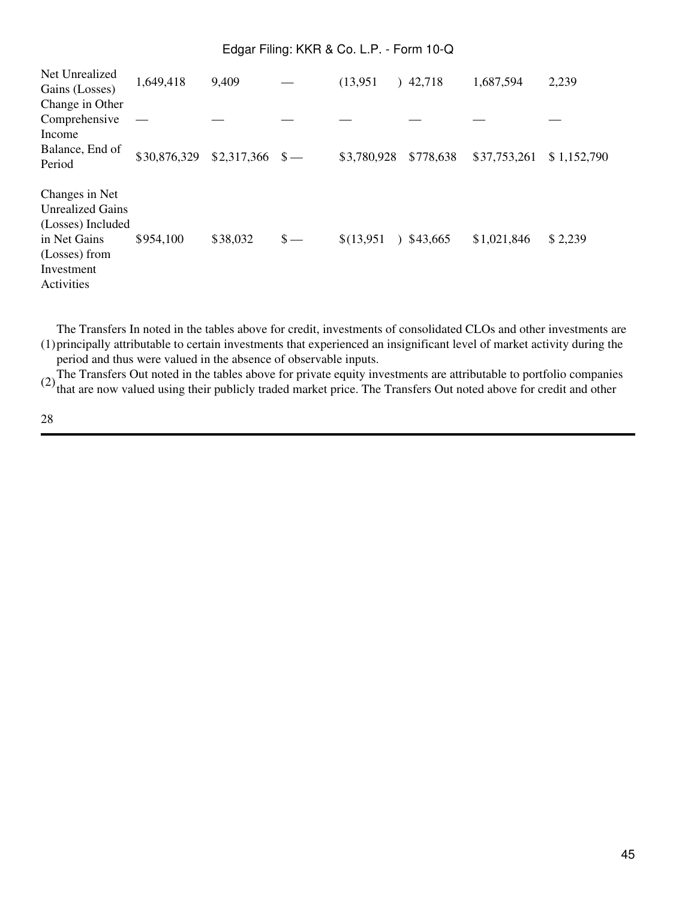| Net Unrealized          | 1,649,418    | 9,409            |              | (13,951)    | 42,718<br>λ.              | 1,687,594    | 2,239       |
|-------------------------|--------------|------------------|--------------|-------------|---------------------------|--------------|-------------|
| Gains (Losses)          |              |                  |              |             |                           |              |             |
| Change in Other         |              |                  |              |             |                           |              |             |
| Comprehensive           |              |                  |              |             |                           |              |             |
| Income                  |              |                  |              |             |                           |              |             |
| Balance, End of         | \$30,876,329 | $$2,317,366$ \$- |              | \$3,780,928 | \$778,638                 | \$37,753,261 | \$1,152,790 |
| Period                  |              |                  |              |             |                           |              |             |
| Changes in Net          |              |                  |              |             |                           |              |             |
| <b>Unrealized Gains</b> |              |                  |              |             |                           |              |             |
| (Losses) Included       |              |                  |              |             |                           |              |             |
| in Net Gains            | \$954,100    | \$38,032         | $\sqrt{s}$ — | \$(13,951)  | \$43,665<br>$\mathcal{L}$ | \$1,021,846  | \$2,239     |
| (Losses) from           |              |                  |              |             |                           |              |             |
| Investment              |              |                  |              |             |                           |              |             |
| Activities              |              |                  |              |             |                           |              |             |
|                         |              |                  |              |             |                           |              |             |

(1) principally attributable to certain investments that experienced an insignificant level of market activity during the The Transfers In noted in the tables above for credit, investments of consolidated CLOs and other investments are period and thus were valued in the absence of observable inputs.

(2) The Transfers Out noted in the tables above for private equity investments are attributable to portfolio companies<br>that are now valued using their publicly traded market price. The Transfers Out noted above for credit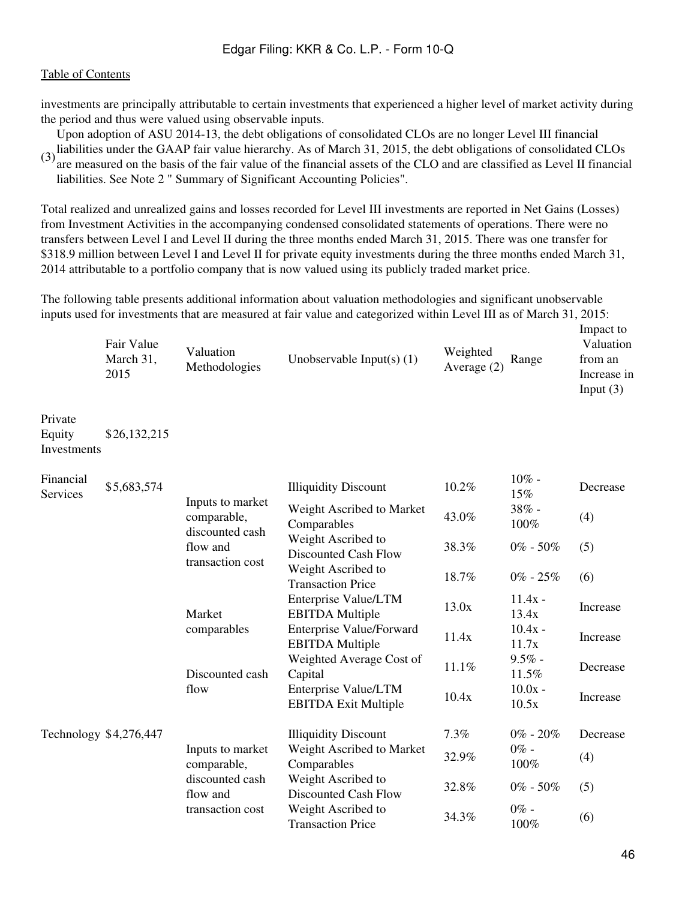investments are principally attributable to certain investments that experienced a higher level of market activity during the period and thus were valued using observable inputs.

Upon adoption of ASU 2014-13, the debt obligations of consolidated CLOs are no longer Level III financial

(3) liabilities under the GAAP fair value hierarchy. As of March 31, 2015, the debt obligations of consolidated CLOs<br>(3) are magazined on the hosis of the fair value of the financial secate of the CLO and are alsocified a are measured on the basis of the fair value of the financial assets of the CLO and are classified as Level II financial liabilities. See Note 2 " Summary of Significant Accounting Policies".

Total realized and unrealized gains and losses recorded for Level III investments are reported in Net Gains (Losses) from Investment Activities in the accompanying condensed consolidated statements of operations. There were no transfers between Level I and Level II during the three months ended March 31, 2015. There was one transfer for \$318.9 million between Level I and Level II for private equity investments during the three months ended March 31, 2014 attributable to a portfolio company that is now valued using its publicly traded market price.

The following table presents additional information about valuation methodologies and significant unobservable inputs used for investments that are measured at fair value and categorized within Level III as of March 31, 2015:

| Fair Value<br>March 31,<br>2015 | Valuation<br>Methodologies | Unobservable Input(s) $(1)$ | Weighted<br>Range<br>Average $(2)$ | Impact to<br>Valuation<br>from an<br>Increase in<br>Input $(3)$ |
|---------------------------------|----------------------------|-----------------------------|------------------------------------|-----------------------------------------------------------------|
|---------------------------------|----------------------------|-----------------------------|------------------------------------|-----------------------------------------------------------------|

Private Equity Investments \$26,132,215

| Financial<br>Services | \$5,683,574            |                                                 | <b>Illiquidity Discount</b>                               | 10.2% | $10\%$ -<br>15%    | Decrease |
|-----------------------|------------------------|-------------------------------------------------|-----------------------------------------------------------|-------|--------------------|----------|
|                       |                        | Inputs to market<br>comparable,                 | Weight Ascribed to Market<br>Comparables                  | 43.0% | $38% -$<br>100%    | (4)      |
|                       |                        | discounted cash<br>flow and                     | Weight Ascribed to<br>Discounted Cash Flow                | 38.3% | $0\% - 50\%$       | (5)      |
|                       |                        | transaction cost                                | Weight Ascribed to<br><b>Transaction Price</b>            | 18.7% | $0\%$ - 25%        | (6)      |
|                       |                        | Market<br>comparables<br>Discounted cash        | Enterprise Value/LTM<br><b>EBITDA Multiple</b>            | 13.0x | $11.4x -$<br>13.4x | Increase |
|                       |                        |                                                 | <b>Enterprise Value/Forward</b><br><b>EBITDA</b> Multiple | 11.4x | $10.4x -$<br>11.7x | Increase |
|                       |                        |                                                 | Weighted Average Cost of<br>Capital                       | 11.1% | $9.5\%$ -<br>11.5% | Decrease |
|                       |                        | flow                                            | Enterprise Value/LTM<br><b>EBITDA Exit Multiple</b>       | 10.4x | $10.0x -$<br>10.5x | Increase |
|                       | Technology \$4,276,447 |                                                 | <b>Illiquidity Discount</b>                               | 7.3%  | $0\%$ - $20\%$     | Decrease |
|                       |                        | Inputs to market<br>comparable,                 | Weight Ascribed to Market<br>Comparables                  | 32.9% | $0\%$ -<br>100%    | (4)      |
|                       |                        | discounted cash<br>flow and<br>transaction cost | Weight Ascribed to<br>Discounted Cash Flow                | 32.8% | $0\% - 50\%$       | (5)      |
|                       |                        |                                                 | Weight Ascribed to<br><b>Transaction Price</b>            | 34.3% | $0\%$ -<br>100%    | (6)      |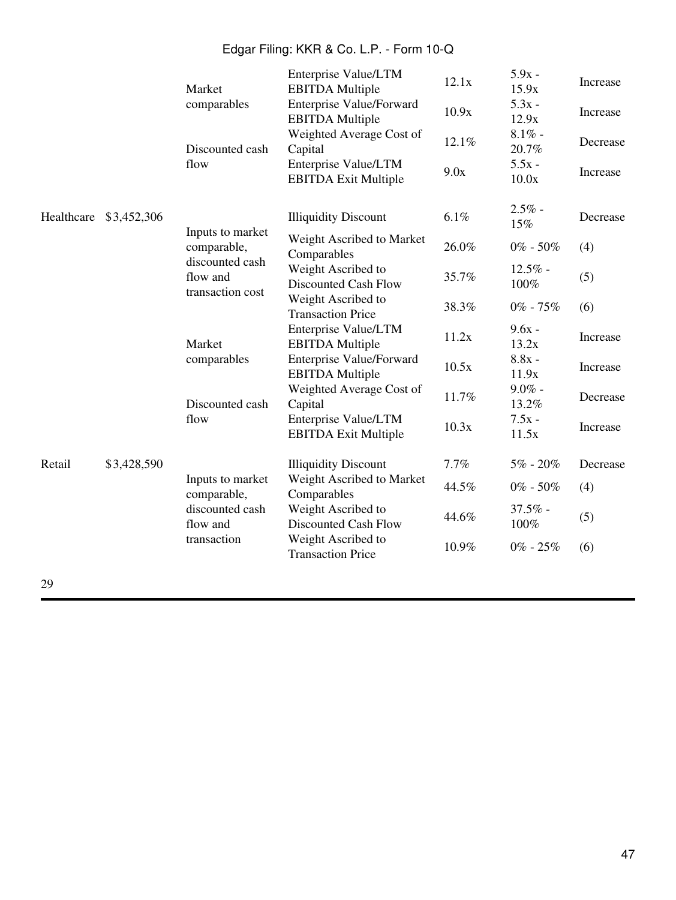|            |             | Market                                          | Enterprise Value/LTM<br><b>EBITDA</b> Multiple            | 12.1x | $5.9x -$<br>15.9x  | Increase |
|------------|-------------|-------------------------------------------------|-----------------------------------------------------------|-------|--------------------|----------|
|            |             | comparables                                     | <b>Enterprise Value/Forward</b><br><b>EBITDA</b> Multiple | 10.9x | $5.3x -$<br>12.9x  | Increase |
|            |             | Discounted cash                                 | Weighted Average Cost of<br>Capital                       | 12.1% | $8.1\%$ -<br>20.7% | Decrease |
|            |             | flow                                            | Enterprise Value/LTM<br><b>EBITDA Exit Multiple</b>       | 9.0x  | $5.5x -$<br>10.0x  | Increase |
| Healthcare | \$3,452,306 |                                                 | <b>Illiquidity Discount</b>                               | 6.1%  | $2.5%$ -<br>15%    | Decrease |
|            |             | Inputs to market<br>comparable,                 | Weight Ascribed to Market<br>Comparables                  | 26.0% | $0\% - 50\%$       | (4)      |
|            |             | discounted cash<br>flow and<br>transaction cost | Weight Ascribed to<br>Discounted Cash Flow                | 35.7% | $12.5\%$ -<br>100% | (5)      |
|            |             |                                                 | Weight Ascribed to<br><b>Transaction Price</b>            | 38.3% | $0\%$ - $75\%$     | (6)      |
|            |             | Market<br>comparables<br>Discounted cash        | Enterprise Value/LTM<br><b>EBITDA</b> Multiple            | 11.2x | $9.6x -$<br>13.2x  | Increase |
|            |             |                                                 | <b>Enterprise Value/Forward</b><br><b>EBITDA Multiple</b> | 10.5x | $8.8x -$<br>11.9x  | Increase |
|            |             |                                                 | Weighted Average Cost of<br>Capital                       | 11.7% | $9.0\%$ -<br>13.2% | Decrease |
|            |             | flow                                            | Enterprise Value/LTM<br><b>EBITDA Exit Multiple</b>       | 10.3x | $7.5x -$<br>11.5x  | Increase |
| Retail     | \$3,428,590 |                                                 | <b>Illiquidity Discount</b>                               | 7.7%  | $5\%$ - $20\%$     | Decrease |
|            |             | Inputs to market<br>comparable,                 | Weight Ascribed to Market<br>Comparables                  | 44.5% | $0\% - 50\%$       | (4)      |
|            |             | discounted cash<br>flow and<br>transaction      | Weight Ascribed to<br>Discounted Cash Flow                | 44.6% | $37.5\%$ -<br>100% | (5)      |
|            |             |                                                 | Weight Ascribed to<br><b>Transaction Price</b>            | 10.9% | $0\%$ - $25\%$     | (6)      |
|            |             |                                                 |                                                           |       |                    |          |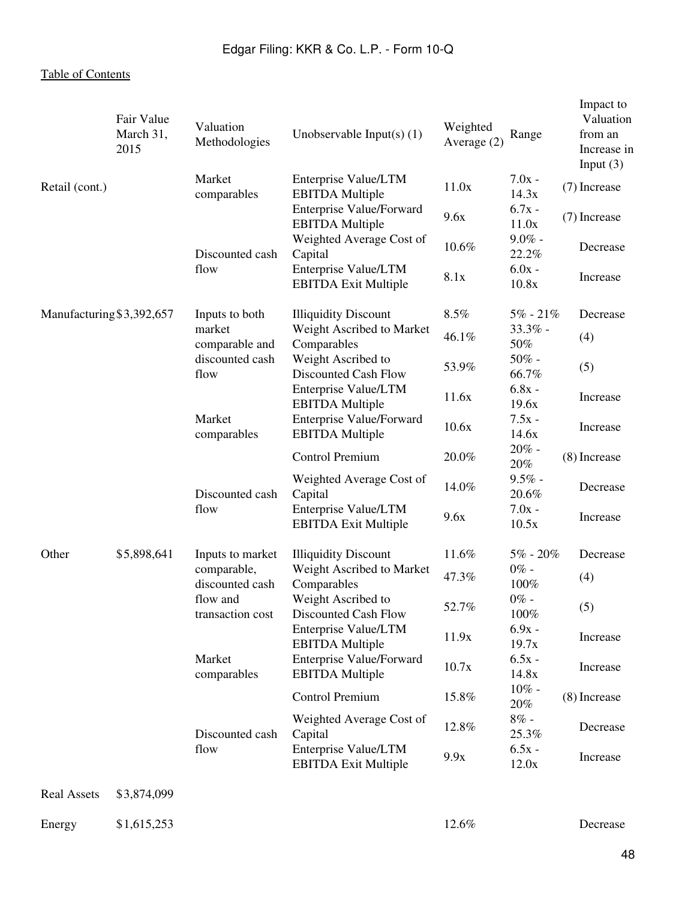|                           | Fair Value<br>March 31,<br>2015 | Valuation<br>Methodologies     | Unobservable Input(s) $(1)$                               | Weighted<br>Average $(2)$ | Range              | Impact to<br>Valuation<br>from an<br>Increase in<br>Input $(3)$ |
|---------------------------|---------------------------------|--------------------------------|-----------------------------------------------------------|---------------------------|--------------------|-----------------------------------------------------------------|
| Retail (cont.)            |                                 | Market<br>comparables          | Enterprise Value/LTM<br><b>EBITDA</b> Multiple            | 11.0x                     | $7.0x -$<br>14.3x  | (7) Increase                                                    |
|                           |                                 |                                | Enterprise Value/Forward<br><b>EBITDA</b> Multiple        | 9.6x                      | $6.7x -$<br>11.0x  | (7) Increase                                                    |
|                           |                                 | Discounted cash                | Weighted Average Cost of<br>Capital                       | 10.6%                     | $9.0\%$ -<br>22.2% | Decrease                                                        |
|                           |                                 | flow                           | Enterprise Value/LTM<br><b>EBITDA Exit Multiple</b>       | 8.1x                      | $6.0x -$<br>10.8x  | Increase                                                        |
| Manufacturing \$3,392,657 |                                 | Inputs to both                 | <b>Illiquidity Discount</b>                               | 8.5%                      | $5\% - 21\%$       | Decrease                                                        |
|                           |                                 | market<br>comparable and       | Weight Ascribed to Market<br>Comparables                  | 46.1%                     | $33.3\%$ -<br>50%  | (4)                                                             |
|                           |                                 | discounted cash<br>flow        | Weight Ascribed to<br>Discounted Cash Flow                | 53.9%                     | $50\%$ -<br>66.7%  | (5)                                                             |
|                           |                                 |                                | Enterprise Value/LTM<br><b>EBITDA</b> Multiple            | 11.6x                     | $6.8x -$<br>19.6x  | Increase                                                        |
|                           |                                 | Market<br>comparables          | <b>Enterprise Value/Forward</b><br><b>EBITDA Multiple</b> | 10.6x                     | $7.5x -$<br>14.6x  | Increase                                                        |
|                           |                                 |                                | <b>Control Premium</b>                                    | 20.0%                     | $20%$ -<br>20%     | (8) Increase                                                    |
|                           |                                 | Discounted cash                | Weighted Average Cost of<br>Capital                       | 14.0%                     | $9.5\%$ -<br>20.6% | Decrease                                                        |
|                           |                                 | flow                           | Enterprise Value/LTM<br><b>EBITDA Exit Multiple</b>       | 9.6x                      | $7.0x -$<br>10.5x  | Increase                                                        |
| Other                     | \$5,898,641                     | Inputs to market               | <b>Illiquidity Discount</b>                               | 11.6%                     | $5\% - 20\%$       | Decrease                                                        |
|                           |                                 | comparable,<br>discounted cash | Weight Ascribed to Market<br>Comparables                  | 47.3%                     | $0\%$ -<br>100%    | (4)                                                             |
|                           |                                 | flow and<br>transaction cost   | Weight Ascribed to<br>Discounted Cash Flow                | 52.7%                     | $0\%$ -<br>$100\%$ | (5)                                                             |
|                           |                                 |                                | Enterprise Value/LTM<br><b>EBITDA</b> Multiple            | 11.9x                     | $6.9x -$<br>19.7x  | Increase                                                        |
|                           |                                 | Market<br>comparables          | <b>Enterprise Value/Forward</b><br><b>EBITDA</b> Multiple | 10.7x                     | $6.5x -$<br>14.8x  | Increase                                                        |
|                           |                                 |                                | <b>Control Premium</b>                                    | 15.8%                     | $10\%$ -<br>20%    | (8) Increase                                                    |
|                           |                                 | Discounted cash                | Weighted Average Cost of<br>Capital                       | 12.8%                     | $8\%$ -<br>25.3%   | Decrease                                                        |
|                           |                                 | flow                           | Enterprise Value/LTM<br><b>EBITDA Exit Multiple</b>       | 9.9x                      | $6.5x -$<br>12.0x  | Increase                                                        |
| <b>Real Assets</b>        | \$3,874,099                     |                                |                                                           |                           |                    |                                                                 |
| Energy                    | \$1,615,253                     |                                |                                                           | 12.6%                     |                    | Decrease                                                        |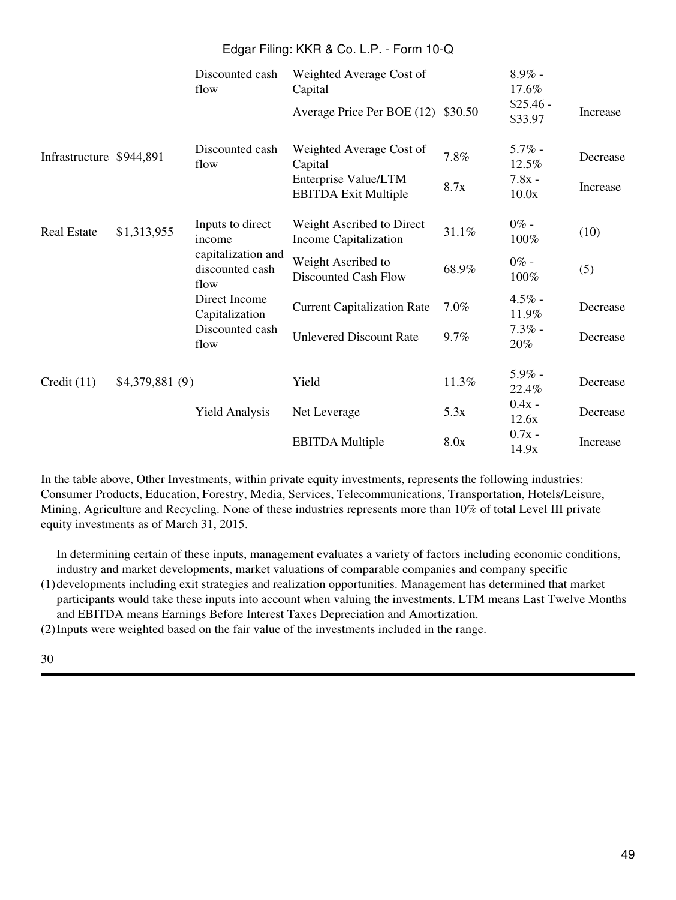|                          |                 | Discounted cash<br>flow                                                          | Weighted Average Cost of<br>Capital                 |       | $8.9\%$ -<br>17.6%<br>$$25.46 -$ |                 |
|--------------------------|-----------------|----------------------------------------------------------------------------------|-----------------------------------------------------|-------|----------------------------------|-----------------|
|                          |                 |                                                                                  | Average Price Per BOE (12) \$30.50                  |       | \$33.97                          | <b>Increase</b> |
| Infrastructure \$944,891 |                 | Discounted cash<br>flow                                                          | Weighted Average Cost of<br>Capital                 | 7.8%  | $5.7\%$ -<br>12.5%               | Decrease        |
|                          |                 |                                                                                  | Enterprise Value/LTM<br><b>EBITDA Exit Multiple</b> | 8.7x  | $7.8x -$<br>10.0x                | Increase        |
| <b>Real Estate</b>       | \$1,313,955     | Inputs to direct<br>income                                                       | Weight Ascribed to Direct<br>Income Capitalization  | 31.1% | $0\%$ -<br>100%                  | (10)            |
|                          |                 | capitalization and<br>discounted cash<br>flow<br>Direct Income<br>Capitalization | Weight Ascribed to<br>Discounted Cash Flow          | 68.9% | $0\%$ -<br>100%                  | (5)             |
|                          |                 |                                                                                  | <b>Current Capitalization Rate</b>                  | 7.0%  | $4.5\%$ -<br>11.9%               | Decrease        |
|                          |                 | Discounted cash<br>flow                                                          | <b>Unlevered Discount Rate</b>                      | 9.7%  | $7.3\%$ -<br>20%                 | Decrease        |
| Credit $(11)$            | \$4,379,881 (9) |                                                                                  | Yield                                               | 11.3% | $5.9\%$ -<br>22.4%               | Decrease        |
|                          |                 | <b>Yield Analysis</b>                                                            | Net Leverage                                        | 5.3x  | $0.4x -$<br>12.6x                | Decrease        |
|                          |                 |                                                                                  | <b>EBITDA</b> Multiple                              | 8.0x  | $0.7x -$<br>14.9x                | Increase        |

In the table above, Other Investments, within private equity investments, represents the following industries: Consumer Products, Education, Forestry, Media, Services, Telecommunications, Transportation, Hotels/Leisure, Mining, Agriculture and Recycling. None of these industries represents more than 10% of total Level III private equity investments as of March 31, 2015.

In determining certain of these inputs, management evaluates a variety of factors including economic conditions, industry and market developments, market valuations of comparable companies and company specific

(1) developments including exit strategies and realization opportunities. Management has determined that market participants would take these inputs into account when valuing the investments. LTM means Last Twelve Months and EBITDA means Earnings Before Interest Taxes Depreciation and Amortization.

(2)Inputs were weighted based on the fair value of the investments included in the range.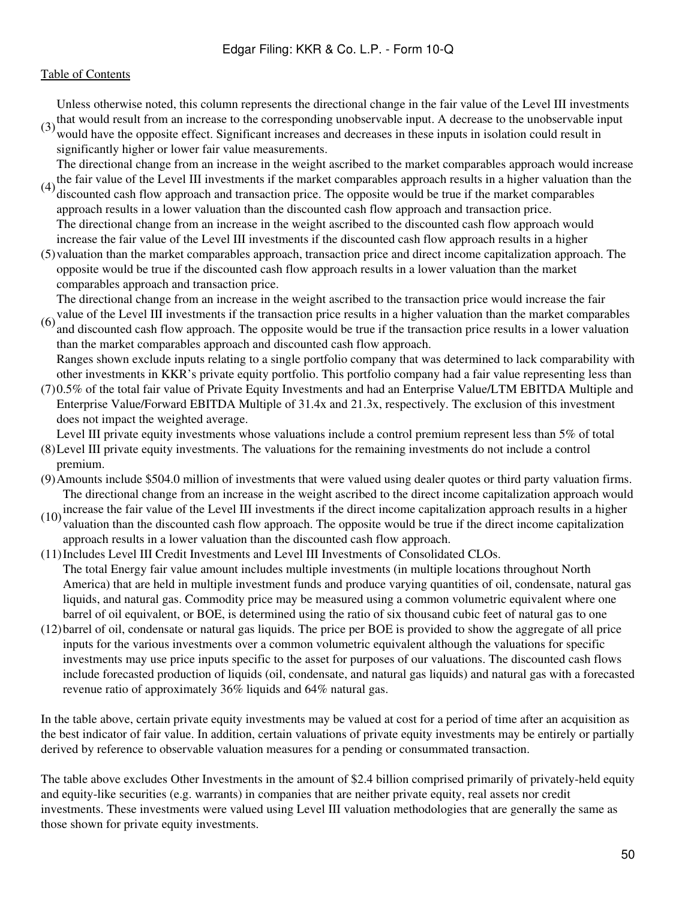$(3)$  that would result from an increase to the corresponding unobservable input. A decrease to the unobservable input  $(3)$  would have the approximate of fact. Significant increases and decreases in these inputs in isola Unless otherwise noted, this column represents the directional change in the fair value of the Level III investments

would have the opposite effect. Significant increases and decreases in these inputs in isolation could result in significantly higher or lower fair value measurements.

(4) the fair value of the Level III investments if the market comparables approach results in a higher valuation than the  $(4)$  discounted seek flow engroach and transaction price. The appearite would be true if the marke The directional change from an increase in the weight ascribed to the market comparables approach would increase

- discounted cash flow approach and transaction price. The opposite would be true if the market comparables approach results in a lower valuation than the discounted cash flow approach and transaction price. The directional change from an increase in the weight ascribed to the discounted cash flow approach would increase the fair value of the Level III investments if the discounted cash flow approach results in a higher
- (5) valuation than the market comparables approach, transaction price and direct income capitalization approach. The opposite would be true if the discounted cash flow approach results in a lower valuation than the market comparables approach and transaction price.

The directional change from an increase in the weight ascribed to the transaction price would increase the fair

value of the Level III investments if the transaction price results in a higher valuation than the market comparables  $(6)$  and discounted each flow engressed. The engestic would be true if the transaction grise gesults i and discounted cash flow approach. The opposite would be true if the transaction price results in a lower valuation than the market comparables approach and discounted cash flow approach.

(7) 0.5% of the total fair value of Private Equity Investments and had an Enterprise Value/LTM EBITDA Multiple and Ranges shown exclude inputs relating to a single portfolio company that was determined to lack comparability with other investments in KKR's private equity portfolio. This portfolio company had a fair value representing less than

Enterprise Value/Forward EBITDA Multiple of 31.4x and 21.3x, respectively. The exclusion of this investment does not impact the weighted average.

Level III private equity investments whose valuations include a control premium represent less than 5% of total

- (8) Level III private equity investments. The valuations for the remaining investments do not include a control premium.
- (9)Amounts include \$504.0 million of investments that were valued using dealer quotes or third party valuation firms. The directional change from an increase in the weight ascribed to the direct income capitalization approach would
- (10) increase the fair value of the Level III investments if the direct income capitalization approach results in a higher valuation than the discounted cash flow approach. The opposite would be true if the direct income capitalization approach results in a lower valuation than the discounted cash flow approach.
- (11)Includes Level III Credit Investments and Level III Investments of Consolidated CLOs. The total Energy fair value amount includes multiple investments (in multiple locations throughout North America) that are held in multiple investment funds and produce varying quantities of oil, condensate, natural gas liquids, and natural gas. Commodity price may be measured using a common volumetric equivalent where one barrel of oil equivalent, or BOE, is determined using the ratio of six thousand cubic feet of natural gas to one
- (12) barrel of oil, condensate or natural gas liquids. The price per BOE is provided to show the aggregate of all price inputs for the various investments over a common volumetric equivalent although the valuations for specific investments may use price inputs specific to the asset for purposes of our valuations. The discounted cash flows include forecasted production of liquids (oil, condensate, and natural gas liquids) and natural gas with a forecasted revenue ratio of approximately 36% liquids and 64% natural gas.

In the table above, certain private equity investments may be valued at cost for a period of time after an acquisition as the best indicator of fair value. In addition, certain valuations of private equity investments may be entirely or partially derived by reference to observable valuation measures for a pending or consummated transaction.

The table above excludes Other Investments in the amount of \$2.4 billion comprised primarily of privately-held equity and equity-like securities (e.g. warrants) in companies that are neither private equity, real assets nor credit investments. These investments were valued using Level III valuation methodologies that are generally the same as those shown for private equity investments.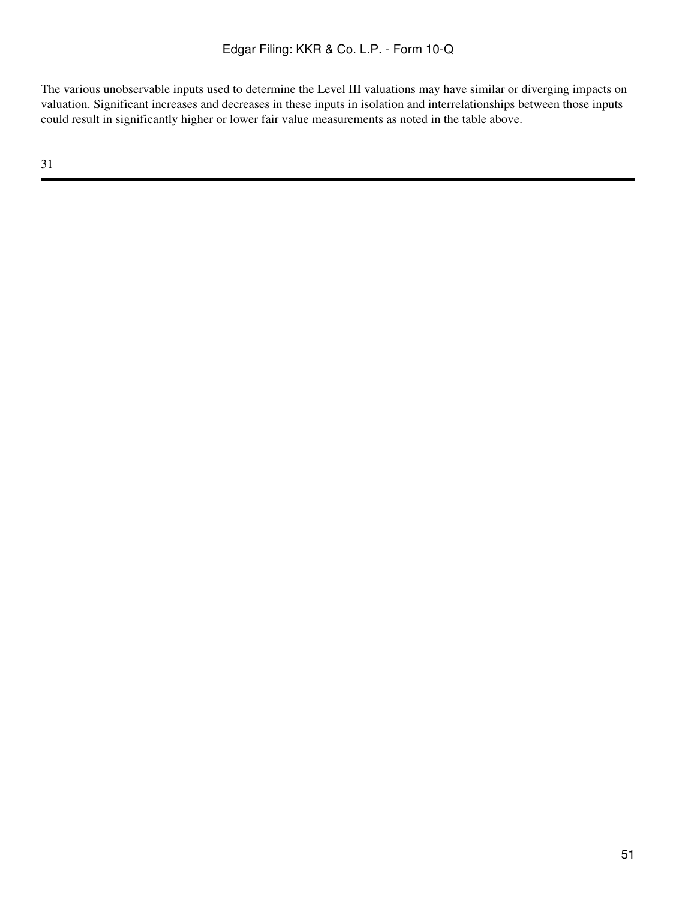The various unobservable inputs used to determine the Level III valuations may have similar or diverging impacts on valuation. Significant increases and decreases in these inputs in isolation and interrelationships between those inputs could result in significantly higher or lower fair value measurements as noted in the table above.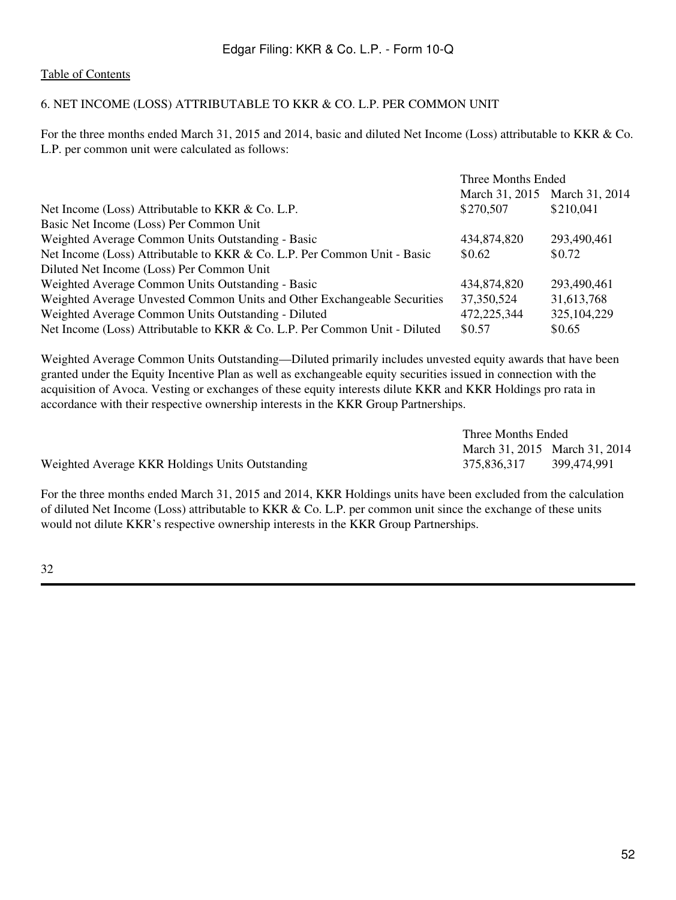### [Table of Contents](#page-2-0)

# 6. NET INCOME (LOSS) ATTRIBUTABLE TO KKR & CO. L.P. PER COMMON UNIT

For the three months ended March 31, 2015 and 2014, basic and diluted Net Income (Loss) attributable to KKR & Co. L.P. per common unit were calculated as follows:

|                                                                            | Three Months Ended |                               |
|----------------------------------------------------------------------------|--------------------|-------------------------------|
|                                                                            |                    | March 31, 2015 March 31, 2014 |
| Net Income (Loss) Attributable to KKR & Co. L.P.                           | \$270,507          | \$210,041                     |
| Basic Net Income (Loss) Per Common Unit                                    |                    |                               |
| Weighted Average Common Units Outstanding - Basic                          | 434,874,820        | 293,490,461                   |
| Net Income (Loss) Attributable to KKR & Co. L.P. Per Common Unit - Basic   | \$0.62             | \$0.72                        |
| Diluted Net Income (Loss) Per Common Unit                                  |                    |                               |
| Weighted Average Common Units Outstanding - Basic                          | 434,874,820        | 293,490,461                   |
| Weighted Average Unvested Common Units and Other Exchangeable Securities   | 37, 350, 524       | 31,613,768                    |
| Weighted Average Common Units Outstanding - Diluted                        | 472,225,344        | 325, 104, 229                 |
| Net Income (Loss) Attributable to KKR & Co. L.P. Per Common Unit - Diluted | \$0.57             | \$0.65                        |

Weighted Average Common Units Outstanding—Diluted primarily includes unvested equity awards that have been granted under the Equity Incentive Plan as well as exchangeable equity securities issued in connection with the acquisition of Avoca. Vesting or exchanges of these equity interests dilute KKR and KKR Holdings pro rata in accordance with their respective ownership interests in the KKR Group Partnerships.

|                                                 | Three Months Ended            |             |
|-------------------------------------------------|-------------------------------|-------------|
|                                                 | March 31, 2015 March 31, 2014 |             |
| Weighted Average KKR Holdings Units Outstanding | 375,836,317                   | 399,474,991 |

For the three months ended March 31, 2015 and 2014, KKR Holdings units have been excluded from the calculation of diluted Net Income (Loss) attributable to KKR & Co. L.P. per common unit since the exchange of these units would not dilute KKR's respective ownership interests in the KKR Group Partnerships.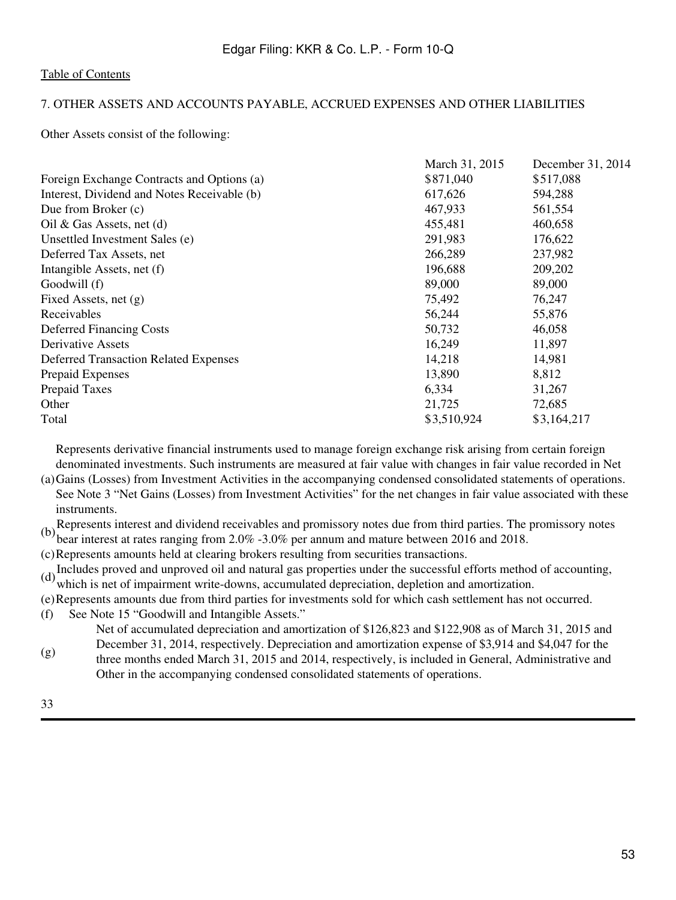# 7. OTHER ASSETS AND ACCOUNTS PAYABLE, ACCRUED EXPENSES AND OTHER LIABILITIES

Other Assets consist of the following:

| March 31, 2015 | December 31, 2014 |
|----------------|-------------------|
| \$871,040      | \$517,088         |
| 617,626        | 594,288           |
| 467,933        | 561,554           |
| 455,481        | 460,658           |
| 291,983        | 176,622           |
| 266,289        | 237,982           |
| 196,688        | 209,202           |
| 89,000         | 89,000            |
| 75,492         | 76,247            |
| 56,244         | 55,876            |
| 50,732         | 46,058            |
| 16,249         | 11,897            |
| 14,218         | 14,981            |
| 13,890         | 8,812             |
| 6,334          | 31,267            |
| 21,725         | 72,685            |
| \$3,510,924    | \$3,164,217       |
|                |                   |

Represents derivative financial instruments used to manage foreign exchange risk arising from certain foreign denominated investments. Such instruments are measured at fair value with changes in fair value recorded in Net

(a) Gains (Losses) from Investment Activities in the accompanying condensed consolidated statements of operations. See Note 3 "Net Gains (Losses) from Investment Activities" for the net changes in fair value associated with these instruments.

(b)Represents interest and dividend receivables and promissory notes due from third parties. The promissory notes bear interest at rates ranging from 2.0% -3.0% per annum and mature between 2016 and 2018.

(c)Represents amounts held at clearing brokers resulting from securities transactions.

(d) Includes proved and unproved oil and natural gas properties under the successful efforts method of accounting, which is net of impairment write-downs, accumulated depreciation, depletion and amortization.

(e)Represents amounts due from third parties for investments sold for which cash settlement has not occurred.

(f) See Note 15 "Goodwill and Intangible Assets."

Net of accumulated depreciation and amortization of \$126,823 and \$122,908 as of March 31, 2015 and December 31, 2014, respectively. Depreciation and amortization expense of \$3,914 and \$4,047 for the

(g) three months ended March 31, 2015 and 2014, respectively, is included in General, Administrative and Other in the accompanying condensed consolidated statements of operations.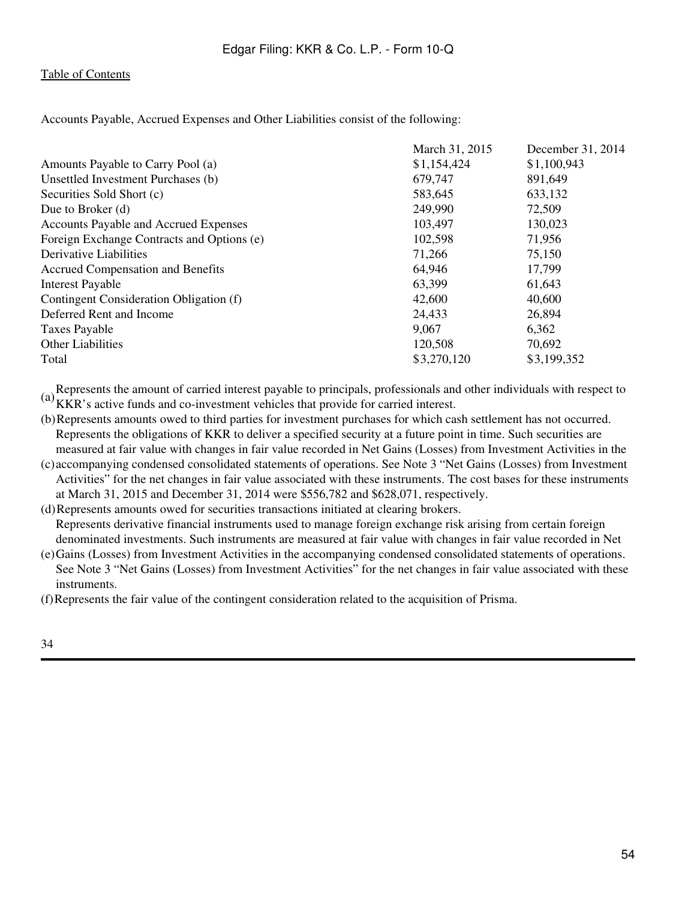Accounts Payable, Accrued Expenses and Other Liabilities consist of the following:

|                                            | March 31, 2015 | December 31, 2014 |
|--------------------------------------------|----------------|-------------------|
| Amounts Payable to Carry Pool (a)          | \$1,154,424    | \$1,100,943       |
| Unsettled Investment Purchases (b)         | 679,747        | 891,649           |
| Securities Sold Short (c)                  | 583,645        | 633,132           |
| Due to Broker $(d)$                        | 249,990        | 72,509            |
| Accounts Payable and Accrued Expenses      | 103,497        | 130,023           |
| Foreign Exchange Contracts and Options (e) | 102,598        | 71,956            |
| Derivative Liabilities                     | 71,266         | 75,150            |
| <b>Accrued Compensation and Benefits</b>   | 64,946         | 17,799            |
| <b>Interest Payable</b>                    | 63,399         | 61,643            |
| Contingent Consideration Obligation (f)    | 42,600         | 40,600            |
| Deferred Rent and Income                   | 24,433         | 26,894            |
| <b>Taxes Payable</b>                       | 9,067          | 6,362             |
| <b>Other Liabilities</b>                   | 120,508        | 70,692            |
| Total                                      | \$3,270,120    | \$3,199,352       |

(a) Represents the amount of carried interest payable to principals, professionals and other individuals with respect to  $(a)_{VFD}$ . KKR's active funds and co-investment vehicles that provide for carried interest.

- (b)Represents amounts owed to third parties for investment purchases for which cash settlement has not occurred. Represents the obligations of KKR to deliver a specified security at a future point in time. Such securities are measured at fair value with changes in fair value recorded in Net Gains (Losses) from Investment Activities in the
- (c) accompanying condensed consolidated statements of operations. See Note 3 "Net Gains (Losses) from Investment Activities" for the net changes in fair value associated with these instruments. The cost bases for these instruments at March 31, 2015 and December 31, 2014 were \$556,782 and \$628,071, respectively.

(d)Represents amounts owed for securities transactions initiated at clearing brokers.

Represents derivative financial instruments used to manage foreign exchange risk arising from certain foreign denominated investments. Such instruments are measured at fair value with changes in fair value recorded in Net

(e) Gains (Losses) from Investment Activities in the accompanying condensed consolidated statements of operations. See Note 3 "Net Gains (Losses) from Investment Activities" for the net changes in fair value associated with these instruments.

(f)Represents the fair value of the contingent consideration related to the acquisition of Prisma.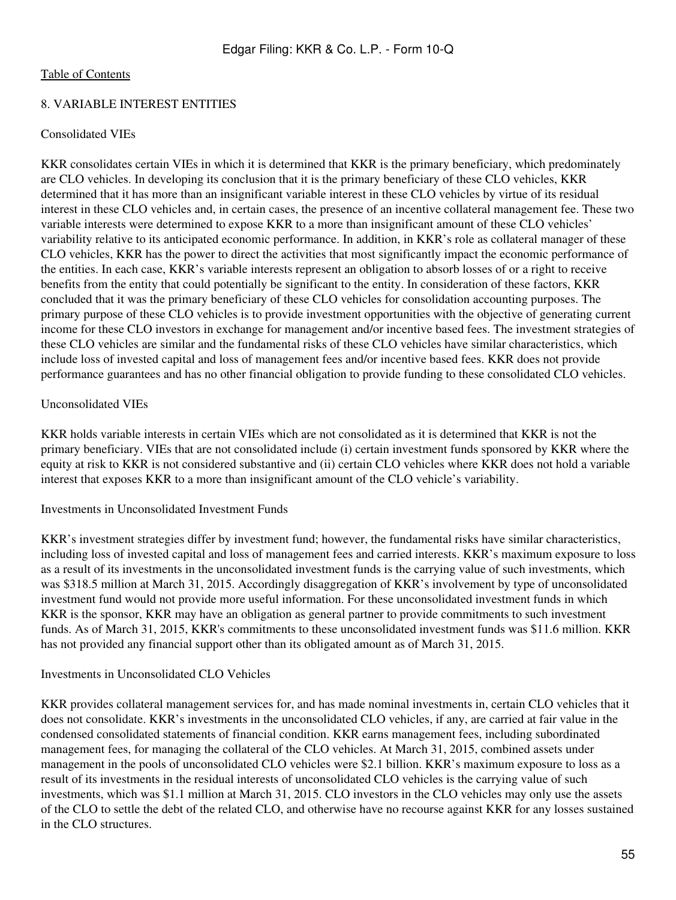### 8. VARIABLE INTEREST ENTITIES

### Consolidated VIEs

KKR consolidates certain VIEs in which it is determined that KKR is the primary beneficiary, which predominately are CLO vehicles. In developing its conclusion that it is the primary beneficiary of these CLO vehicles, KKR determined that it has more than an insignificant variable interest in these CLO vehicles by virtue of its residual interest in these CLO vehicles and, in certain cases, the presence of an incentive collateral management fee. These two variable interests were determined to expose KKR to a more than insignificant amount of these CLO vehicles' variability relative to its anticipated economic performance. In addition, in KKR's role as collateral manager of these CLO vehicles, KKR has the power to direct the activities that most significantly impact the economic performance of the entities. In each case, KKR's variable interests represent an obligation to absorb losses of or a right to receive benefits from the entity that could potentially be significant to the entity. In consideration of these factors, KKR concluded that it was the primary beneficiary of these CLO vehicles for consolidation accounting purposes. The primary purpose of these CLO vehicles is to provide investment opportunities with the objective of generating current income for these CLO investors in exchange for management and/or incentive based fees. The investment strategies of these CLO vehicles are similar and the fundamental risks of these CLO vehicles have similar characteristics, which include loss of invested capital and loss of management fees and/or incentive based fees. KKR does not provide performance guarantees and has no other financial obligation to provide funding to these consolidated CLO vehicles.

### Unconsolidated VIEs

KKR holds variable interests in certain VIEs which are not consolidated as it is determined that KKR is not the primary beneficiary. VIEs that are not consolidated include (i) certain investment funds sponsored by KKR where the equity at risk to KKR is not considered substantive and (ii) certain CLO vehicles where KKR does not hold a variable interest that exposes KKR to a more than insignificant amount of the CLO vehicle's variability.

#### Investments in Unconsolidated Investment Funds

KKR's investment strategies differ by investment fund; however, the fundamental risks have similar characteristics, including loss of invested capital and loss of management fees and carried interests. KKR's maximum exposure to loss as a result of its investments in the unconsolidated investment funds is the carrying value of such investments, which was \$318.5 million at March 31, 2015. Accordingly disaggregation of KKR's involvement by type of unconsolidated investment fund would not provide more useful information. For these unconsolidated investment funds in which KKR is the sponsor, KKR may have an obligation as general partner to provide commitments to such investment funds. As of March 31, 2015, KKR's commitments to these unconsolidated investment funds was \$11.6 million. KKR has not provided any financial support other than its obligated amount as of March 31, 2015.

### Investments in Unconsolidated CLO Vehicles

KKR provides collateral management services for, and has made nominal investments in, certain CLO vehicles that it does not consolidate. KKR's investments in the unconsolidated CLO vehicles, if any, are carried at fair value in the condensed consolidated statements of financial condition. KKR earns management fees, including subordinated management fees, for managing the collateral of the CLO vehicles. At March 31, 2015, combined assets under management in the pools of unconsolidated CLO vehicles were \$2.1 billion. KKR's maximum exposure to loss as a result of its investments in the residual interests of unconsolidated CLO vehicles is the carrying value of such investments, which was \$1.1 million at March 31, 2015. CLO investors in the CLO vehicles may only use the assets of the CLO to settle the debt of the related CLO, and otherwise have no recourse against KKR for any losses sustained in the CLO structures.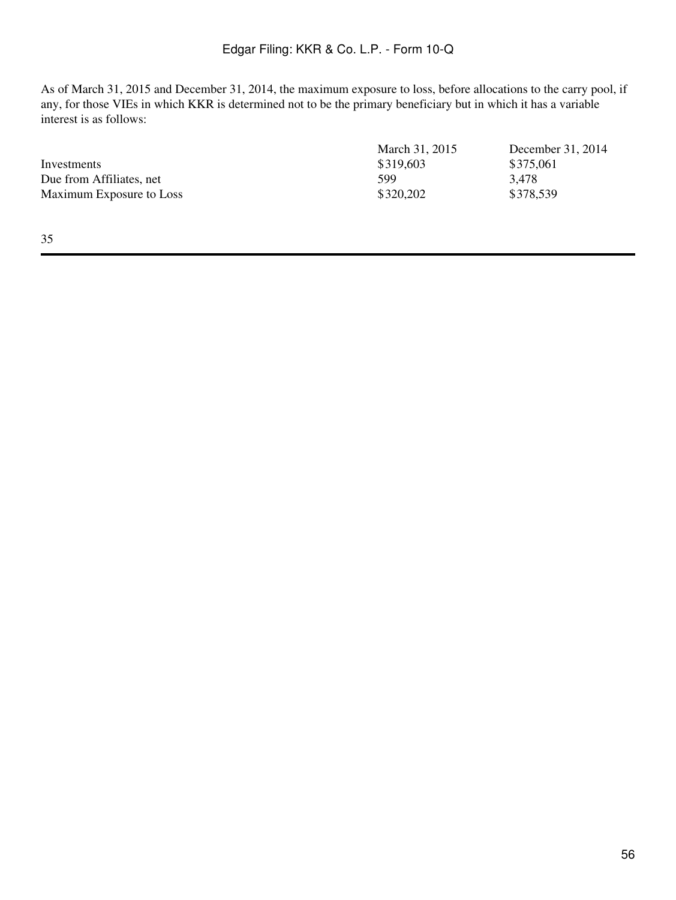As of March 31, 2015 and December 31, 2014, the maximum exposure to loss, before allocations to the carry pool, if any, for those VIEs in which KKR is determined not to be the primary beneficiary but in which it has a variable interest is as follows:

|                          | March 31, 2015 | December 31, 2014 |
|--------------------------|----------------|-------------------|
| Investments              | \$319,603      | \$375,061         |
| Due from Affiliates, net | 599            | 3,478             |
| Maximum Exposure to Loss | \$320,202      | \$378,539         |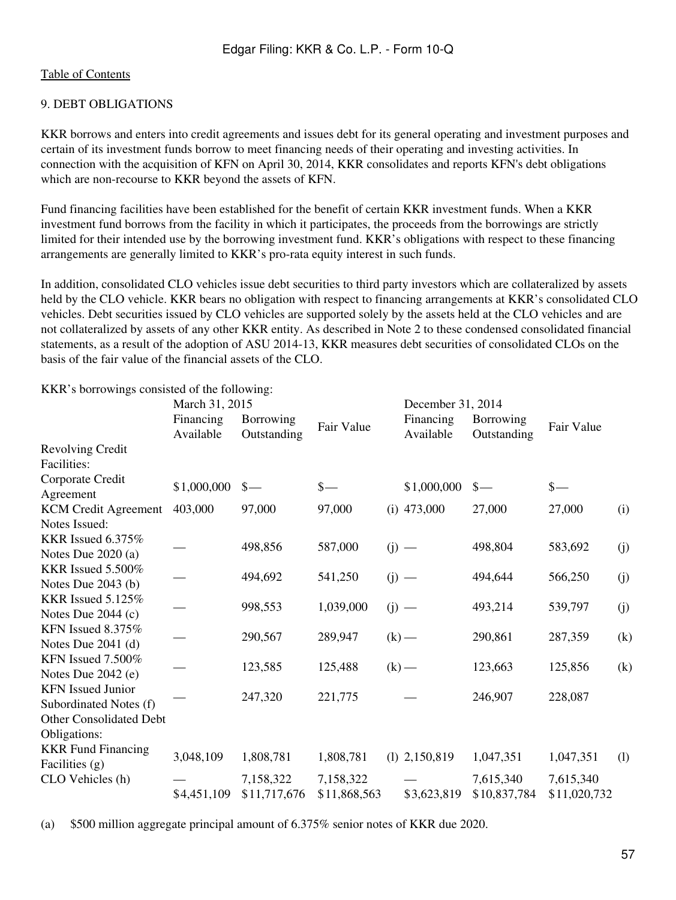# [Table of Contents](#page-2-0)

# 9. DEBT OBLIGATIONS

KKR borrows and enters into credit agreements and issues debt for its general operating and investment purposes and certain of its investment funds borrow to meet financing needs of their operating and investing activities. In connection with the acquisition of KFN on April 30, 2014, KKR consolidates and reports KFN's debt obligations which are non-recourse to KKR beyond the assets of KFN.

Fund financing facilities have been established for the benefit of certain KKR investment funds. When a KKR investment fund borrows from the facility in which it participates, the proceeds from the borrowings are strictly limited for their intended use by the borrowing investment fund. KKR's obligations with respect to these financing arrangements are generally limited to KKR's pro-rata equity interest in such funds.

In addition, consolidated CLO vehicles issue debt securities to third party investors which are collateralized by assets held by the CLO vehicle. KKR bears no obligation with respect to financing arrangements at KKR's consolidated CLO vehicles. Debt securities issued by CLO vehicles are supported solely by the assets held at the CLO vehicles and are not collateralized by assets of any other KKR entity. As described in Note 2 to these condensed consolidated financial statements, as a result of the adoption of ASU 2014-13, KKR measures debt securities of consolidated CLOs on the basis of the fair value of the financial assets of the CLO.

March 31, 2015 December 31, 2014 Financing Available Borrowing Borrowing Fair Value Financing<br>Outstanding Fair Value Available Available Borrowing Outstanding Fair Value Revolving Credit Facilities: Corporate Credit Agreement \$1,000,000 \$— \$— \$1,000,000 \$— \$— KCM Credit Agreement 403,000 97,000 97,000 (i) 473,000 27,000 27,000 (i) Notes Issued: KKR Issued 6.375% Notes Due 2020 (a)  $-$  498,856 587,000 (j)  $-$  498,804 583,692 (j) KKR Issued 5.500% Notes Due 2043 (b)  $-$  494,692 541,250 (j)  $-$  494,644 566,250 (j) KKR Issued 5.125% Notes Due 2044 (c)  $-$  998,553 1,039,000 (j)  $-$  493,214 539,797 (j) KFN Issued 8.375% Notes Due 2041 (d)  $-$  290,567 289,947 (k)  $-$  290,861 287,359 (k) KFN Issued 7.500% Notes Due 2042 (e)  $-$  123,585 125,488 (k)  $-$  123,663 125,856 (k) KFN Issued Junior Subordinated Notes (f)  $-$  247,320 221,775  $-$  246,907 228,087 Other Consolidated Debt Obligations: KKR Fund Financing Facilities (g) 3,048,109 1,808,781 1,808,781 (l) 2,150,819 1,047,351 1,047,351 (l) CLO Vehicles (h)  $-$  7,158,322 7,158,322  $-$  7,615,340 7,615,340 \$4,451,109 \$11,717,676 \$11,868,563 \$3,623,819 \$10,837,784 \$11,020,732

KKR's borrowings consisted of the following:

(a) \$500 million aggregate principal amount of 6.375% senior notes of KKR due 2020.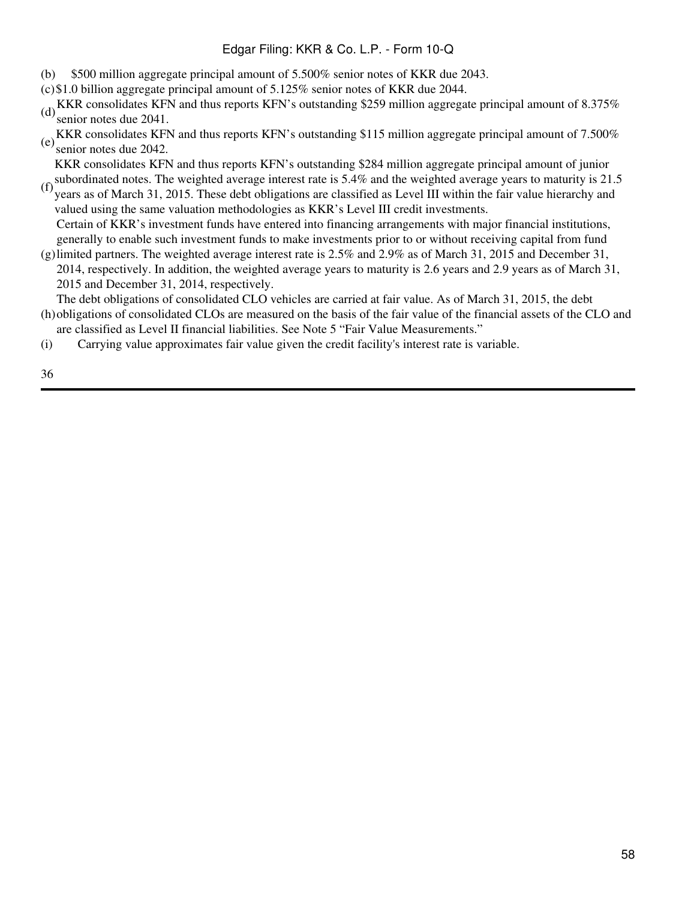- (b) \$500 million aggregate principal amount of 5.500% senior notes of KKR due 2043.
- (c)\$1.0 billion aggregate principal amount of 5.125% senior notes of KKR due 2044.
- (d) KKR consolidates KFN and thus reports KFN's outstanding \$259 million aggregate principal amount of 8.375% senior notes due 2041.
- (e) KKR consolidates KFN and thus reports KFN's outstanding \$115 million aggregate principal amount of 7.500% senior notes due 2042.

(f) subordinated notes. The weighted average interest rate is 5.4% and the weighted average years to maturity is 21.5<br>(f) years as of Marsh 21.2015. These debt obligations are also field as Lavel III within the fair value KKR consolidates KFN and thus reports KFN's outstanding \$284 million aggregate principal amount of junior

- years as of March 31, 2015. These debt obligations are classified as Level III within the fair value hierarchy and valued using the same valuation methodologies as KKR's Level III credit investments. Certain of KKR's investment funds have entered into financing arrangements with major financial institutions,
- (g) limited partners. The weighted average interest rate is 2.5% and 2.9% as of March 31, 2015 and December 31, generally to enable such investment funds to make investments prior to or without receiving capital from fund
- 2014, respectively. In addition, the weighted average years to maturity is 2.6 years and 2.9 years as of March 31, 2015 and December 31, 2014, respectively.

(h) obligations of consolidated CLOs are measured on the basis of the fair value of the financial assets of the CLO and The debt obligations of consolidated CLO vehicles are carried at fair value. As of March 31, 2015, the debt

- are classified as Level II financial liabilities. See Note 5 "Fair Value Measurements."
- (i) Carrying value approximates fair value given the credit facility's interest rate is variable.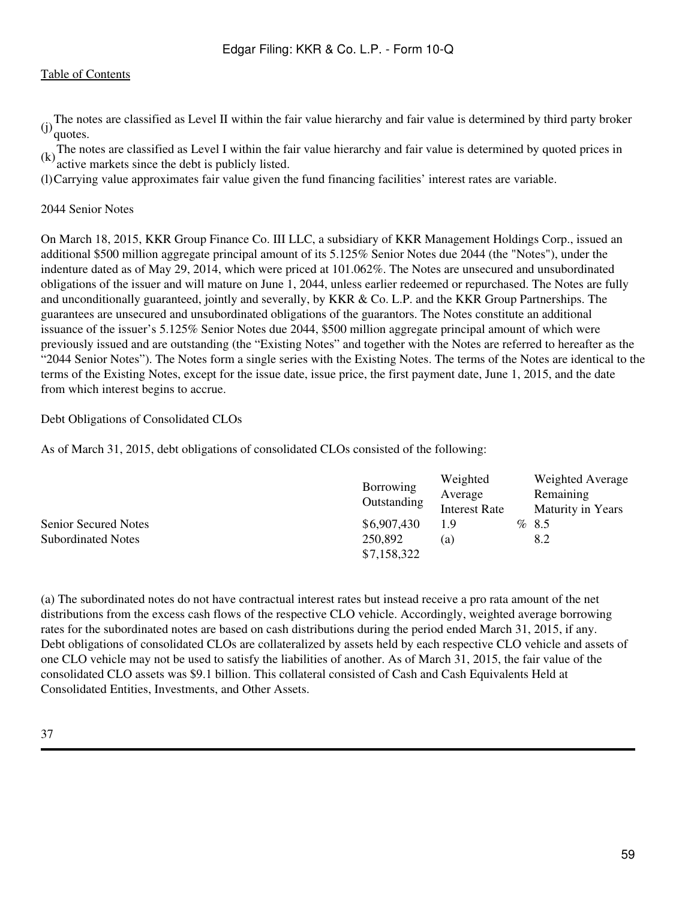The notes are classified as Level II within the fair value hierarchy and fair value is determined by third party broker  $(i)$ <sup> $\overline{q}$ </sup> quotes.

(k) The notes are classified as Level I within the fair value hierarchy and fair value is determined by quoted prices in  $(k)$  active merkets since the data is with the state in the state of the state is not the state of t active markets since the debt is publicly listed.

(l)Carrying value approximates fair value given the fund financing facilities' interest rates are variable.

2044 Senior Notes

On March 18, 2015, KKR Group Finance Co. III LLC, a subsidiary of KKR Management Holdings Corp., issued an additional \$500 million aggregate principal amount of its 5.125% Senior Notes due 2044 (the "Notes"), under the indenture dated as of May 29, 2014, which were priced at 101.062%. The Notes are unsecured and unsubordinated obligations of the issuer and will mature on June 1, 2044, unless earlier redeemed or repurchased. The Notes are fully and unconditionally guaranteed, jointly and severally, by KKR & Co. L.P. and the KKR Group Partnerships. The guarantees are unsecured and unsubordinated obligations of the guarantors. The Notes constitute an additional issuance of the issuer's 5.125% Senior Notes due 2044, \$500 million aggregate principal amount of which were previously issued and are outstanding (the "Existing Notes" and together with the Notes are referred to hereafter as the "2044 Senior Notes"). The Notes form a single series with the Existing Notes. The terms of the Notes are identical to the terms of the Existing Notes, except for the issue date, issue price, the first payment date, June 1, 2015, and the date from which interest begins to accrue.

Debt Obligations of Consolidated CLOs

As of March 31, 2015, debt obligations of consolidated CLOs consisted of the following:

|                           | Borrowing   | Weighted             | <b>Weighted Average</b>  |
|---------------------------|-------------|----------------------|--------------------------|
|                           | Outstanding | Average              | Remaining                |
|                           |             | <b>Interest Rate</b> | <b>Maturity in Years</b> |
| Senior Secured Notes      | \$6,907,430 | 1.9                  | %8.5                     |
| <b>Subordinated Notes</b> | 250,892     | (a)                  | 8.2                      |
|                           | \$7,158,322 |                      |                          |

(a) The subordinated notes do not have contractual interest rates but instead receive a pro rata amount of the net distributions from the excess cash flows of the respective CLO vehicle. Accordingly, weighted average borrowing rates for the subordinated notes are based on cash distributions during the period ended March 31, 2015, if any. Debt obligations of consolidated CLOs are collateralized by assets held by each respective CLO vehicle and assets of one CLO vehicle may not be used to satisfy the liabilities of another. As of March 31, 2015, the fair value of the consolidated CLO assets was \$9.1 billion. This collateral consisted of Cash and Cash Equivalents Held at Consolidated Entities, Investments, and Other Assets.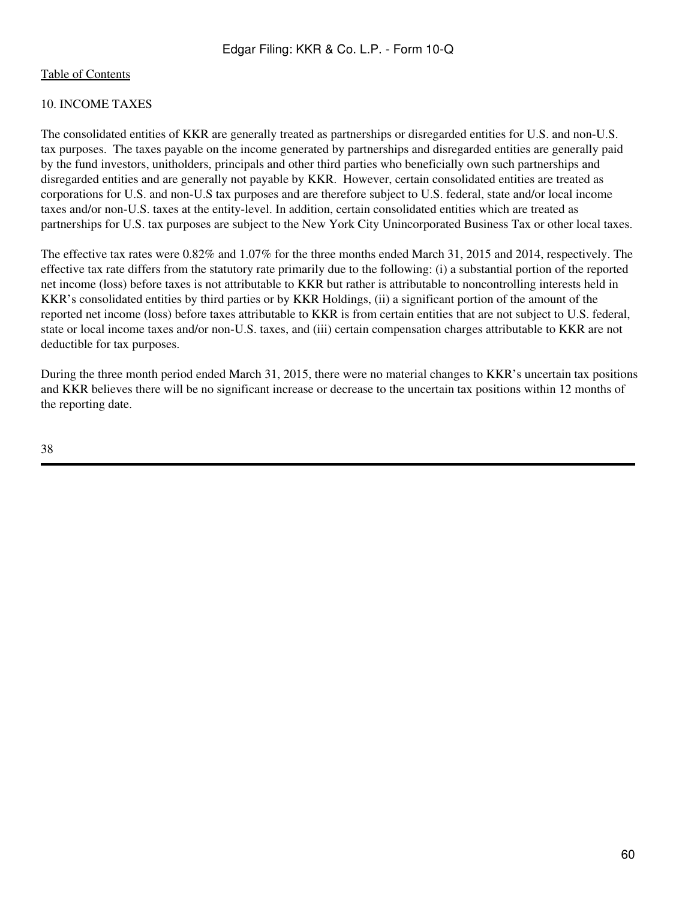# 10. INCOME TAXES

The consolidated entities of KKR are generally treated as partnerships or disregarded entities for U.S. and non-U.S. tax purposes. The taxes payable on the income generated by partnerships and disregarded entities are generally paid by the fund investors, unitholders, principals and other third parties who beneficially own such partnerships and disregarded entities and are generally not payable by KKR. However, certain consolidated entities are treated as corporations for U.S. and non-U.S tax purposes and are therefore subject to U.S. federal, state and/or local income taxes and/or non-U.S. taxes at the entity-level. In addition, certain consolidated entities which are treated as partnerships for U.S. tax purposes are subject to the New York City Unincorporated Business Tax or other local taxes.

The effective tax rates were 0.82% and 1.07% for the three months ended March 31, 2015 and 2014, respectively. The effective tax rate differs from the statutory rate primarily due to the following: (i) a substantial portion of the reported net income (loss) before taxes is not attributable to KKR but rather is attributable to noncontrolling interests held in KKR's consolidated entities by third parties or by KKR Holdings, (ii) a significant portion of the amount of the reported net income (loss) before taxes attributable to KKR is from certain entities that are not subject to U.S. federal, state or local income taxes and/or non-U.S. taxes, and (iii) certain compensation charges attributable to KKR are not deductible for tax purposes.

During the three month period ended March 31, 2015, there were no material changes to KKR's uncertain tax positions and KKR believes there will be no significant increase or decrease to the uncertain tax positions within 12 months of the reporting date.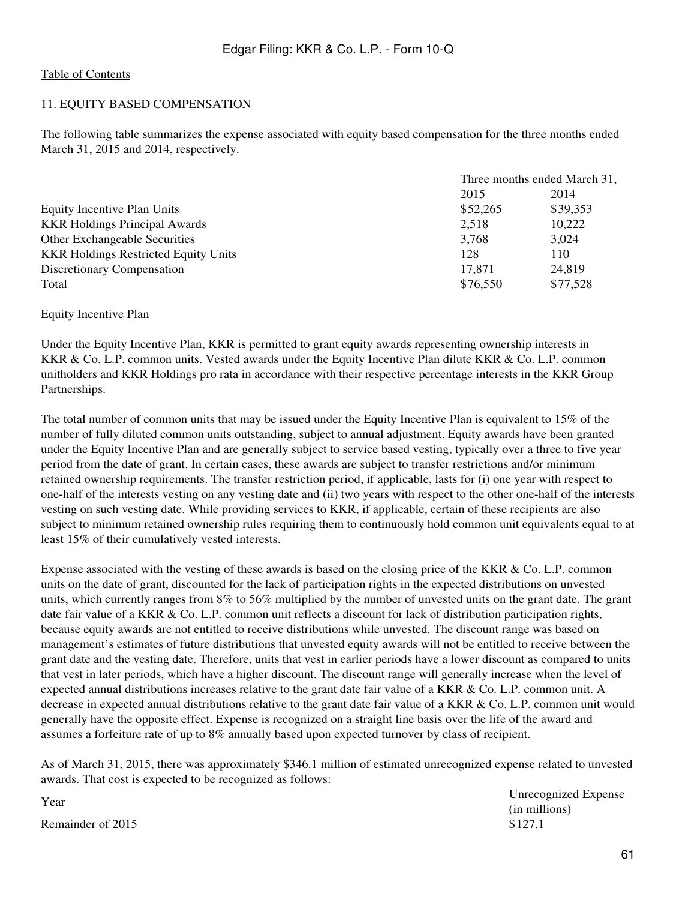### 11. EQUITY BASED COMPENSATION

The following table summarizes the expense associated with equity based compensation for the three months ended March 31, 2015 and 2014, respectively.

|                                             | Three months ended March 31, |          |
|---------------------------------------------|------------------------------|----------|
|                                             | 2015                         | 2014     |
| Equity Incentive Plan Units                 | \$52,265                     | \$39,353 |
| <b>KKR Holdings Principal Awards</b>        | 2,518                        | 10,222   |
| <b>Other Exchangeable Securities</b>        | 3,768                        | 3,024    |
| <b>KKR Holdings Restricted Equity Units</b> | 128                          | 110      |
| Discretionary Compensation                  | 17,871                       | 24,819   |
| Total                                       | \$76,550                     | \$77,528 |

#### Equity Incentive Plan

Under the Equity Incentive Plan, KKR is permitted to grant equity awards representing ownership interests in KKR & Co. L.P. common units. Vested awards under the Equity Incentive Plan dilute KKR & Co. L.P. common unitholders and KKR Holdings pro rata in accordance with their respective percentage interests in the KKR Group Partnerships.

The total number of common units that may be issued under the Equity Incentive Plan is equivalent to 15% of the number of fully diluted common units outstanding, subject to annual adjustment. Equity awards have been granted under the Equity Incentive Plan and are generally subject to service based vesting, typically over a three to five year period from the date of grant. In certain cases, these awards are subject to transfer restrictions and/or minimum retained ownership requirements. The transfer restriction period, if applicable, lasts for (i) one year with respect to one-half of the interests vesting on any vesting date and (ii) two years with respect to the other one-half of the interests vesting on such vesting date. While providing services to KKR, if applicable, certain of these recipients are also subject to minimum retained ownership rules requiring them to continuously hold common unit equivalents equal to at least 15% of their cumulatively vested interests.

Expense associated with the vesting of these awards is based on the closing price of the KKR & Co. L.P. common units on the date of grant, discounted for the lack of participation rights in the expected distributions on unvested units, which currently ranges from 8% to 56% multiplied by the number of unvested units on the grant date. The grant date fair value of a KKR & Co. L.P. common unit reflects a discount for lack of distribution participation rights, because equity awards are not entitled to receive distributions while unvested. The discount range was based on management's estimates of future distributions that unvested equity awards will not be entitled to receive between the grant date and the vesting date. Therefore, units that vest in earlier periods have a lower discount as compared to units that vest in later periods, which have a higher discount. The discount range will generally increase when the level of expected annual distributions increases relative to the grant date fair value of a KKR & Co. L.P. common unit. A decrease in expected annual distributions relative to the grant date fair value of a KKR & Co. L.P. common unit would generally have the opposite effect. Expense is recognized on a straight line basis over the life of the award and assumes a forfeiture rate of up to 8% annually based upon expected turnover by class of recipient.

As of March 31, 2015, there was approximately \$346.1 million of estimated unrecognized expense related to unvested awards. That cost is expected to be recognized as follows:

Year Unrecognized Expense (in millions)

Remainder of  $2015$   $$127.1$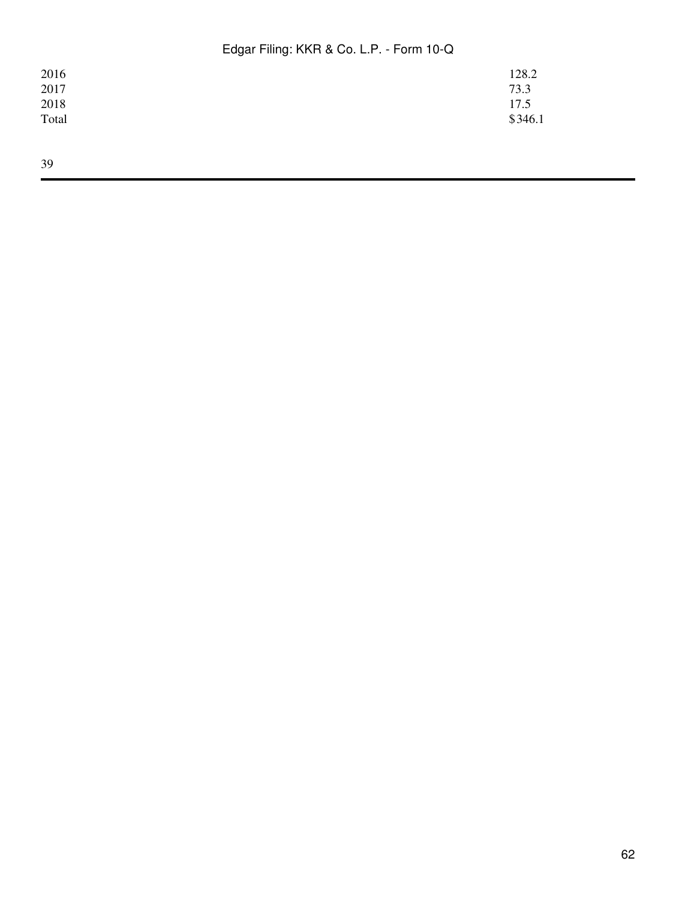| 2016  | 128.2   |
|-------|---------|
| 2017  | 73.3    |
| 2018  | 17.5    |
| Total | \$346.1 |
|       |         |
|       |         |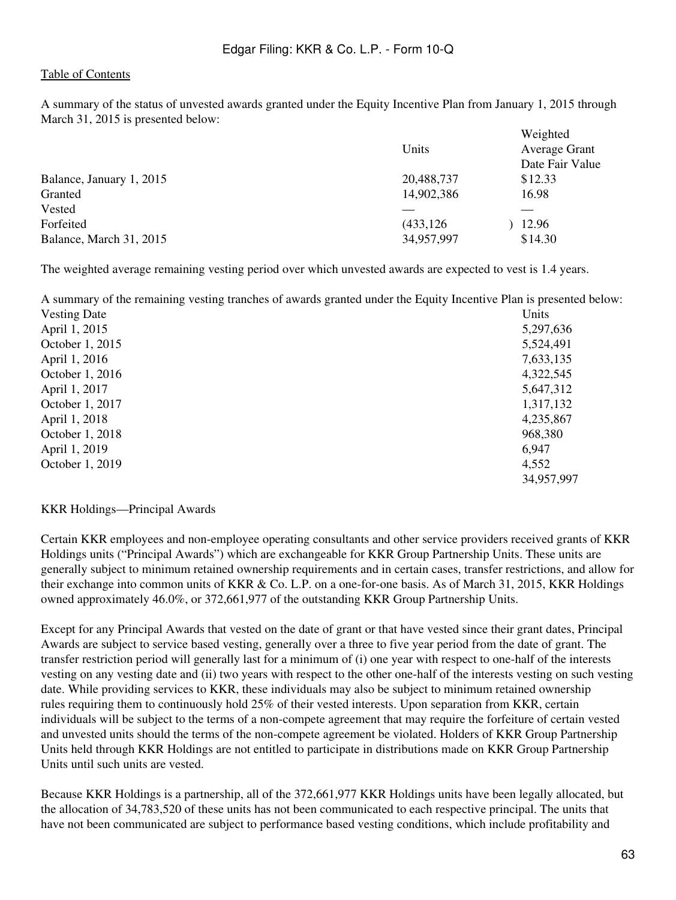A summary of the status of unvested awards granted under the Equity Incentive Plan from January 1, 2015 through March 31, 2015 is presented below:

|                          |            | Weighted             |
|--------------------------|------------|----------------------|
|                          | Units      | <b>Average Grant</b> |
|                          |            | Date Fair Value      |
| Balance, January 1, 2015 | 20,488,737 | \$12.33              |
| Granted                  | 14,902,386 | 16.98                |
| Vested                   |            |                      |
| Forfeited                | (433, 126) | 12.96                |
| Balance, March 31, 2015  | 34,957,997 | \$14.30              |

The weighted average remaining vesting period over which unvested awards are expected to vest is 1.4 years.

A summary of the remaining vesting tranches of awards granted under the Equity Incentive Plan is presented below:

| <b>Vesting Date</b> | Units      |
|---------------------|------------|
| April 1, 2015       | 5,297,636  |
| October 1, 2015     | 5,524,491  |
| April 1, 2016       | 7,633,135  |
| October 1, 2016     | 4,322,545  |
| April 1, 2017       | 5,647,312  |
| October 1, 2017     | 1,317,132  |
| April 1, 2018       | 4,235,867  |
| October 1, 2018     | 968,380    |
| April 1, 2019       | 6,947      |
| October 1, 2019     | 4,552      |
|                     | 34,957,997 |

#### KKR Holdings—Principal Awards

Certain KKR employees and non-employee operating consultants and other service providers received grants of KKR Holdings units ("Principal Awards") which are exchangeable for KKR Group Partnership Units. These units are generally subject to minimum retained ownership requirements and in certain cases, transfer restrictions, and allow for their exchange into common units of KKR & Co. L.P. on a one-for-one basis. As of March 31, 2015, KKR Holdings owned approximately 46.0%, or 372,661,977 of the outstanding KKR Group Partnership Units.

Except for any Principal Awards that vested on the date of grant or that have vested since their grant dates, Principal Awards are subject to service based vesting, generally over a three to five year period from the date of grant. The transfer restriction period will generally last for a minimum of (i) one year with respect to one-half of the interests vesting on any vesting date and (ii) two years with respect to the other one-half of the interests vesting on such vesting date. While providing services to KKR, these individuals may also be subject to minimum retained ownership rules requiring them to continuously hold 25% of their vested interests. Upon separation from KKR, certain individuals will be subject to the terms of a non-compete agreement that may require the forfeiture of certain vested and unvested units should the terms of the non-compete agreement be violated. Holders of KKR Group Partnership Units held through KKR Holdings are not entitled to participate in distributions made on KKR Group Partnership Units until such units are vested.

Because KKR Holdings is a partnership, all of the 372,661,977 KKR Holdings units have been legally allocated, but the allocation of 34,783,520 of these units has not been communicated to each respective principal. The units that have not been communicated are subject to performance based vesting conditions, which include profitability and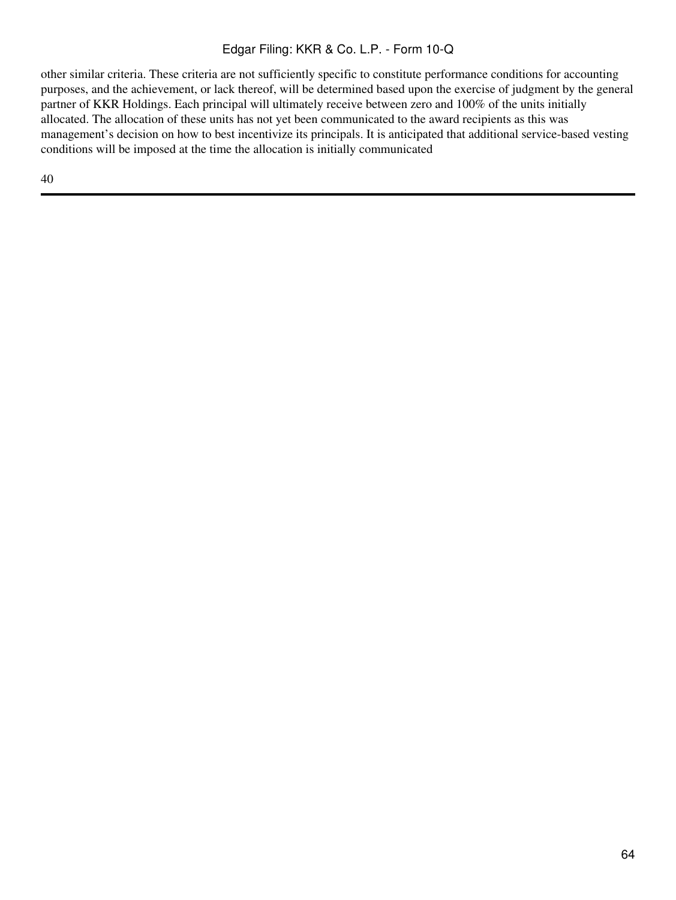other similar criteria. These criteria are not sufficiently specific to constitute performance conditions for accounting purposes, and the achievement, or lack thereof, will be determined based upon the exercise of judgment by the general partner of KKR Holdings. Each principal will ultimately receive between zero and 100% of the units initially allocated. The allocation of these units has not yet been communicated to the award recipients as this was management's decision on how to best incentivize its principals. It is anticipated that additional service-based vesting conditions will be imposed at the time the allocation is initially communicated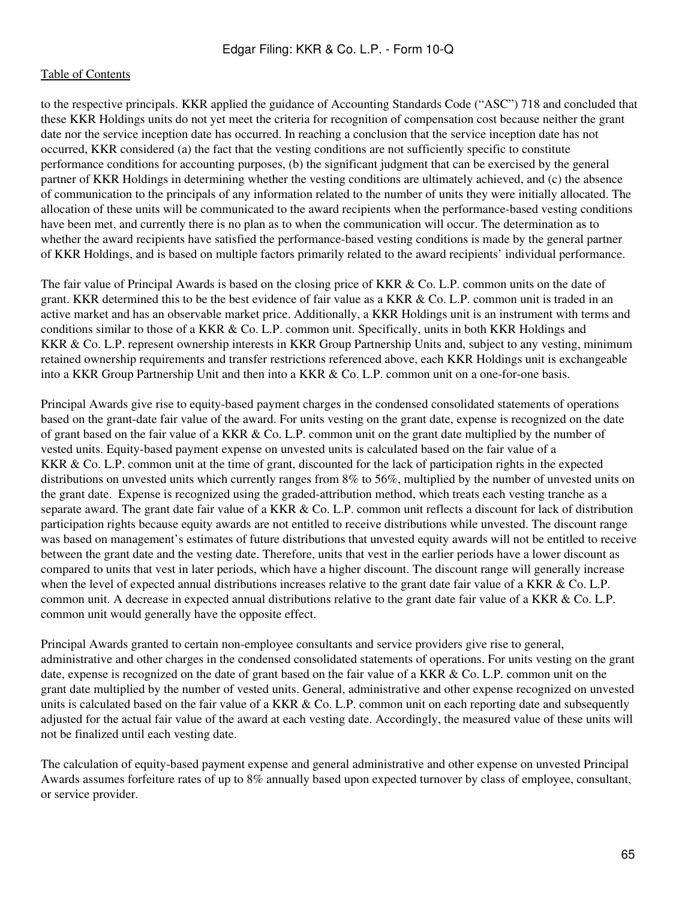to the respective principals. KKR applied the guidance of Accounting Standards Code ("ASC") 718 and concluded that these KKR Holdings units do not yet meet the criteria for recognition of compensation cost because neither the grant date nor the service inception date has occurred. In reaching a conclusion that the service inception date has not occurred, KKR considered (a) the fact that the vesting conditions are not sufficiently specific to constitute performance conditions for accounting purposes, (b) the significant judgment that can be exercised by the general partner of KKR Holdings in determining whether the vesting conditions are ultimately achieved, and (c) the absence of communication to the principals of any information related to the number of units they were initially allocated. The allocation of these units will be communicated to the award recipients when the performance-based vesting conditions have been met, and currently there is no plan as to when the communication will occur. The determination as to whether the award recipients have satisfied the performance-based vesting conditions is made by the general partner of KKR Holdings, and is based on multiple factors primarily related to the award recipients' individual performance.

The fair value of Principal Awards is based on the closing price of KKR & Co. L.P. common units on the date of grant. KKR determined this to be the best evidence of fair value as a KKR & Co. L.P. common unit is traded in an active market and has an observable market price. Additionally, a KKR Holdings unit is an instrument with terms and conditions similar to those of a KKR & Co. L.P. common unit. Specifically, units in both KKR Holdings and KKR & Co. L.P. represent ownership interests in KKR Group Partnership Units and, subject to any vesting, minimum retained ownership requirements and transfer restrictions referenced above, each KKR Holdings unit is exchangeable into a KKR Group Partnership Unit and then into a KKR & Co. L.P. common unit on a one-for-one basis.

Principal Awards give rise to equity-based payment charges in the condensed consolidated statements of operations based on the grant-date fair value of the award. For units vesting on the grant date, expense is recognized on the date of grant based on the fair value of a KKR & Co. L.P. common unit on the grant date multiplied by the number of vested units. Equity-based payment expense on unvested units is calculated based on the fair value of a KKR & Co. L.P. common unit at the time of grant, discounted for the lack of participation rights in the expected distributions on unvested units which currently ranges from 8% to 56%, multiplied by the number of unvested units on the grant date. Expense is recognized using the graded-attribution method, which treats each vesting tranche as a separate award. The grant date fair value of a KKR & Co. L.P. common unit reflects a discount for lack of distribution participation rights because equity awards are not entitled to receive distributions while unvested. The discount range was based on management's estimates of future distributions that unvested equity awards will not be entitled to receive between the grant date and the vesting date. Therefore, units that vest in the earlier periods have a lower discount as compared to units that vest in later periods, which have a higher discount. The discount range will generally increase when the level of expected annual distributions increases relative to the grant date fair value of a KKR & Co. L.P. common unit. A decrease in expected annual distributions relative to the grant date fair value of a KKR & Co. L.P. common unit would generally have the opposite effect.

Principal Awards granted to certain non-employee consultants and service providers give rise to general, administrative and other charges in the condensed consolidated statements of operations. For units vesting on the grant date, expense is recognized on the date of grant based on the fair value of a KKR & Co. L.P. common unit on the grant date multiplied by the number of vested units. General, administrative and other expense recognized on unvested units is calculated based on the fair value of a KKR  $& Co.$  L.P. common unit on each reporting date and subsequently adjusted for the actual fair value of the award at each vesting date. Accordingly, the measured value of these units will not be finalized until each vesting date.

The calculation of equity-based payment expense and general administrative and other expense on unvested Principal Awards assumes forfeiture rates of up to 8% annually based upon expected turnover by class of employee, consultant, or service provider.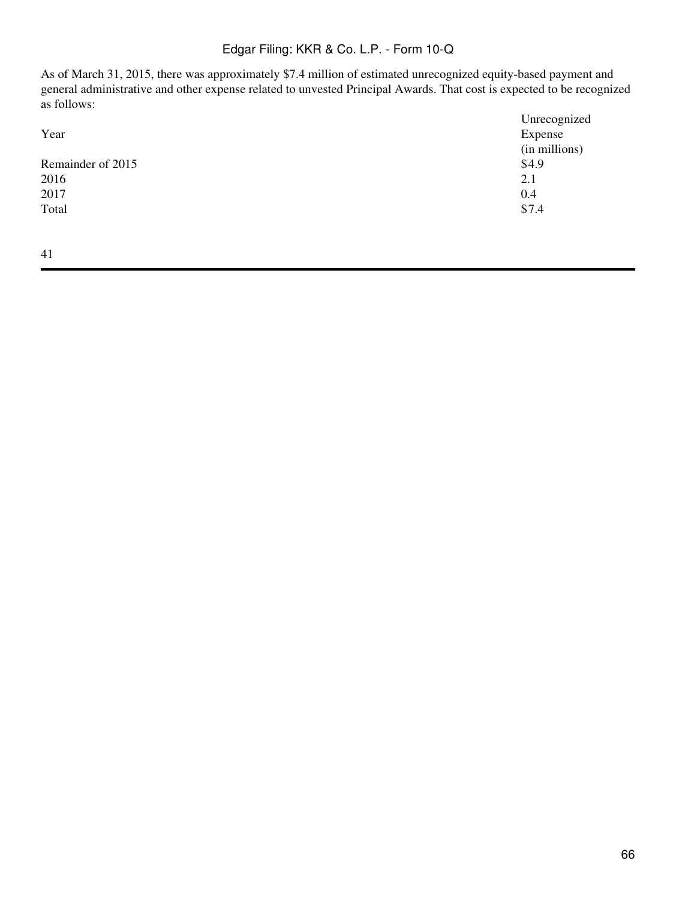As of March 31, 2015, there was approximately \$7.4 million of estimated unrecognized equity-based payment and general administrative and other expense related to unvested Principal Awards. That cost is expected to be recognized as follows:

|                   | Unrecognized  |
|-------------------|---------------|
| Year              | Expense       |
|                   | (in millions) |
| Remainder of 2015 | \$4.9         |
| 2016              | 2.1           |
| 2017              | 0.4           |
| Total             | \$7.4         |
|                   |               |
|                   |               |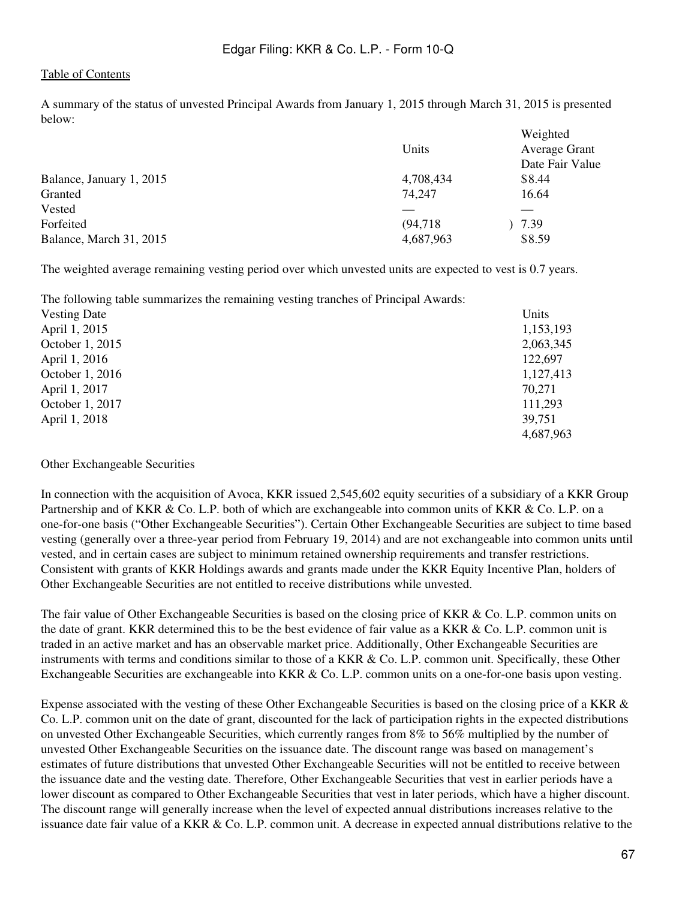A summary of the status of unvested Principal Awards from January 1, 2015 through March 31, 2015 is presented below:  $WU$ ,  $U$ ,  $U$ ,  $U$ ,  $U$ 

|                          | Units     | weighted<br><b>Average Grant</b><br>Date Fair Value |
|--------------------------|-----------|-----------------------------------------------------|
| Balance, January 1, 2015 | 4,708,434 | \$8.44                                              |
| Granted                  | 74,247    | 16.64                                               |
| Vested                   |           |                                                     |
| Forfeited                | (94, 718) | 7.39                                                |
| Balance, March 31, 2015  | 4,687,963 | \$8.59                                              |
|                          |           |                                                     |

The weighted average remaining vesting period over which unvested units are expected to vest is 0.7 years.

The following table summarizes the remaining vesting tranches of Principal Awards:

| <b>Vesting Date</b> | Units     |
|---------------------|-----------|
| April 1, 2015       | 1,153,193 |
| October 1, 2015     | 2,063,345 |
| April 1, 2016       | 122,697   |
| October 1, 2016     | 1,127,413 |
| April 1, 2017       | 70,271    |
| October 1, 2017     | 111,293   |
| April 1, 2018       | 39,751    |
|                     | 4,687,963 |

#### Other Exchangeable Securities

In connection with the acquisition of Avoca, KKR issued 2,545,602 equity securities of a subsidiary of a KKR Group Partnership and of KKR & Co. L.P. both of which are exchangeable into common units of KKR & Co. L.P. on a one-for-one basis ("Other Exchangeable Securities"). Certain Other Exchangeable Securities are subject to time based vesting (generally over a three-year period from February 19, 2014) and are not exchangeable into common units until vested, and in certain cases are subject to minimum retained ownership requirements and transfer restrictions. Consistent with grants of KKR Holdings awards and grants made under the KKR Equity Incentive Plan, holders of Other Exchangeable Securities are not entitled to receive distributions while unvested.

The fair value of Other Exchangeable Securities is based on the closing price of KKR & Co. L.P. common units on the date of grant. KKR determined this to be the best evidence of fair value as a KKR & Co. L.P. common unit is traded in an active market and has an observable market price. Additionally, Other Exchangeable Securities are instruments with terms and conditions similar to those of a KKR & Co. L.P. common unit. Specifically, these Other Exchangeable Securities are exchangeable into KKR & Co. L.P. common units on a one-for-one basis upon vesting.

Expense associated with the vesting of these Other Exchangeable Securities is based on the closing price of a KKR & Co. L.P. common unit on the date of grant, discounted for the lack of participation rights in the expected distributions on unvested Other Exchangeable Securities, which currently ranges from 8% to 56% multiplied by the number of unvested Other Exchangeable Securities on the issuance date. The discount range was based on management's estimates of future distributions that unvested Other Exchangeable Securities will not be entitled to receive between the issuance date and the vesting date. Therefore, Other Exchangeable Securities that vest in earlier periods have a lower discount as compared to Other Exchangeable Securities that vest in later periods, which have a higher discount. The discount range will generally increase when the level of expected annual distributions increases relative to the issuance date fair value of a KKR & Co. L.P. common unit. A decrease in expected annual distributions relative to the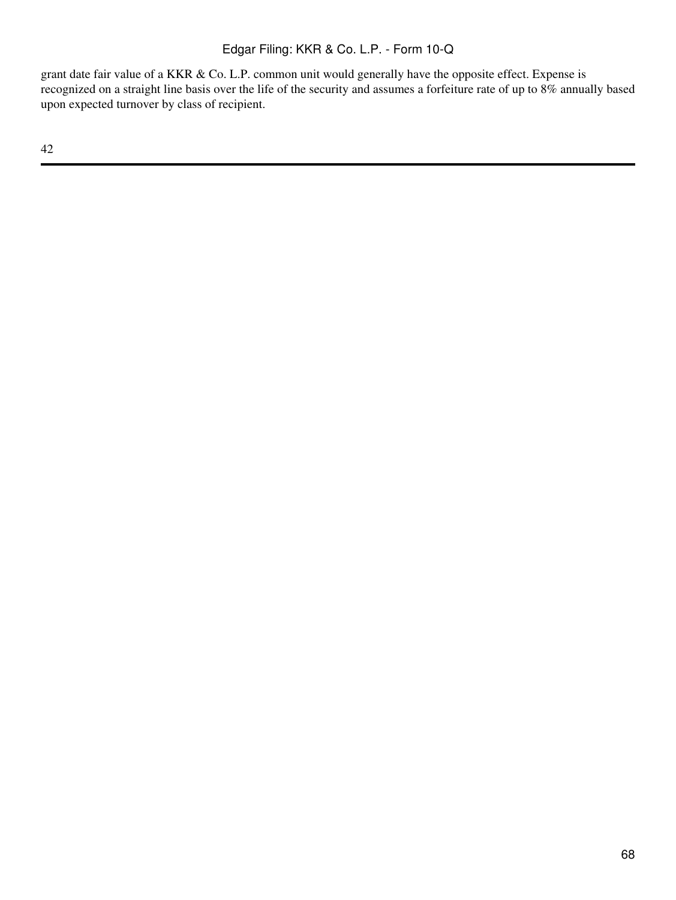grant date fair value of a KKR & Co. L.P. common unit would generally have the opposite effect. Expense is recognized on a straight line basis over the life of the security and assumes a forfeiture rate of up to 8% annually based upon expected turnover by class of recipient.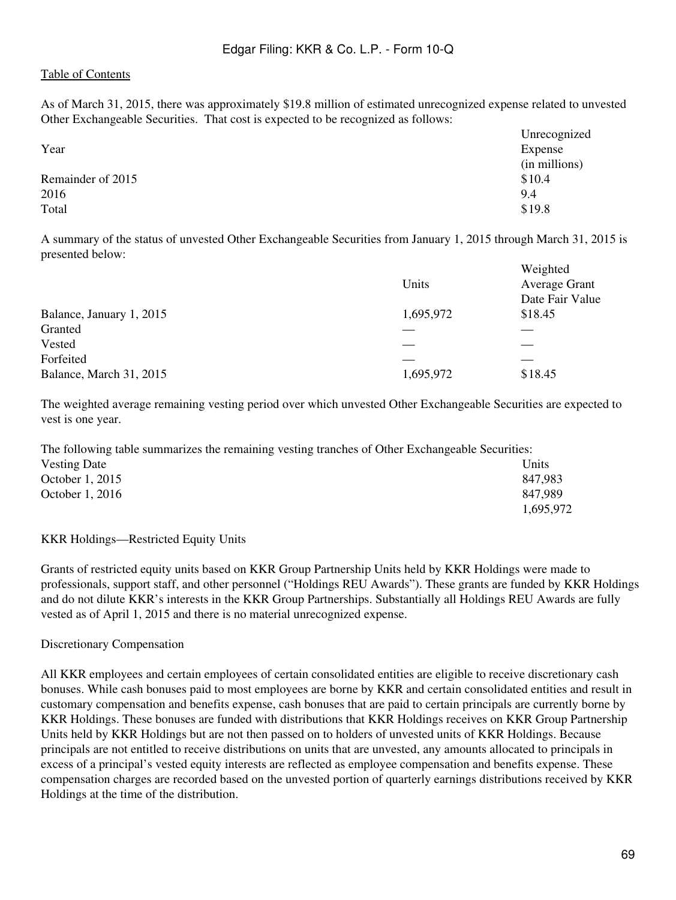As of March 31, 2015, there was approximately \$19.8 million of estimated unrecognized expense related to unvested Other Exchangeable Securities. That cost is expected to be recognized as follows:

|                   | Unrecognized  |
|-------------------|---------------|
| Year              | Expense       |
|                   | (in millions) |
| Remainder of 2015 | \$10.4        |
| 2016              | 9.4           |
| Total             | \$19.8        |

A summary of the status of unvested Other Exchangeable Securities from January 1, 2015 through March 31, 2015 is presented below:

|                          | Units     | Weighted<br><b>Average Grant</b><br>Date Fair Value |
|--------------------------|-----------|-----------------------------------------------------|
| Balance, January 1, 2015 | 1,695,972 | \$18.45                                             |
| Granted                  |           |                                                     |
| Vested                   |           |                                                     |
| Forfeited                |           |                                                     |
| Balance, March 31, 2015  | 1,695,972 | \$18.45                                             |

The weighted average remaining vesting period over which unvested Other Exchangeable Securities are expected to vest is one year.

The following table summarizes the remaining vesting tranches of Other Exchangeable Securities: Vesting Date Units October 1, 2015 847,983 October 1, 2016 847,989 1,695,972

#### KKR Holdings—Restricted Equity Units

Grants of restricted equity units based on KKR Group Partnership Units held by KKR Holdings were made to professionals, support staff, and other personnel ("Holdings REU Awards"). These grants are funded by KKR Holdings and do not dilute KKR's interests in the KKR Group Partnerships. Substantially all Holdings REU Awards are fully vested as of April 1, 2015 and there is no material unrecognized expense.

Discretionary Compensation

All KKR employees and certain employees of certain consolidated entities are eligible to receive discretionary cash bonuses. While cash bonuses paid to most employees are borne by KKR and certain consolidated entities and result in customary compensation and benefits expense, cash bonuses that are paid to certain principals are currently borne by KKR Holdings. These bonuses are funded with distributions that KKR Holdings receives on KKR Group Partnership Units held by KKR Holdings but are not then passed on to holders of unvested units of KKR Holdings. Because principals are not entitled to receive distributions on units that are unvested, any amounts allocated to principals in excess of a principal's vested equity interests are reflected as employee compensation and benefits expense. These compensation charges are recorded based on the unvested portion of quarterly earnings distributions received by KKR Holdings at the time of the distribution.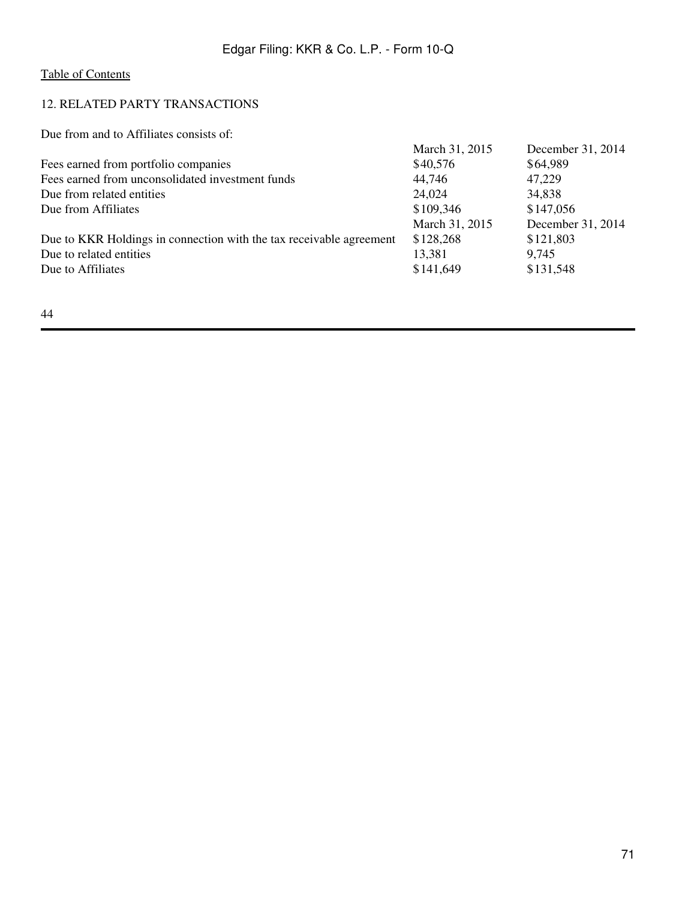# 12. RELATED PARTY TRANSACTIONS

Due from and to Affiliates consists of:

|                                                                     | March 31, 2015 | December 31, 2014 |
|---------------------------------------------------------------------|----------------|-------------------|
| Fees earned from portfolio companies                                | \$40,576       | \$64,989          |
| Fees earned from unconsolidated investment funds                    | 44,746         | 47,229            |
| Due from related entities                                           | 24,024         | 34,838            |
| Due from Affiliates                                                 | \$109,346      | \$147,056         |
|                                                                     | March 31, 2015 | December 31, 2014 |
| Due to KKR Holdings in connection with the tax receivable agreement | \$128,268      | \$121,803         |
| Due to related entities                                             | 13,381         | 9,745             |
| Due to Affiliates                                                   | \$141,649      | \$131,548         |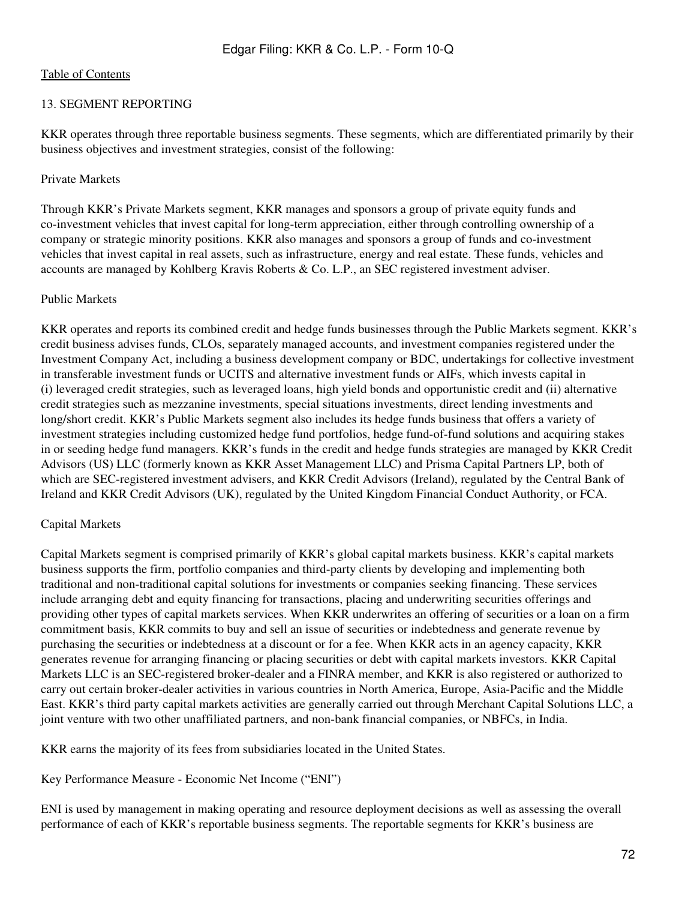# 13. SEGMENT REPORTING

KKR operates through three reportable business segments. These segments, which are differentiated primarily by their business objectives and investment strategies, consist of the following:

### Private Markets

Through KKR's Private Markets segment, KKR manages and sponsors a group of private equity funds and co-investment vehicles that invest capital for long-term appreciation, either through controlling ownership of a company or strategic minority positions. KKR also manages and sponsors a group of funds and co-investment vehicles that invest capital in real assets, such as infrastructure, energy and real estate. These funds, vehicles and accounts are managed by Kohlberg Kravis Roberts & Co. L.P., an SEC registered investment adviser.

#### Public Markets

KKR operates and reports its combined credit and hedge funds businesses through the Public Markets segment. KKR's credit business advises funds, CLOs, separately managed accounts, and investment companies registered under the Investment Company Act, including a business development company or BDC, undertakings for collective investment in transferable investment funds or UCITS and alternative investment funds or AIFs, which invests capital in (i) leveraged credit strategies, such as leveraged loans, high yield bonds and opportunistic credit and (ii) alternative credit strategies such as mezzanine investments, special situations investments, direct lending investments and long/short credit. KKR's Public Markets segment also includes its hedge funds business that offers a variety of investment strategies including customized hedge fund portfolios, hedge fund-of-fund solutions and acquiring stakes in or seeding hedge fund managers. KKR's funds in the credit and hedge funds strategies are managed by KKR Credit Advisors (US) LLC (formerly known as KKR Asset Management LLC) and Prisma Capital Partners LP, both of which are SEC-registered investment advisers, and KKR Credit Advisors (Ireland), regulated by the Central Bank of Ireland and KKR Credit Advisors (UK), regulated by the United Kingdom Financial Conduct Authority, or FCA.

# Capital Markets

Capital Markets segment is comprised primarily of KKR's global capital markets business. KKR's capital markets business supports the firm, portfolio companies and third-party clients by developing and implementing both traditional and non-traditional capital solutions for investments or companies seeking financing. These services include arranging debt and equity financing for transactions, placing and underwriting securities offerings and providing other types of capital markets services. When KKR underwrites an offering of securities or a loan on a firm commitment basis, KKR commits to buy and sell an issue of securities or indebtedness and generate revenue by purchasing the securities or indebtedness at a discount or for a fee. When KKR acts in an agency capacity, KKR generates revenue for arranging financing or placing securities or debt with capital markets investors. KKR Capital Markets LLC is an SEC-registered broker-dealer and a FINRA member, and KKR is also registered or authorized to carry out certain broker-dealer activities in various countries in North America, Europe, Asia-Pacific and the Middle East. KKR's third party capital markets activities are generally carried out through Merchant Capital Solutions LLC, a joint venture with two other unaffiliated partners, and non-bank financial companies, or NBFCs, in India.

KKR earns the majority of its fees from subsidiaries located in the United States.

Key Performance Measure - Economic Net Income ("ENI")

ENI is used by management in making operating and resource deployment decisions as well as assessing the overall performance of each of KKR's reportable business segments. The reportable segments for KKR's business are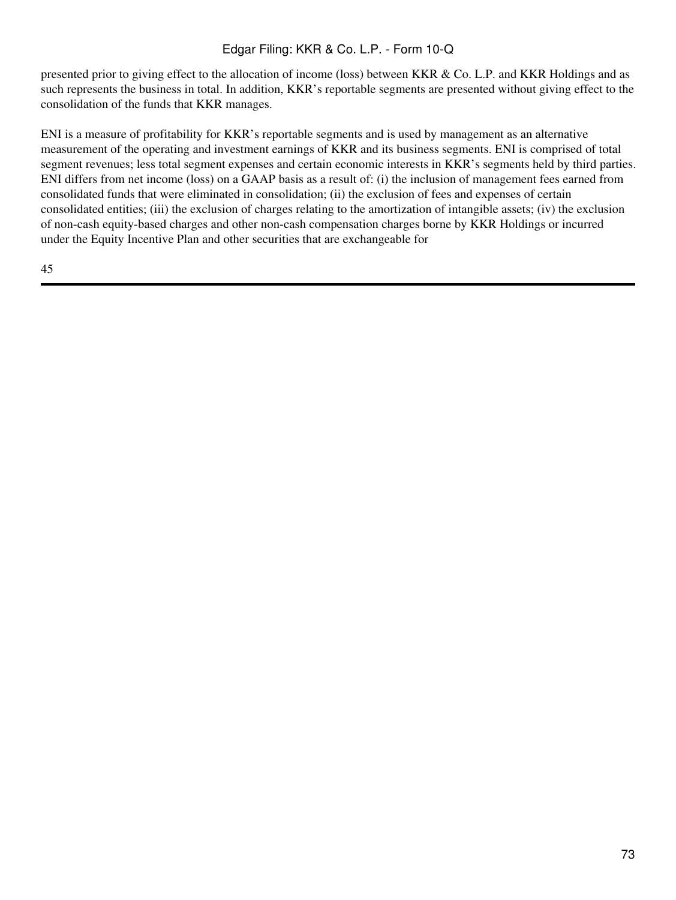presented prior to giving effect to the allocation of income (loss) between KKR & Co. L.P. and KKR Holdings and as such represents the business in total. In addition, KKR's reportable segments are presented without giving effect to the consolidation of the funds that KKR manages.

ENI is a measure of profitability for KKR's reportable segments and is used by management as an alternative measurement of the operating and investment earnings of KKR and its business segments. ENI is comprised of total segment revenues; less total segment expenses and certain economic interests in KKR's segments held by third parties. ENI differs from net income (loss) on a GAAP basis as a result of: (i) the inclusion of management fees earned from consolidated funds that were eliminated in consolidation; (ii) the exclusion of fees and expenses of certain consolidated entities; (iii) the exclusion of charges relating to the amortization of intangible assets; (iv) the exclusion of non-cash equity-based charges and other non-cash compensation charges borne by KKR Holdings or incurred under the Equity Incentive Plan and other securities that are exchangeable for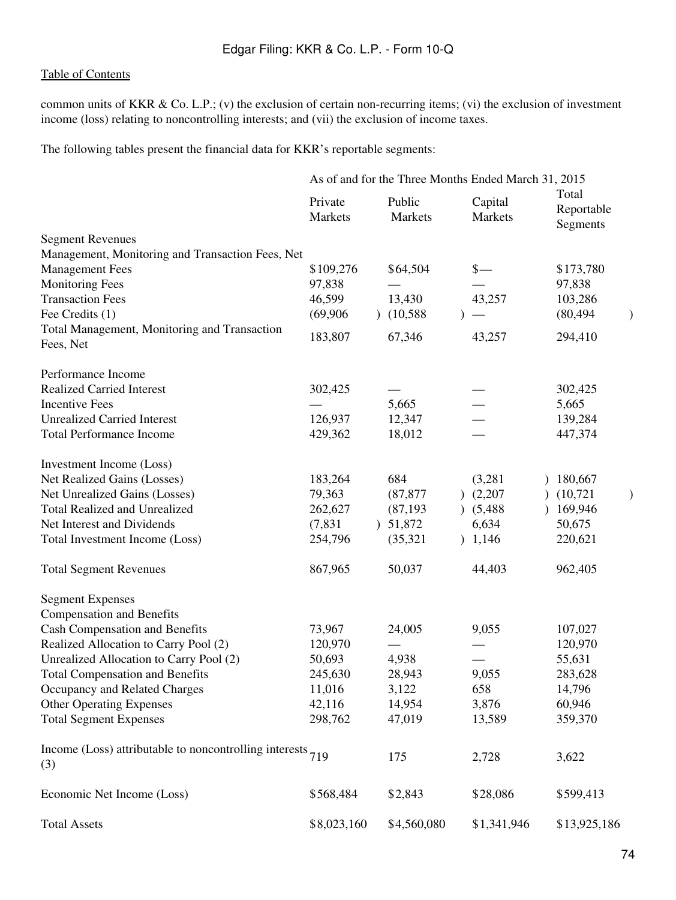common units of KKR & Co. L.P.; (v) the exclusion of certain non-recurring items; (vi) the exclusion of investment income (loss) relating to noncontrolling interests; and (vii) the exclusion of income taxes.

The following tables present the financial data for KKR's reportable segments:

|                                                                     | As of and for the Three Months Ended March 31, 2015 |                   |                    |                                 |  |  |  |  |  |
|---------------------------------------------------------------------|-----------------------------------------------------|-------------------|--------------------|---------------------------------|--|--|--|--|--|
|                                                                     | Private<br>Markets                                  | Public<br>Markets | Capital<br>Markets | Total<br>Reportable<br>Segments |  |  |  |  |  |
| <b>Segment Revenues</b>                                             |                                                     |                   |                    |                                 |  |  |  |  |  |
| Management, Monitoring and Transaction Fees, Net                    |                                                     |                   |                    |                                 |  |  |  |  |  |
| <b>Management Fees</b>                                              | \$109,276                                           | \$64,504          | $\frac{\S}{\S}$    | \$173,780                       |  |  |  |  |  |
| <b>Monitoring Fees</b>                                              | 97,838                                              |                   |                    | 97,838                          |  |  |  |  |  |
| <b>Transaction Fees</b>                                             | 46,599                                              | 13,430            | 43,257             | 103,286                         |  |  |  |  |  |
| Fee Credits (1)                                                     | (69,906)                                            | (10,588)          |                    | (80, 494)                       |  |  |  |  |  |
| Total Management, Monitoring and Transaction<br>Fees, Net           | 183,807                                             | 67,346            | 43,257             | 294,410                         |  |  |  |  |  |
| Performance Income                                                  |                                                     |                   |                    |                                 |  |  |  |  |  |
| <b>Realized Carried Interest</b>                                    | 302,425                                             |                   |                    | 302,425                         |  |  |  |  |  |
| <b>Incentive Fees</b>                                               |                                                     | 5,665             |                    | 5,665                           |  |  |  |  |  |
| <b>Unrealized Carried Interest</b>                                  | 126,937                                             | 12,347            |                    | 139,284                         |  |  |  |  |  |
| <b>Total Performance Income</b>                                     | 429,362                                             | 18,012            |                    | 447,374                         |  |  |  |  |  |
| Investment Income (Loss)                                            |                                                     |                   |                    |                                 |  |  |  |  |  |
| Net Realized Gains (Losses)                                         | 183,264                                             | 684               | (3,281)            | 180,667                         |  |  |  |  |  |
| Net Unrealized Gains (Losses)                                       | 79,363                                              | (87, 877)         | (2,207)            | (10, 721)                       |  |  |  |  |  |
| <b>Total Realized and Unrealized</b>                                | 262,627                                             | (87, 193)         | (5,488)            | 169,946                         |  |  |  |  |  |
| Net Interest and Dividends                                          | (7, 831)                                            | ) 51,872          | 6,634              | 50,675                          |  |  |  |  |  |
| Total Investment Income (Loss)                                      | 254,796                                             | (35, 321)         | 1,146              | 220,621                         |  |  |  |  |  |
| <b>Total Segment Revenues</b>                                       | 867,965                                             | 50,037            | 44,403             | 962,405                         |  |  |  |  |  |
| <b>Segment Expenses</b>                                             |                                                     |                   |                    |                                 |  |  |  |  |  |
| <b>Compensation and Benefits</b>                                    |                                                     |                   |                    |                                 |  |  |  |  |  |
| <b>Cash Compensation and Benefits</b>                               | 73,967                                              | 24,005            | 9,055              | 107,027                         |  |  |  |  |  |
| Realized Allocation to Carry Pool (2)                               | 120,970                                             |                   |                    | 120,970                         |  |  |  |  |  |
| Unrealized Allocation to Carry Pool (2)                             | 50,693                                              | 4,938             |                    | 55,631                          |  |  |  |  |  |
| <b>Total Compensation and Benefits</b>                              | 245,630                                             | 28,943            | 9,055              | 283,628                         |  |  |  |  |  |
| Occupancy and Related Charges                                       | 11,016                                              | 3,122             | 658                | 14,796                          |  |  |  |  |  |
| <b>Other Operating Expenses</b>                                     | 42,116                                              | 14,954            | 3,876              | 60,946                          |  |  |  |  |  |
| <b>Total Segment Expenses</b>                                       | 298,762                                             | 47,019            | 13,589             | 359,370                         |  |  |  |  |  |
| Income (Loss) attributable to noncontrolling interests $719$<br>(3) |                                                     | 175               | 2,728              | 3,622                           |  |  |  |  |  |
| Economic Net Income (Loss)                                          | \$568,484                                           | \$2,843           | \$28,086           | \$599,413                       |  |  |  |  |  |
| <b>Total Assets</b>                                                 | \$8,023,160                                         | \$4,560,080       | \$1,341,946        | \$13,925,186                    |  |  |  |  |  |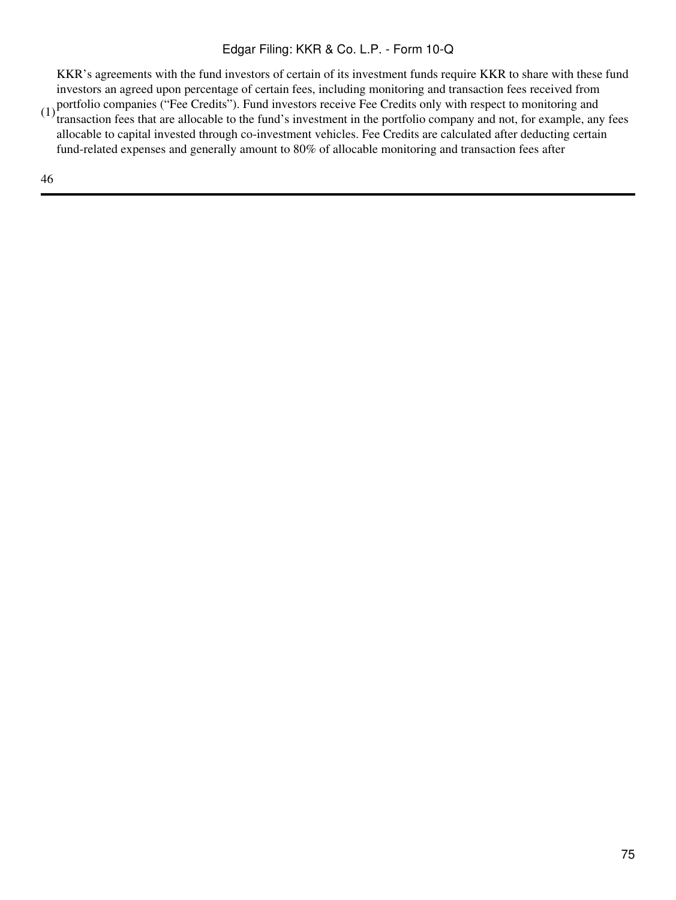(1) portfolio companies ("Fee Credits"). Fund investors receive Fee Credits only with respect to monitoring and  $(1)$  transaction fees that are allegable to the fund's investment in the portfolio company and not for examp KKR's agreements with the fund investors of certain of its investment funds require KKR to share with these fund investors an agreed upon percentage of certain fees, including monitoring and transaction fees received from

transaction fees that are allocable to the fund's investment in the portfolio company and not, for example, any fees allocable to capital invested through co-investment vehicles. Fee Credits are calculated after deducting certain fund-related expenses and generally amount to 80% of allocable monitoring and transaction fees after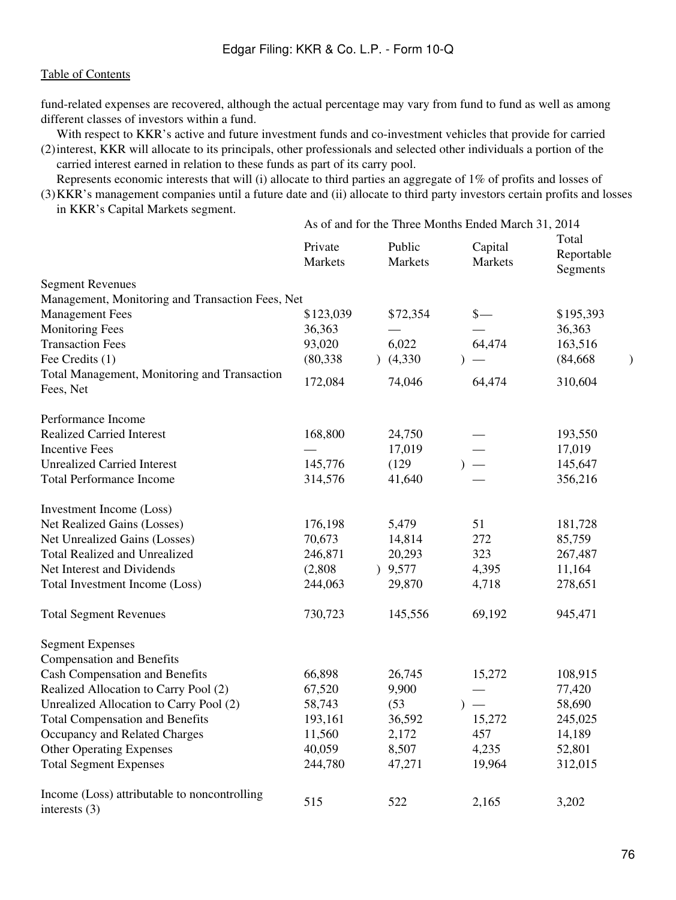fund-related expenses are recovered, although the actual percentage may vary from fund to fund as well as among different classes of investors within a fund.

(2) interest, KKR will allocate to its principals, other professionals and selected other individuals a portion of the With respect to KKR's active and future investment funds and co-investment vehicles that provide for carried carried interest earned in relation to these funds as part of its carry pool.

(3) KKR's management companies until a future date and (ii) allocate to third party investors certain profits and losses Represents economic interests that will (i) allocate to third parties an aggregate of 1% of profits and losses of in KKR's Capital Markets segment. As of and for the Three Months Ended March 31, 2014

|                                                                 | As of and for the Three Months Ended March 31, 2014 |  |                   |           |                          |                                 |  |
|-----------------------------------------------------------------|-----------------------------------------------------|--|-------------------|-----------|--------------------------|---------------------------------|--|
|                                                                 | Private<br><b>Markets</b>                           |  | Public<br>Markets |           | Capital<br>Markets       | Total<br>Reportable<br>Segments |  |
| <b>Segment Revenues</b>                                         |                                                     |  |                   |           |                          |                                 |  |
| Management, Monitoring and Transaction Fees, Net                |                                                     |  |                   |           |                          |                                 |  |
| <b>Management Fees</b>                                          | \$123,039                                           |  | \$72,354          |           | $\frac{\S}{\S}$          | \$195,393                       |  |
| <b>Monitoring Fees</b>                                          | 36,363                                              |  |                   |           |                          | 36,363                          |  |
| <b>Transaction Fees</b>                                         | 93,020                                              |  | 6,022             |           | 64,474                   | 163,516                         |  |
| Fee Credits (1)                                                 | (80, 338)                                           |  | (4,330)           |           |                          | (84, 668)                       |  |
| Total Management, Monitoring and Transaction<br>Fees, Net       | 172,084                                             |  | 74,046            |           | 64,474                   | 310,604                         |  |
| Performance Income                                              |                                                     |  |                   |           |                          |                                 |  |
| <b>Realized Carried Interest</b>                                | 168,800                                             |  | 24,750            |           |                          | 193,550                         |  |
| <b>Incentive Fees</b>                                           |                                                     |  | 17,019            |           |                          | 17,019                          |  |
| <b>Unrealized Carried Interest</b>                              | 145,776                                             |  | (129)             |           |                          | 145,647                         |  |
| <b>Total Performance Income</b>                                 | 314,576                                             |  | 41,640            |           |                          | 356,216                         |  |
| Investment Income (Loss)                                        |                                                     |  |                   |           |                          |                                 |  |
| Net Realized Gains (Losses)                                     | 176,198                                             |  | 5,479             |           | 51                       | 181,728                         |  |
| Net Unrealized Gains (Losses)                                   | 70,673                                              |  | 14,814            |           | 272                      | 85,759                          |  |
| <b>Total Realized and Unrealized</b>                            | 246,871                                             |  | 20,293            |           | 323                      | 267,487                         |  |
| Net Interest and Dividends                                      | (2,808)                                             |  | 9,577             |           | 4,395                    | 11,164                          |  |
| Total Investment Income (Loss)                                  | 244,063                                             |  | 29,870            |           | 4,718                    | 278,651                         |  |
| <b>Total Segment Revenues</b>                                   | 730,723                                             |  | 145,556           |           | 69,192                   | 945,471                         |  |
| <b>Segment Expenses</b>                                         |                                                     |  |                   |           |                          |                                 |  |
| <b>Compensation and Benefits</b>                                |                                                     |  |                   |           |                          |                                 |  |
| <b>Cash Compensation and Benefits</b>                           | 66,898                                              |  | 26,745            |           | 15,272                   | 108,915                         |  |
| Realized Allocation to Carry Pool (2)                           | 67,520                                              |  | 9,900             |           |                          | 77,420                          |  |
| Unrealized Allocation to Carry Pool (2)                         | 58,743                                              |  | (53)              | $\lambda$ | $\overline{\phantom{0}}$ | 58,690                          |  |
| <b>Total Compensation and Benefits</b>                          | 193,161                                             |  | 36,592            |           | 15,272                   | 245,025                         |  |
| Occupancy and Related Charges                                   | 11,560                                              |  | 2,172             |           | 457                      | 14,189                          |  |
| <b>Other Operating Expenses</b>                                 | 40,059                                              |  | 8,507             |           | 4,235                    | 52,801                          |  |
| <b>Total Segment Expenses</b>                                   | 244,780                                             |  | 47,271            |           | 19,964                   | 312,015                         |  |
| Income (Loss) attributable to noncontrolling<br>interests $(3)$ | 515                                                 |  | 522               |           | 2,165                    | 3,202                           |  |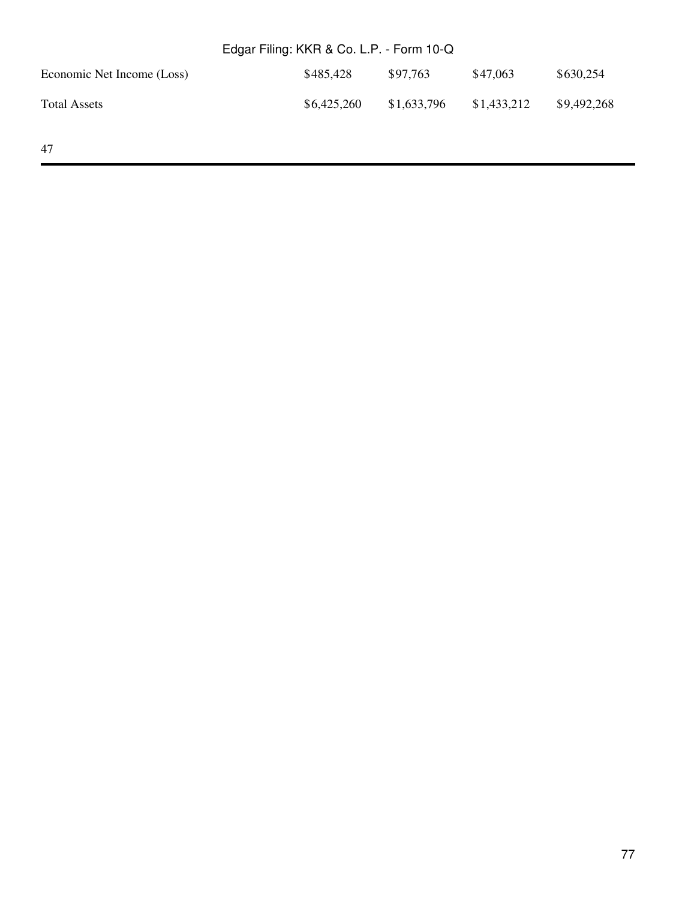| Edgar Filing: KKR & Co. L.P. - Form 10-Q |             |             |             |             |  |  |  |  |
|------------------------------------------|-------------|-------------|-------------|-------------|--|--|--|--|
| Economic Net Income (Loss)               | \$485,428   | \$97,763    | \$47,063    | \$630,254   |  |  |  |  |
| <b>Total Assets</b>                      | \$6,425,260 | \$1,633,796 | \$1,433,212 | \$9,492,268 |  |  |  |  |
| 47                                       |             |             |             |             |  |  |  |  |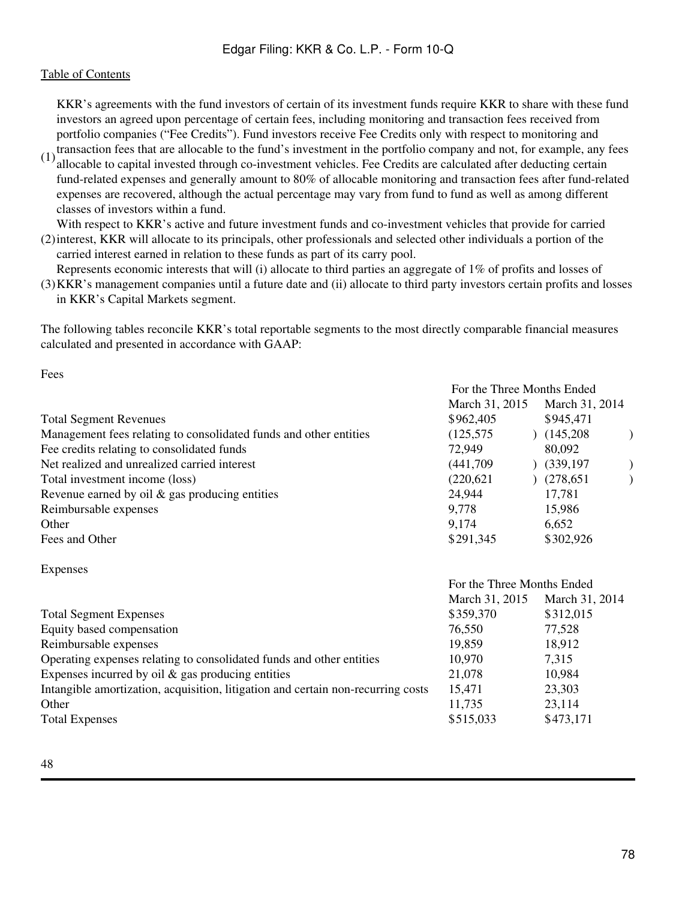# [Table of Contents](#page-2-0)

KKR's agreements with the fund investors of certain of its investment funds require KKR to share with these fund investors an agreed upon percentage of certain fees, including monitoring and transaction fees received from portfolio companies ("Fee Credits"). Fund investors receive Fee Credits only with respect to monitoring and

 $(1)$  transaction fees that are allocable to the fund's investment in the portfolio company and not, for example, any fees  $(1)$  allocable to conital invested through an investment variables. For *Cradits are coloulated e* allocable to capital invested through co-investment vehicles. Fee Credits are calculated after deducting certain fund-related expenses and generally amount to 80% of allocable monitoring and transaction fees after fund-related expenses are recovered, although the actual percentage may vary from fund to fund as well as among different classes of investors within a fund.

(2) interest, KKR will allocate to its principals, other professionals and selected other individuals a portion of the With respect to KKR's active and future investment funds and co-investment vehicles that provide for carried

carried interest earned in relation to these funds as part of its carry pool. Represents economic interests that will (i) allocate to third parties an aggregate of 1% of profits and losses of

(3) KKR's management companies until a future date and (ii) allocate to third party investors certain profits and losses in KKR's Capital Markets segment.

The following tables reconcile KKR's total reportable segments to the most directly comparable financial measures calculated and presented in accordance with GAAP:

Fees

|                                                                      | For the Three Months Ended |                |
|----------------------------------------------------------------------|----------------------------|----------------|
|                                                                      | March 31, 2015             | March 31, 2014 |
| <b>Total Segment Revenues</b>                                        | \$962,405                  | \$945,471      |
| Management fees relating to consolidated funds and other entities    | (125, 575)                 | (145,208)      |
| Fee credits relating to consolidated funds                           | 72,949                     | 80,092         |
| Net realized and unrealized carried interest                         | (441,709)                  | (339, 197)     |
| Total investment income (loss)                                       | (220, 621)                 | (278, 651)     |
| Revenue earned by oil $\&$ gas producing entities                    | 24,944                     | 17,781         |
| Reimbursable expenses                                                | 9,778                      | 15,986         |
| Other                                                                | 9,174                      | 6,652          |
| Fees and Other                                                       | \$291,345                  | \$302,926      |
| <b>Expenses</b>                                                      |                            |                |
|                                                                      | For the Three Months Ended |                |
|                                                                      | March 31, 2015             | March 31, 2014 |
| <b>Total Segment Expenses</b>                                        | \$359,370                  | \$312,015      |
| Equity based compensation                                            | 76,550                     | 77,528         |
| Reimbursable expenses                                                | 19,859                     | 18,912         |
| Operating expenses relating to consolidated funds and other entities | 10,970                     | 7,315          |
| Expenses incurred by oil $\&$ gas producing entities                 | 21,078                     | 10,984         |

Intangible amortization, acquisition, litigation and certain non-recurring costs 15,471 23,303

Other 23,114 Total Expenses \$515,033 \$473,171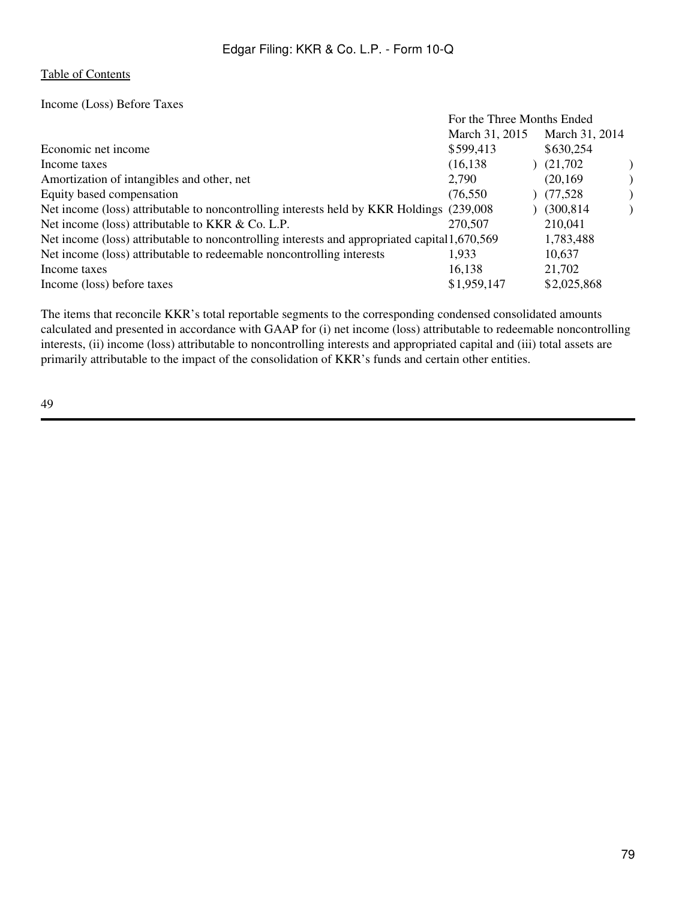Income (Loss) Before Taxes

| \$599,413   |                                                                                                                                                                                            | \$630,254      |                                              |  |  |  |
|-------------|--------------------------------------------------------------------------------------------------------------------------------------------------------------------------------------------|----------------|----------------------------------------------|--|--|--|
| (16, 138)   |                                                                                                                                                                                            | (21,702)       |                                              |  |  |  |
| 2,790       |                                                                                                                                                                                            | (20, 169)      |                                              |  |  |  |
| (76, 550)   |                                                                                                                                                                                            | (77, 528)      |                                              |  |  |  |
|             |                                                                                                                                                                                            | (300, 814)     |                                              |  |  |  |
| 270,507     |                                                                                                                                                                                            | 210,041        |                                              |  |  |  |
|             |                                                                                                                                                                                            | 1,783,488      |                                              |  |  |  |
| 1,933       |                                                                                                                                                                                            | 10,637         |                                              |  |  |  |
| 16,138      |                                                                                                                                                                                            | 21,702         |                                              |  |  |  |
| \$1,959,147 |                                                                                                                                                                                            | \$2,025,868    |                                              |  |  |  |
|             | Net income (loss) attributable to noncontrolling interests held by KKR Holdings (239,008)<br>Net income (loss) attributable to noncontrolling interests and appropriated capital 1,670,569 | March 31, 2015 | For the Three Months Ended<br>March 31, 2014 |  |  |  |

The items that reconcile KKR's total reportable segments to the corresponding condensed consolidated amounts calculated and presented in accordance with GAAP for (i) net income (loss) attributable to redeemable noncontrolling interests, (ii) income (loss) attributable to noncontrolling interests and appropriated capital and (iii) total assets are primarily attributable to the impact of the consolidation of KKR's funds and certain other entities.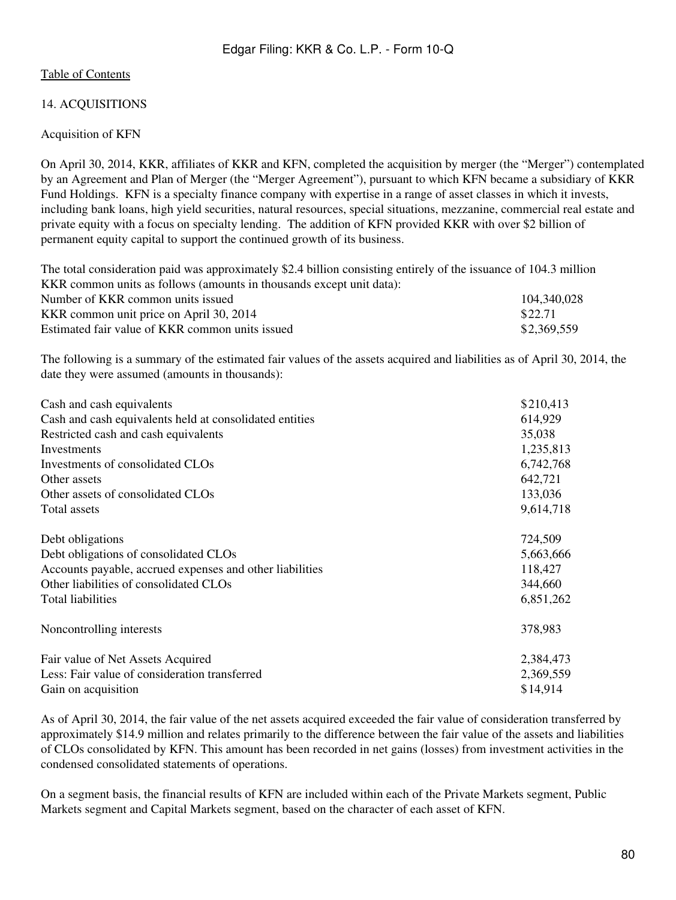# 14. ACQUISITIONS

# Acquisition of KFN

On April 30, 2014, KKR, affiliates of KKR and KFN, completed the acquisition by merger (the "Merger") contemplated by an Agreement and Plan of Merger (the "Merger Agreement"), pursuant to which KFN became a subsidiary of KKR Fund Holdings. KFN is a specialty finance company with expertise in a range of asset classes in which it invests, including bank loans, high yield securities, natural resources, special situations, mezzanine, commercial real estate and private equity with a focus on specialty lending. The addition of KFN provided KKR with over \$2 billion of permanent equity capital to support the continued growth of its business.

The total consideration paid was approximately \$2.4 billion consisting entirely of the issuance of 104.3 million KKR common units as follows (amounts in thousands except unit data): Number of KKR common units issued 104,340,028 KKR common unit price on April 30, 2014<br>Estimated fair value of KKR common units issued \$2,369,559<br>\$2,369,559 Estimated fair value of KKR common units issued

The following is a summary of the estimated fair values of the assets acquired and liabilities as of April 30, 2014, the date they were assumed (amounts in thousands):

| Cash and cash equivalents                                | \$210,413 |
|----------------------------------------------------------|-----------|
| Cash and cash equivalents held at consolidated entities  | 614,929   |
| Restricted cash and cash equivalents                     | 35,038    |
| Investments                                              | 1,235,813 |
| Investments of consolidated CLOs                         | 6,742,768 |
| Other assets                                             | 642,721   |
| Other assets of consolidated CLOs                        | 133,036   |
| Total assets                                             | 9,614,718 |
| Debt obligations                                         | 724,509   |
| Debt obligations of consolidated CLOs                    | 5,663,666 |
| Accounts payable, accrued expenses and other liabilities | 118,427   |
| Other liabilities of consolidated CLOs                   | 344,660   |
| Total liabilities                                        | 6,851,262 |
| Noncontrolling interests                                 | 378,983   |
| Fair value of Net Assets Acquired                        | 2,384,473 |
| Less: Fair value of consideration transferred            | 2,369,559 |
| Gain on acquisition                                      | \$14,914  |

As of April 30, 2014, the fair value of the net assets acquired exceeded the fair value of consideration transferred by approximately \$14.9 million and relates primarily to the difference between the fair value of the assets and liabilities of CLOs consolidated by KFN. This amount has been recorded in net gains (losses) from investment activities in the condensed consolidated statements of operations.

On a segment basis, the financial results of KFN are included within each of the Private Markets segment, Public Markets segment and Capital Markets segment, based on the character of each asset of KFN.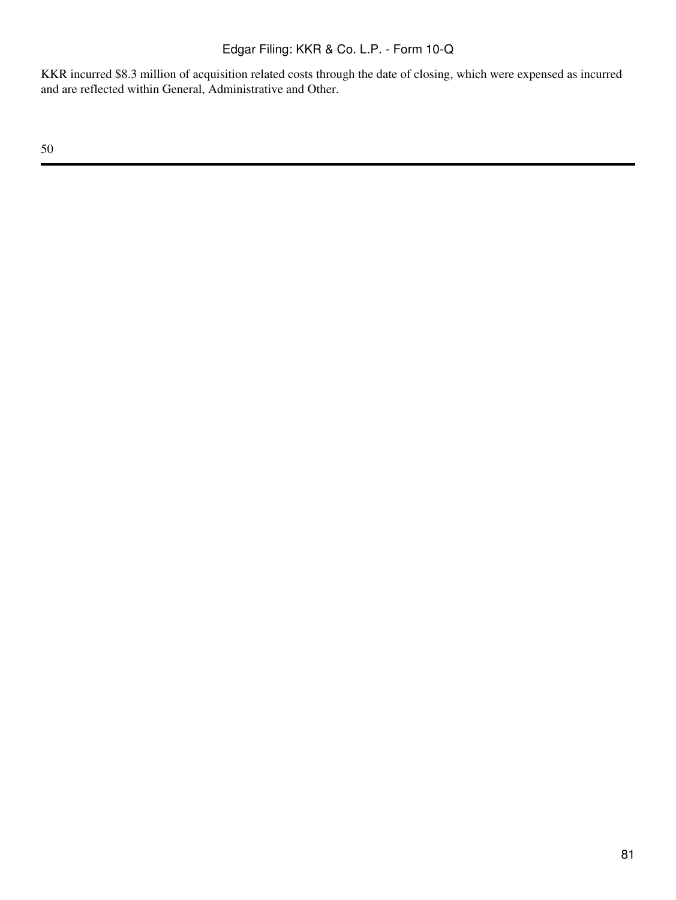KKR incurred \$8.3 million of acquisition related costs through the date of closing, which were expensed as incurred and are reflected within General, Administrative and Other.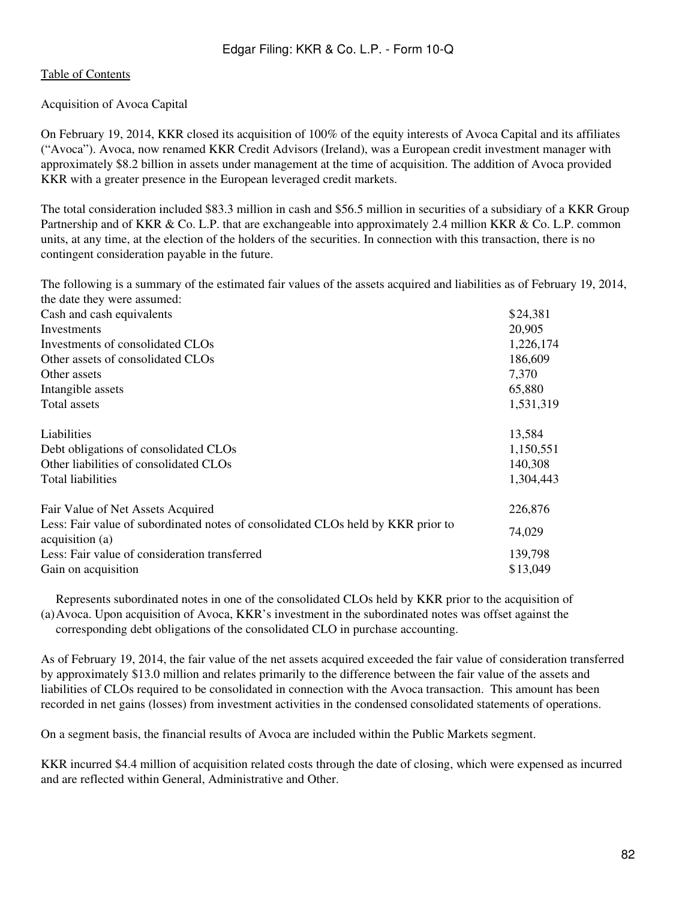# [Table of Contents](#page-2-0)

## Acquisition of Avoca Capital

On February 19, 2014, KKR closed its acquisition of 100% of the equity interests of Avoca Capital and its affiliates ("Avoca"). Avoca, now renamed KKR Credit Advisors (Ireland), was a European credit investment manager with approximately \$8.2 billion in assets under management at the time of acquisition. The addition of Avoca provided KKR with a greater presence in the European leveraged credit markets.

The total consideration included \$83.3 million in cash and \$56.5 million in securities of a subsidiary of a KKR Group Partnership and of KKR & Co. L.P. that are exchangeable into approximately 2.4 million KKR & Co. L.P. common units, at any time, at the election of the holders of the securities. In connection with this transaction, there is no contingent consideration payable in the future.

The following is a summary of the estimated fair values of the assets acquired and liabilities as of February 19, 2014, the date they were assumed:

| Cash and cash equivalents                                                                           | \$24,381  |
|-----------------------------------------------------------------------------------------------------|-----------|
| Investments                                                                                         | 20,905    |
| Investments of consolidated CLOs                                                                    | 1,226,174 |
| Other assets of consolidated CLOs                                                                   | 186,609   |
| Other assets                                                                                        | 7,370     |
| Intangible assets                                                                                   | 65,880    |
| Total assets                                                                                        | 1,531,319 |
| Liabilities                                                                                         | 13,584    |
| Debt obligations of consolidated CLOs                                                               | 1,150,551 |
| Other liabilities of consolidated CLOs                                                              | 140,308   |
| <b>Total liabilities</b>                                                                            | 1,304,443 |
| Fair Value of Net Assets Acquired                                                                   | 226,876   |
| Less: Fair value of subordinated notes of consolidated CLOs held by KKR prior to<br>acquisition (a) | 74,029    |
| Less: Fair value of consideration transferred                                                       | 139,798   |
| Gain on acquisition                                                                                 | \$13,049  |

(a) Avoca. Upon acquisition of Avoca, KKR's investment in the subordinated notes was offset against the Represents subordinated notes in one of the consolidated CLOs held by KKR prior to the acquisition of corresponding debt obligations of the consolidated CLO in purchase accounting.

As of February 19, 2014, the fair value of the net assets acquired exceeded the fair value of consideration transferred by approximately \$13.0 million and relates primarily to the difference between the fair value of the assets and liabilities of CLOs required to be consolidated in connection with the Avoca transaction. This amount has been recorded in net gains (losses) from investment activities in the condensed consolidated statements of operations.

On a segment basis, the financial results of Avoca are included within the Public Markets segment.

KKR incurred \$4.4 million of acquisition related costs through the date of closing, which were expensed as incurred and are reflected within General, Administrative and Other.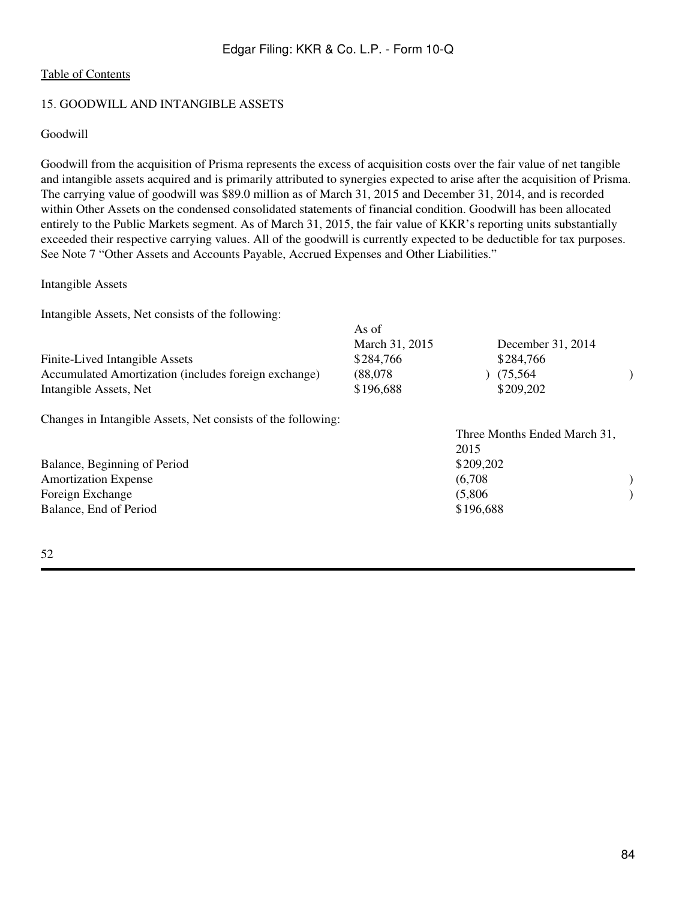# 15. GOODWILL AND INTANGIBLE ASSETS

#### Goodwill

Goodwill from the acquisition of Prisma represents the excess of acquisition costs over the fair value of net tangible and intangible assets acquired and is primarily attributed to synergies expected to arise after the acquisition of Prisma. The carrying value of goodwill was \$89.0 million as of March 31, 2015 and December 31, 2014, and is recorded within Other Assets on the condensed consolidated statements of financial condition. Goodwill has been allocated entirely to the Public Markets segment. As of March 31, 2015, the fair value of KKR's reporting units substantially exceeded their respective carrying values. All of the goodwill is currently expected to be deductible for tax purposes. See Note 7 "Other Assets and Accounts Payable, Accrued Expenses and Other Liabilities."

#### Intangible Assets

Intangible Assets, Net consists of the following:

|                                                              | 7 79 O.L                    |                                |  |
|--------------------------------------------------------------|-----------------------------|--------------------------------|--|
| Finite-Lived Intangible Assets                               | March 31, 2015<br>\$284,766 | December 31, 2014<br>\$284,766 |  |
| Accumulated Amortization (includes foreign exchange)         | (88,078)                    | (75, 564)                      |  |
|                                                              |                             |                                |  |
| Intangible Assets, Net                                       | \$196,688                   | \$209,202                      |  |
| Changes in Intangible Assets, Net consists of the following: |                             |                                |  |
|                                                              |                             | Three Months Ended March 31,   |  |
|                                                              |                             | 2015                           |  |
| Balance, Beginning of Period                                 |                             | \$209,202                      |  |
| <b>Amortization Expense</b>                                  |                             | (6,708)                        |  |
| Foreign Exchange                                             |                             | (5,806)                        |  |
| Balance, End of Period                                       |                             | \$196,688                      |  |
|                                                              |                             |                                |  |
|                                                              |                             |                                |  |

 $\Delta$ s of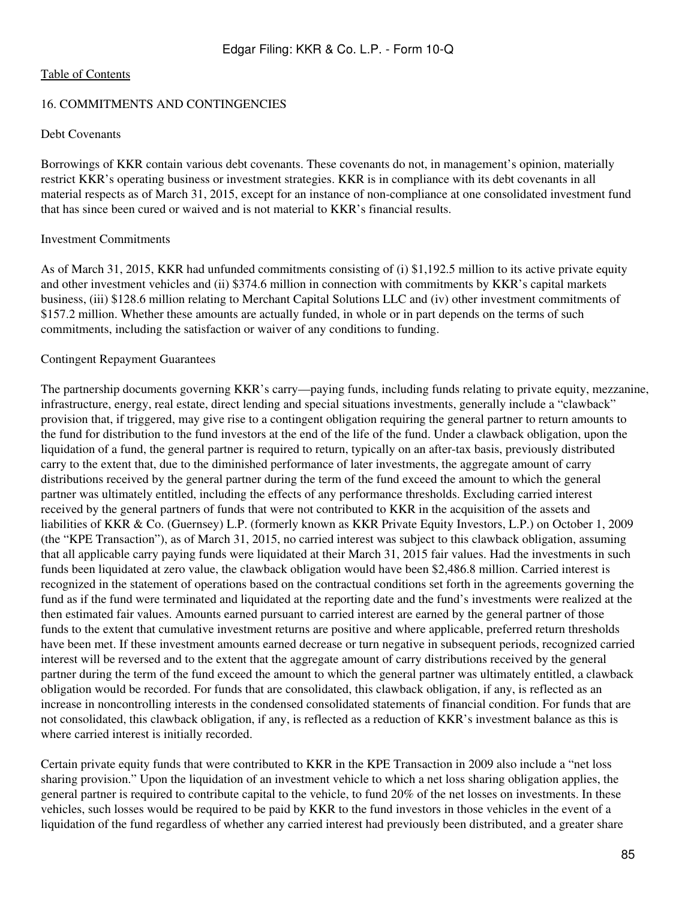#### 16. COMMITMENTS AND CONTINGENCIES

## Debt Covenants

Borrowings of KKR contain various debt covenants. These covenants do not, in management's opinion, materially restrict KKR's operating business or investment strategies. KKR is in compliance with its debt covenants in all material respects as of March 31, 2015, except for an instance of non-compliance at one consolidated investment fund that has since been cured or waived and is not material to KKR's financial results.

#### Investment Commitments

As of March 31, 2015, KKR had unfunded commitments consisting of (i) \$1,192.5 million to its active private equity and other investment vehicles and (ii) \$374.6 million in connection with commitments by KKR's capital markets business, (iii) \$128.6 million relating to Merchant Capital Solutions LLC and (iv) other investment commitments of \$157.2 million. Whether these amounts are actually funded, in whole or in part depends on the terms of such commitments, including the satisfaction or waiver of any conditions to funding.

## Contingent Repayment Guarantees

The partnership documents governing KKR's carry—paying funds, including funds relating to private equity, mezzanine, infrastructure, energy, real estate, direct lending and special situations investments, generally include a "clawback" provision that, if triggered, may give rise to a contingent obligation requiring the general partner to return amounts to the fund for distribution to the fund investors at the end of the life of the fund. Under a clawback obligation, upon the liquidation of a fund, the general partner is required to return, typically on an after-tax basis, previously distributed carry to the extent that, due to the diminished performance of later investments, the aggregate amount of carry distributions received by the general partner during the term of the fund exceed the amount to which the general partner was ultimately entitled, including the effects of any performance thresholds. Excluding carried interest received by the general partners of funds that were not contributed to KKR in the acquisition of the assets and liabilities of KKR & Co. (Guernsey) L.P. (formerly known as KKR Private Equity Investors, L.P.) on October 1, 2009 (the "KPE Transaction"), as of March 31, 2015, no carried interest was subject to this clawback obligation, assuming that all applicable carry paying funds were liquidated at their March 31, 2015 fair values. Had the investments in such funds been liquidated at zero value, the clawback obligation would have been \$2,486.8 million. Carried interest is recognized in the statement of operations based on the contractual conditions set forth in the agreements governing the fund as if the fund were terminated and liquidated at the reporting date and the fund's investments were realized at the then estimated fair values. Amounts earned pursuant to carried interest are earned by the general partner of those funds to the extent that cumulative investment returns are positive and where applicable, preferred return thresholds have been met. If these investment amounts earned decrease or turn negative in subsequent periods, recognized carried interest will be reversed and to the extent that the aggregate amount of carry distributions received by the general partner during the term of the fund exceed the amount to which the general partner was ultimately entitled, a clawback obligation would be recorded. For funds that are consolidated, this clawback obligation, if any, is reflected as an increase in noncontrolling interests in the condensed consolidated statements of financial condition. For funds that are not consolidated, this clawback obligation, if any, is reflected as a reduction of KKR's investment balance as this is where carried interest is initially recorded.

Certain private equity funds that were contributed to KKR in the KPE Transaction in 2009 also include a "net loss sharing provision." Upon the liquidation of an investment vehicle to which a net loss sharing obligation applies, the general partner is required to contribute capital to the vehicle, to fund 20% of the net losses on investments. In these vehicles, such losses would be required to be paid by KKR to the fund investors in those vehicles in the event of a liquidation of the fund regardless of whether any carried interest had previously been distributed, and a greater share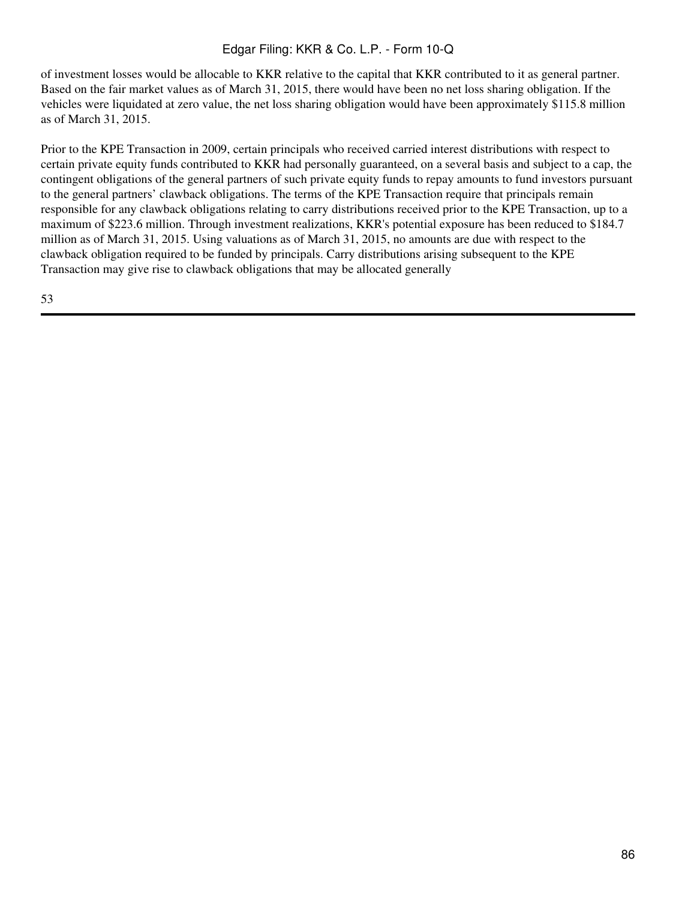of investment losses would be allocable to KKR relative to the capital that KKR contributed to it as general partner. Based on the fair market values as of March 31, 2015, there would have been no net loss sharing obligation. If the vehicles were liquidated at zero value, the net loss sharing obligation would have been approximately \$115.8 million as of March 31, 2015.

Prior to the KPE Transaction in 2009, certain principals who received carried interest distributions with respect to certain private equity funds contributed to KKR had personally guaranteed, on a several basis and subject to a cap, the contingent obligations of the general partners of such private equity funds to repay amounts to fund investors pursuant to the general partners' clawback obligations. The terms of the KPE Transaction require that principals remain responsible for any clawback obligations relating to carry distributions received prior to the KPE Transaction, up to a maximum of \$223.6 million. Through investment realizations, KKR's potential exposure has been reduced to \$184.7 million as of March 31, 2015. Using valuations as of March 31, 2015, no amounts are due with respect to the clawback obligation required to be funded by principals. Carry distributions arising subsequent to the KPE Transaction may give rise to clawback obligations that may be allocated generally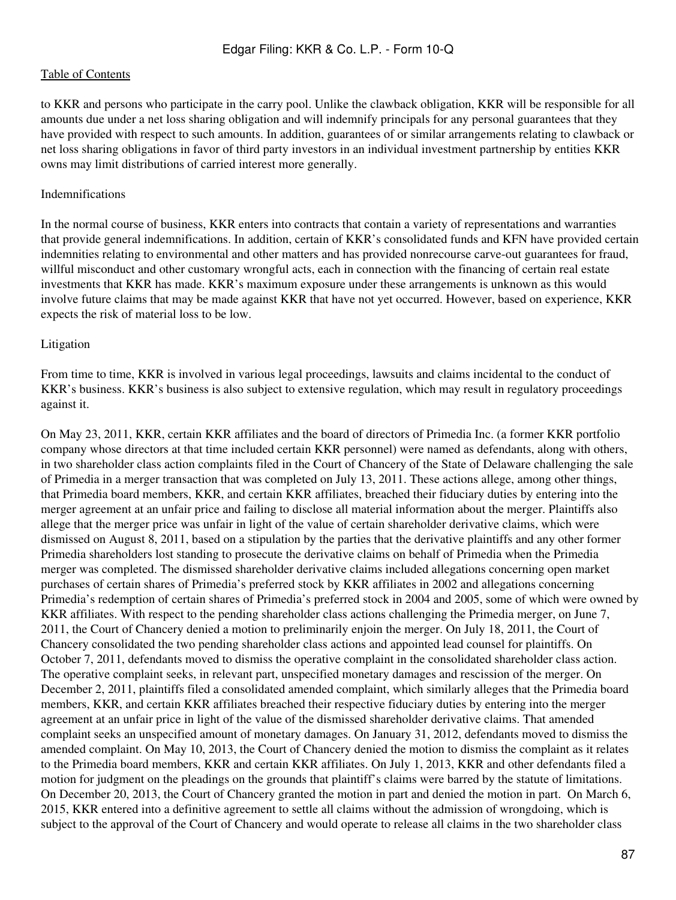to KKR and persons who participate in the carry pool. Unlike the clawback obligation, KKR will be responsible for all amounts due under a net loss sharing obligation and will indemnify principals for any personal guarantees that they have provided with respect to such amounts. In addition, guarantees of or similar arrangements relating to clawback or net loss sharing obligations in favor of third party investors in an individual investment partnership by entities KKR owns may limit distributions of carried interest more generally.

#### Indemnifications

In the normal course of business, KKR enters into contracts that contain a variety of representations and warranties that provide general indemnifications. In addition, certain of KKR's consolidated funds and KFN have provided certain indemnities relating to environmental and other matters and has provided nonrecourse carve-out guarantees for fraud, willful misconduct and other customary wrongful acts, each in connection with the financing of certain real estate investments that KKR has made. KKR's maximum exposure under these arrangements is unknown as this would involve future claims that may be made against KKR that have not yet occurred. However, based on experience, KKR expects the risk of material loss to be low.

## Litigation

From time to time, KKR is involved in various legal proceedings, lawsuits and claims incidental to the conduct of KKR's business. KKR's business is also subject to extensive regulation, which may result in regulatory proceedings against it.

On May 23, 2011, KKR, certain KKR affiliates and the board of directors of Primedia Inc. (a former KKR portfolio company whose directors at that time included certain KKR personnel) were named as defendants, along with others, in two shareholder class action complaints filed in the Court of Chancery of the State of Delaware challenging the sale of Primedia in a merger transaction that was completed on July 13, 2011. These actions allege, among other things, that Primedia board members, KKR, and certain KKR affiliates, breached their fiduciary duties by entering into the merger agreement at an unfair price and failing to disclose all material information about the merger. Plaintiffs also allege that the merger price was unfair in light of the value of certain shareholder derivative claims, which were dismissed on August 8, 2011, based on a stipulation by the parties that the derivative plaintiffs and any other former Primedia shareholders lost standing to prosecute the derivative claims on behalf of Primedia when the Primedia merger was completed. The dismissed shareholder derivative claims included allegations concerning open market purchases of certain shares of Primedia's preferred stock by KKR affiliates in 2002 and allegations concerning Primedia's redemption of certain shares of Primedia's preferred stock in 2004 and 2005, some of which were owned by KKR affiliates. With respect to the pending shareholder class actions challenging the Primedia merger, on June 7, 2011, the Court of Chancery denied a motion to preliminarily enjoin the merger. On July 18, 2011, the Court of Chancery consolidated the two pending shareholder class actions and appointed lead counsel for plaintiffs. On October 7, 2011, defendants moved to dismiss the operative complaint in the consolidated shareholder class action. The operative complaint seeks, in relevant part, unspecified monetary damages and rescission of the merger. On December 2, 2011, plaintiffs filed a consolidated amended complaint, which similarly alleges that the Primedia board members, KKR, and certain KKR affiliates breached their respective fiduciary duties by entering into the merger agreement at an unfair price in light of the value of the dismissed shareholder derivative claims. That amended complaint seeks an unspecified amount of monetary damages. On January 31, 2012, defendants moved to dismiss the amended complaint. On May 10, 2013, the Court of Chancery denied the motion to dismiss the complaint as it relates to the Primedia board members, KKR and certain KKR affiliates. On July 1, 2013, KKR and other defendants filed a motion for judgment on the pleadings on the grounds that plaintiff's claims were barred by the statute of limitations. On December 20, 2013, the Court of Chancery granted the motion in part and denied the motion in part. On March 6, 2015, KKR entered into a definitive agreement to settle all claims without the admission of wrongdoing, which is subject to the approval of the Court of Chancery and would operate to release all claims in the two shareholder class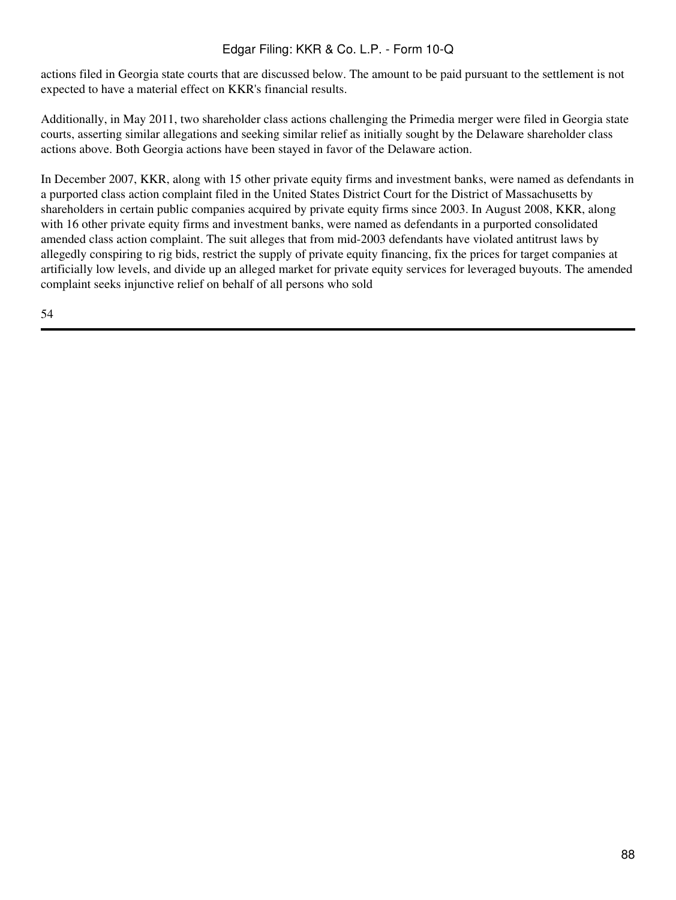actions filed in Georgia state courts that are discussed below. The amount to be paid pursuant to the settlement is not expected to have a material effect on KKR's financial results.

Additionally, in May 2011, two shareholder class actions challenging the Primedia merger were filed in Georgia state courts, asserting similar allegations and seeking similar relief as initially sought by the Delaware shareholder class actions above. Both Georgia actions have been stayed in favor of the Delaware action.

In December 2007, KKR, along with 15 other private equity firms and investment banks, were named as defendants in a purported class action complaint filed in the United States District Court for the District of Massachusetts by shareholders in certain public companies acquired by private equity firms since 2003. In August 2008, KKR, along with 16 other private equity firms and investment banks, were named as defendants in a purported consolidated amended class action complaint. The suit alleges that from mid-2003 defendants have violated antitrust laws by allegedly conspiring to rig bids, restrict the supply of private equity financing, fix the prices for target companies at artificially low levels, and divide up an alleged market for private equity services for leveraged buyouts. The amended complaint seeks injunctive relief on behalf of all persons who sold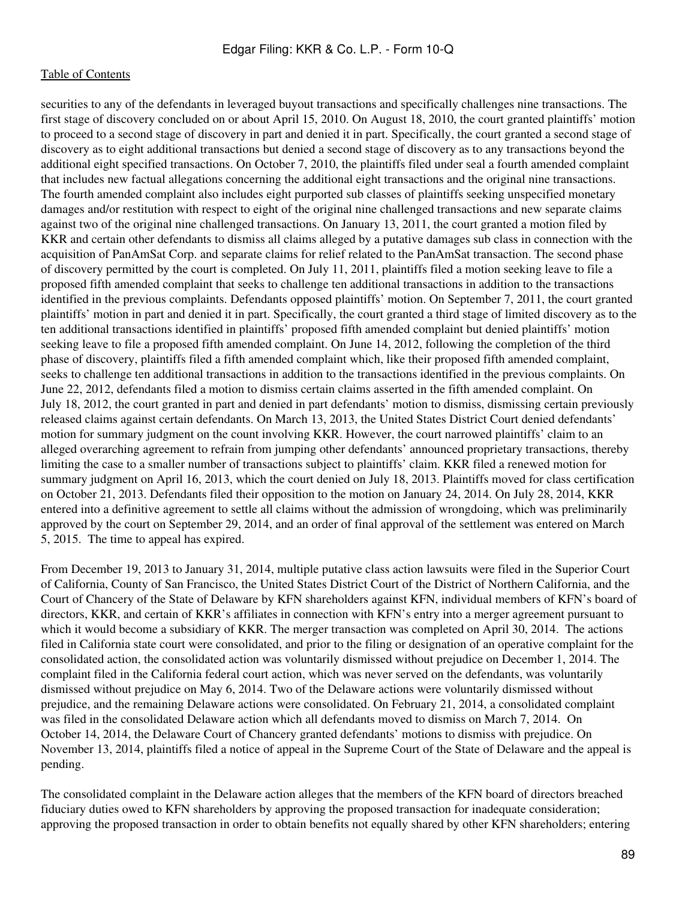securities to any of the defendants in leveraged buyout transactions and specifically challenges nine transactions. The first stage of discovery concluded on or about April 15, 2010. On August 18, 2010, the court granted plaintiffs' motion to proceed to a second stage of discovery in part and denied it in part. Specifically, the court granted a second stage of discovery as to eight additional transactions but denied a second stage of discovery as to any transactions beyond the additional eight specified transactions. On October 7, 2010, the plaintiffs filed under seal a fourth amended complaint that includes new factual allegations concerning the additional eight transactions and the original nine transactions. The fourth amended complaint also includes eight purported sub classes of plaintiffs seeking unspecified monetary damages and/or restitution with respect to eight of the original nine challenged transactions and new separate claims against two of the original nine challenged transactions. On January 13, 2011, the court granted a motion filed by KKR and certain other defendants to dismiss all claims alleged by a putative damages sub class in connection with the acquisition of PanAmSat Corp. and separate claims for relief related to the PanAmSat transaction. The second phase of discovery permitted by the court is completed. On July 11, 2011, plaintiffs filed a motion seeking leave to file a proposed fifth amended complaint that seeks to challenge ten additional transactions in addition to the transactions identified in the previous complaints. Defendants opposed plaintiffs' motion. On September 7, 2011, the court granted plaintiffs' motion in part and denied it in part. Specifically, the court granted a third stage of limited discovery as to the ten additional transactions identified in plaintiffs' proposed fifth amended complaint but denied plaintiffs' motion seeking leave to file a proposed fifth amended complaint. On June 14, 2012, following the completion of the third phase of discovery, plaintiffs filed a fifth amended complaint which, like their proposed fifth amended complaint, seeks to challenge ten additional transactions in addition to the transactions identified in the previous complaints. On June 22, 2012, defendants filed a motion to dismiss certain claims asserted in the fifth amended complaint. On July 18, 2012, the court granted in part and denied in part defendants' motion to dismiss, dismissing certain previously released claims against certain defendants. On March 13, 2013, the United States District Court denied defendants' motion for summary judgment on the count involving KKR. However, the court narrowed plaintiffs' claim to an alleged overarching agreement to refrain from jumping other defendants' announced proprietary transactions, thereby limiting the case to a smaller number of transactions subject to plaintiffs' claim. KKR filed a renewed motion for summary judgment on April 16, 2013, which the court denied on July 18, 2013. Plaintiffs moved for class certification on October 21, 2013. Defendants filed their opposition to the motion on January 24, 2014. On July 28, 2014, KKR entered into a definitive agreement to settle all claims without the admission of wrongdoing, which was preliminarily approved by the court on September 29, 2014, and an order of final approval of the settlement was entered on March 5, 2015. The time to appeal has expired.

From December 19, 2013 to January 31, 2014, multiple putative class action lawsuits were filed in the Superior Court of California, County of San Francisco, the United States District Court of the District of Northern California, and the Court of Chancery of the State of Delaware by KFN shareholders against KFN, individual members of KFN's board of directors, KKR, and certain of KKR's affiliates in connection with KFN's entry into a merger agreement pursuant to which it would become a subsidiary of KKR. The merger transaction was completed on April 30, 2014. The actions filed in California state court were consolidated, and prior to the filing or designation of an operative complaint for the consolidated action, the consolidated action was voluntarily dismissed without prejudice on December 1, 2014. The complaint filed in the California federal court action, which was never served on the defendants, was voluntarily dismissed without prejudice on May 6, 2014. Two of the Delaware actions were voluntarily dismissed without prejudice, and the remaining Delaware actions were consolidated. On February 21, 2014, a consolidated complaint was filed in the consolidated Delaware action which all defendants moved to dismiss on March 7, 2014. On October 14, 2014, the Delaware Court of Chancery granted defendants' motions to dismiss with prejudice. On November 13, 2014, plaintiffs filed a notice of appeal in the Supreme Court of the State of Delaware and the appeal is pending.

The consolidated complaint in the Delaware action alleges that the members of the KFN board of directors breached fiduciary duties owed to KFN shareholders by approving the proposed transaction for inadequate consideration; approving the proposed transaction in order to obtain benefits not equally shared by other KFN shareholders; entering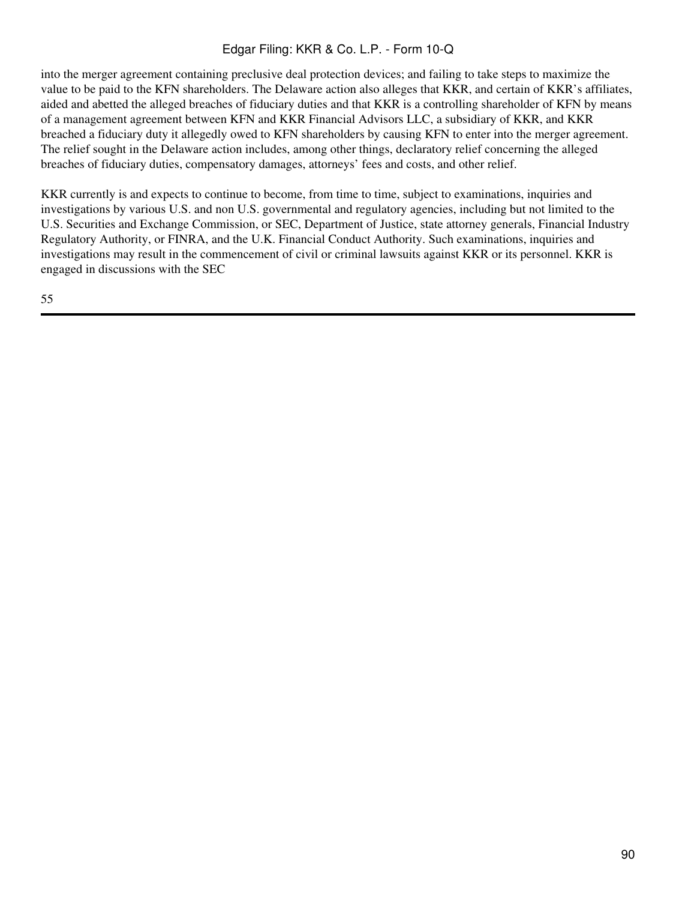into the merger agreement containing preclusive deal protection devices; and failing to take steps to maximize the value to be paid to the KFN shareholders. The Delaware action also alleges that KKR, and certain of KKR's affiliates, aided and abetted the alleged breaches of fiduciary duties and that KKR is a controlling shareholder of KFN by means of a management agreement between KFN and KKR Financial Advisors LLC, a subsidiary of KKR, and KKR breached a fiduciary duty it allegedly owed to KFN shareholders by causing KFN to enter into the merger agreement. The relief sought in the Delaware action includes, among other things, declaratory relief concerning the alleged breaches of fiduciary duties, compensatory damages, attorneys' fees and costs, and other relief.

KKR currently is and expects to continue to become, from time to time, subject to examinations, inquiries and investigations by various U.S. and non U.S. governmental and regulatory agencies, including but not limited to the U.S. Securities and Exchange Commission, or SEC, Department of Justice, state attorney generals, Financial Industry Regulatory Authority, or FINRA, and the U.K. Financial Conduct Authority. Such examinations, inquiries and investigations may result in the commencement of civil or criminal lawsuits against KKR or its personnel. KKR is engaged in discussions with the SEC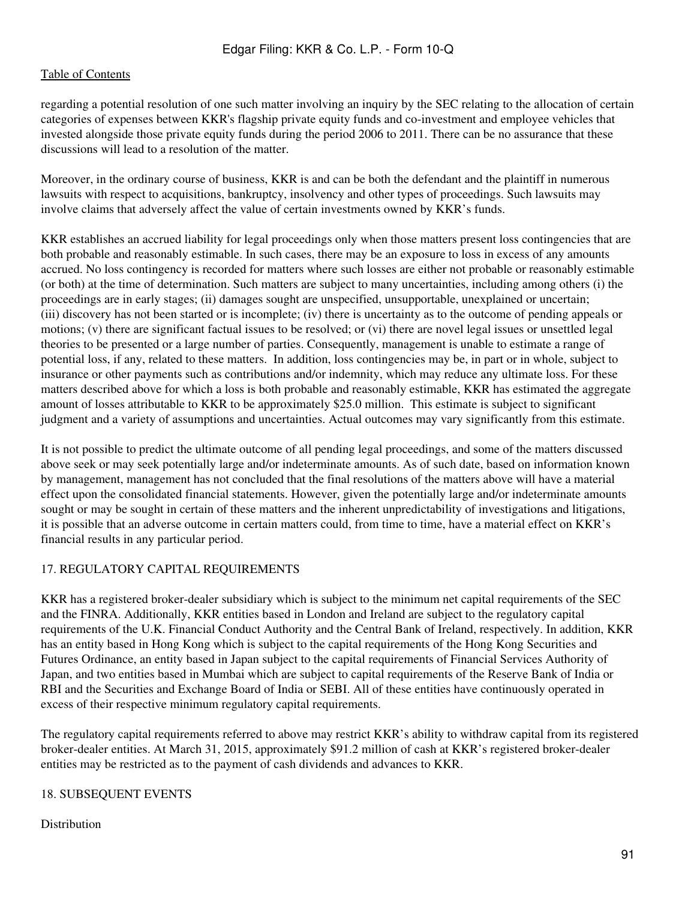regarding a potential resolution of one such matter involving an inquiry by the SEC relating to the allocation of certain categories of expenses between KKR's flagship private equity funds and co-investment and employee vehicles that invested alongside those private equity funds during the period 2006 to 2011. There can be no assurance that these discussions will lead to a resolution of the matter.

Moreover, in the ordinary course of business, KKR is and can be both the defendant and the plaintiff in numerous lawsuits with respect to acquisitions, bankruptcy, insolvency and other types of proceedings. Such lawsuits may involve claims that adversely affect the value of certain investments owned by KKR's funds.

KKR establishes an accrued liability for legal proceedings only when those matters present loss contingencies that are both probable and reasonably estimable. In such cases, there may be an exposure to loss in excess of any amounts accrued. No loss contingency is recorded for matters where such losses are either not probable or reasonably estimable (or both) at the time of determination. Such matters are subject to many uncertainties, including among others (i) the proceedings are in early stages; (ii) damages sought are unspecified, unsupportable, unexplained or uncertain; (iii) discovery has not been started or is incomplete; (iv) there is uncertainty as to the outcome of pending appeals or motions; (v) there are significant factual issues to be resolved; or (vi) there are novel legal issues or unsettled legal theories to be presented or a large number of parties. Consequently, management is unable to estimate a range of potential loss, if any, related to these matters. In addition, loss contingencies may be, in part or in whole, subject to insurance or other payments such as contributions and/or indemnity, which may reduce any ultimate loss. For these matters described above for which a loss is both probable and reasonably estimable, KKR has estimated the aggregate amount of losses attributable to KKR to be approximately \$25.0 million. This estimate is subject to significant judgment and a variety of assumptions and uncertainties. Actual outcomes may vary significantly from this estimate.

It is not possible to predict the ultimate outcome of all pending legal proceedings, and some of the matters discussed above seek or may seek potentially large and/or indeterminate amounts. As of such date, based on information known by management, management has not concluded that the final resolutions of the matters above will have a material effect upon the consolidated financial statements. However, given the potentially large and/or indeterminate amounts sought or may be sought in certain of these matters and the inherent unpredictability of investigations and litigations, it is possible that an adverse outcome in certain matters could, from time to time, have a material effect on KKR's financial results in any particular period.

# 17. REGULATORY CAPITAL REQUIREMENTS

KKR has a registered broker-dealer subsidiary which is subject to the minimum net capital requirements of the SEC and the FINRA. Additionally, KKR entities based in London and Ireland are subject to the regulatory capital requirements of the U.K. Financial Conduct Authority and the Central Bank of Ireland, respectively. In addition, KKR has an entity based in Hong Kong which is subject to the capital requirements of the Hong Kong Securities and Futures Ordinance, an entity based in Japan subject to the capital requirements of Financial Services Authority of Japan, and two entities based in Mumbai which are subject to capital requirements of the Reserve Bank of India or RBI and the Securities and Exchange Board of India or SEBI. All of these entities have continuously operated in excess of their respective minimum regulatory capital requirements.

The regulatory capital requirements referred to above may restrict KKR's ability to withdraw capital from its registered broker-dealer entities. At March 31, 2015, approximately \$91.2 million of cash at KKR's registered broker-dealer entities may be restricted as to the payment of cash dividends and advances to KKR.

# 18. SUBSEQUENT EVENTS

#### Distribution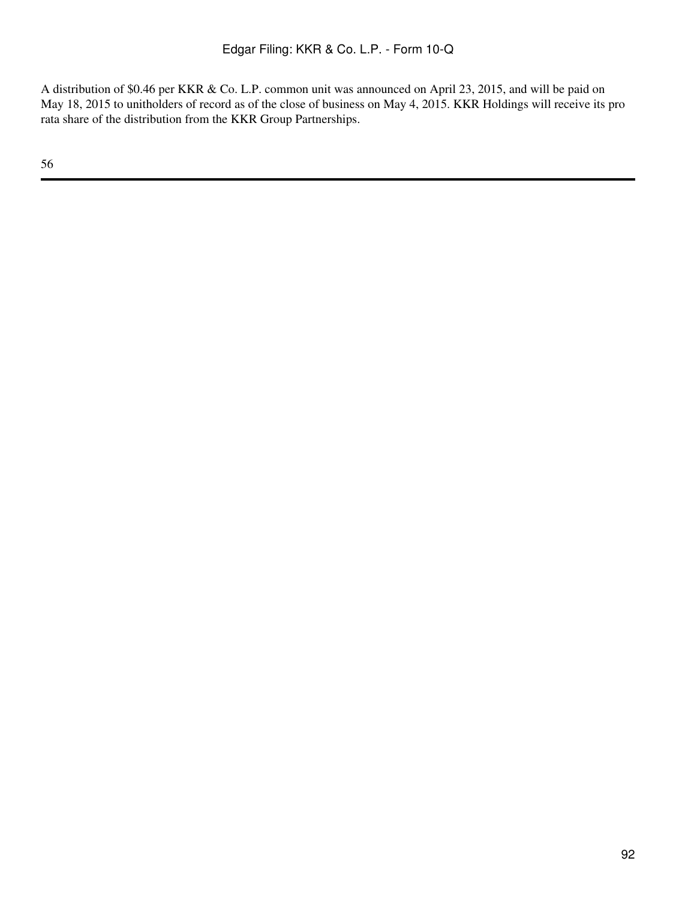A distribution of \$0.46 per KKR & Co. L.P. common unit was announced on April 23, 2015, and will be paid on May 18, 2015 to unitholders of record as of the close of business on May 4, 2015. KKR Holdings will receive its pro rata share of the distribution from the KKR Group Partnerships.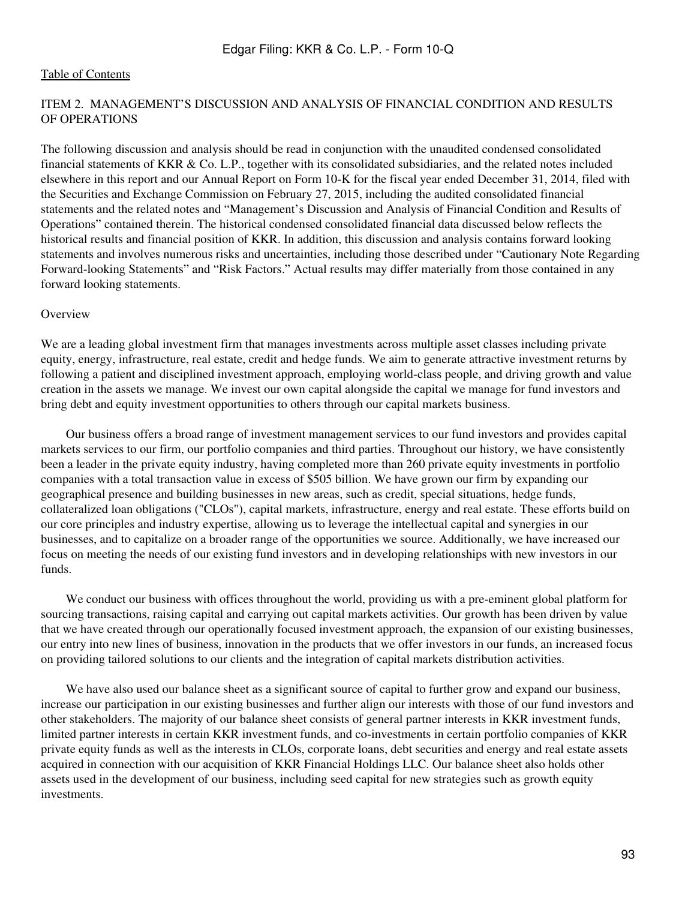## ITEM 2. MANAGEMENT'S DISCUSSION AND ANALYSIS OF FINANCIAL CONDITION AND RESULTS OF OPERATIONS

The following discussion and analysis should be read in conjunction with the unaudited condensed consolidated financial statements of KKR & Co. L.P., together with its consolidated subsidiaries, and the related notes included elsewhere in this report and our Annual Report on Form 10-K for the fiscal year ended December 31, 2014, filed with the Securities and Exchange Commission on February 27, 2015, including the audited consolidated financial statements and the related notes and "Management's Discussion and Analysis of Financial Condition and Results of Operations" contained therein. The historical condensed consolidated financial data discussed below reflects the historical results and financial position of KKR. In addition, this discussion and analysis contains forward looking statements and involves numerous risks and uncertainties, including those described under "Cautionary Note Regarding Forward-looking Statements" and "Risk Factors." Actual results may differ materially from those contained in any forward looking statements.

#### **Overview**

We are a leading global investment firm that manages investments across multiple asset classes including private equity, energy, infrastructure, real estate, credit and hedge funds. We aim to generate attractive investment returns by following a patient and disciplined investment approach, employing world-class people, and driving growth and value creation in the assets we manage. We invest our own capital alongside the capital we manage for fund investors and bring debt and equity investment opportunities to others through our capital markets business.

 Our business offers a broad range of investment management services to our fund investors and provides capital markets services to our firm, our portfolio companies and third parties. Throughout our history, we have consistently been a leader in the private equity industry, having completed more than 260 private equity investments in portfolio companies with a total transaction value in excess of \$505 billion. We have grown our firm by expanding our geographical presence and building businesses in new areas, such as credit, special situations, hedge funds, collateralized loan obligations ("CLOs"), capital markets, infrastructure, energy and real estate. These efforts build on our core principles and industry expertise, allowing us to leverage the intellectual capital and synergies in our businesses, and to capitalize on a broader range of the opportunities we source. Additionally, we have increased our focus on meeting the needs of our existing fund investors and in developing relationships with new investors in our funds.

 We conduct our business with offices throughout the world, providing us with a pre-eminent global platform for sourcing transactions, raising capital and carrying out capital markets activities. Our growth has been driven by value that we have created through our operationally focused investment approach, the expansion of our existing businesses, our entry into new lines of business, innovation in the products that we offer investors in our funds, an increased focus on providing tailored solutions to our clients and the integration of capital markets distribution activities.

We have also used our balance sheet as a significant source of capital to further grow and expand our business, increase our participation in our existing businesses and further align our interests with those of our fund investors and other stakeholders. The majority of our balance sheet consists of general partner interests in KKR investment funds, limited partner interests in certain KKR investment funds, and co-investments in certain portfolio companies of KKR private equity funds as well as the interests in CLOs, corporate loans, debt securities and energy and real estate assets acquired in connection with our acquisition of KKR Financial Holdings LLC. Our balance sheet also holds other assets used in the development of our business, including seed capital for new strategies such as growth equity investments.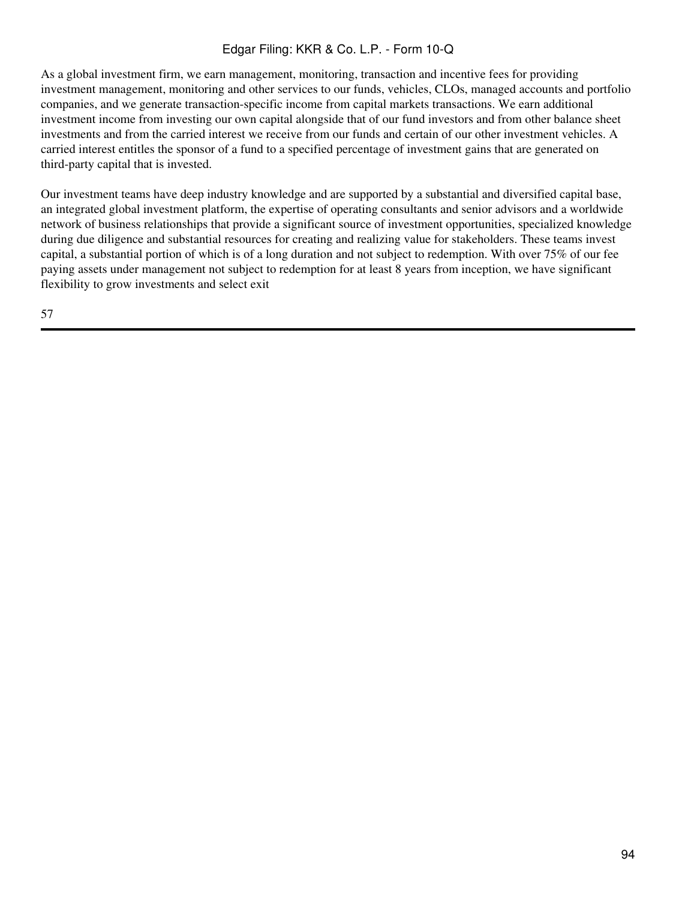As a global investment firm, we earn management, monitoring, transaction and incentive fees for providing investment management, monitoring and other services to our funds, vehicles, CLOs, managed accounts and portfolio companies, and we generate transaction-specific income from capital markets transactions. We earn additional investment income from investing our own capital alongside that of our fund investors and from other balance sheet investments and from the carried interest we receive from our funds and certain of our other investment vehicles. A carried interest entitles the sponsor of a fund to a specified percentage of investment gains that are generated on third-party capital that is invested.

Our investment teams have deep industry knowledge and are supported by a substantial and diversified capital base, an integrated global investment platform, the expertise of operating consultants and senior advisors and a worldwide network of business relationships that provide a significant source of investment opportunities, specialized knowledge during due diligence and substantial resources for creating and realizing value for stakeholders. These teams invest capital, a substantial portion of which is of a long duration and not subject to redemption. With over 75% of our fee paying assets under management not subject to redemption for at least 8 years from inception, we have significant flexibility to grow investments and select exit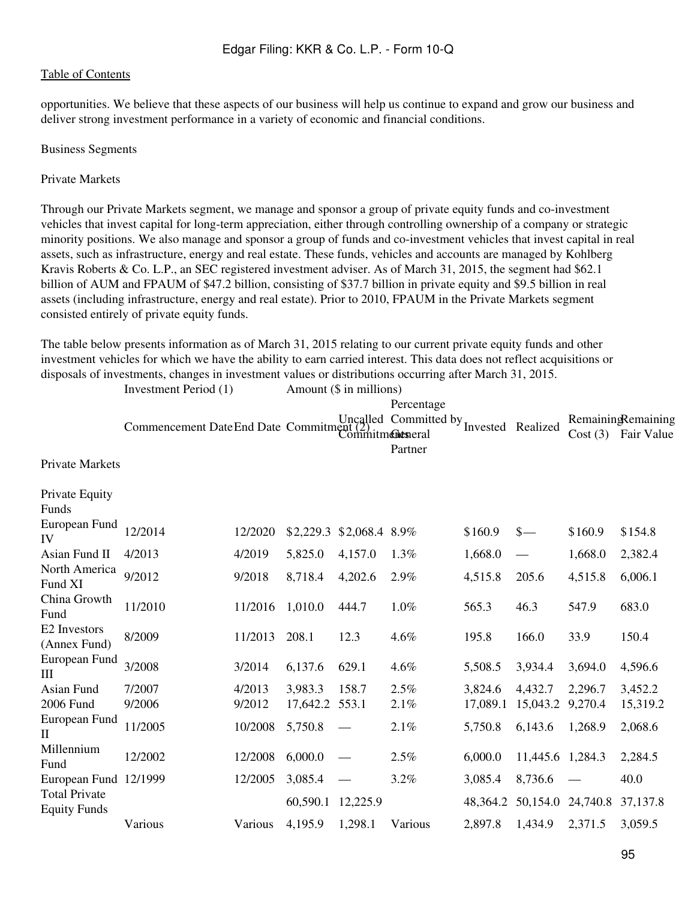opportunities. We believe that these aspects of our business will help us continue to expand and grow our business and deliver strong investment performance in a variety of economic and financial conditions.

#### Business Segments

## Private Markets

Through our Private Markets segment, we manage and sponsor a group of private equity funds and co-investment vehicles that invest capital for long-term appreciation, either through controlling ownership of a company or strategic minority positions. We also manage and sponsor a group of funds and co-investment vehicles that invest capital in real assets, such as infrastructure, energy and real estate. These funds, vehicles and accounts are managed by Kohlberg Kravis Roberts & Co. L.P., an SEC registered investment adviser. As of March 31, 2015, the segment had \$62.1 billion of AUM and FPAUM of \$47.2 billion, consisting of \$37.7 billion in private equity and \$9.5 billion in real assets (including infrastructure, energy and real estate). Prior to 2010, FPAUM in the Private Markets segment consisted entirely of private equity funds.

The table below presents information as of March 31, 2015 relating to our current private equity funds and other investment vehicles for which we have the ability to earn carried interest. This data does not reflect acquisitions or disposals of investments, changes in investment values or distributions occurring after March 31, 2015.<br>Investment Period (1) Amount (\$ in millions) Amount  $(\hat{\mathbf{x}})$  in millions)

|                                             | Investment I cribu (1)                                              |         |          | $AIII$ and $\phi$ in immons |            |          |                                  |         |                                  |
|---------------------------------------------|---------------------------------------------------------------------|---------|----------|-----------------------------|------------|----------|----------------------------------|---------|----------------------------------|
|                                             |                                                                     |         |          |                             | Percentage |          |                                  |         |                                  |
|                                             | Commencement Date End Date Committed Committed by Invested Realized |         |          | Commitments                 |            |          |                                  | Cost(3) | RemainingRemaining<br>Fair Value |
|                                             |                                                                     |         |          |                             | Partner    |          |                                  |         |                                  |
| <b>Private Markets</b>                      |                                                                     |         |          |                             |            |          |                                  |         |                                  |
| Private Equity<br>Funds                     |                                                                     |         |          |                             |            |          |                                  |         |                                  |
| European Fund<br>IV                         | 12/2014                                                             | 12/2020 |          | \$2,229.3 \$2,068.4 8.9%    |            | \$160.9  | $\frac{\S}{\S}$                  | \$160.9 | \$154.8                          |
| Asian Fund II                               | 4/2013                                                              | 4/2019  | 5,825.0  | 4,157.0                     | 1.3%       | 1,668.0  |                                  | 1,668.0 | 2,382.4                          |
| North America<br>Fund XI                    | 9/2012                                                              | 9/2018  | 8,718.4  | 4,202.6                     | 2.9%       | 4,515.8  | 205.6                            | 4,515.8 | 6,006.1                          |
| China Growth<br>Fund                        | 11/2010                                                             | 11/2016 | 1,010.0  | 444.7                       | 1.0%       | 565.3    | 46.3                             | 547.9   | 683.0                            |
| E2 Investors<br>(Annex Fund)                | 8/2009                                                              | 11/2013 | 208.1    | 12.3                        | 4.6%       | 195.8    | 166.0                            | 33.9    | 150.4                            |
| European Fund<br>III                        | 3/2008                                                              | 3/2014  | 6,137.6  | 629.1                       | 4.6%       | 5,508.5  | 3,934.4                          | 3,694.0 | 4,596.6                          |
| Asian Fund                                  | 7/2007                                                              | 4/2013  | 3,983.3  | 158.7                       | 2.5%       | 3,824.6  | 4,432.7                          | 2,296.7 | 3,452.2                          |
| 2006 Fund                                   | 9/2006                                                              | 9/2012  | 17,642.2 | 553.1                       | 2.1%       | 17,089.1 | 15,043.2                         | 9,270.4 | 15,319.2                         |
| European Fund<br>П                          | 11/2005                                                             | 10/2008 | 5,750.8  |                             | 2.1%       | 5,750.8  | 6,143.6                          | 1,268.9 | 2,068.6                          |
| Millennium<br>Fund                          | 12/2002                                                             | 12/2008 | 6,000.0  | $\hspace{0.05cm}$           | 2.5%       | 6,000.0  | 11,445.6 1,284.3                 |         | 2,284.5                          |
| European Fund 12/1999                       |                                                                     | 12/2005 | 3,085.4  |                             | 3.2%       | 3,085.4  | 8,736.6                          |         | 40.0                             |
| <b>Total Private</b><br><b>Equity Funds</b> |                                                                     |         | 60,590.1 | 12,225.9                    |            |          | 48, 364. 2 50, 154. 0 24, 740. 8 |         | 37,137.8                         |
|                                             | Various                                                             | Various | 4,195.9  | 1,298.1                     | Various    | 2,897.8  | 1,434.9                          | 2,371.5 | 3,059.5                          |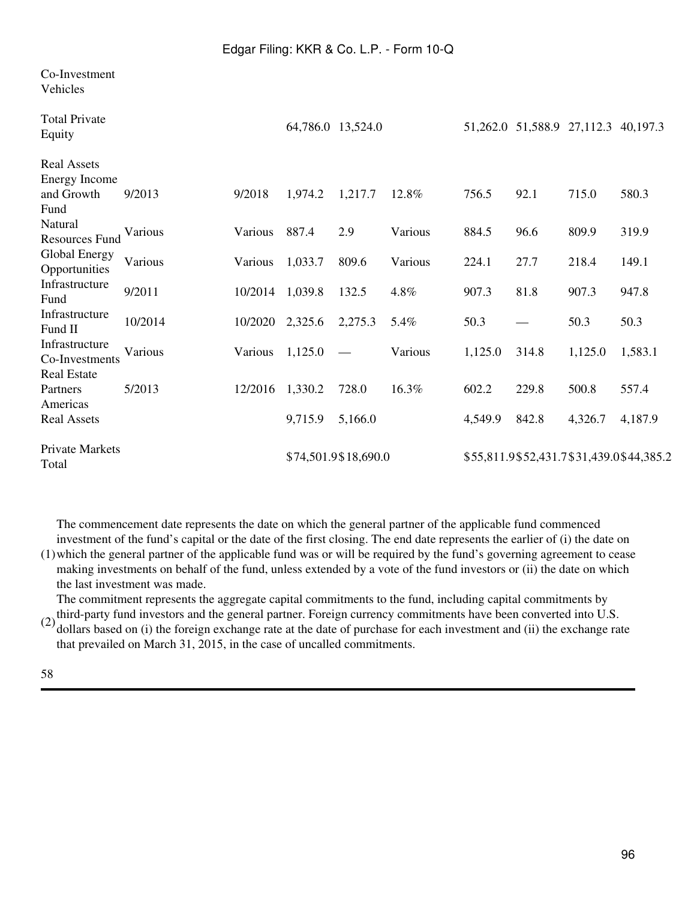| Co-Investment<br>Vehicles                              |         |         |                   |                      |         |         |       |                                     |                                          |
|--------------------------------------------------------|---------|---------|-------------------|----------------------|---------|---------|-------|-------------------------------------|------------------------------------------|
| <b>Total Private</b><br>Equity                         |         |         | 64,786.0 13,524.0 |                      |         |         |       | 51,262.0 51,588.9 27,112.3 40,197.3 |                                          |
| <b>Real Assets</b><br>Energy Income                    |         |         |                   |                      |         |         |       |                                     |                                          |
| and Growth<br>Fund                                     | 9/2013  | 9/2018  | 1,974.2           | 1,217.7              | 12.8%   | 756.5   | 92.1  | 715.0                               | 580.3                                    |
| Natural<br><b>Resources Fund</b>                       | Various | Various | 887.4             | 2.9                  | Various | 884.5   | 96.6  | 809.9                               | 319.9                                    |
| Global Energy<br>Opportunities                         | Various | Various | 1,033.7           | 809.6                | Various | 224.1   | 27.7  | 218.4                               | 149.1                                    |
| Infrastructure<br>Fund                                 | 9/2011  | 10/2014 | 1,039.8           | 132.5                | 4.8%    | 907.3   | 81.8  | 907.3                               | 947.8                                    |
| Infrastructure<br>Fund II                              | 10/2014 | 10/2020 | 2,325.6           | 2,275.3              | 5.4%    | 50.3    |       | 50.3                                | 50.3                                     |
| Infrastructure<br>Co-Investments<br><b>Real Estate</b> | Various | Various | 1,125.0           |                      | Various | 1,125.0 | 314.8 | 1,125.0                             | 1,583.1                                  |
| Partners                                               | 5/2013  | 12/2016 | 1,330.2           | 728.0                | 16.3%   | 602.2   | 229.8 | 500.8                               | 557.4                                    |
| Americas<br><b>Real Assets</b>                         |         |         | 9,715.9           | 5,166.0              |         | 4,549.9 | 842.8 | 4,326.7                             | 4,187.9                                  |
| <b>Private Markets</b><br>Total                        |         |         |                   | \$74,501.9\$18,690.0 |         |         |       |                                     | \$55,811.9\$52,431.7\$31,439.0\$44,385.2 |

The commencement date represents the date on which the general partner of the applicable fund commenced investment of the fund's capital or the date of the first closing. The end date represents the earlier of (i) the date on

(1) which the general partner of the applicable fund was or will be required by the fund's governing agreement to cease making investments on behalf of the fund, unless extended by a vote of the fund investors or (ii) the date on which the last investment was made.

The commitment represents the aggregate capital commitments to the fund, including capital commitments by

(2) third-party fund investors and the general partner. Foreign currency commitments have been converted into U.S. dollars based on (i) the foreign exchange rate at the date of purchase for each investment and (ii) the exchange rate that prevailed on March 31, 2015, in the case of uncalled commitments.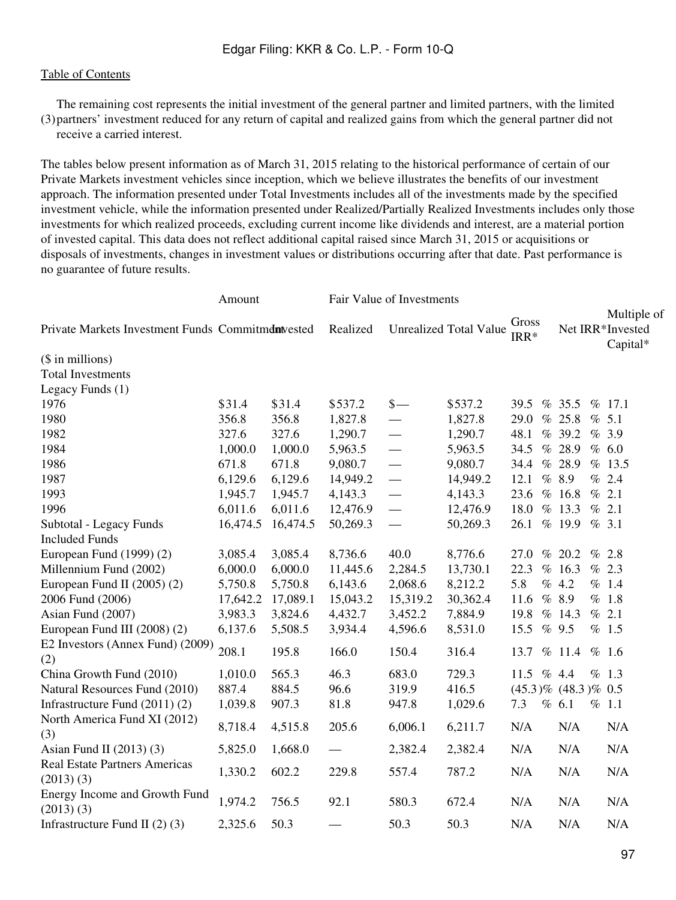(3) partners' investment reduced for any return of capital and realized gains from which the general partner did not The remaining cost represents the initial investment of the general partner and limited partners, with the limited receive a carried interest.

The tables below present information as of March 31, 2015 relating to the historical performance of certain of our Private Markets investment vehicles since inception, which we believe illustrates the benefits of our investment approach. The information presented under Total Investments includes all of the investments made by the specified investment vehicle, while the information presented under Realized/Partially Realized Investments includes only those investments for which realized proceeds, excluding current income like dividends and interest, are a material portion of invested capital. This data does not reflect additional capital raised since March 31, 2015 or acquisitions or disposals of investments, changes in investment values or distributions occurring after that date. Past performance is no guarantee of future results.

|                                                    | Amount   |          | Fair Value of Investments |               |                               |                           |        |  |                                             |
|----------------------------------------------------|----------|----------|---------------------------|---------------|-------------------------------|---------------------------|--------|--|---------------------------------------------|
| Private Markets Investment Funds Commitment vested |          |          | Realized                  |               | <b>Unrealized Total Value</b> | Gross<br>$IRR*$           |        |  | Multiple of<br>Net IRR*Invested<br>Capital* |
| (\$ in millions)                                   |          |          |                           |               |                               |                           |        |  |                                             |
| <b>Total Investments</b>                           |          |          |                           |               |                               |                           |        |  |                                             |
| Legacy Funds (1)                                   |          |          |                           |               |                               |                           |        |  |                                             |
| 1976                                               | \$31.4   | \$31.4   | \$537.2                   | $\frac{1}{2}$ | \$537.2                       | 39.5                      | % 35.5 |  | % 17.1                                      |
| 1980                                               | 356.8    | 356.8    | 1,827.8                   |               | 1,827.8                       | 29.0                      | % 25.8 |  | % 5.1                                       |
| 1982                                               | 327.6    | 327.6    | 1,290.7                   |               | 1,290.7                       | 48.1                      | %39.2  |  | %3.9                                        |
| 1984                                               | 1,000.0  | 1,000.0  | 5,963.5                   |               | 5,963.5                       | 34.5                      | % 28.9 |  | % 6.0                                       |
| 1986                                               | 671.8    | 671.8    | 9,080.7                   |               | 9,080.7                       | 34.4                      | % 28.9 |  | % 13.5                                      |
| 1987                                               | 6,129.6  | 6,129.6  | 14,949.2                  |               | 14,949.2                      | 12.1                      | % 8.9  |  | % 2.4                                       |
| 1993                                               | 1,945.7  | 1,945.7  | 4,143.3                   |               | 4,143.3                       | 23.6                      | % 16.8 |  | % 2.1                                       |
| 1996                                               | 6,011.6  | 6,011.6  | 12,476.9                  | $\frac{1}{1}$ | 12,476.9                      | 18.0                      | % 13.3 |  | % 2.1                                       |
| Subtotal - Legacy Funds                            | 16,474.5 | 16,474.5 | 50,269.3                  |               | 50,269.3                      | 26.1                      | %19.9  |  | % 3.1                                       |
| <b>Included Funds</b>                              |          |          |                           |               |                               |                           |        |  |                                             |
| European Fund (1999) (2)                           | 3,085.4  | 3,085.4  | 8,736.6                   | 40.0          | 8,776.6                       | 27.0                      | % 20.2 |  | % 2.8                                       |
| Millennium Fund (2002)                             | 6,000.0  | 6,000.0  | 11,445.6                  | 2,284.5       | 13,730.1                      | 22.3                      | % 16.3 |  | % 2.3                                       |
| European Fund II (2005) (2)                        | 5,750.8  | 5,750.8  | 6,143.6                   | 2,068.6       | 8,212.2                       | 5.8                       | % 4.2  |  | % 1.4                                       |
| 2006 Fund (2006)                                   | 17,642.2 | 17,089.1 | 15,043.2                  | 15,319.2      | 30,362.4                      | 11.6                      | % 8.9  |  | $\%$ 1.8                                    |
| Asian Fund (2007)                                  | 3,983.3  | 3,824.6  | 4,432.7                   | 3,452.2       | 7,884.9                       | 19.8                      | % 14.3 |  | % 2.1                                       |
| European Fund III (2008) (2)                       | 6,137.6  | 5,508.5  | 3,934.4                   | 4,596.6       | 8,531.0                       | 15.5                      | %9.5   |  | % 1.5                                       |
| E2 Investors (Annex Fund) (2009)<br>(2)            | 208.1    | 195.8    | 166.0                     | 150.4         | 316.4                         | 13.7                      | % 11.4 |  | % 1.6                                       |
| China Growth Fund (2010)                           | 1,010.0  | 565.3    | 46.3                      | 683.0         | 729.3                         | 11.5                      | % 4.4  |  | % 1.3                                       |
| Natural Resources Fund (2010)                      | 887.4    | 884.5    | 96.6                      | 319.9         | 416.5                         | $(45.3)\%$ $(48.3)\%$ 0.5 |        |  |                                             |
| Infrastructure Fund (2011) (2)                     | 1,039.8  | 907.3    | 81.8                      | 947.8         | 1,029.6                       | 7.3                       | % 6.1  |  | % 1.1                                       |
| North America Fund XI (2012)<br>(3)                | 8,718.4  | 4,515.8  | 205.6                     | 6,006.1       | 6,211.7                       | N/A                       | N/A    |  | N/A                                         |
| Asian Fund II $(2013)$ $(3)$                       | 5,825.0  | 1,668.0  |                           | 2,382.4       | 2,382.4                       | N/A                       | N/A    |  | N/A                                         |
| <b>Real Estate Partners Americas</b><br>(2013)(3)  | 1,330.2  | 602.2    | 229.8                     | 557.4         | 787.2                         | N/A                       | N/A    |  | N/A                                         |
| Energy Income and Growth Fund<br>(2013)(3)         | 1,974.2  | 756.5    | 92.1                      | 580.3         | 672.4                         | N/A                       | N/A    |  | N/A                                         |
| Infrastructure Fund II $(2)$ $(3)$                 | 2,325.6  | 50.3     |                           | 50.3          | 50.3                          | N/A                       | N/A    |  | N/A                                         |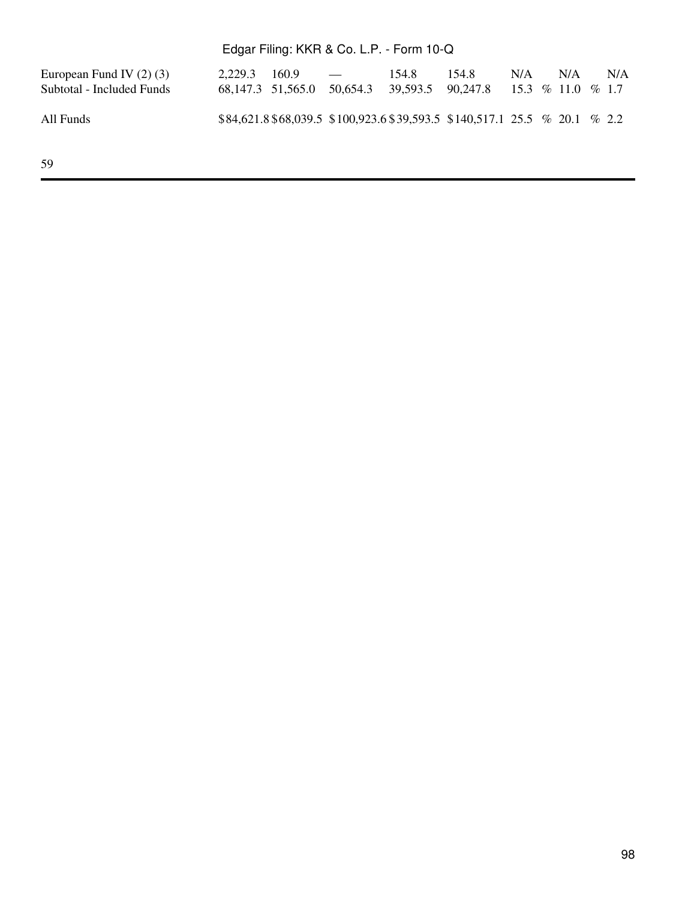| European Fund IV $(2)$ $(3)$<br>Subtotal - Included Funds | $2,229.3$ $160.9$ — | 154.8 | 154.8<br>68,147.3 51,565.0 50,654.3 39,593.5 90,247.8 15.3 % 11.0 % 1.7    | N/A | N/A | N/A |
|-----------------------------------------------------------|---------------------|-------|----------------------------------------------------------------------------|-----|-----|-----|
| All Funds                                                 |                     |       | $$84,621.8\,$68,039.5\,$100,923.6\,$39,593.5\,$140,517.1\,25.5\%20.1\%2.2$ |     |     |     |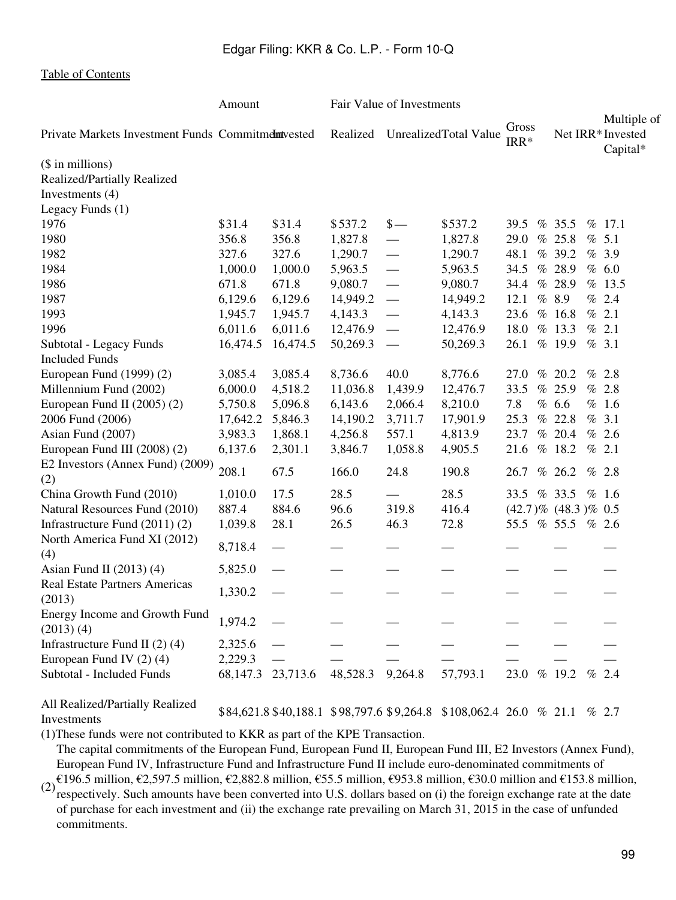|                                                   | Amount   |          | Fair Value of Investments |                                |          |                 |  |                           |      |                         |
|---------------------------------------------------|----------|----------|---------------------------|--------------------------------|----------|-----------------|--|---------------------------|------|-------------------------|
| Private Markets Investment Funds Commitmemtvested |          |          |                           | Realized UnrealizedTotal Value |          | Gross<br>$IRR*$ |  | Net IRR*Invested          |      | Multiple of<br>Capital* |
| (\$ in millions)                                  |          |          |                           |                                |          |                 |  |                           |      |                         |
| Realized/Partially Realized                       |          |          |                           |                                |          |                 |  |                           |      |                         |
| Investments (4)                                   |          |          |                           |                                |          |                 |  |                           |      |                         |
| Legacy Funds (1)                                  |          |          |                           |                                |          |                 |  |                           |      |                         |
| 1976                                              | \$31.4   | \$31.4   | \$537.2                   | $\frac{\S}{\S}$                | \$537.2  | 39.5            |  | % 35.5                    |      | % 17.1                  |
| 1980                                              | 356.8    | 356.8    | 1,827.8                   |                                | 1,827.8  | 29.0            |  | % 25.8                    |      | % 5.1                   |
| 1982                                              | 327.6    | 327.6    | 1,290.7                   |                                | 1,290.7  | 48.1            |  | % 39.2                    |      | %3.9                    |
| 1984                                              | 1,000.0  | 1,000.0  | 5,963.5                   | $\frac{1}{1}$                  | 5,963.5  | 34.5            |  | % 28.9                    |      | % 6.0                   |
| 1986                                              | 671.8    | 671.8    | 9,080.7                   | $\equiv$                       | 9,080.7  | 34.4            |  | % 28.9                    |      | % 13.5                  |
| 1987                                              | 6,129.6  | 6,129.6  | 14,949.2                  |                                | 14,949.2 | 12.1            |  | % 8.9                     |      | % 2.4                   |
| 1993                                              | 1,945.7  | 1,945.7  | 4,143.3                   |                                | 4,143.3  | 23.6            |  | % 16.8                    |      | % 2.1                   |
| 1996                                              | 6,011.6  | 6,011.6  | 12,476.9                  |                                | 12,476.9 | 18.0            |  | % 13.3                    |      | % 2.1                   |
| Subtotal - Legacy Funds                           | 16,474.5 | 16,474.5 | 50,269.3                  |                                | 50,269.3 | 26.1            |  | % 19.9                    |      | % 3.1                   |
| <b>Included Funds</b>                             |          |          |                           |                                |          |                 |  |                           |      |                         |
| European Fund (1999) (2)                          | 3,085.4  | 3,085.4  | 8,736.6                   | 40.0                           | 8,776.6  | 27.0            |  | % 20.2                    |      | % 2.8                   |
| Millennium Fund (2002)                            | 6,000.0  | 4,518.2  | 11,036.8                  | 1,439.9                        | 12,476.7 | 33.5            |  | % 25.9                    |      | % 2.8                   |
| European Fund II $(2005)$ $(2)$                   | 5,750.8  | 5,096.8  | 6,143.6                   | 2,066.4                        | 8,210.0  | 7.8             |  | % 6.6                     |      | % 1.6                   |
| 2006 Fund (2006)                                  | 17,642.2 | 5,846.3  | 14,190.2                  | 3,711.7                        | 17,901.9 | 25.3            |  | % 22.8                    |      | % 3.1                   |
| Asian Fund (2007)                                 | 3,983.3  | 1,868.1  | 4,256.8                   | 557.1                          | 4,813.9  | 23.7            |  | % 20.4                    |      | % 2.6                   |
| European Fund III (2008) (2)                      | 6,137.6  | 2,301.1  | 3,846.7                   | 1,058.8                        | 4,905.5  | 21.6            |  | % 18.2                    |      | % 2.1                   |
| E2 Investors (Annex Fund) (2009)                  |          |          |                           |                                |          |                 |  |                           |      |                         |
| (2)                                               | 208.1    | 67.5     | 166.0                     | 24.8                           | 190.8    | 26.7            |  | % 26.2                    |      | % 2.8                   |
| China Growth Fund (2010)                          | 1,010.0  | 17.5     | 28.5                      | $\overline{\phantom{0}}$       | 28.5     | 33.5            |  | % 33.5                    |      | % 1.6                   |
| Natural Resources Fund (2010)                     | 887.4    | 884.6    | 96.6                      | 319.8                          | 416.4    |                 |  | $(42.7)\%$ $(48.3)\%$ 0.5 |      |                         |
| Infrastructure Fund $(2011)(2)$                   | 1,039.8  | 28.1     | 26.5                      | 46.3                           | 72.8     |                 |  | 55.5 % 55.5 % 2.6         |      |                         |
| North America Fund XI (2012)<br>(4)               | 8,718.4  |          |                           |                                |          |                 |  |                           |      |                         |
| Asian Fund II $(2013)$ $(4)$                      | 5,825.0  |          |                           |                                |          |                 |  |                           |      |                         |
| <b>Real Estate Partners Americas</b><br>(2013)    | 1,330.2  |          |                           |                                |          |                 |  |                           |      |                         |
| Energy Income and Growth Fund<br>(2013)(4)        | 1,974.2  |          |                           |                                |          |                 |  |                           |      |                         |
| Infrastructure Fund II $(2)$ $(4)$                | 2,325.6  |          |                           |                                |          |                 |  |                           |      |                         |
| European Fund IV (2) (4)                          | 2,229.3  |          |                           |                                |          |                 |  |                           |      |                         |
| Subtotal - Included Funds                         | 68,147.3 | 23,713.6 | 48,528.3                  | 9,264.8                        | 57,793.1 | 23.0            |  | % 19.2                    | $\%$ | 2.4                     |

All Realized/Partially Realized

Sm Realized a transverse and the \$84,621.8 \$40,188.1 \$98,797.6 \$9,264.8 \$108,062.4 26.0 % 21.1 % 2.7

(1)These funds were not contributed to KKR as part of the KPE Transaction.

The capital commitments of the European Fund, European Fund II, European Fund III, E2 Investors (Annex Fund), European Fund IV, Infrastructure Fund and Infrastructure Fund II include euro-denominated commitments of

 $(2)$  €196.5 million, €2,597.5 million, €2,882.8 million, €55.5 million, €953.8 million, €30.0 million and €153.8 million,  $(2)$  geometrically. Such amounts have been converted into U.S. dollars beend on (i) the foreign respectively. Such amounts have been converted into U.S. dollars based on (i) the foreign exchange rate at the date of purchase for each investment and (ii) the exchange rate prevailing on March 31, 2015 in the case of unfunded commitments.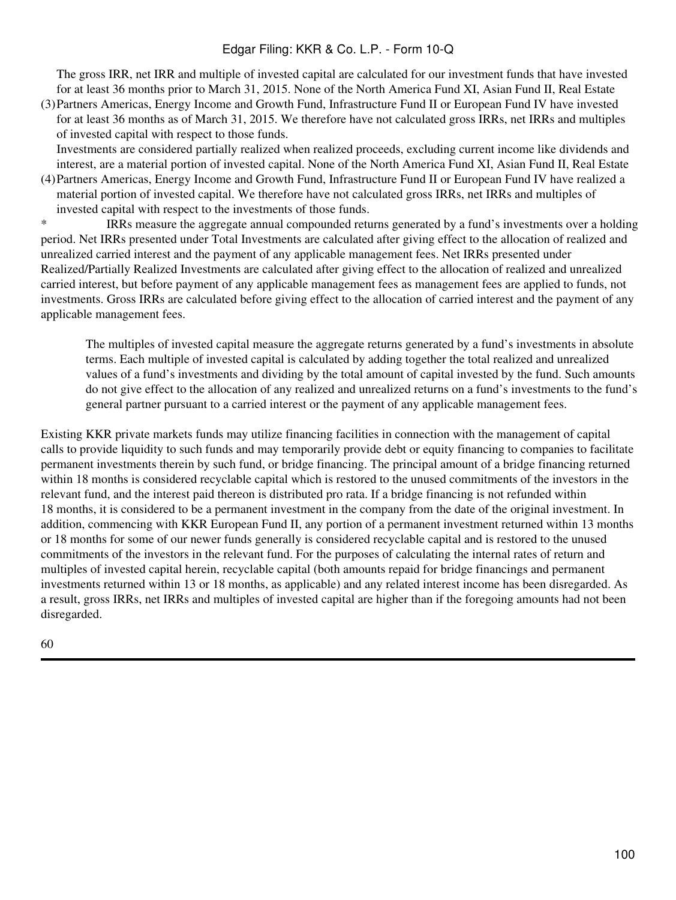The gross IRR, net IRR and multiple of invested capital are calculated for our investment funds that have invested for at least 36 months prior to March 31, 2015. None of the North America Fund XI, Asian Fund II, Real Estate

(3) Partners Americas, Energy Income and Growth Fund, Infrastructure Fund II or European Fund IV have invested for at least 36 months as of March 31, 2015. We therefore have not calculated gross IRRs, net IRRs and multiples of invested capital with respect to those funds.

Investments are considered partially realized when realized proceeds, excluding current income like dividends and interest, are a material portion of invested capital. None of the North America Fund XI, Asian Fund II, Real Estate

(4) Partners Americas, Energy Income and Growth Fund, Infrastructure Fund II or European Fund IV have realized a material portion of invested capital. We therefore have not calculated gross IRRs, net IRRs and multiples of invested capital with respect to the investments of those funds.

\* IRRs measure the aggregate annual compounded returns generated by a fund's investments over a holding period. Net IRRs presented under Total Investments are calculated after giving effect to the allocation of realized and unrealized carried interest and the payment of any applicable management fees. Net IRRs presented under Realized/Partially Realized Investments are calculated after giving effect to the allocation of realized and unrealized carried interest, but before payment of any applicable management fees as management fees are applied to funds, not investments. Gross IRRs are calculated before giving effect to the allocation of carried interest and the payment of any applicable management fees.

The multiples of invested capital measure the aggregate returns generated by a fund's investments in absolute terms. Each multiple of invested capital is calculated by adding together the total realized and unrealized values of a fund's investments and dividing by the total amount of capital invested by the fund. Such amounts do not give effect to the allocation of any realized and unrealized returns on a fund's investments to the fund's general partner pursuant to a carried interest or the payment of any applicable management fees.

Existing KKR private markets funds may utilize financing facilities in connection with the management of capital calls to provide liquidity to such funds and may temporarily provide debt or equity financing to companies to facilitate permanent investments therein by such fund, or bridge financing. The principal amount of a bridge financing returned within 18 months is considered recyclable capital which is restored to the unused commitments of the investors in the relevant fund, and the interest paid thereon is distributed pro rata. If a bridge financing is not refunded within 18 months, it is considered to be a permanent investment in the company from the date of the original investment. In addition, commencing with KKR European Fund II, any portion of a permanent investment returned within 13 months or 18 months for some of our newer funds generally is considered recyclable capital and is restored to the unused commitments of the investors in the relevant fund. For the purposes of calculating the internal rates of return and multiples of invested capital herein, recyclable capital (both amounts repaid for bridge financings and permanent investments returned within 13 or 18 months, as applicable) and any related interest income has been disregarded. As a result, gross IRRs, net IRRs and multiples of invested capital are higher than if the foregoing amounts had not been disregarded.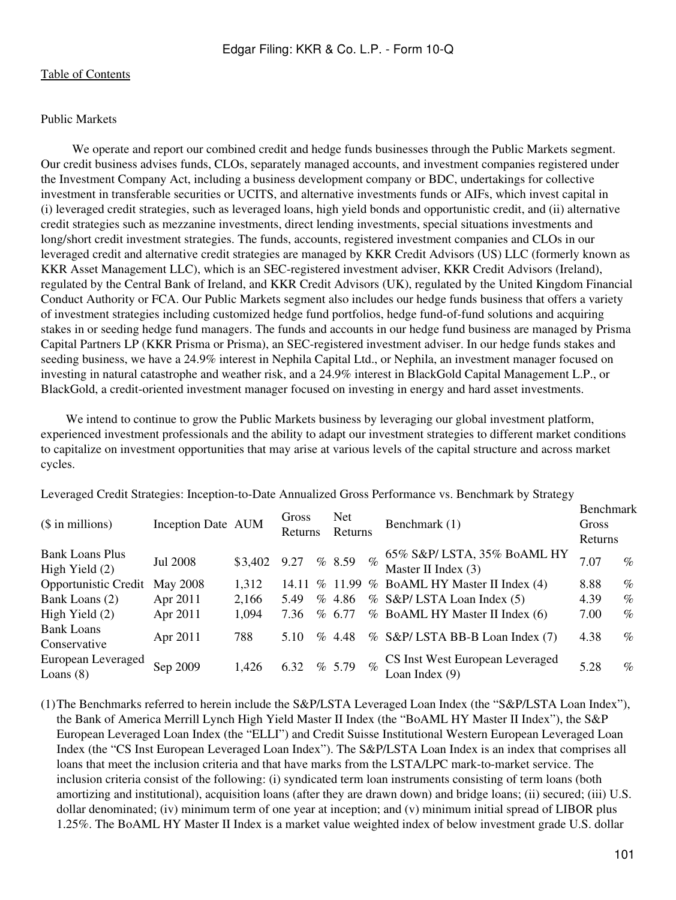#### Public Markets

We operate and report our combined credit and hedge funds businesses through the Public Markets segment. Our credit business advises funds, CLOs, separately managed accounts, and investment companies registered under the Investment Company Act, including a business development company or BDC, undertakings for collective investment in transferable securities or UCITS, and alternative investments funds or AIFs, which invest capital in (i) leveraged credit strategies, such as leveraged loans, high yield bonds and opportunistic credit, and (ii) alternative credit strategies such as mezzanine investments, direct lending investments, special situations investments and long/short credit investment strategies. The funds, accounts, registered investment companies and CLOs in our leveraged credit and alternative credit strategies are managed by KKR Credit Advisors (US) LLC (formerly known as KKR Asset Management LLC), which is an SEC-registered investment adviser, KKR Credit Advisors (Ireland), regulated by the Central Bank of Ireland, and KKR Credit Advisors (UK), regulated by the United Kingdom Financial Conduct Authority or FCA. Our Public Markets segment also includes our hedge funds business that offers a variety of investment strategies including customized hedge fund portfolios, hedge fund-of-fund solutions and acquiring stakes in or seeding hedge fund managers. The funds and accounts in our hedge fund business are managed by Prisma Capital Partners LP (KKR Prisma or Prisma), an SEC-registered investment adviser. In our hedge funds stakes and seeding business, we have a 24.9% interest in Nephila Capital Ltd., or Nephila, an investment manager focused on investing in natural catastrophe and weather risk, and a 24.9% interest in BlackGold Capital Management L.P., or BlackGold, a credit-oriented investment manager focused on investing in energy and hard asset investments.

We intend to continue to grow the Public Markets business by leveraging our global investment platform, experienced investment professionals and the ability to adapt our investment strategies to different market conditions to capitalize on investment opportunities that may arise at various levels of the capital structure and across market cycles.

Leveraged Credit Strategies: Inception-to-Date Annualized Gross Performance vs. Benchmark by Strategy

| $($$ in millions)                          | Inception Date AUM |         | Gross<br>Returns |      | <b>Net</b><br>Returns |      | Benchmark (1)                                      | Benchmark<br>Gross<br>Returns |      |
|--------------------------------------------|--------------------|---------|------------------|------|-----------------------|------|----------------------------------------------------|-------------------------------|------|
| <b>Bank Loans Plus</b><br>High Yield $(2)$ | <b>Jul 2008</b>    | \$3,402 | 9.27             |      | % 8.59                | $\%$ | 65% S&P/ LSTA, 35% BoAML HY<br>Master II Index (3) | 7.07                          | $\%$ |
| <b>Opportunistic Credit</b>                | May 2008           | 1,312   | 14.11            |      |                       |      | % 11.99 % BoAML HY Master II Index (4)             | 8.88                          | $\%$ |
| Bank Loans (2)                             | Apr 2011           | 2,166   | 5.49             |      | % 4.86                |      | % S&P/LSTA Loan Index (5)                          | 4.39                          | $\%$ |
| High Yield $(2)$                           | Apr 2011           | 1,094   | 7.36             |      | % 6.77                |      | % BoAML HY Master II Index (6)                     | 7.00                          | $\%$ |
| <b>Bank Loans</b><br>Conservative          | Apr 2011           | 788     | 5.10             | $\%$ | 4.48                  |      | % S&P/ LSTA BB-B Loan Index (7)                    | 4.38                          | $\%$ |
| European Leveraged<br>Loans $(8)$          | Sep 2009           | 1,426   | 6.32             |      | % 5.79                | $\%$ | CS Inst West European Leveraged<br>Loan Index (9)  | 5.28                          | $\%$ |

(1)The Benchmarks referred to herein include the S&P/LSTA Leveraged Loan Index (the "S&P/LSTA Loan Index"), the Bank of America Merrill Lynch High Yield Master II Index (the "BoAML HY Master II Index"), the S&P European Leveraged Loan Index (the "ELLI") and Credit Suisse Institutional Western European Leveraged Loan Index (the "CS Inst European Leveraged Loan Index"). The S&P/LSTA Loan Index is an index that comprises all loans that meet the inclusion criteria and that have marks from the LSTA/LPC mark-to-market service. The inclusion criteria consist of the following: (i) syndicated term loan instruments consisting of term loans (both amortizing and institutional), acquisition loans (after they are drawn down) and bridge loans; (ii) secured; (iii) U.S. dollar denominated; (iv) minimum term of one year at inception; and (v) minimum initial spread of LIBOR plus 1.25%. The BoAML HY Master II Index is a market value weighted index of below investment grade U.S. dollar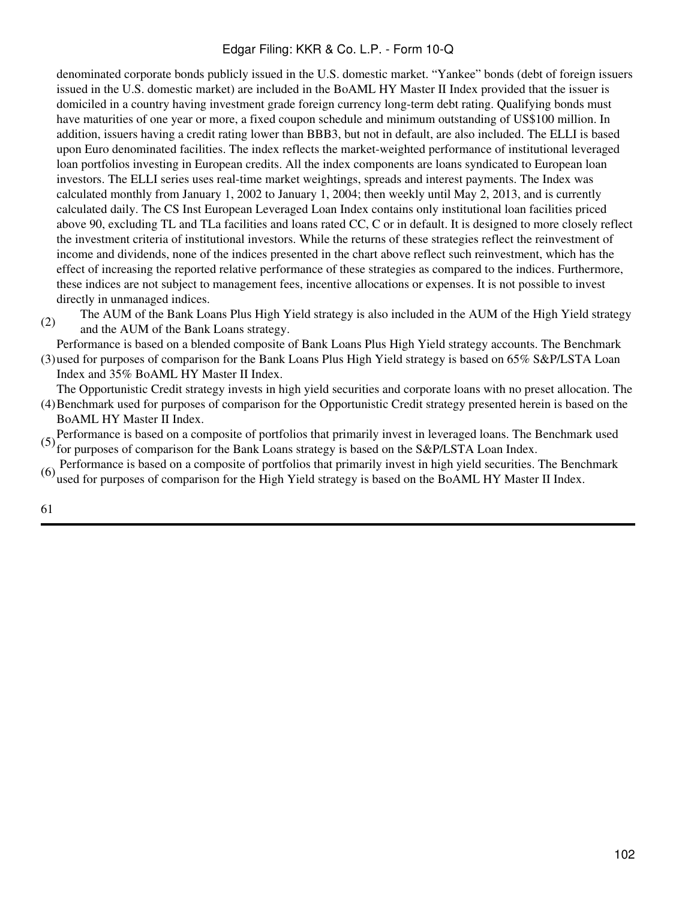denominated corporate bonds publicly issued in the U.S. domestic market. "Yankee" bonds (debt of foreign issuers issued in the U.S. domestic market) are included in the BoAML HY Master II Index provided that the issuer is domiciled in a country having investment grade foreign currency long-term debt rating. Qualifying bonds must have maturities of one year or more, a fixed coupon schedule and minimum outstanding of US\$100 million. In addition, issuers having a credit rating lower than BBB3, but not in default, are also included. The ELLI is based upon Euro denominated facilities. The index reflects the market-weighted performance of institutional leveraged loan portfolios investing in European credits. All the index components are loans syndicated to European loan investors. The ELLI series uses real-time market weightings, spreads and interest payments. The Index was calculated monthly from January 1, 2002 to January 1, 2004; then weekly until May 2, 2013, and is currently calculated daily. The CS Inst European Leveraged Loan Index contains only institutional loan facilities priced above 90, excluding TL and TLa facilities and loans rated CC, C or in default. It is designed to more closely reflect the investment criteria of institutional investors. While the returns of these strategies reflect the reinvestment of income and dividends, none of the indices presented in the chart above reflect such reinvestment, which has the effect of increasing the reported relative performance of these strategies as compared to the indices. Furthermore, these indices are not subject to management fees, incentive allocations or expenses. It is not possible to invest directly in unmanaged indices.

(2) The AUM of the Bank Loans Plus High Yield strategy is also included in the AUM of the High Yield strategy and the AUM of the Bank Loans strategy.

(3) used for purposes of comparison for the Bank Loans Plus High Yield strategy is based on 65% S&P/LSTA Loan Performance is based on a blended composite of Bank Loans Plus High Yield strategy accounts. The Benchmark Index and 35% BoAML HY Master II Index.

- (4) Benchmark used for purposes of comparison for the Opportunistic Credit strategy presented herein is based on the The Opportunistic Credit strategy invests in high yield securities and corporate loans with no preset allocation. The
- BoAML HY Master II Index. (5) Performance is based on a composite of portfolios that primarily invest in leveraged loans. The Benchmark used<br>for purposes of comparison for the Bank Loans strategy is based on the S&P/LSTA Loan Index.
- (6) Performance is based on a composite of portfolios that primarily invest in high yield securities. The Benchmark used for purposes of comparison for the High Yield strategy is based on the BoAML HY Master II Index.
-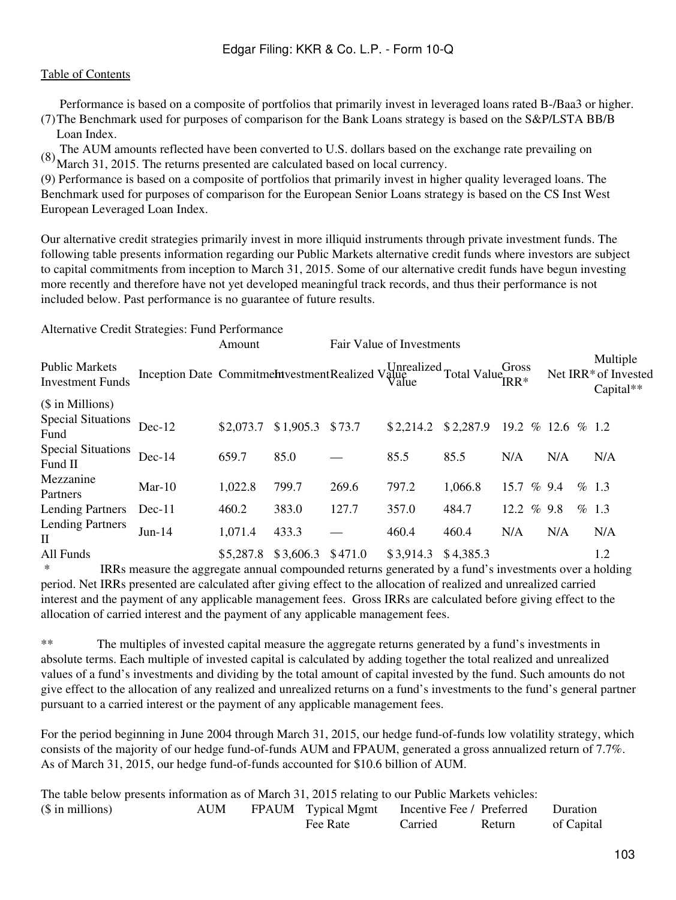(7) The Benchmark used for purposes of comparison for the Bank Loans strategy is based on the S&P/LSTA BB/B Performance is based on a composite of portfolios that primarily invest in leveraged loans rated B-/Baa3 or higher. Loan Index.

(8) The AUM amounts reflected have been converted to U.S. dollars based on the exchange rate prevailing on March 31, 2015. The returns presented are calculated based on local currency.

(9) Performance is based on a composite of portfolios that primarily invest in higher quality leveraged loans. The Benchmark used for purposes of comparison for the European Senior Loans strategy is based on the CS Inst West European Leveraged Loan Index.

Our alternative credit strategies primarily invest in more illiquid instruments through private investment funds. The following table presents information regarding our Public Markets alternative credit funds where investors are subject to capital commitments from inception to March 31, 2015. Some of our alternative credit funds have begun investing more recently and therefore have not yet developed meaningful track records, and thus their performance is not included below. Past performance is no guarantee of future results.

## Alternative Credit Strategies: Fund Performance

|                                                        |                                                                                                                                                                                                                                                                                                                                       | Amount    |                   |         | Fair Value of Investments |                             |                   |     |                                               |
|--------------------------------------------------------|---------------------------------------------------------------------------------------------------------------------------------------------------------------------------------------------------------------------------------------------------------------------------------------------------------------------------------------|-----------|-------------------|---------|---------------------------|-----------------------------|-------------------|-----|-----------------------------------------------|
| <b>Public Markets</b><br><b>Investment Funds</b>       | Inception Date Commitmehtvestment Realized Value<br>Value                                                                                                                                                                                                                                                                             |           |                   |         |                           | Junealized Total Value IRR* |                   |     | Multiple<br>Net IRR* of Invested<br>Capital** |
| $($$ in Millions)<br><b>Special Situations</b><br>Fund | $Dec-12$                                                                                                                                                                                                                                                                                                                              | \$2,073.7 | $$1,905.3$ \$73.7 |         | \$2,214.2                 | \$2,287.9                   | 19.2 % 12.6 % 1.2 |     |                                               |
| <b>Special Situations</b><br>Fund II                   | $Dec-14$                                                                                                                                                                                                                                                                                                                              | 659.7     | 85.0              |         | 85.5                      | 85.5                        | N/A               | N/A | N/A                                           |
| Mezzanine<br>Partners                                  | $Mar-10$                                                                                                                                                                                                                                                                                                                              | 1,022.8   | 799.7             | 269.6   | 797.2                     | 1,066.8                     | 15.7 % 9.4        |     | % 1.3                                         |
| <b>Lending Partners</b>                                | $Dec-11$                                                                                                                                                                                                                                                                                                                              | 460.2     | 383.0             | 127.7   | 357.0                     | 484.7                       | 12.2 % 9.8        |     | % 1.3                                         |
| <b>Lending Partners</b><br>$\Pi$                       | $Jun-14$                                                                                                                                                                                                                                                                                                                              | 1,071.4   | 433.3             |         | 460.4                     | 460.4                       | N/A               | N/A | N/A                                           |
| All Funds                                              |                                                                                                                                                                                                                                                                                                                                       | \$5,287.8 | \$3,606.3         | \$471.0 | \$3,914.3                 | \$4,385.3                   |                   |     | 1.2                                           |
|                                                        | $\mathbf{m}_{\mathbf{p}}$ , and consider the consistent consistent of a process consistent $\mathbf{r}_{\mathbf{p}}$ , $\mathbf{r}_{\mathbf{p}}$ , $\mathbf{r}_{\mathbf{p}}$ , $\mathbf{r}_{\mathbf{p}}$ , $\mathbf{r}_{\mathbf{p}}$ , $\mathbf{r}_{\mathbf{p}}$ , $\mathbf{r}_{\mathbf{p}}$ , $\mathbf{r}_{\mathbf{p}}$ , $\mathbf{$ |           |                   |         |                           |                             |                   |     |                                               |

IRRs measure the aggregate annual compounded returns generated by a fund's investments over a holding period. Net IRRs presented are calculated after giving effect to the allocation of realized and unrealized carried interest and the payment of any applicable management fees. Gross IRRs are calculated before giving effect to the allocation of carried interest and the payment of any applicable management fees.

\*\* The multiples of invested capital measure the aggregate returns generated by a fund's investments in absolute terms. Each multiple of invested capital is calculated by adding together the total realized and unrealized values of a fund's investments and dividing by the total amount of capital invested by the fund. Such amounts do not give effect to the allocation of any realized and unrealized returns on a fund's investments to the fund's general partner pursuant to a carried interest or the payment of any applicable management fees.

For the period beginning in June 2004 through March 31, 2015, our hedge fund-of-funds low volatility strategy, which consists of the majority of our hedge fund-of-funds AUM and FPAUM, generated a gross annualized return of 7.7%. As of March 31, 2015, our hedge fund-of-funds accounted for \$10.6 billion of AUM.

| The table below presents information as of March 31, 2015 relating to our Public Markets vehicles: |     |  |                                              |         |        |                 |  |
|----------------------------------------------------------------------------------------------------|-----|--|----------------------------------------------|---------|--------|-----------------|--|
| $($$ in millions)                                                                                  | AUM |  | FPAUM Typical Mgmt Incentive Fee / Preferred |         |        | <b>Duration</b> |  |
|                                                                                                    |     |  | Fee Rate                                     | Carried | Return | of Capital      |  |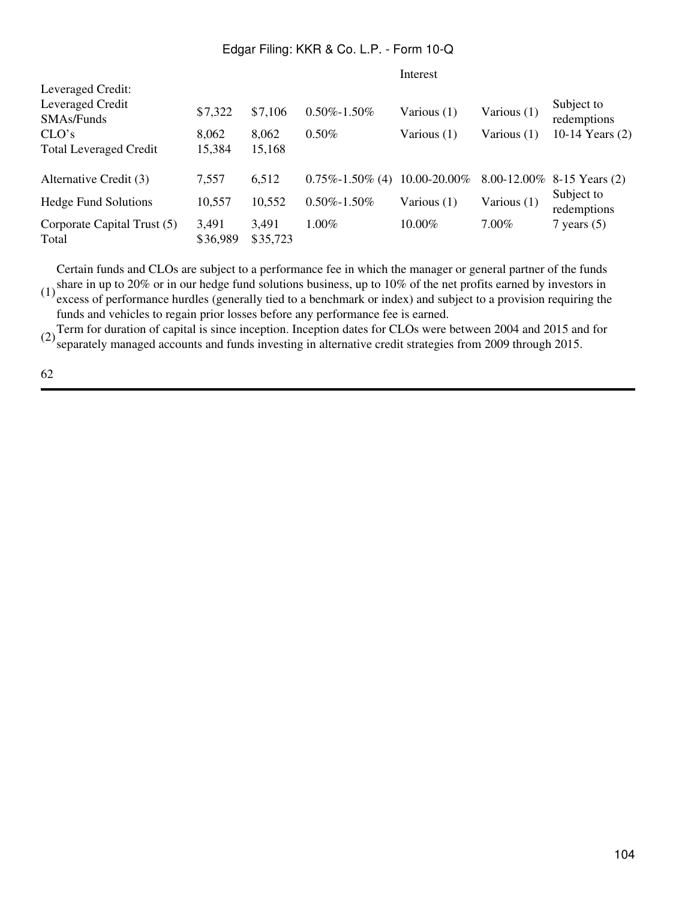Interest

|                                                     |                   |                   |                       | --------     |             |                              |
|-----------------------------------------------------|-------------------|-------------------|-----------------------|--------------|-------------|------------------------------|
| Leveraged Credit:<br>Leveraged Credit<br>SMAs/Funds | \$7,322           | \$7,106           | $0.50\% - 1.50\%$     | Various (1)  | Various (1) | Subject to<br>redemptions    |
| CLO's                                               | 8,062             | 8,062             | $0.50\%$              | Various (1)  | Various (1) | 10-14 Years (2)              |
| <b>Total Leveraged Credit</b>                       | 15,384            | 15,168            |                       |              |             |                              |
| Alternative Credit (3)                              | 7,557             | 6,512             | $0.75\% - 1.50\%$ (4) | 10.00-20.00% |             | 8.00-12.00% 8-15 Years $(2)$ |
| <b>Hedge Fund Solutions</b>                         | 10,557            | 10,552            | $0.50\% - 1.50\%$     | Various (1)  | Various (1) | Subject to<br>redemptions    |
| Corporate Capital Trust (5)<br>Total                | 3,491<br>\$36,989 | 3,491<br>\$35,723 | 1.00%                 | 10.00%       | $7.00\%$    | 7 years $(5)$                |

(1) share in up to 20% or in our hedge fund solutions business, up to 10% of the net profits earned by investors in  $(1)$  system of fractions burdles (concrete to a happen superior index) and subject to a provision negati Certain funds and CLOs are subject to a performance fee in which the manager or general partner of the funds excess of performance hurdles (generally tied to a benchmark or index) and subject to a provision requiring the funds and vehicles to regain prior losses before any performance fee is earned.

(2) Term for duration of capital is since inception. Inception dates for CLOs were between 2004 and 2015 and for<br>separately managed accounts and funds investing in alternative credit strategies from 2009 through 2015.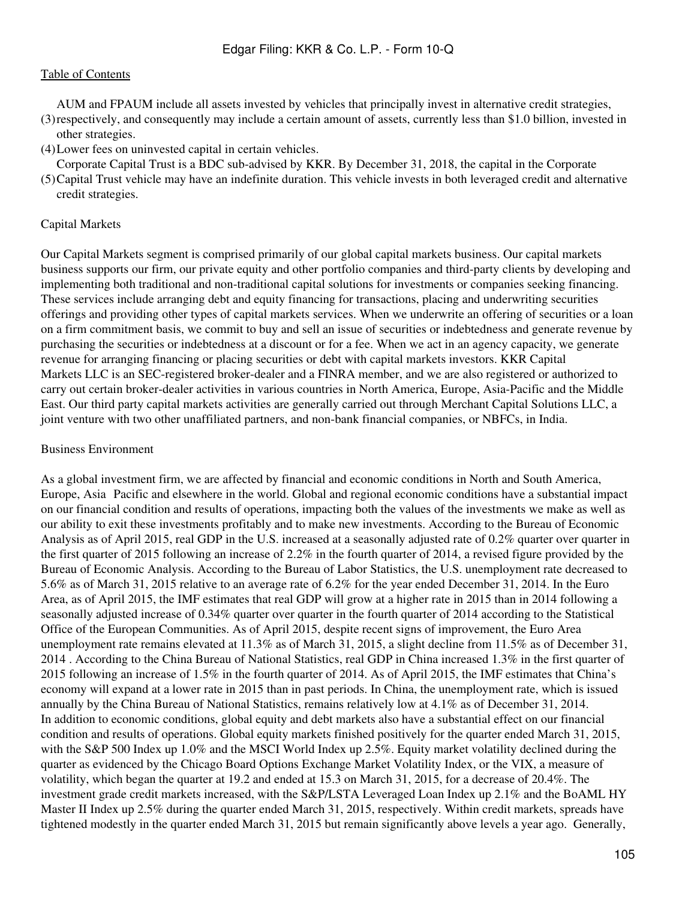(3) respectively, and consequently may include a certain amount of assets, currently less than \$1.0 billion, invested in AUM and FPAUM include all assets invested by vehicles that principally invest in alternative credit strategies, other strategies.

(4)Lower fees on uninvested capital in certain vehicles.

Corporate Capital Trust is a BDC sub-advised by KKR. By December 31, 2018, the capital in the Corporate

(5) Capital Trust vehicle may have an indefinite duration. This vehicle invests in both leveraged credit and alternative credit strategies.

#### Capital Markets

Our Capital Markets segment is comprised primarily of our global capital markets business. Our capital markets business supports our firm, our private equity and other portfolio companies and third-party clients by developing and implementing both traditional and non-traditional capital solutions for investments or companies seeking financing. These services include arranging debt and equity financing for transactions, placing and underwriting securities offerings and providing other types of capital markets services. When we underwrite an offering of securities or a loan on a firm commitment basis, we commit to buy and sell an issue of securities or indebtedness and generate revenue by purchasing the securities or indebtedness at a discount or for a fee. When we act in an agency capacity, we generate revenue for arranging financing or placing securities or debt with capital markets investors. KKR Capital Markets LLC is an SEC-registered broker-dealer and a FINRA member, and we are also registered or authorized to carry out certain broker-dealer activities in various countries in North America, Europe, Asia-Pacific and the Middle East. Our third party capital markets activities are generally carried out through Merchant Capital Solutions LLC, a joint venture with two other unaffiliated partners, and non-bank financial companies, or NBFCs, in India.

#### Business Environment

As a global investment firm, we are affected by financial and economic conditions in North and South America, Europe, Asia‑Pacific and elsewhere in the world. Global and regional economic conditions have a substantial impact on our financial condition and results of operations, impacting both the values of the investments we make as well as our ability to exit these investments profitably and to make new investments. According to the Bureau of Economic Analysis as of April 2015, real GDP in the U.S. increased at a seasonally adjusted rate of 0.2% quarter over quarter in the first quarter of 2015 following an increase of 2.2% in the fourth quarter of 2014, a revised figure provided by the Bureau of Economic Analysis. According to the Bureau of Labor Statistics, the U.S. unemployment rate decreased to 5.6% as of March 31, 2015 relative to an average rate of 6.2% for the year ended December 31, 2014. In the Euro Area, as of April 2015, the IMF estimates that real GDP will grow at a higher rate in 2015 than in 2014 following a seasonally adjusted increase of 0.34% quarter over quarter in the fourth quarter of 2014 according to the Statistical Office of the European Communities. As of April 2015, despite recent signs of improvement, the Euro Area unemployment rate remains elevated at 11.3% as of March 31, 2015, a slight decline from 11.5% as of December 31, 2014 . According to the China Bureau of National Statistics, real GDP in China increased 1.3% in the first quarter of 2015 following an increase of 1.5% in the fourth quarter of 2014. As of April 2015, the IMF estimates that China's economy will expand at a lower rate in 2015 than in past periods. In China, the unemployment rate, which is issued annually by the China Bureau of National Statistics, remains relatively low at 4.1% as of December 31, 2014. In addition to economic conditions, global equity and debt markets also have a substantial effect on our financial condition and results of operations. Global equity markets finished positively for the quarter ended March 31, 2015, with the S&P 500 Index up 1.0% and the MSCI World Index up 2.5%. Equity market volatility declined during the quarter as evidenced by the Chicago Board Options Exchange Market Volatility Index, or the VIX, a measure of volatility, which began the quarter at 19.2 and ended at 15.3 on March 31, 2015, for a decrease of 20.4%. The investment grade credit markets increased, with the S&P/LSTA Leveraged Loan Index up 2.1% and the BoAML HY Master II Index up 2.5% during the quarter ended March 31, 2015, respectively. Within credit markets, spreads have tightened modestly in the quarter ended March 31, 2015 but remain significantly above levels a year ago. Generally,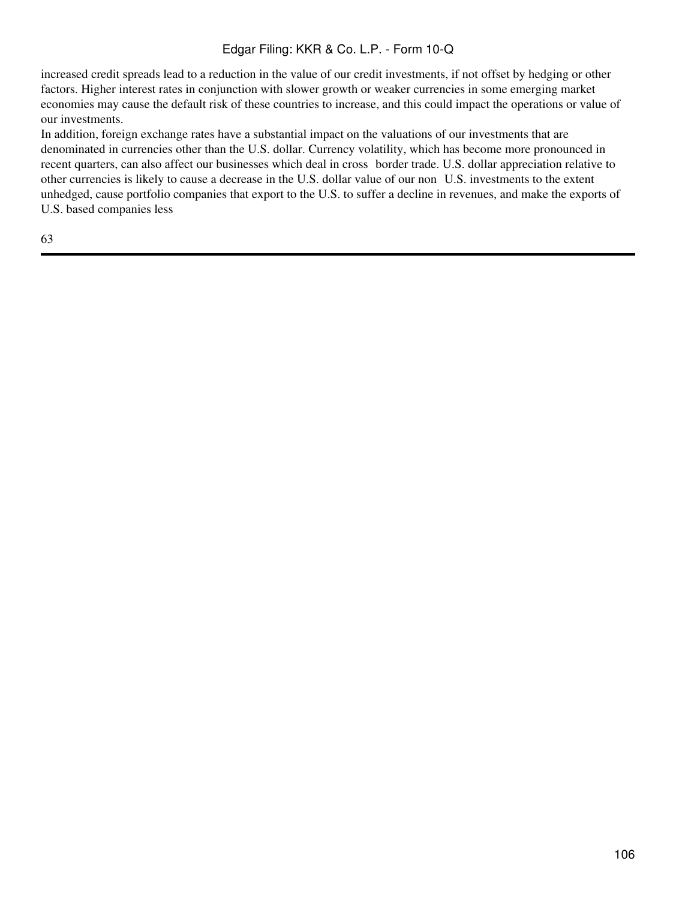increased credit spreads lead to a reduction in the value of our credit investments, if not offset by hedging or other factors. Higher interest rates in conjunction with slower growth or weaker currencies in some emerging market economies may cause the default risk of these countries to increase, and this could impact the operations or value of our investments.

In addition, foreign exchange rates have a substantial impact on the valuations of our investments that are denominated in currencies other than the U.S. dollar. Currency volatility, which has become more pronounced in recent quarters, can also affect our businesses which deal in cross border trade. U.S. dollar appreciation relative to other currencies is likely to cause a decrease in the U.S. dollar value of our non‑U.S. investments to the extent unhedged, cause portfolio companies that export to the U.S. to suffer a decline in revenues, and make the exports of U.S. based companies less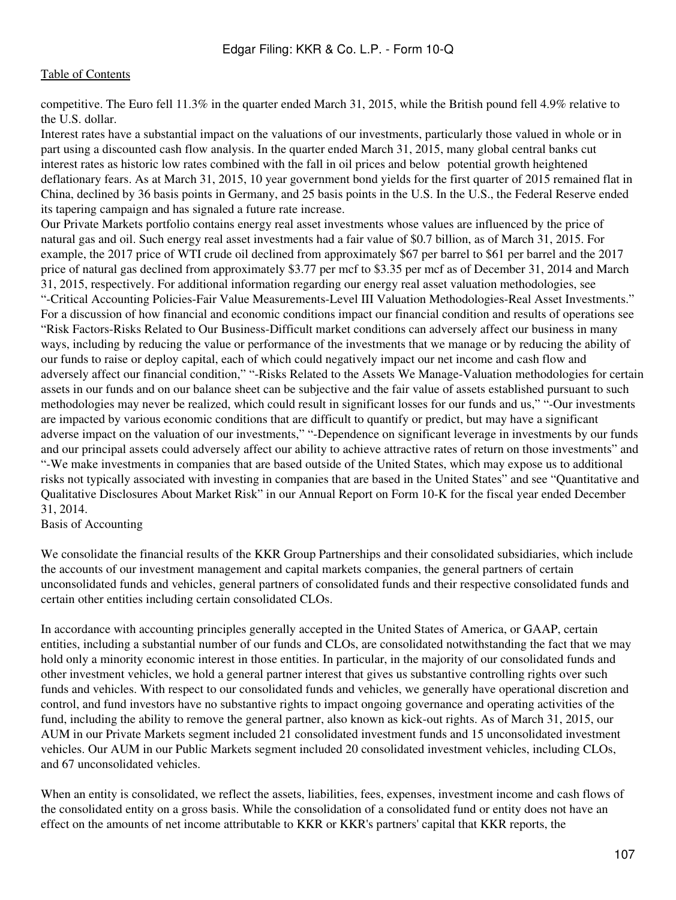competitive. The Euro fell 11.3% in the quarter ended March 31, 2015, while the British pound fell 4.9% relative to the U.S. dollar.

Interest rates have a substantial impact on the valuations of our investments, particularly those valued in whole or in part using a discounted cash flow analysis. In the quarter ended March 31, 2015, many global central banks cut interest rates as historic low rates combined with the fall in oil prices and below‑potential growth heightened deflationary fears. As at March 31, 2015, 10 year government bond yields for the first quarter of 2015 remained flat in China, declined by 36 basis points in Germany, and 25 basis points in the U.S. In the U.S., the Federal Reserve ended its tapering campaign and has signaled a future rate increase.

Our Private Markets portfolio contains energy real asset investments whose values are influenced by the price of natural gas and oil. Such energy real asset investments had a fair value of \$0.7 billion, as of March 31, 2015. For example, the 2017 price of WTI crude oil declined from approximately \$67 per barrel to \$61 per barrel and the 2017 price of natural gas declined from approximately \$3.77 per mcf to \$3.35 per mcf as of December 31, 2014 and March 31, 2015, respectively. For additional information regarding our energy real asset valuation methodologies, see "-Critical Accounting Policies-Fair Value Measurements-Level III Valuation Methodologies-Real Asset Investments." For a discussion of how financial and economic conditions impact our financial condition and results of operations see "Risk Factors-Risks Related to Our Business-Difficult market conditions can adversely affect our business in many ways, including by reducing the value or performance of the investments that we manage or by reducing the ability of our funds to raise or deploy capital, each of which could negatively impact our net income and cash flow and adversely affect our financial condition," "-Risks Related to the Assets We Manage-Valuation methodologies for certain assets in our funds and on our balance sheet can be subjective and the fair value of assets established pursuant to such methodologies may never be realized, which could result in significant losses for our funds and us," "-Our investments are impacted by various economic conditions that are difficult to quantify or predict, but may have a significant adverse impact on the valuation of our investments," "-Dependence on significant leverage in investments by our funds and our principal assets could adversely affect our ability to achieve attractive rates of return on those investments" and "-We make investments in companies that are based outside of the United States, which may expose us to additional risks not typically associated with investing in companies that are based in the United States" and see "Quantitative and Qualitative Disclosures About Market Risk" in our Annual Report on Form 10-K for the fiscal year ended December 31, 2014.

Basis of Accounting

We consolidate the financial results of the KKR Group Partnerships and their consolidated subsidiaries, which include the accounts of our investment management and capital markets companies, the general partners of certain unconsolidated funds and vehicles, general partners of consolidated funds and their respective consolidated funds and certain other entities including certain consolidated CLOs.

In accordance with accounting principles generally accepted in the United States of America, or GAAP, certain entities, including a substantial number of our funds and CLOs, are consolidated notwithstanding the fact that we may hold only a minority economic interest in those entities. In particular, in the majority of our consolidated funds and other investment vehicles, we hold a general partner interest that gives us substantive controlling rights over such funds and vehicles. With respect to our consolidated funds and vehicles, we generally have operational discretion and control, and fund investors have no substantive rights to impact ongoing governance and operating activities of the fund, including the ability to remove the general partner, also known as kick-out rights. As of March 31, 2015, our AUM in our Private Markets segment included 21 consolidated investment funds and 15 unconsolidated investment vehicles. Our AUM in our Public Markets segment included 20 consolidated investment vehicles, including CLOs, and 67 unconsolidated vehicles.

When an entity is consolidated, we reflect the assets, liabilities, fees, expenses, investment income and cash flows of the consolidated entity on a gross basis. While the consolidation of a consolidated fund or entity does not have an effect on the amounts of net income attributable to KKR or KKR's partners' capital that KKR reports, the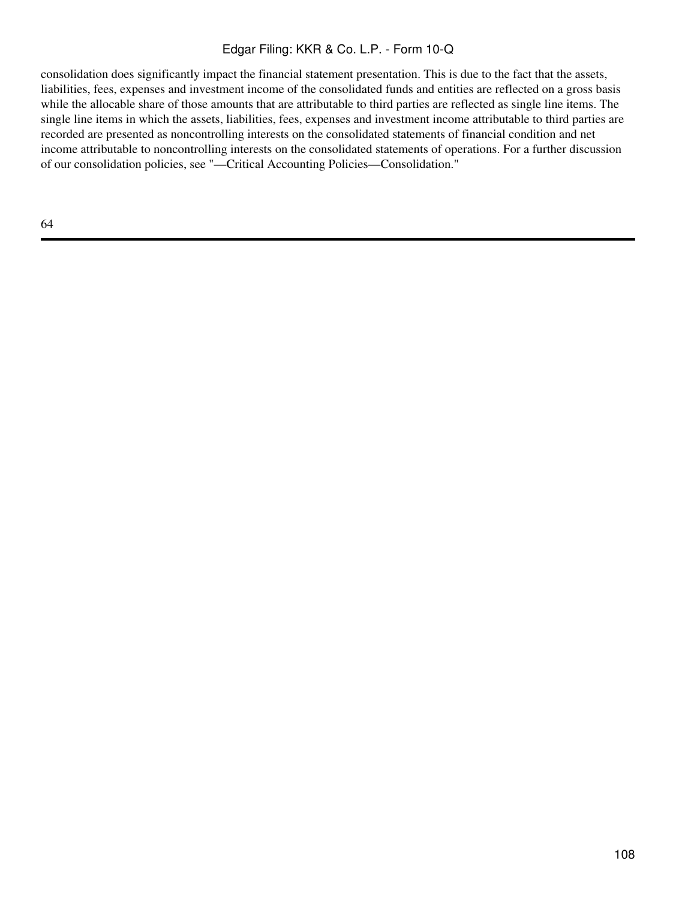consolidation does significantly impact the financial statement presentation. This is due to the fact that the assets, liabilities, fees, expenses and investment income of the consolidated funds and entities are reflected on a gross basis while the allocable share of those amounts that are attributable to third parties are reflected as single line items. The single line items in which the assets, liabilities, fees, expenses and investment income attributable to third parties are recorded are presented as noncontrolling interests on the consolidated statements of financial condition and net income attributable to noncontrolling interests on the consolidated statements of operations. For a further discussion of our consolidation policies, see "—Critical Accounting Policies—Consolidation."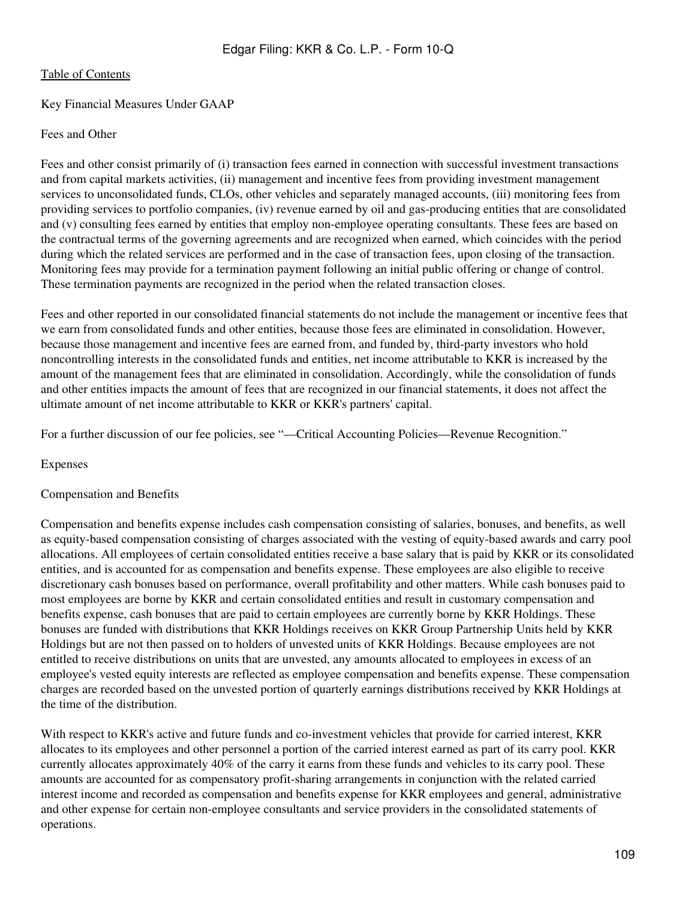# Key Financial Measures Under GAAP

## Fees and Other

Fees and other consist primarily of (i) transaction fees earned in connection with successful investment transactions and from capital markets activities, (ii) management and incentive fees from providing investment management services to unconsolidated funds, CLOs, other vehicles and separately managed accounts, (iii) monitoring fees from providing services to portfolio companies, (iv) revenue earned by oil and gas-producing entities that are consolidated and (v) consulting fees earned by entities that employ non-employee operating consultants. These fees are based on the contractual terms of the governing agreements and are recognized when earned, which coincides with the period during which the related services are performed and in the case of transaction fees, upon closing of the transaction. Monitoring fees may provide for a termination payment following an initial public offering or change of control. These termination payments are recognized in the period when the related transaction closes.

Fees and other reported in our consolidated financial statements do not include the management or incentive fees that we earn from consolidated funds and other entities, because those fees are eliminated in consolidation. However, because those management and incentive fees are earned from, and funded by, third-party investors who hold noncontrolling interests in the consolidated funds and entities, net income attributable to KKR is increased by the amount of the management fees that are eliminated in consolidation. Accordingly, while the consolidation of funds and other entities impacts the amount of fees that are recognized in our financial statements, it does not affect the ultimate amount of net income attributable to KKR or KKR's partners' capital.

For a further discussion of our fee policies, see "—Critical Accounting Policies—Revenue Recognition."

## Expenses

## Compensation and Benefits

Compensation and benefits expense includes cash compensation consisting of salaries, bonuses, and benefits, as well as equity-based compensation consisting of charges associated with the vesting of equity-based awards and carry pool allocations. All employees of certain consolidated entities receive a base salary that is paid by KKR or its consolidated entities, and is accounted for as compensation and benefits expense. These employees are also eligible to receive discretionary cash bonuses based on performance, overall profitability and other matters. While cash bonuses paid to most employees are borne by KKR and certain consolidated entities and result in customary compensation and benefits expense, cash bonuses that are paid to certain employees are currently borne by KKR Holdings. These bonuses are funded with distributions that KKR Holdings receives on KKR Group Partnership Units held by KKR Holdings but are not then passed on to holders of unvested units of KKR Holdings. Because employees are not entitled to receive distributions on units that are unvested, any amounts allocated to employees in excess of an employee's vested equity interests are reflected as employee compensation and benefits expense. These compensation charges are recorded based on the unvested portion of quarterly earnings distributions received by KKR Holdings at the time of the distribution.

With respect to KKR's active and future funds and co-investment vehicles that provide for carried interest, KKR allocates to its employees and other personnel a portion of the carried interest earned as part of its carry pool. KKR currently allocates approximately 40% of the carry it earns from these funds and vehicles to its carry pool. These amounts are accounted for as compensatory profit-sharing arrangements in conjunction with the related carried interest income and recorded as compensation and benefits expense for KKR employees and general, administrative and other expense for certain non-employee consultants and service providers in the consolidated statements of operations.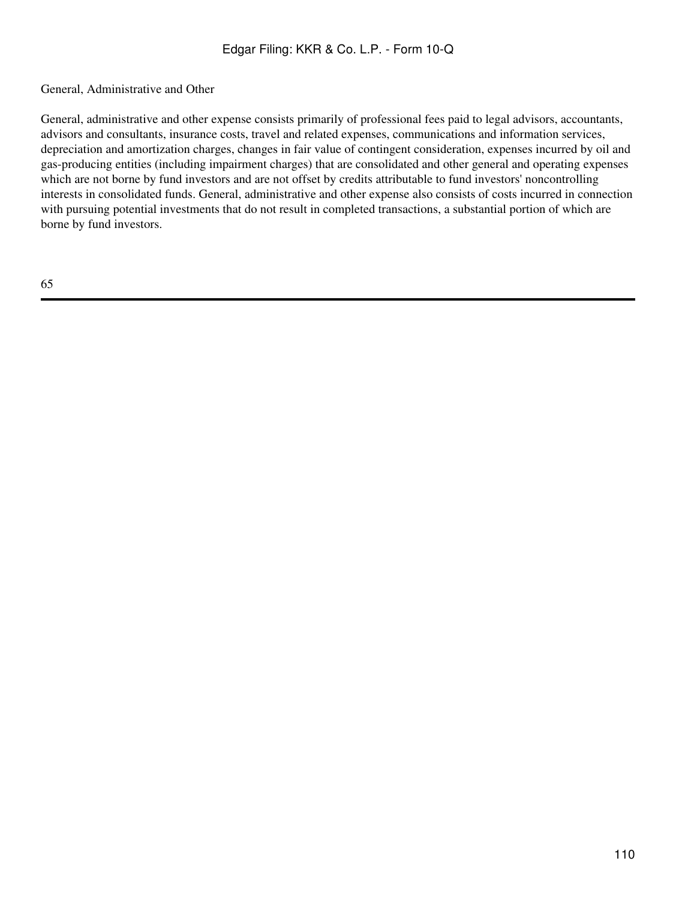# General, Administrative and Other

General, administrative and other expense consists primarily of professional fees paid to legal advisors, accountants, advisors and consultants, insurance costs, travel and related expenses, communications and information services, depreciation and amortization charges, changes in fair value of contingent consideration, expenses incurred by oil and gas-producing entities (including impairment charges) that are consolidated and other general and operating expenses which are not borne by fund investors and are not offset by credits attributable to fund investors' noncontrolling interests in consolidated funds. General, administrative and other expense also consists of costs incurred in connection with pursuing potential investments that do not result in completed transactions, a substantial portion of which are borne by fund investors.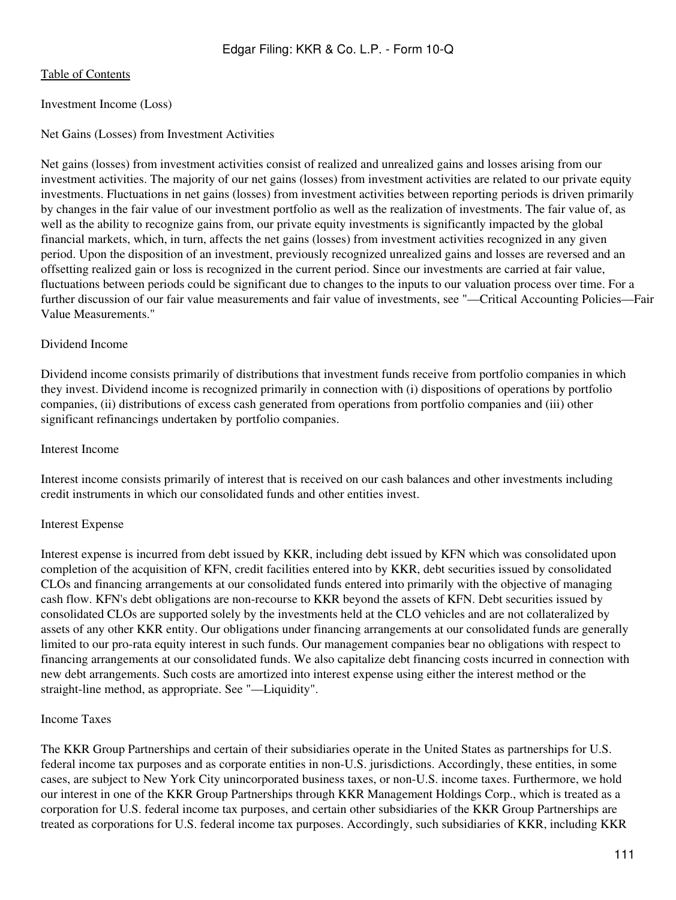# Investment Income (Loss)

# Net Gains (Losses) from Investment Activities

Net gains (losses) from investment activities consist of realized and unrealized gains and losses arising from our investment activities. The majority of our net gains (losses) from investment activities are related to our private equity investments. Fluctuations in net gains (losses) from investment activities between reporting periods is driven primarily by changes in the fair value of our investment portfolio as well as the realization of investments. The fair value of, as well as the ability to recognize gains from, our private equity investments is significantly impacted by the global financial markets, which, in turn, affects the net gains (losses) from investment activities recognized in any given period. Upon the disposition of an investment, previously recognized unrealized gains and losses are reversed and an offsetting realized gain or loss is recognized in the current period. Since our investments are carried at fair value, fluctuations between periods could be significant due to changes to the inputs to our valuation process over time. For a further discussion of our fair value measurements and fair value of investments, see "—Critical Accounting Policies—Fair Value Measurements."

# Dividend Income

Dividend income consists primarily of distributions that investment funds receive from portfolio companies in which they invest. Dividend income is recognized primarily in connection with (i) dispositions of operations by portfolio companies, (ii) distributions of excess cash generated from operations from portfolio companies and (iii) other significant refinancings undertaken by portfolio companies.

## Interest Income

Interest income consists primarily of interest that is received on our cash balances and other investments including credit instruments in which our consolidated funds and other entities invest.

# Interest Expense

Interest expense is incurred from debt issued by KKR, including debt issued by KFN which was consolidated upon completion of the acquisition of KFN, credit facilities entered into by KKR, debt securities issued by consolidated CLOs and financing arrangements at our consolidated funds entered into primarily with the objective of managing cash flow. KFN's debt obligations are non-recourse to KKR beyond the assets of KFN. Debt securities issued by consolidated CLOs are supported solely by the investments held at the CLO vehicles and are not collateralized by assets of any other KKR entity. Our obligations under financing arrangements at our consolidated funds are generally limited to our pro-rata equity interest in such funds. Our management companies bear no obligations with respect to financing arrangements at our consolidated funds. We also capitalize debt financing costs incurred in connection with new debt arrangements. Such costs are amortized into interest expense using either the interest method or the straight-line method, as appropriate. See "—Liquidity".

## Income Taxes

The KKR Group Partnerships and certain of their subsidiaries operate in the United States as partnerships for U.S. federal income tax purposes and as corporate entities in non-U.S. jurisdictions. Accordingly, these entities, in some cases, are subject to New York City unincorporated business taxes, or non-U.S. income taxes. Furthermore, we hold our interest in one of the KKR Group Partnerships through KKR Management Holdings Corp., which is treated as a corporation for U.S. federal income tax purposes, and certain other subsidiaries of the KKR Group Partnerships are treated as corporations for U.S. federal income tax purposes. Accordingly, such subsidiaries of KKR, including KKR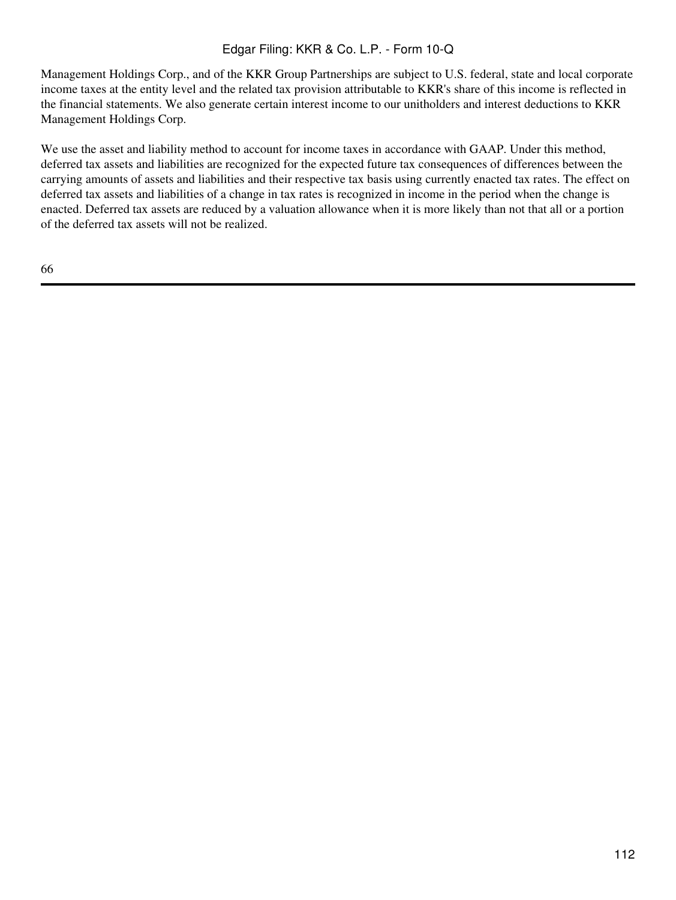Management Holdings Corp., and of the KKR Group Partnerships are subject to U.S. federal, state and local corporate income taxes at the entity level and the related tax provision attributable to KKR's share of this income is reflected in the financial statements. We also generate certain interest income to our unitholders and interest deductions to KKR Management Holdings Corp.

We use the asset and liability method to account for income taxes in accordance with GAAP. Under this method, deferred tax assets and liabilities are recognized for the expected future tax consequences of differences between the carrying amounts of assets and liabilities and their respective tax basis using currently enacted tax rates. The effect on deferred tax assets and liabilities of a change in tax rates is recognized in income in the period when the change is enacted. Deferred tax assets are reduced by a valuation allowance when it is more likely than not that all or a portion of the deferred tax assets will not be realized.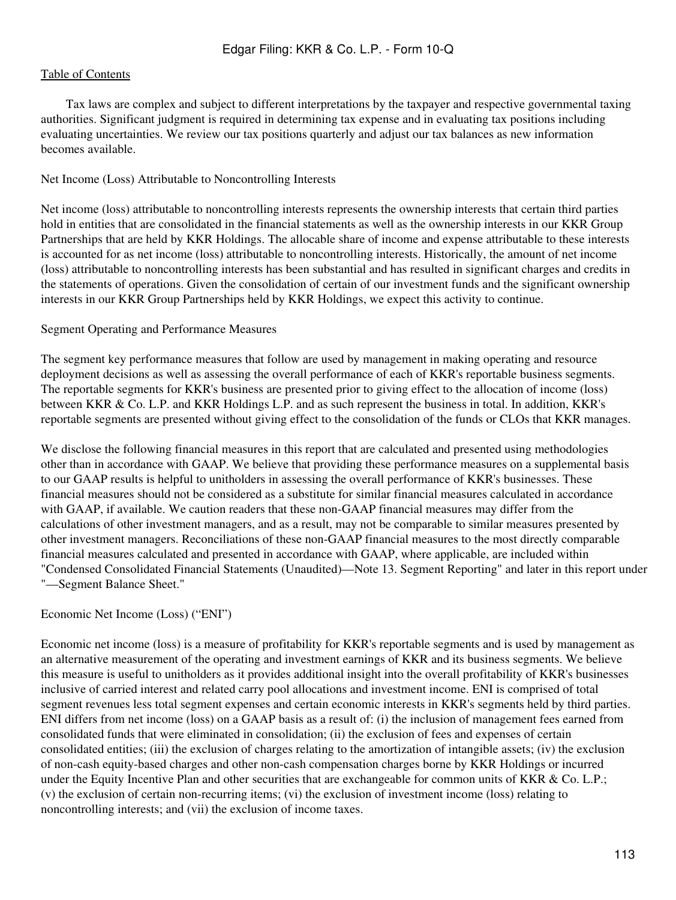Tax laws are complex and subject to different interpretations by the taxpayer and respective governmental taxing authorities. Significant judgment is required in determining tax expense and in evaluating tax positions including evaluating uncertainties. We review our tax positions quarterly and adjust our tax balances as new information becomes available.

## Net Income (Loss) Attributable to Noncontrolling Interests

Net income (loss) attributable to noncontrolling interests represents the ownership interests that certain third parties hold in entities that are consolidated in the financial statements as well as the ownership interests in our KKR Group Partnerships that are held by KKR Holdings. The allocable share of income and expense attributable to these interests is accounted for as net income (loss) attributable to noncontrolling interests. Historically, the amount of net income (loss) attributable to noncontrolling interests has been substantial and has resulted in significant charges and credits in the statements of operations. Given the consolidation of certain of our investment funds and the significant ownership interests in our KKR Group Partnerships held by KKR Holdings, we expect this activity to continue.

# Segment Operating and Performance Measures

The segment key performance measures that follow are used by management in making operating and resource deployment decisions as well as assessing the overall performance of each of KKR's reportable business segments. The reportable segments for KKR's business are presented prior to giving effect to the allocation of income (loss) between KKR & Co. L.P. and KKR Holdings L.P. and as such represent the business in total. In addition, KKR's reportable segments are presented without giving effect to the consolidation of the funds or CLOs that KKR manages.

We disclose the following financial measures in this report that are calculated and presented using methodologies other than in accordance with GAAP. We believe that providing these performance measures on a supplemental basis to our GAAP results is helpful to unitholders in assessing the overall performance of KKR's businesses. These financial measures should not be considered as a substitute for similar financial measures calculated in accordance with GAAP, if available. We caution readers that these non-GAAP financial measures may differ from the calculations of other investment managers, and as a result, may not be comparable to similar measures presented by other investment managers. Reconciliations of these non-GAAP financial measures to the most directly comparable financial measures calculated and presented in accordance with GAAP, where applicable, are included within "Condensed Consolidated Financial Statements (Unaudited)—Note 13. Segment Reporting" and later in this report under "—Segment Balance Sheet."

## Economic Net Income (Loss) ("ENI")

Economic net income (loss) is a measure of profitability for KKR's reportable segments and is used by management as an alternative measurement of the operating and investment earnings of KKR and its business segments. We believe this measure is useful to unitholders as it provides additional insight into the overall profitability of KKR's businesses inclusive of carried interest and related carry pool allocations and investment income. ENI is comprised of total segment revenues less total segment expenses and certain economic interests in KKR's segments held by third parties. ENI differs from net income (loss) on a GAAP basis as a result of: (i) the inclusion of management fees earned from consolidated funds that were eliminated in consolidation; (ii) the exclusion of fees and expenses of certain consolidated entities; (iii) the exclusion of charges relating to the amortization of intangible assets; (iv) the exclusion of non-cash equity-based charges and other non-cash compensation charges borne by KKR Holdings or incurred under the Equity Incentive Plan and other securities that are exchangeable for common units of KKR & Co. L.P.; (v) the exclusion of certain non-recurring items; (vi) the exclusion of investment income (loss) relating to noncontrolling interests; and (vii) the exclusion of income taxes.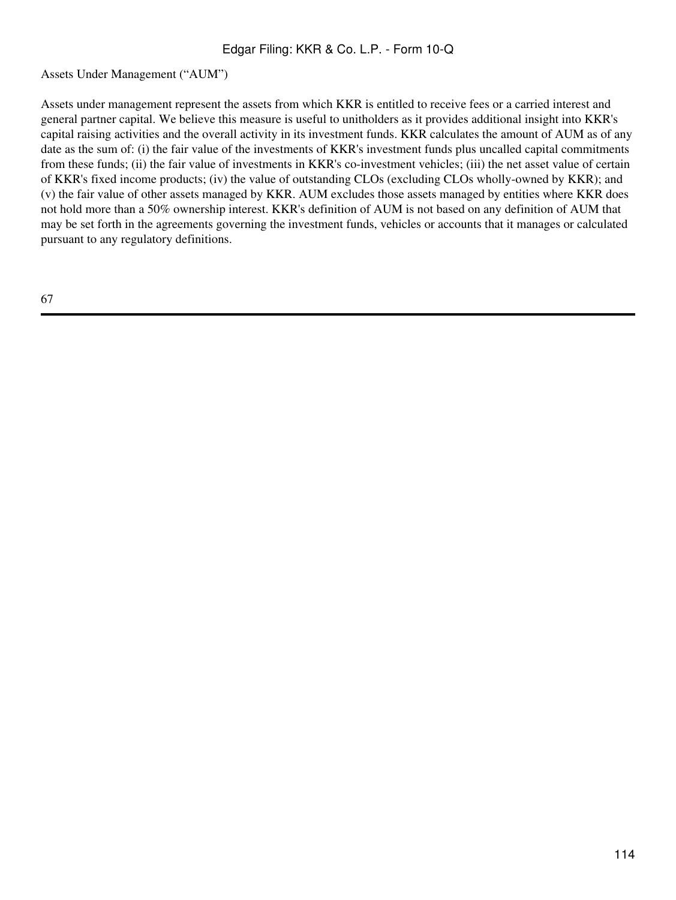Assets Under Management ("AUM")

Assets under management represent the assets from which KKR is entitled to receive fees or a carried interest and general partner capital. We believe this measure is useful to unitholders as it provides additional insight into KKR's capital raising activities and the overall activity in its investment funds. KKR calculates the amount of AUM as of any date as the sum of: (i) the fair value of the investments of KKR's investment funds plus uncalled capital commitments from these funds; (ii) the fair value of investments in KKR's co-investment vehicles; (iii) the net asset value of certain of KKR's fixed income products; (iv) the value of outstanding CLOs (excluding CLOs wholly-owned by KKR); and (v) the fair value of other assets managed by KKR. AUM excludes those assets managed by entities where KKR does not hold more than a 50% ownership interest. KKR's definition of AUM is not based on any definition of AUM that may be set forth in the agreements governing the investment funds, vehicles or accounts that it manages or calculated pursuant to any regulatory definitions.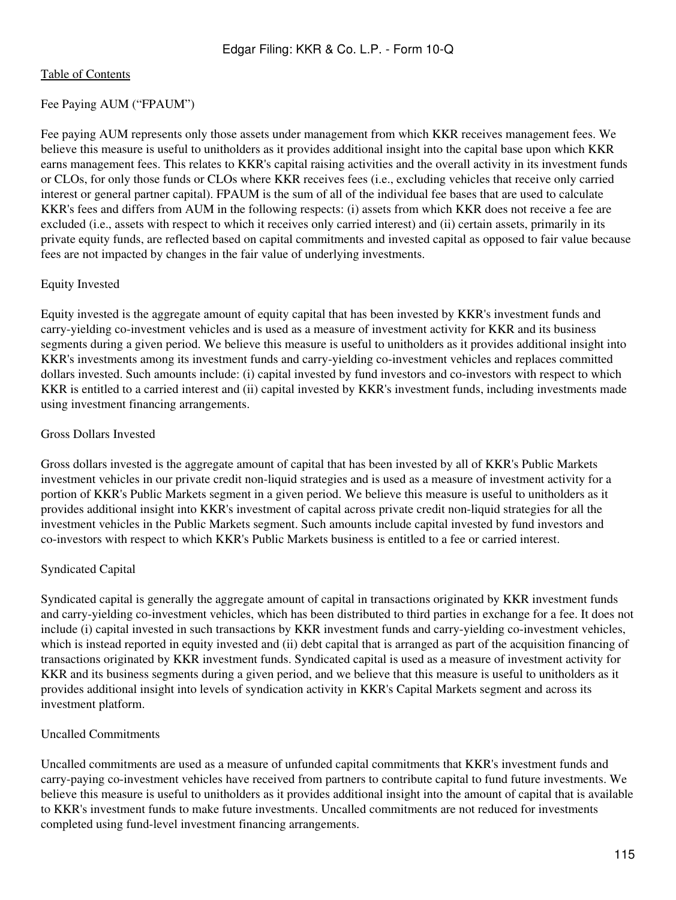# Fee Paying AUM ("FPAUM")

Fee paying AUM represents only those assets under management from which KKR receives management fees. We believe this measure is useful to unitholders as it provides additional insight into the capital base upon which KKR earns management fees. This relates to KKR's capital raising activities and the overall activity in its investment funds or CLOs, for only those funds or CLOs where KKR receives fees (i.e., excluding vehicles that receive only carried interest or general partner capital). FPAUM is the sum of all of the individual fee bases that are used to calculate KKR's fees and differs from AUM in the following respects: (i) assets from which KKR does not receive a fee are excluded (i.e., assets with respect to which it receives only carried interest) and (ii) certain assets, primarily in its private equity funds, are reflected based on capital commitments and invested capital as opposed to fair value because fees are not impacted by changes in the fair value of underlying investments.

# Equity Invested

Equity invested is the aggregate amount of equity capital that has been invested by KKR's investment funds and carry-yielding co-investment vehicles and is used as a measure of investment activity for KKR and its business segments during a given period. We believe this measure is useful to unitholders as it provides additional insight into KKR's investments among its investment funds and carry-yielding co-investment vehicles and replaces committed dollars invested. Such amounts include: (i) capital invested by fund investors and co-investors with respect to which KKR is entitled to a carried interest and (ii) capital invested by KKR's investment funds, including investments made using investment financing arrangements.

# Gross Dollars Invested

Gross dollars invested is the aggregate amount of capital that has been invested by all of KKR's Public Markets investment vehicles in our private credit non-liquid strategies and is used as a measure of investment activity for a portion of KKR's Public Markets segment in a given period. We believe this measure is useful to unitholders as it provides additional insight into KKR's investment of capital across private credit non-liquid strategies for all the investment vehicles in the Public Markets segment. Such amounts include capital invested by fund investors and co-investors with respect to which KKR's Public Markets business is entitled to a fee or carried interest.

# Syndicated Capital

Syndicated capital is generally the aggregate amount of capital in transactions originated by KKR investment funds and carry-yielding co-investment vehicles, which has been distributed to third parties in exchange for a fee. It does not include (i) capital invested in such transactions by KKR investment funds and carry-yielding co-investment vehicles, which is instead reported in equity invested and (ii) debt capital that is arranged as part of the acquisition financing of transactions originated by KKR investment funds. Syndicated capital is used as a measure of investment activity for KKR and its business segments during a given period, and we believe that this measure is useful to unitholders as it provides additional insight into levels of syndication activity in KKR's Capital Markets segment and across its investment platform.

# Uncalled Commitments

Uncalled commitments are used as a measure of unfunded capital commitments that KKR's investment funds and carry-paying co-investment vehicles have received from partners to contribute capital to fund future investments. We believe this measure is useful to unitholders as it provides additional insight into the amount of capital that is available to KKR's investment funds to make future investments. Uncalled commitments are not reduced for investments completed using fund-level investment financing arrangements.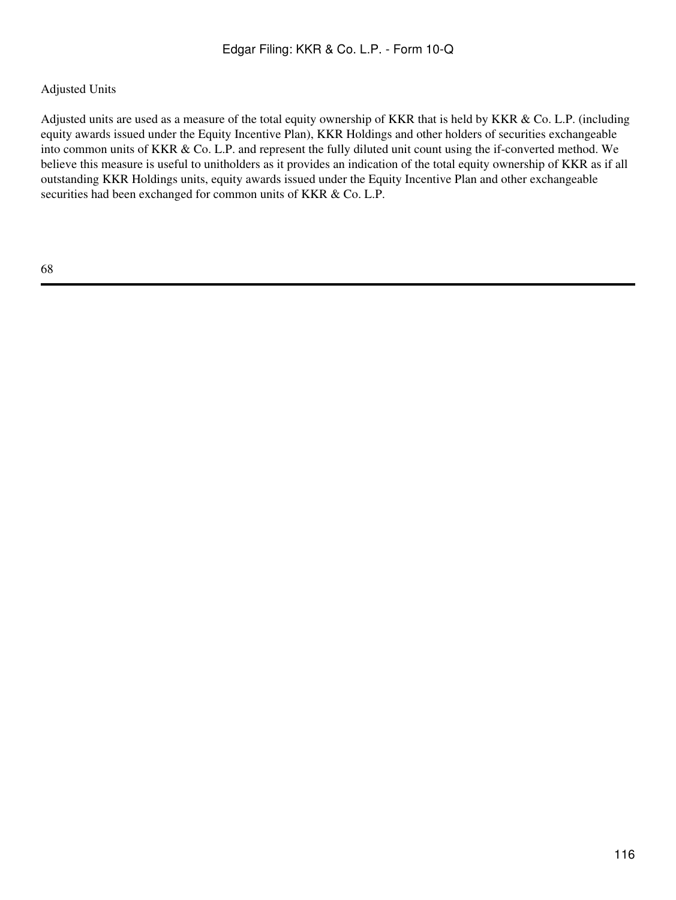# Adjusted Units

Adjusted units are used as a measure of the total equity ownership of KKR that is held by KKR & Co. L.P. (including equity awards issued under the Equity Incentive Plan), KKR Holdings and other holders of securities exchangeable into common units of KKR & Co. L.P. and represent the fully diluted unit count using the if-converted method. We believe this measure is useful to unitholders as it provides an indication of the total equity ownership of KKR as if all outstanding KKR Holdings units, equity awards issued under the Equity Incentive Plan and other exchangeable securities had been exchanged for common units of KKR & Co. L.P.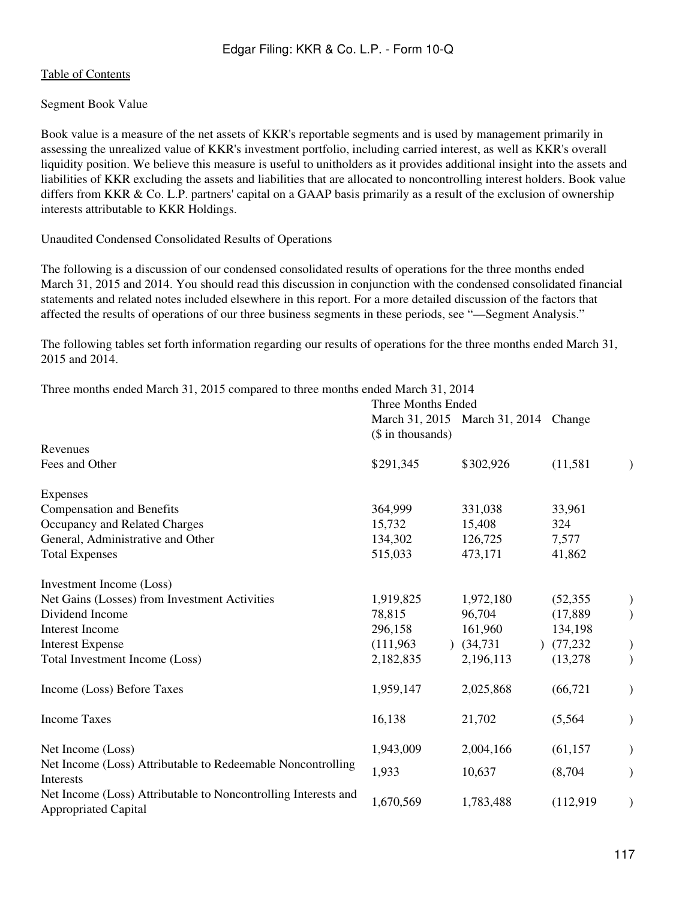# [Table of Contents](#page-2-0)

# Segment Book Value

Book value is a measure of the net assets of KKR's reportable segments and is used by management primarily in assessing the unrealized value of KKR's investment portfolio, including carried interest, as well as KKR's overall liquidity position. We believe this measure is useful to unitholders as it provides additional insight into the assets and liabilities of KKR excluding the assets and liabilities that are allocated to noncontrolling interest holders. Book value differs from KKR & Co. L.P. partners' capital on a GAAP basis primarily as a result of the exclusion of ownership interests attributable to KKR Holdings.

## Unaudited Condensed Consolidated Results of Operations

The following is a discussion of our condensed consolidated results of operations for the three months ended March 31, 2015 and 2014. You should read this discussion in conjunction with the condensed consolidated financial statements and related notes included elsewhere in this report. For a more detailed discussion of the factors that affected the results of operations of our three business segments in these periods, see "—Segment Analysis."

The following tables set forth information regarding our results of operations for the three months ended March 31, 2015 and 2014.

Three months ended March 31, 2015 compared to three months ended March 31, 2014

|                                                                                               | Three Months Ended |                                      |           |               |
|-----------------------------------------------------------------------------------------------|--------------------|--------------------------------------|-----------|---------------|
|                                                                                               | (\$ in thousands)  | March 31, 2015 March 31, 2014 Change |           |               |
| Revenues                                                                                      |                    |                                      |           |               |
| Fees and Other                                                                                | \$291,345          | \$302,926                            | (11, 581) | $\mathcal{E}$ |
| Expenses                                                                                      |                    |                                      |           |               |
| <b>Compensation and Benefits</b>                                                              | 364,999            | 331,038                              | 33,961    |               |
| Occupancy and Related Charges                                                                 | 15,732             | 15,408                               | 324       |               |
| General, Administrative and Other                                                             | 134,302            | 126,725                              | 7,577     |               |
| <b>Total Expenses</b>                                                                         | 515,033            | 473,171                              | 41,862    |               |
| Investment Income (Loss)                                                                      |                    |                                      |           |               |
| Net Gains (Losses) from Investment Activities                                                 | 1,919,825          | 1,972,180                            | (52, 355) |               |
| Dividend Income                                                                               | 78,815             | 96,704                               | (17,889)  |               |
| <b>Interest Income</b>                                                                        | 296,158            | 161,960                              | 134,198   |               |
| <b>Interest Expense</b>                                                                       | (111,963)          | (34, 731)                            | (77,232)  |               |
| Total Investment Income (Loss)                                                                | 2,182,835          | 2,196,113                            | (13,278)  |               |
| Income (Loss) Before Taxes                                                                    | 1,959,147          | 2,025,868                            | (66, 721) |               |
| <b>Income Taxes</b>                                                                           | 16,138             | 21,702                               | (5, 564)  |               |
| Net Income (Loss)                                                                             | 1,943,009          | 2,004,166                            | (61, 157) |               |
| Net Income (Loss) Attributable to Redeemable Noncontrolling<br>Interests                      | 1,933              | 10,637                               | (8,704)   |               |
| Net Income (Loss) Attributable to Noncontrolling Interests and<br><b>Appropriated Capital</b> | 1,670,569          | 1,783,488                            | (112,919) |               |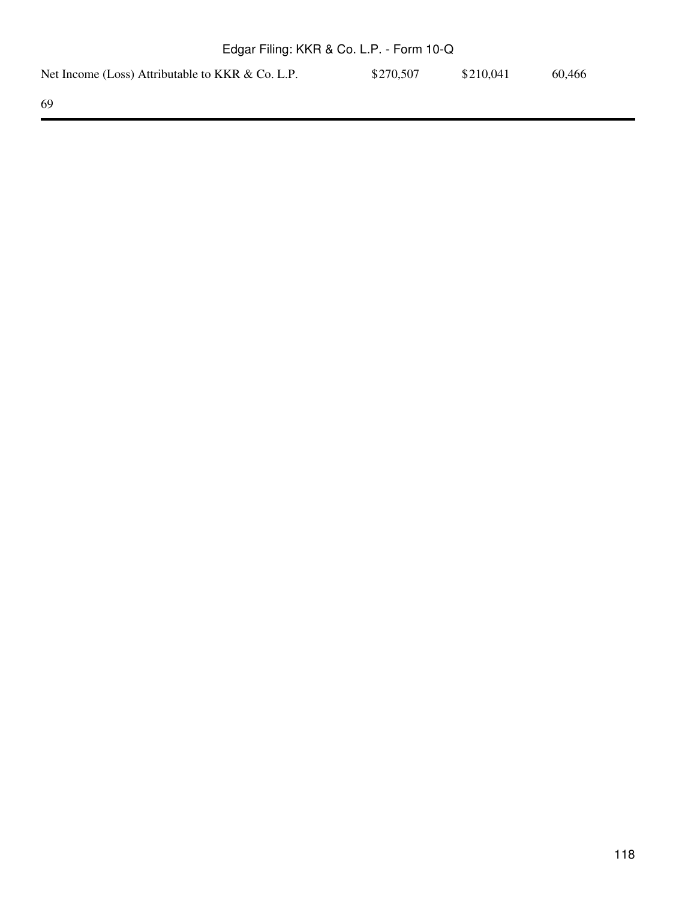| Net Income (Loss) Attributable to KKR & Co. L.P. | \$270,507 | \$210,041 | 60.466 |
|--------------------------------------------------|-----------|-----------|--------|
|                                                  |           |           |        |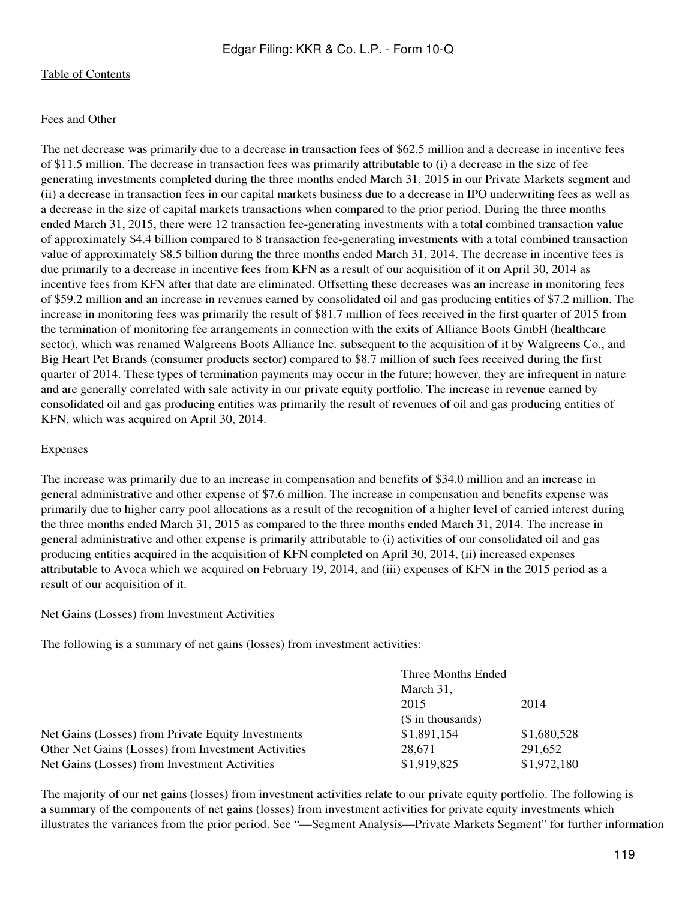## Fees and Other

The net decrease was primarily due to a decrease in transaction fees of \$62.5 million and a decrease in incentive fees of \$11.5 million. The decrease in transaction fees was primarily attributable to (i) a decrease in the size of fee generating investments completed during the three months ended March 31, 2015 in our Private Markets segment and (ii) a decrease in transaction fees in our capital markets business due to a decrease in IPO underwriting fees as well as a decrease in the size of capital markets transactions when compared to the prior period. During the three months ended March 31, 2015, there were 12 transaction fee-generating investments with a total combined transaction value of approximately \$4.4 billion compared to 8 transaction fee-generating investments with a total combined transaction value of approximately \$8.5 billion during the three months ended March 31, 2014. The decrease in incentive fees is due primarily to a decrease in incentive fees from KFN as a result of our acquisition of it on April 30, 2014 as incentive fees from KFN after that date are eliminated. Offsetting these decreases was an increase in monitoring fees of \$59.2 million and an increase in revenues earned by consolidated oil and gas producing entities of \$7.2 million. The increase in monitoring fees was primarily the result of \$81.7 million of fees received in the first quarter of 2015 from the termination of monitoring fee arrangements in connection with the exits of Alliance Boots GmbH (healthcare sector), which was renamed Walgreens Boots Alliance Inc. subsequent to the acquisition of it by Walgreens Co., and Big Heart Pet Brands (consumer products sector) compared to \$8.7 million of such fees received during the first quarter of 2014. These types of termination payments may occur in the future; however, they are infrequent in nature and are generally correlated with sale activity in our private equity portfolio. The increase in revenue earned by consolidated oil and gas producing entities was primarily the result of revenues of oil and gas producing entities of KFN, which was acquired on April 30, 2014.

## Expenses

The increase was primarily due to an increase in compensation and benefits of \$34.0 million and an increase in general administrative and other expense of \$7.6 million. The increase in compensation and benefits expense was primarily due to higher carry pool allocations as a result of the recognition of a higher level of carried interest during the three months ended March 31, 2015 as compared to the three months ended March 31, 2014. The increase in general administrative and other expense is primarily attributable to (i) activities of our consolidated oil and gas producing entities acquired in the acquisition of KFN completed on April 30, 2014, (ii) increased expenses attributable to Avoca which we acquired on February 19, 2014, and (iii) expenses of KFN in the 2015 period as a result of our acquisition of it.

## Net Gains (Losses) from Investment Activities

The following is a summary of net gains (losses) from investment activities:

|                                                     | Three Months Ended         |             |
|-----------------------------------------------------|----------------------------|-------------|
|                                                     | March 31,                  |             |
|                                                     | 2015                       | 2014        |
|                                                     | $($$ in thousands)         |             |
| Net Gains (Losses) from Private Equity Investments  | \$1,891,154                | \$1,680,528 |
| Other Net Gains (Losses) from Investment Activities | 28.671                     | 291.652     |
| Net Gains (Losses) from Investment Activities       | \$1,972,180<br>\$1,919,825 |             |

The majority of our net gains (losses) from investment activities relate to our private equity portfolio. The following is a summary of the components of net gains (losses) from investment activities for private equity investments which illustrates the variances from the prior period. See "—Segment Analysis—Private Markets Segment" for further information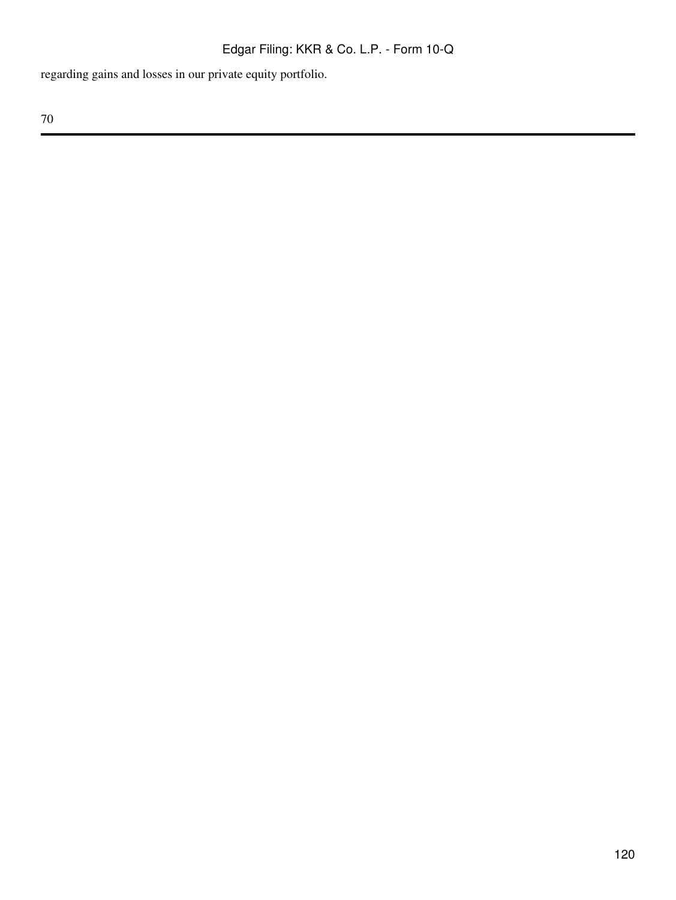regarding gains and losses in our private equity portfolio.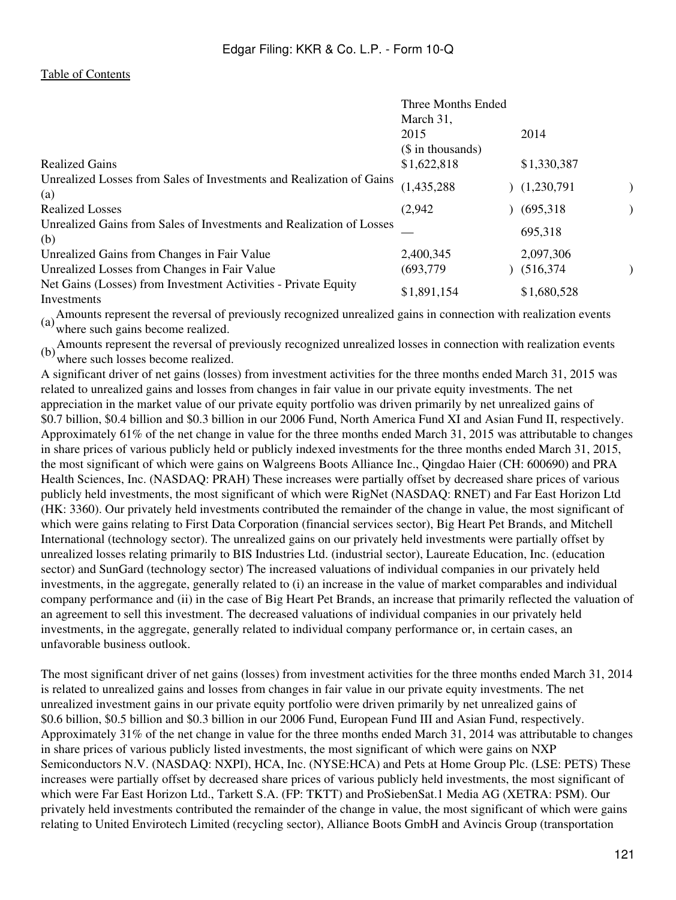|                                                                               | Three Months Ended                      |             |  |
|-------------------------------------------------------------------------------|-----------------------------------------|-------------|--|
|                                                                               | March 31,<br>2015<br>$($$ in thousands) | 2014        |  |
| <b>Realized Gains</b>                                                         | \$1,622,818                             | \$1,330,387 |  |
| Unrealized Losses from Sales of Investments and Realization of Gains<br>(a)   | (1, 435, 288)                           | (1,230,791) |  |
| <b>Realized Losses</b>                                                        | (2,942)                                 | (695,318)   |  |
| Unrealized Gains from Sales of Investments and Realization of Losses<br>(b)   |                                         | 695,318     |  |
| Unrealized Gains from Changes in Fair Value                                   | 2,400,345                               | 2,097,306   |  |
| Unrealized Losses from Changes in Fair Value                                  | (693, 779)                              | (516, 374)  |  |
| Net Gains (Losses) from Investment Activities - Private Equity<br>Investments | \$1,891,154                             | \$1,680,528 |  |

(a) Amounts represent the reversal of previously recognized unrealized gains in connection with realization events where such gains become realized.

(b)Amounts represent the reversal of previously recognized unrealized losses in connection with realization events where such losses become realized.

A significant driver of net gains (losses) from investment activities for the three months ended March 31, 2015 was related to unrealized gains and losses from changes in fair value in our private equity investments. The net appreciation in the market value of our private equity portfolio was driven primarily by net unrealized gains of \$0.7 billion, \$0.4 billion and \$0.3 billion in our 2006 Fund, North America Fund XI and Asian Fund II, respectively. Approximately 61% of the net change in value for the three months ended March 31, 2015 was attributable to changes in share prices of various publicly held or publicly indexed investments for the three months ended March 31, 2015, the most significant of which were gains on Walgreens Boots Alliance Inc., Qingdao Haier (CH: 600690) and PRA Health Sciences, Inc. (NASDAQ: PRAH) These increases were partially offset by decreased share prices of various publicly held investments, the most significant of which were RigNet (NASDAQ: RNET) and Far East Horizon Ltd (HK: 3360). Our privately held investments contributed the remainder of the change in value, the most significant of which were gains relating to First Data Corporation (financial services sector), Big Heart Pet Brands, and Mitchell International (technology sector). The unrealized gains on our privately held investments were partially offset by unrealized losses relating primarily to BIS Industries Ltd. (industrial sector), Laureate Education, Inc. (education sector) and SunGard (technology sector) The increased valuations of individual companies in our privately held investments, in the aggregate, generally related to (i) an increase in the value of market comparables and individual company performance and (ii) in the case of Big Heart Pet Brands, an increase that primarily reflected the valuation of an agreement to sell this investment. The decreased valuations of individual companies in our privately held investments, in the aggregate, generally related to individual company performance or, in certain cases, an unfavorable business outlook.

The most significant driver of net gains (losses) from investment activities for the three months ended March 31, 2014 is related to unrealized gains and losses from changes in fair value in our private equity investments. The net unrealized investment gains in our private equity portfolio were driven primarily by net unrealized gains of \$0.6 billion, \$0.5 billion and \$0.3 billion in our 2006 Fund, European Fund III and Asian Fund, respectively. Approximately 31% of the net change in value for the three months ended March 31, 2014 was attributable to changes in share prices of various publicly listed investments, the most significant of which were gains on NXP Semiconductors N.V. (NASDAQ: NXPI), HCA, Inc. (NYSE:HCA) and Pets at Home Group Plc. (LSE: PETS) These increases were partially offset by decreased share prices of various publicly held investments, the most significant of which were Far East Horizon Ltd., Tarkett S.A. (FP: TKTT) and ProSiebenSat.1 Media AG (XETRA: PSM). Our privately held investments contributed the remainder of the change in value, the most significant of which were gains relating to United Envirotech Limited (recycling sector), Alliance Boots GmbH and Avincis Group (transportation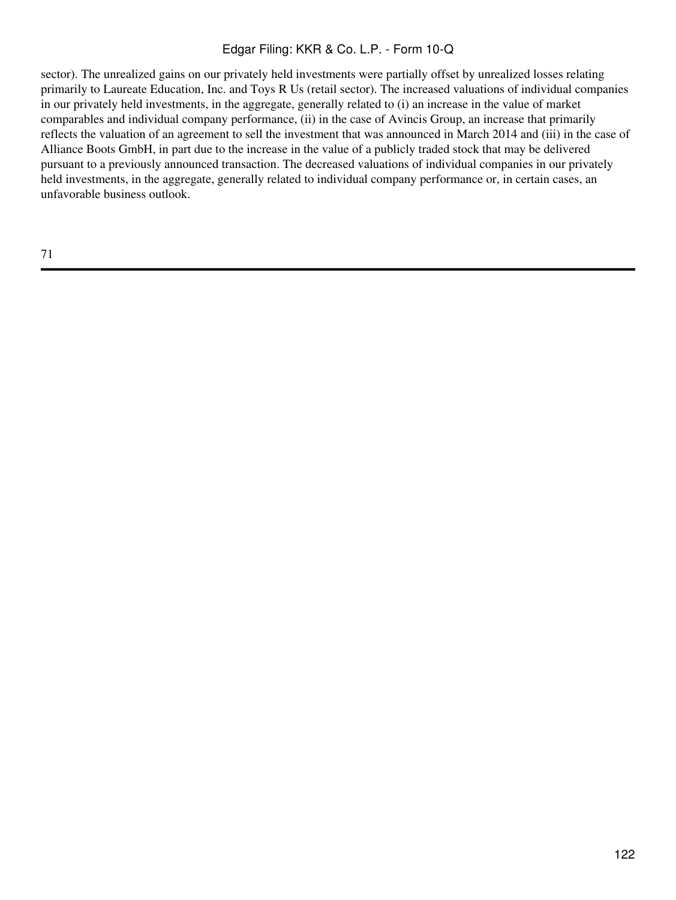sector). The unrealized gains on our privately held investments were partially offset by unrealized losses relating primarily to Laureate Education, Inc. and Toys R Us (retail sector). The increased valuations of individual companies in our privately held investments, in the aggregate, generally related to (i) an increase in the value of market comparables and individual company performance, (ii) in the case of Avincis Group, an increase that primarily reflects the valuation of an agreement to sell the investment that was announced in March 2014 and (iii) in the case of Alliance Boots GmbH, in part due to the increase in the value of a publicly traded stock that may be delivered pursuant to a previously announced transaction. The decreased valuations of individual companies in our privately held investments, in the aggregate, generally related to individual company performance or, in certain cases, an unfavorable business outlook.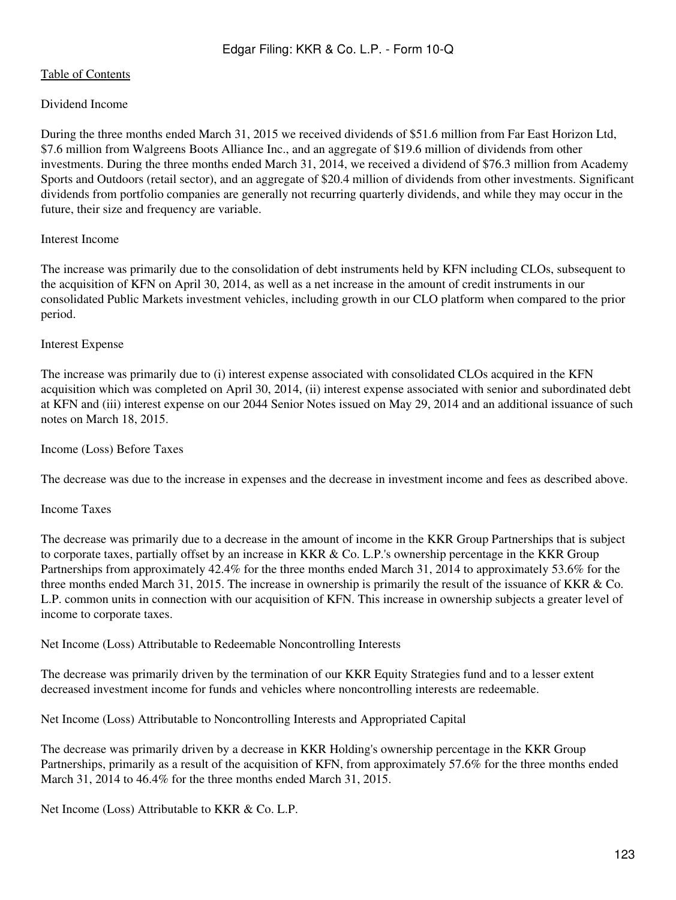# Dividend Income

During the three months ended March 31, 2015 we received dividends of \$51.6 million from Far East Horizon Ltd, \$7.6 million from Walgreens Boots Alliance Inc., and an aggregate of \$19.6 million of dividends from other investments. During the three months ended March 31, 2014, we received a dividend of \$76.3 million from Academy Sports and Outdoors (retail sector), and an aggregate of \$20.4 million of dividends from other investments. Significant dividends from portfolio companies are generally not recurring quarterly dividends, and while they may occur in the future, their size and frequency are variable.

## Interest Income

The increase was primarily due to the consolidation of debt instruments held by KFN including CLOs, subsequent to the acquisition of KFN on April 30, 2014, as well as a net increase in the amount of credit instruments in our consolidated Public Markets investment vehicles, including growth in our CLO platform when compared to the prior period.

# Interest Expense

The increase was primarily due to (i) interest expense associated with consolidated CLOs acquired in the KFN acquisition which was completed on April 30, 2014, (ii) interest expense associated with senior and subordinated debt at KFN and (iii) interest expense on our 2044 Senior Notes issued on May 29, 2014 and an additional issuance of such notes on March 18, 2015.

## Income (Loss) Before Taxes

The decrease was due to the increase in expenses and the decrease in investment income and fees as described above.

## Income Taxes

The decrease was primarily due to a decrease in the amount of income in the KKR Group Partnerships that is subject to corporate taxes, partially offset by an increase in KKR & Co. L.P.'s ownership percentage in the KKR Group Partnerships from approximately 42.4% for the three months ended March 31, 2014 to approximately 53.6% for the three months ended March 31, 2015. The increase in ownership is primarily the result of the issuance of KKR & Co. L.P. common units in connection with our acquisition of KFN. This increase in ownership subjects a greater level of income to corporate taxes.

Net Income (Loss) Attributable to Redeemable Noncontrolling Interests

The decrease was primarily driven by the termination of our KKR Equity Strategies fund and to a lesser extent decreased investment income for funds and vehicles where noncontrolling interests are redeemable.

Net Income (Loss) Attributable to Noncontrolling Interests and Appropriated Capital

The decrease was primarily driven by a decrease in KKR Holding's ownership percentage in the KKR Group Partnerships, primarily as a result of the acquisition of KFN, from approximately 57.6% for the three months ended March 31, 2014 to 46.4% for the three months ended March 31, 2015.

Net Income (Loss) Attributable to KKR & Co. L.P.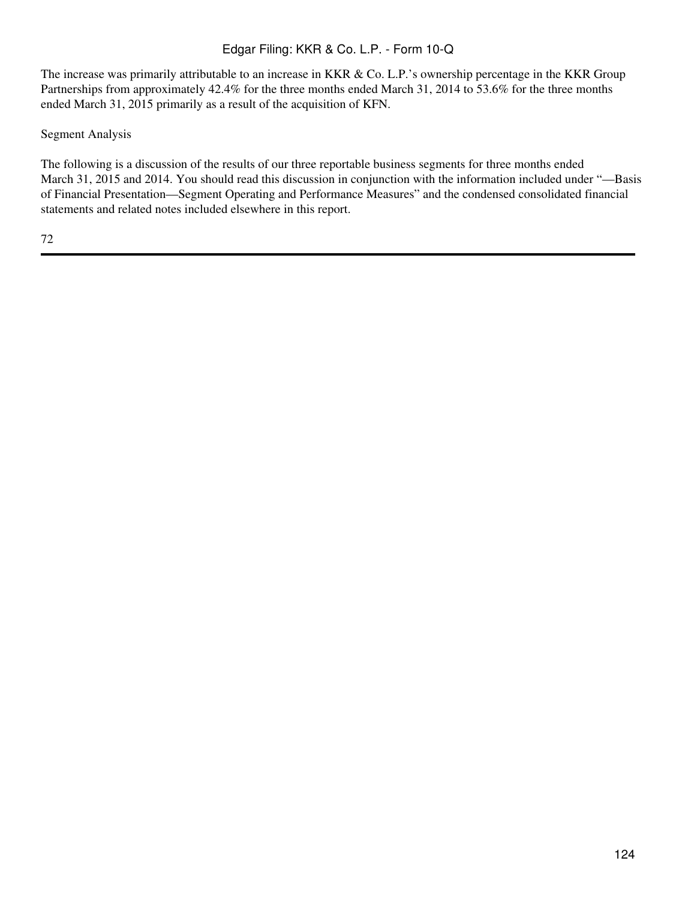The increase was primarily attributable to an increase in KKR & Co. L.P.'s ownership percentage in the KKR Group Partnerships from approximately 42.4% for the three months ended March 31, 2014 to 53.6% for the three months ended March 31, 2015 primarily as a result of the acquisition of KFN.

# Segment Analysis

The following is a discussion of the results of our three reportable business segments for three months ended March 31, 2015 and 2014. You should read this discussion in conjunction with the information included under "—Basis of Financial Presentation—Segment Operating and Performance Measures" and the condensed consolidated financial statements and related notes included elsewhere in this report.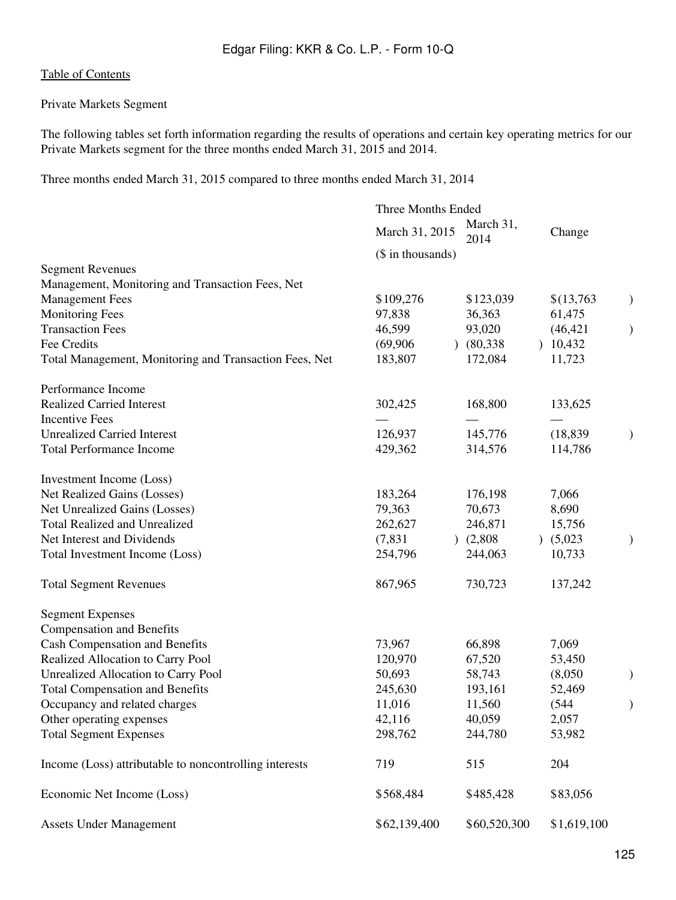# Private Markets Segment

The following tables set forth information regarding the results of operations and certain key operating metrics for our Private Markets segment for the three months ended March 31, 2015 and 2014.

Three months ended March 31, 2015 compared to three months ended March 31, 2014

|                                                        | Three Months Ended |                   |             |               |
|--------------------------------------------------------|--------------------|-------------------|-------------|---------------|
|                                                        | March 31, 2015     | March 31,<br>2014 | Change      |               |
|                                                        | (\$ in thousands)  |                   |             |               |
| <b>Segment Revenues</b>                                |                    |                   |             |               |
| Management, Monitoring and Transaction Fees, Net       |                    |                   |             |               |
| <b>Management Fees</b>                                 | \$109,276          | \$123,039         | \$(13,763)  | $\mathcal{)}$ |
| <b>Monitoring Fees</b>                                 | 97,838             | 36,363            | 61,475      |               |
| <b>Transaction Fees</b>                                | 46,599             | 93,020            | (46, 421)   | $\big)$       |
| Fee Credits                                            | (69,906)           | (80, 338)         | 10,432      |               |
| Total Management, Monitoring and Transaction Fees, Net | 183,807            | 172,084           | 11,723      |               |
| Performance Income                                     |                    |                   |             |               |
| <b>Realized Carried Interest</b>                       | 302,425            | 168,800           | 133,625     |               |
| <b>Incentive Fees</b>                                  |                    |                   |             |               |
| <b>Unrealized Carried Interest</b>                     | 126,937            | 145,776           | (18, 839)   | $\mathcal{)}$ |
| <b>Total Performance Income</b>                        | 429,362            | 314,576           | 114,786     |               |
| Investment Income (Loss)                               |                    |                   |             |               |
| Net Realized Gains (Losses)                            | 183,264            | 176,198           | 7,066       |               |
| Net Unrealized Gains (Losses)                          | 79,363             | 70,673            | 8,690       |               |
| <b>Total Realized and Unrealized</b>                   | 262,627            | 246,871           | 15,756      |               |
| Net Interest and Dividends                             | (7, 831)           | (2,808)           | (5,023)     | )             |
| Total Investment Income (Loss)                         | 254,796            | 244,063           | 10,733      |               |
| <b>Total Segment Revenues</b>                          | 867,965            | 730,723           | 137,242     |               |
| <b>Segment Expenses</b>                                |                    |                   |             |               |
| <b>Compensation and Benefits</b>                       |                    |                   |             |               |
| <b>Cash Compensation and Benefits</b>                  | 73,967             | 66,898            | 7,069       |               |
| Realized Allocation to Carry Pool                      | 120,970            | 67,520            | 53,450      |               |
| Unrealized Allocation to Carry Pool                    | 50,693             | 58,743            | (8,050)     | $\mathcal{E}$ |
| <b>Total Compensation and Benefits</b>                 | 245,630            | 193,161           | 52,469      |               |
| Occupancy and related charges                          | 11,016             | 11,560            | (544)       | $\mathcal{)}$ |
| Other operating expenses                               | 42,116             | 40,059            | 2,057       |               |
| <b>Total Segment Expenses</b>                          | 298,762            | 244,780           | 53,982      |               |
| Income (Loss) attributable to noncontrolling interests | 719                | 515               | 204         |               |
| Economic Net Income (Loss)                             | \$568,484          | \$485,428         | \$83,056    |               |
| <b>Assets Under Management</b>                         | \$62,139,400       | \$60,520,300      | \$1,619,100 |               |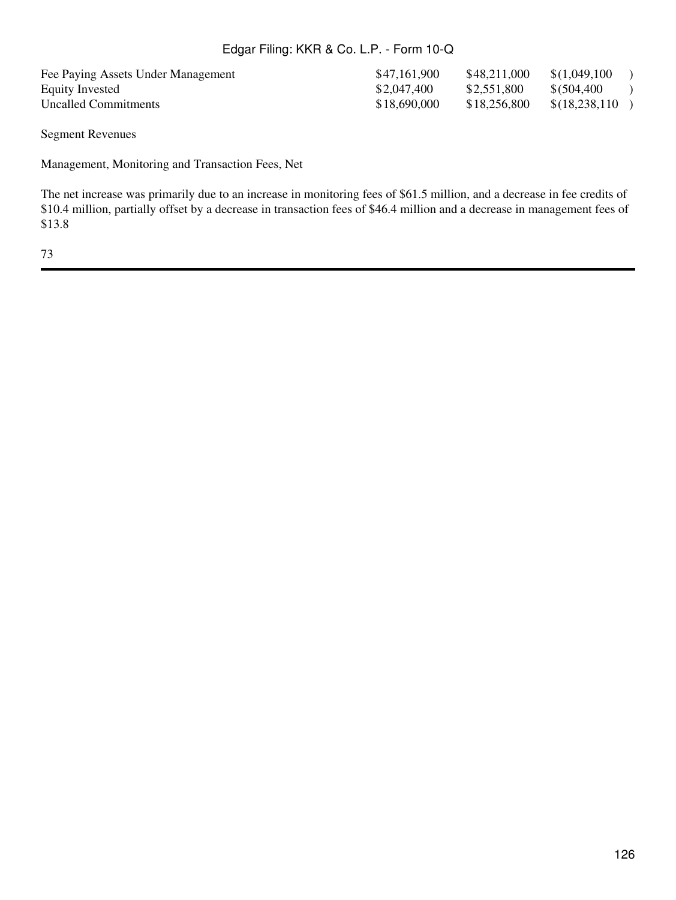Fee Paying Assets Under Management \$47,161,900 \$48,211,000 \$(1,049,100 )

Equity Invested  $$2,047,400$   $$2,551,800$   $$(504,400)$ Uncalled Commitments  $$18,690,000$   $$18,256,800$   $$(18,238,110)$ 

Segment Revenues

Management, Monitoring and Transaction Fees, Net

The net increase was primarily due to an increase in monitoring fees of \$61.5 million, and a decrease in fee credits of \$10.4 million, partially offset by a decrease in transaction fees of \$46.4 million and a decrease in management fees of \$13.8

73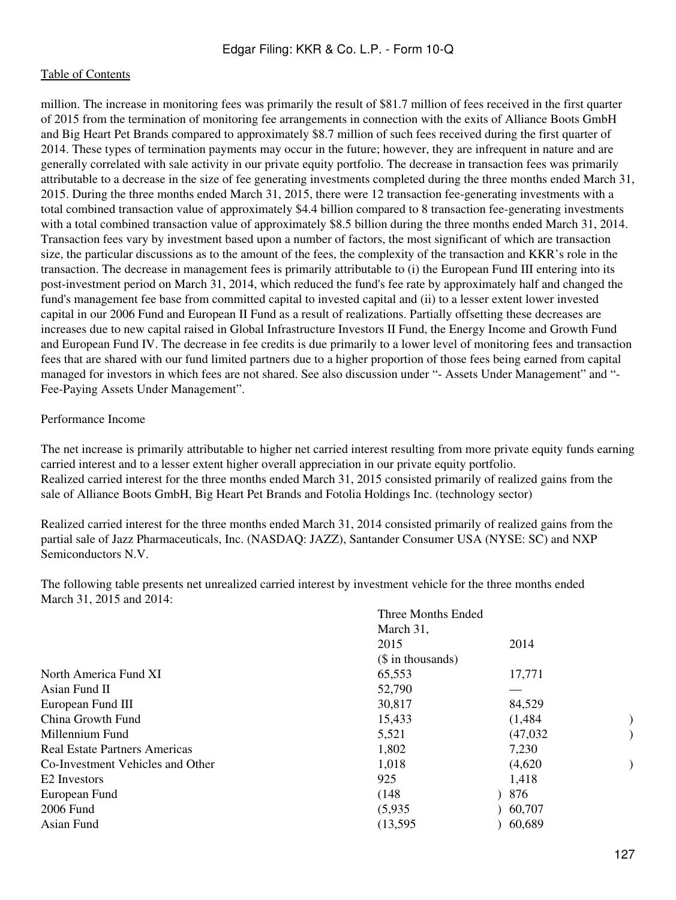million. The increase in monitoring fees was primarily the result of \$81.7 million of fees received in the first quarter of 2015 from the termination of monitoring fee arrangements in connection with the exits of Alliance Boots GmbH and Big Heart Pet Brands compared to approximately \$8.7 million of such fees received during the first quarter of 2014. These types of termination payments may occur in the future; however, they are infrequent in nature and are generally correlated with sale activity in our private equity portfolio. The decrease in transaction fees was primarily attributable to a decrease in the size of fee generating investments completed during the three months ended March 31, 2015. During the three months ended March 31, 2015, there were 12 transaction fee-generating investments with a total combined transaction value of approximately \$4.4 billion compared to 8 transaction fee-generating investments with a total combined transaction value of approximately \$8.5 billion during the three months ended March 31, 2014. Transaction fees vary by investment based upon a number of factors, the most significant of which are transaction size, the particular discussions as to the amount of the fees, the complexity of the transaction and KKR's role in the transaction. The decrease in management fees is primarily attributable to (i) the European Fund III entering into its post-investment period on March 31, 2014, which reduced the fund's fee rate by approximately half and changed the fund's management fee base from committed capital to invested capital and (ii) to a lesser extent lower invested capital in our 2006 Fund and European II Fund as a result of realizations. Partially offsetting these decreases are increases due to new capital raised in Global Infrastructure Investors II Fund, the Energy Income and Growth Fund and European Fund IV. The decrease in fee credits is due primarily to a lower level of monitoring fees and transaction fees that are shared with our fund limited partners due to a higher proportion of those fees being earned from capital managed for investors in which fees are not shared. See also discussion under "- Assets Under Management" and "- Fee-Paying Assets Under Management".

## Performance Income

The net increase is primarily attributable to higher net carried interest resulting from more private equity funds earning carried interest and to a lesser extent higher overall appreciation in our private equity portfolio. Realized carried interest for the three months ended March 31, 2015 consisted primarily of realized gains from the sale of Alliance Boots GmbH, Big Heart Pet Brands and Fotolia Holdings Inc. (technology sector)

Realized carried interest for the three months ended March 31, 2014 consisted primarily of realized gains from the partial sale of Jazz Pharmaceuticals, Inc. (NASDAQ: JAZZ), Santander Consumer USA (NYSE: SC) and NXP Semiconductors N.V.

The following table presents net unrealized carried interest by investment vehicle for the three months ended March 31, 2015 and 2014:

| 17,771   |
|----------|
|          |
| 84,529   |
| (1,484)  |
| (47,032) |
|          |
| (4,620)  |
|          |
|          |
| 60,707   |
| 60,689   |
|          |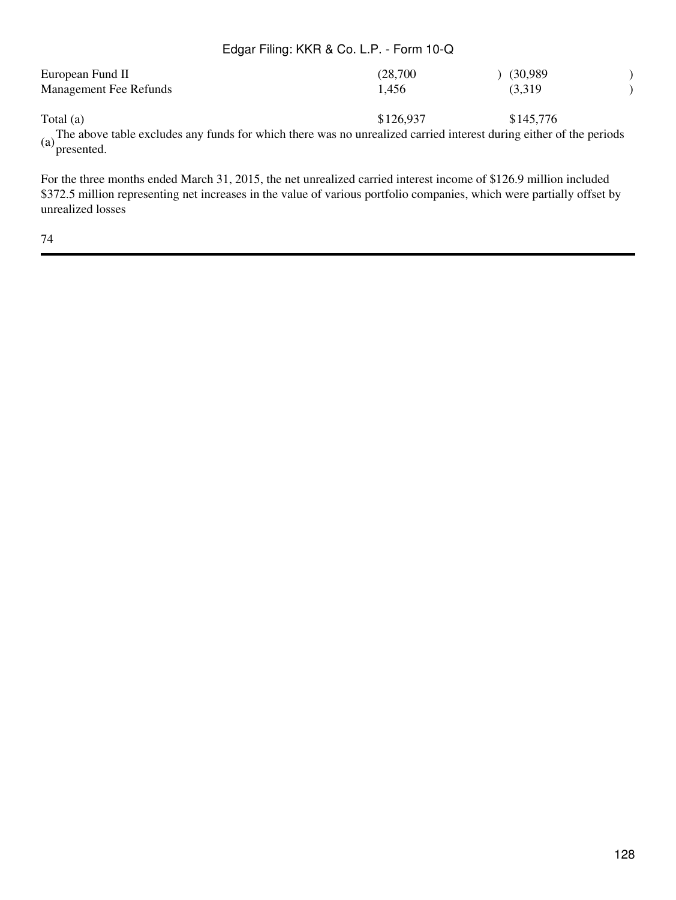| European Fund II                                                                                                                  | (28,700)  | (30,989)  |  |
|-----------------------------------------------------------------------------------------------------------------------------------|-----------|-----------|--|
| <b>Management Fee Refunds</b>                                                                                                     | 1.456     | (3,319)   |  |
| Total $(a)$                                                                                                                       | \$126,937 | \$145.776 |  |
| (a) The above table excludes any funds for which there was no unrealized carried interest during either of the periods presented. |           |           |  |

For the three months ended March 31, 2015, the net unrealized carried interest income of \$126.9 million included \$372.5 million representing net increases in the value of various portfolio companies, which were partially offset by unrealized losses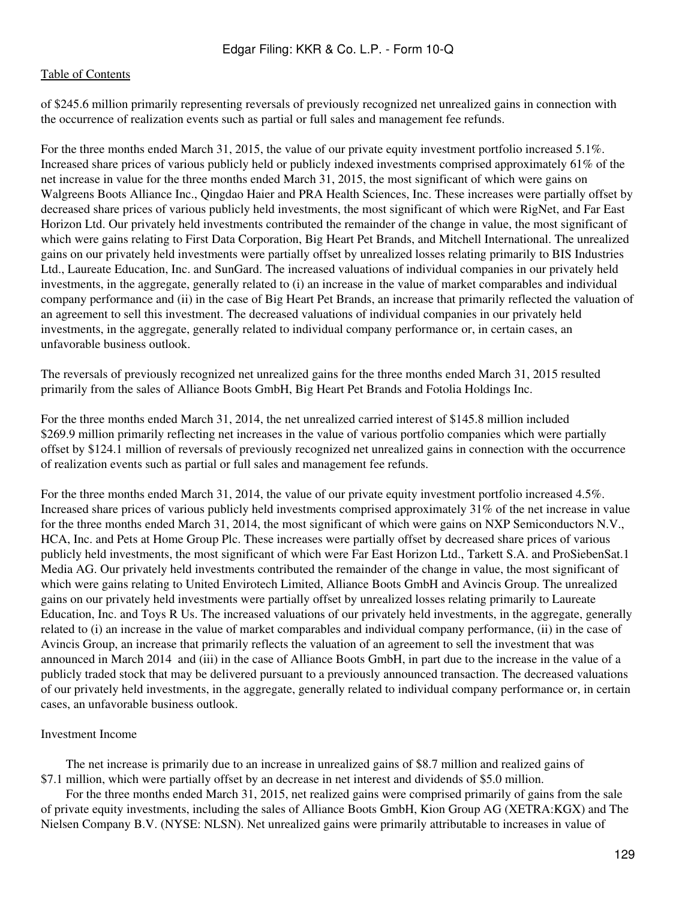of \$245.6 million primarily representing reversals of previously recognized net unrealized gains in connection with the occurrence of realization events such as partial or full sales and management fee refunds.

For the three months ended March 31, 2015, the value of our private equity investment portfolio increased 5.1%. Increased share prices of various publicly held or publicly indexed investments comprised approximately 61% of the net increase in value for the three months ended March 31, 2015, the most significant of which were gains on Walgreens Boots Alliance Inc., Qingdao Haier and PRA Health Sciences, Inc. These increases were partially offset by decreased share prices of various publicly held investments, the most significant of which were RigNet, and Far East Horizon Ltd. Our privately held investments contributed the remainder of the change in value, the most significant of which were gains relating to First Data Corporation, Big Heart Pet Brands, and Mitchell International. The unrealized gains on our privately held investments were partially offset by unrealized losses relating primarily to BIS Industries Ltd., Laureate Education, Inc. and SunGard. The increased valuations of individual companies in our privately held investments, in the aggregate, generally related to (i) an increase in the value of market comparables and individual company performance and (ii) in the case of Big Heart Pet Brands, an increase that primarily reflected the valuation of an agreement to sell this investment. The decreased valuations of individual companies in our privately held investments, in the aggregate, generally related to individual company performance or, in certain cases, an unfavorable business outlook.

The reversals of previously recognized net unrealized gains for the three months ended March 31, 2015 resulted primarily from the sales of Alliance Boots GmbH, Big Heart Pet Brands and Fotolia Holdings Inc.

For the three months ended March 31, 2014, the net unrealized carried interest of \$145.8 million included \$269.9 million primarily reflecting net increases in the value of various portfolio companies which were partially offset by \$124.1 million of reversals of previously recognized net unrealized gains in connection with the occurrence of realization events such as partial or full sales and management fee refunds.

For the three months ended March 31, 2014, the value of our private equity investment portfolio increased 4.5%. Increased share prices of various publicly held investments comprised approximately 31% of the net increase in value for the three months ended March 31, 2014, the most significant of which were gains on NXP Semiconductors N.V., HCA, Inc. and Pets at Home Group Plc. These increases were partially offset by decreased share prices of various publicly held investments, the most significant of which were Far East Horizon Ltd., Tarkett S.A. and ProSiebenSat.1 Media AG. Our privately held investments contributed the remainder of the change in value, the most significant of which were gains relating to United Envirotech Limited, Alliance Boots GmbH and Avincis Group. The unrealized gains on our privately held investments were partially offset by unrealized losses relating primarily to Laureate Education, Inc. and Toys R Us. The increased valuations of our privately held investments, in the aggregate, generally related to (i) an increase in the value of market comparables and individual company performance, (ii) in the case of Avincis Group, an increase that primarily reflects the valuation of an agreement to sell the investment that was announced in March 2014 and (iii) in the case of Alliance Boots GmbH, in part due to the increase in the value of a publicly traded stock that may be delivered pursuant to a previously announced transaction. The decreased valuations of our privately held investments, in the aggregate, generally related to individual company performance or, in certain cases, an unfavorable business outlook.

## Investment Income

 The net increase is primarily due to an increase in unrealized gains of \$8.7 million and realized gains of \$7.1 million, which were partially offset by an decrease in net interest and dividends of \$5.0 million.

 For the three months ended March 31, 2015, net realized gains were comprised primarily of gains from the sale of private equity investments, including the sales of Alliance Boots GmbH, Kion Group AG (XETRA:KGX) and The Nielsen Company B.V. (NYSE: NLSN). Net unrealized gains were primarily attributable to increases in value of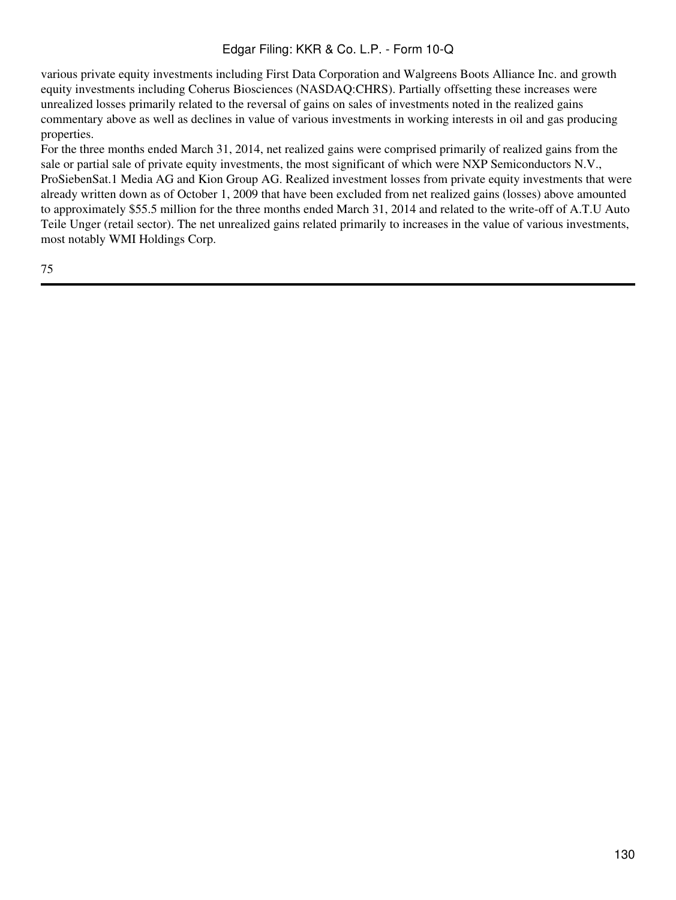various private equity investments including First Data Corporation and Walgreens Boots Alliance Inc. and growth equity investments including Coherus Biosciences (NASDAQ:CHRS). Partially offsetting these increases were unrealized losses primarily related to the reversal of gains on sales of investments noted in the realized gains commentary above as well as declines in value of various investments in working interests in oil and gas producing properties.

For the three months ended March 31, 2014, net realized gains were comprised primarily of realized gains from the sale or partial sale of private equity investments, the most significant of which were NXP Semiconductors N.V., ProSiebenSat.1 Media AG and Kion Group AG. Realized investment losses from private equity investments that were already written down as of October 1, 2009 that have been excluded from net realized gains (losses) above amounted to approximately \$55.5 million for the three months ended March 31, 2014 and related to the write-off of A.T.U Auto Teile Unger (retail sector). The net unrealized gains related primarily to increases in the value of various investments, most notably WMI Holdings Corp.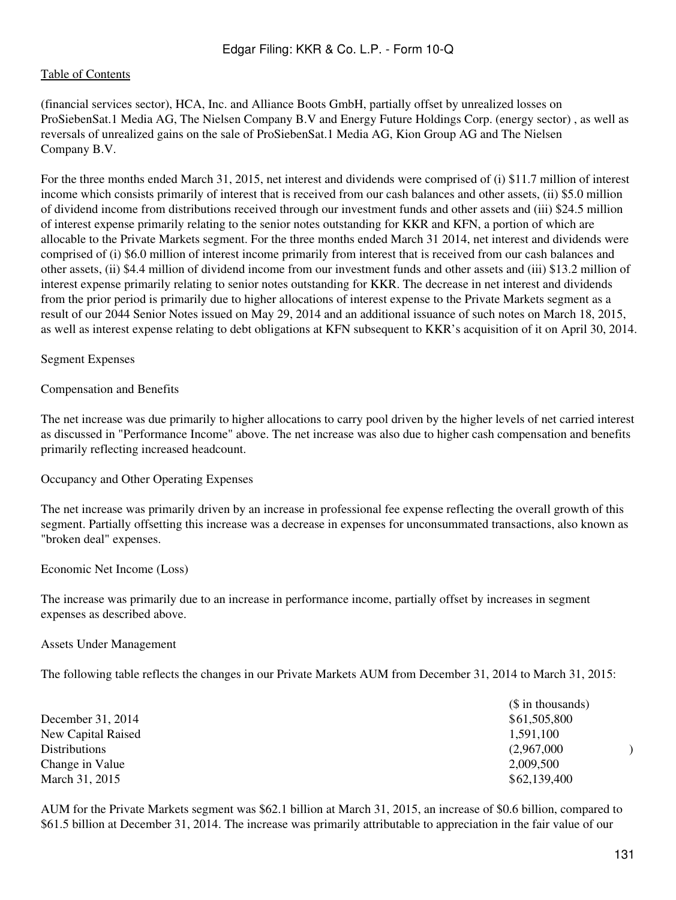(financial services sector), HCA, Inc. and Alliance Boots GmbH, partially offset by unrealized losses on ProSiebenSat.1 Media AG, The Nielsen Company B.V and Energy Future Holdings Corp. (energy sector) , as well as reversals of unrealized gains on the sale of ProSiebenSat.1 Media AG, Kion Group AG and The Nielsen Company B.V.

For the three months ended March 31, 2015, net interest and dividends were comprised of (i) \$11.7 million of interest income which consists primarily of interest that is received from our cash balances and other assets, (ii) \$5.0 million of dividend income from distributions received through our investment funds and other assets and (iii) \$24.5 million of interest expense primarily relating to the senior notes outstanding for KKR and KFN, a portion of which are allocable to the Private Markets segment. For the three months ended March 31 2014, net interest and dividends were comprised of (i) \$6.0 million of interest income primarily from interest that is received from our cash balances and other assets, (ii) \$4.4 million of dividend income from our investment funds and other assets and (iii) \$13.2 million of interest expense primarily relating to senior notes outstanding for KKR. The decrease in net interest and dividends from the prior period is primarily due to higher allocations of interest expense to the Private Markets segment as a result of our 2044 Senior Notes issued on May 29, 2014 and an additional issuance of such notes on March 18, 2015, as well as interest expense relating to debt obligations at KFN subsequent to KKR's acquisition of it on April 30, 2014.

## Segment Expenses

Compensation and Benefits

The net increase was due primarily to higher allocations to carry pool driven by the higher levels of net carried interest as discussed in "Performance Income" above. The net increase was also due to higher cash compensation and benefits primarily reflecting increased headcount.

Occupancy and Other Operating Expenses

The net increase was primarily driven by an increase in professional fee expense reflecting the overall growth of this segment. Partially offsetting this increase was a decrease in expenses for unconsummated transactions, also known as "broken deal" expenses.

Economic Net Income (Loss)

The increase was primarily due to an increase in performance income, partially offset by increases in segment expenses as described above.

Assets Under Management

The following table reflects the changes in our Private Markets AUM from December 31, 2014 to March 31, 2015:

|                      | (\$ in thousands) |
|----------------------|-------------------|
| December 31, 2014    | \$61,505,800      |
| New Capital Raised   | 1,591,100         |
| <b>Distributions</b> | (2,967,000)       |
| Change in Value      | 2,009,500         |
| March 31, 2015       | \$62,139,400      |

AUM for the Private Markets segment was \$62.1 billion at March 31, 2015, an increase of \$0.6 billion, compared to \$61.5 billion at December 31, 2014. The increase was primarily attributable to appreciation in the fair value of our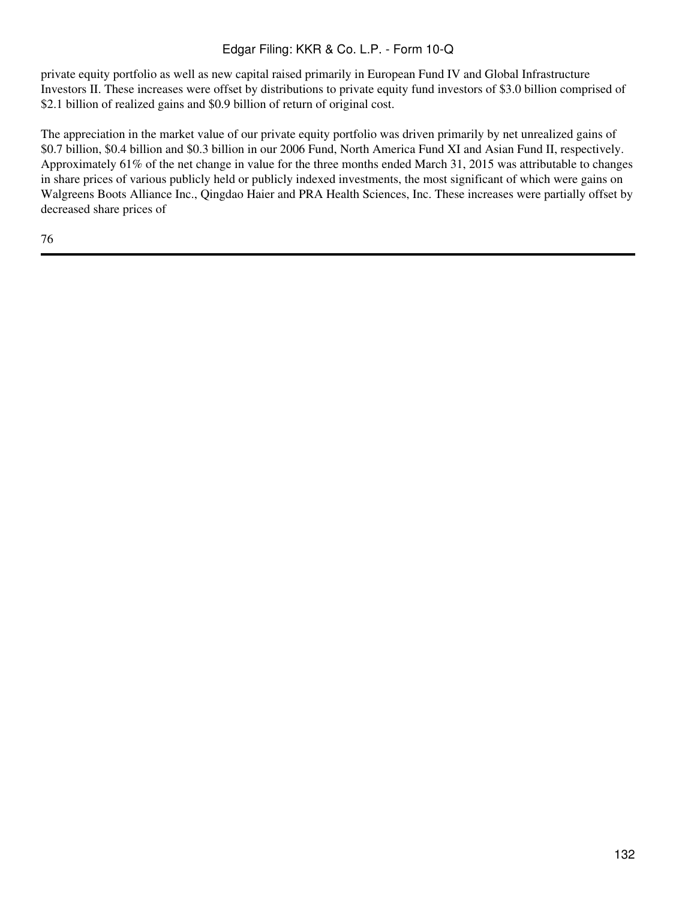private equity portfolio as well as new capital raised primarily in European Fund IV and Global Infrastructure Investors II. These increases were offset by distributions to private equity fund investors of \$3.0 billion comprised of \$2.1 billion of realized gains and \$0.9 billion of return of original cost.

The appreciation in the market value of our private equity portfolio was driven primarily by net unrealized gains of \$0.7 billion, \$0.4 billion and \$0.3 billion in our 2006 Fund, North America Fund XI and Asian Fund II, respectively. Approximately 61% of the net change in value for the three months ended March 31, 2015 was attributable to changes in share prices of various publicly held or publicly indexed investments, the most significant of which were gains on Walgreens Boots Alliance Inc., Qingdao Haier and PRA Health Sciences, Inc. These increases were partially offset by decreased share prices of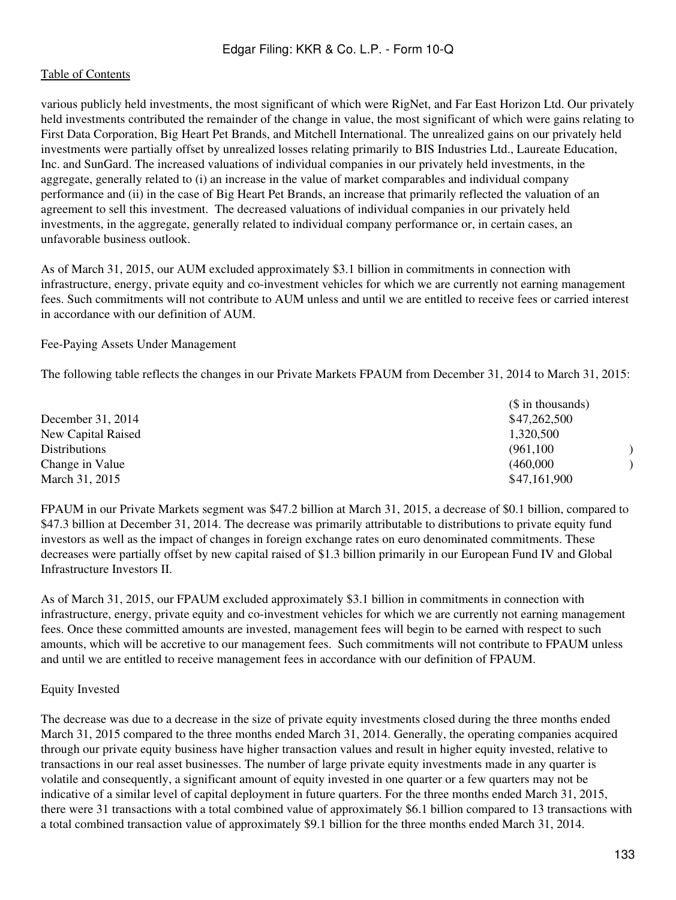various publicly held investments, the most significant of which were RigNet, and Far East Horizon Ltd. Our privately held investments contributed the remainder of the change in value, the most significant of which were gains relating to First Data Corporation, Big Heart Pet Brands, and Mitchell International. The unrealized gains on our privately held investments were partially offset by unrealized losses relating primarily to BIS Industries Ltd., Laureate Education, Inc. and SunGard. The increased valuations of individual companies in our privately held investments, in the aggregate, generally related to (i) an increase in the value of market comparables and individual company performance and (ii) in the case of Big Heart Pet Brands, an increase that primarily reflected the valuation of an agreement to sell this investment. The decreased valuations of individual companies in our privately held investments, in the aggregate, generally related to individual company performance or, in certain cases, an unfavorable business outlook.

As of March 31, 2015, our AUM excluded approximately \$3.1 billion in commitments in connection with infrastructure, energy, private equity and co-investment vehicles for which we are currently not earning management fees. Such commitments will not contribute to AUM unless and until we are entitled to receive fees or carried interest in accordance with our definition of AUM.

## Fee-Paying Assets Under Management

The following table reflects the changes in our Private Markets FPAUM from December 31, 2014 to March 31, 2015:

|                      | (\$ in thousands) |
|----------------------|-------------------|
| December 31, 2014    | \$47,262,500      |
| New Capital Raised   | 1,320,500         |
| <b>Distributions</b> | (961, 100)        |
| Change in Value      | (460,000)         |
| March 31, 2015       | \$47,161,900      |

FPAUM in our Private Markets segment was \$47.2 billion at March 31, 2015, a decrease of \$0.1 billion, compared to \$47.3 billion at December 31, 2014. The decrease was primarily attributable to distributions to private equity fund investors as well as the impact of changes in foreign exchange rates on euro denominated commitments. These decreases were partially offset by new capital raised of \$1.3 billion primarily in our European Fund IV and Global Infrastructure Investors II.

As of March 31, 2015, our FPAUM excluded approximately \$3.1 billion in commitments in connection with infrastructure, energy, private equity and co-investment vehicles for which we are currently not earning management fees. Once these committed amounts are invested, management fees will begin to be earned with respect to such amounts, which will be accretive to our management fees. Such commitments will not contribute to FPAUM unless and until we are entitled to receive management fees in accordance with our definition of FPAUM.

## Equity Invested

The decrease was due to a decrease in the size of private equity investments closed during the three months ended March 31, 2015 compared to the three months ended March 31, 2014. Generally, the operating companies acquired through our private equity business have higher transaction values and result in higher equity invested, relative to transactions in our real asset businesses. The number of large private equity investments made in any quarter is volatile and consequently, a significant amount of equity invested in one quarter or a few quarters may not be indicative of a similar level of capital deployment in future quarters. For the three months ended March 31, 2015, there were 31 transactions with a total combined value of approximately \$6.1 billion compared to 13 transactions with a total combined transaction value of approximately \$9.1 billion for the three months ended March 31, 2014.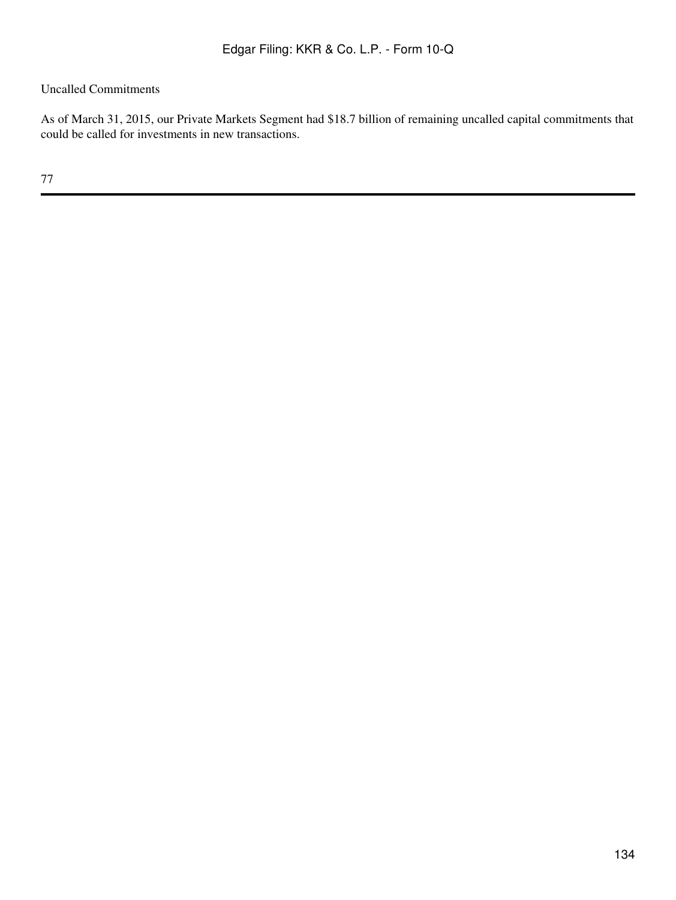# Uncalled Commitments

As of March 31, 2015, our Private Markets Segment had \$18.7 billion of remaining uncalled capital commitments that could be called for investments in new transactions.

77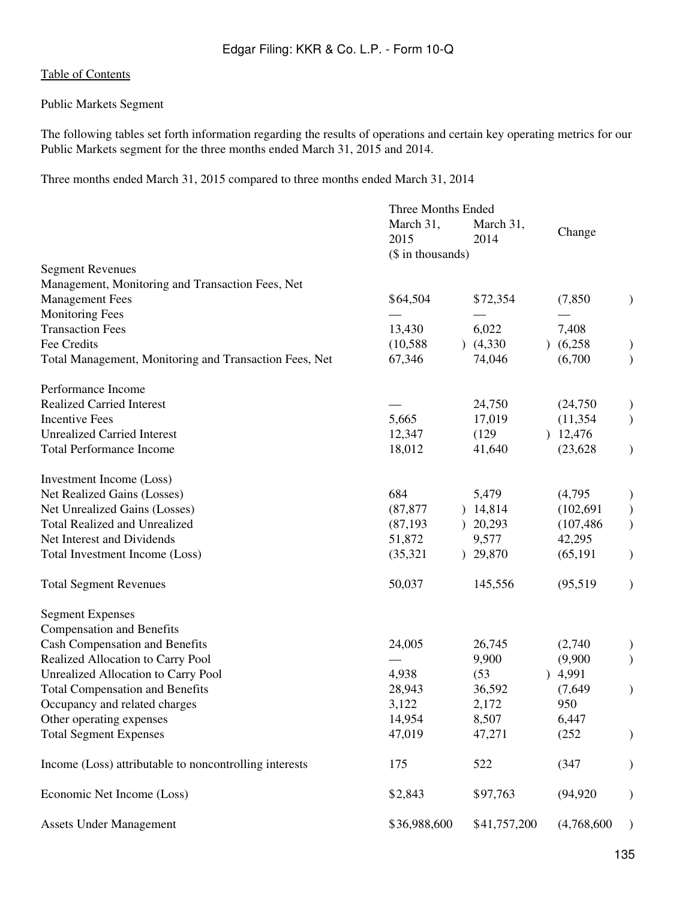# Public Markets Segment

The following tables set forth information regarding the results of operations and certain key operating metrics for our Public Markets segment for the three months ended March 31, 2015 and 2014.

Three months ended March 31, 2015 compared to three months ended March 31, 2014

|                                                        | Three Months Ended |                         |             |                        |
|--------------------------------------------------------|--------------------|-------------------------|-------------|------------------------|
|                                                        | March 31,          | March 31,               |             |                        |
|                                                        | 2015               | 2014                    | Change      |                        |
|                                                        | (\$ in thousands)  |                         |             |                        |
| <b>Segment Revenues</b>                                |                    |                         |             |                        |
| Management, Monitoring and Transaction Fees, Net       |                    |                         |             |                        |
| <b>Management Fees</b>                                 | \$64,504           | \$72,354                | (7, 850)    |                        |
| <b>Monitoring Fees</b>                                 |                    |                         |             |                        |
| <b>Transaction Fees</b>                                | 13,430             | 6,022                   | 7,408       |                        |
| Fee Credits                                            | (10, 588)          | (4,330)                 | (6,258)     |                        |
| Total Management, Monitoring and Transaction Fees, Net | 67,346             | 74,046                  | (6,700)     |                        |
| Performance Income                                     |                    |                         |             |                        |
| <b>Realized Carried Interest</b>                       |                    | 24,750                  | (24,750)    |                        |
| <b>Incentive Fees</b>                                  | 5,665              | 17,019                  | (11, 354)   | $\mathcal{E}$          |
| <b>Unrealized Carried Interest</b>                     | 12,347             | (129)                   | 12,476      |                        |
| <b>Total Performance Income</b>                        | 18,012             | 41,640                  | (23, 628)   |                        |
| Investment Income (Loss)                               |                    |                         |             |                        |
| Net Realized Gains (Losses)                            | 684                | 5,479                   | (4,795)     |                        |
| Net Unrealized Gains (Losses)                          | (87, 877)          | ) 14,814                | (102, 691)  |                        |
| <b>Total Realized and Unrealized</b>                   | (87, 193)          | 20,293                  | (107, 486)  |                        |
| Net Interest and Dividends                             | 51,872             | 9,577                   | 42,295      |                        |
| Total Investment Income (Loss)                         | (35, 321)          | 29,870<br>$\mathcal{L}$ | (65, 191)   | $\mathcal{E}$          |
| <b>Total Segment Revenues</b>                          | 50,037             | 145,556                 | (95, 519)   | $\mathcal{)}$          |
| <b>Segment Expenses</b>                                |                    |                         |             |                        |
| <b>Compensation and Benefits</b>                       |                    |                         |             |                        |
| <b>Cash Compensation and Benefits</b>                  | 24,005             | 26,745                  | (2,740)     |                        |
| Realized Allocation to Carry Pool                      |                    | 9,900                   | (9,900)     |                        |
| <b>Unrealized Allocation to Carry Pool</b>             | 4,938              | (53)                    | 4,991       |                        |
| <b>Total Compensation and Benefits</b>                 | 28,943             | 36,592                  | (7,649)     | $\mathcal{C}^{\prime}$ |
| Occupancy and related charges                          | 3,122              | 2,172                   | 950         |                        |
| Other operating expenses                               | 14,954             | 8,507                   | 6,447       |                        |
| <b>Total Segment Expenses</b>                          | 47,019             | 47,271                  | (252)       |                        |
| Income (Loss) attributable to noncontrolling interests | 175                | 522                     | (347)       |                        |
| Economic Net Income (Loss)                             | \$2,843            | \$97,763                | (94, 920)   |                        |
| <b>Assets Under Management</b>                         | \$36,988,600       | \$41,757,200            | (4,768,600) | $\mathcal{E}$          |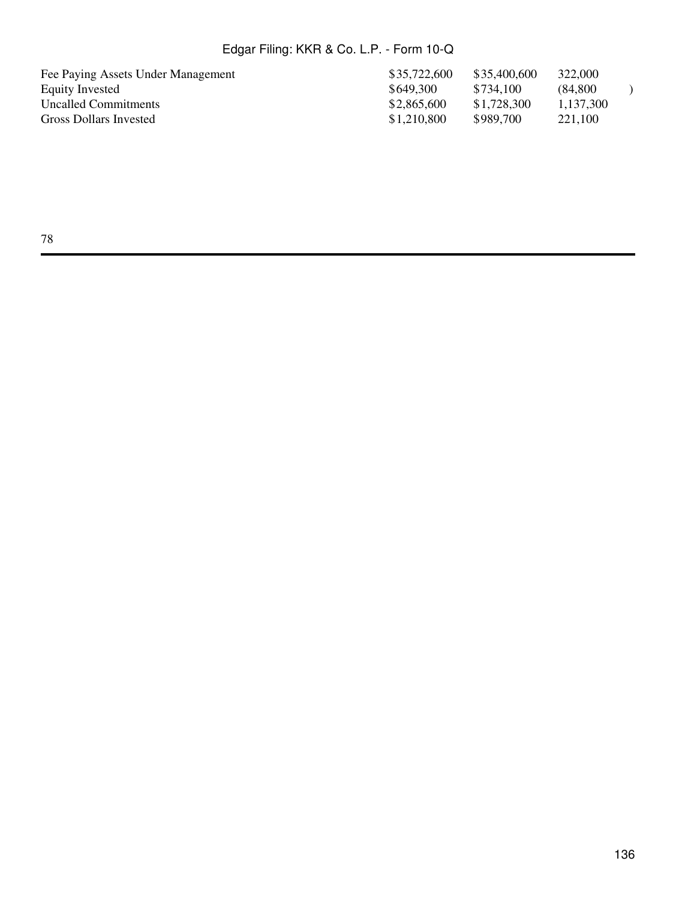| Fee Paying Assets Under Management | \$35,722,600 | \$35,400,600 | 322,000   |  |
|------------------------------------|--------------|--------------|-----------|--|
| Equity Invested                    | \$649.300    | \$734.100    | (84.800)  |  |
| <b>Uncalled Commitments</b>        | \$2,865,600  | \$1,728,300  | 1.137.300 |  |
| Gross Dollars Invested             | \$1,210,800  | \$989.700    | 221,100   |  |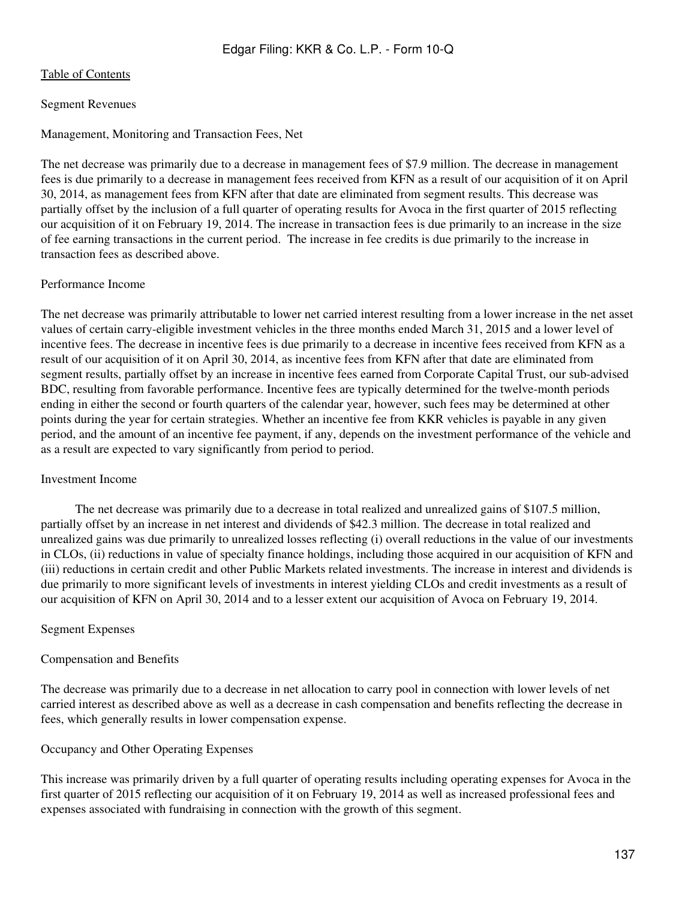# Segment Revenues

# Management, Monitoring and Transaction Fees, Net

The net decrease was primarily due to a decrease in management fees of \$7.9 million. The decrease in management fees is due primarily to a decrease in management fees received from KFN as a result of our acquisition of it on April 30, 2014, as management fees from KFN after that date are eliminated from segment results. This decrease was partially offset by the inclusion of a full quarter of operating results for Avoca in the first quarter of 2015 reflecting our acquisition of it on February 19, 2014. The increase in transaction fees is due primarily to an increase in the size of fee earning transactions in the current period. The increase in fee credits is due primarily to the increase in transaction fees as described above.

# Performance Income

The net decrease was primarily attributable to lower net carried interest resulting from a lower increase in the net asset values of certain carry-eligible investment vehicles in the three months ended March 31, 2015 and a lower level of incentive fees. The decrease in incentive fees is due primarily to a decrease in incentive fees received from KFN as a result of our acquisition of it on April 30, 2014, as incentive fees from KFN after that date are eliminated from segment results, partially offset by an increase in incentive fees earned from Corporate Capital Trust, our sub-advised BDC, resulting from favorable performance. Incentive fees are typically determined for the twelve-month periods ending in either the second or fourth quarters of the calendar year, however, such fees may be determined at other points during the year for certain strategies. Whether an incentive fee from KKR vehicles is payable in any given period, and the amount of an incentive fee payment, if any, depends on the investment performance of the vehicle and as a result are expected to vary significantly from period to period.

## Investment Income

 The net decrease was primarily due to a decrease in total realized and unrealized gains of \$107.5 million, partially offset by an increase in net interest and dividends of \$42.3 million. The decrease in total realized and unrealized gains was due primarily to unrealized losses reflecting (i) overall reductions in the value of our investments in CLOs, (ii) reductions in value of specialty finance holdings, including those acquired in our acquisition of KFN and (iii) reductions in certain credit and other Public Markets related investments. The increase in interest and dividends is due primarily to more significant levels of investments in interest yielding CLOs and credit investments as a result of our acquisition of KFN on April 30, 2014 and to a lesser extent our acquisition of Avoca on February 19, 2014.

# Segment Expenses

## Compensation and Benefits

The decrease was primarily due to a decrease in net allocation to carry pool in connection with lower levels of net carried interest as described above as well as a decrease in cash compensation and benefits reflecting the decrease in fees, which generally results in lower compensation expense.

## Occupancy and Other Operating Expenses

This increase was primarily driven by a full quarter of operating results including operating expenses for Avoca in the first quarter of 2015 reflecting our acquisition of it on February 19, 2014 as well as increased professional fees and expenses associated with fundraising in connection with the growth of this segment.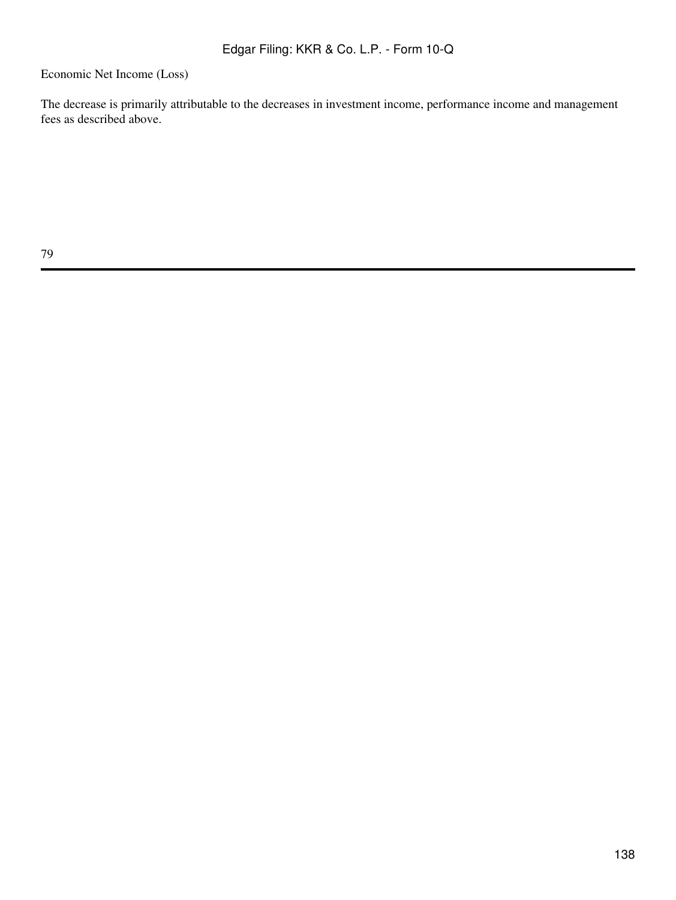Economic Net Income (Loss)

The decrease is primarily attributable to the decreases in investment income, performance income and management fees as described above.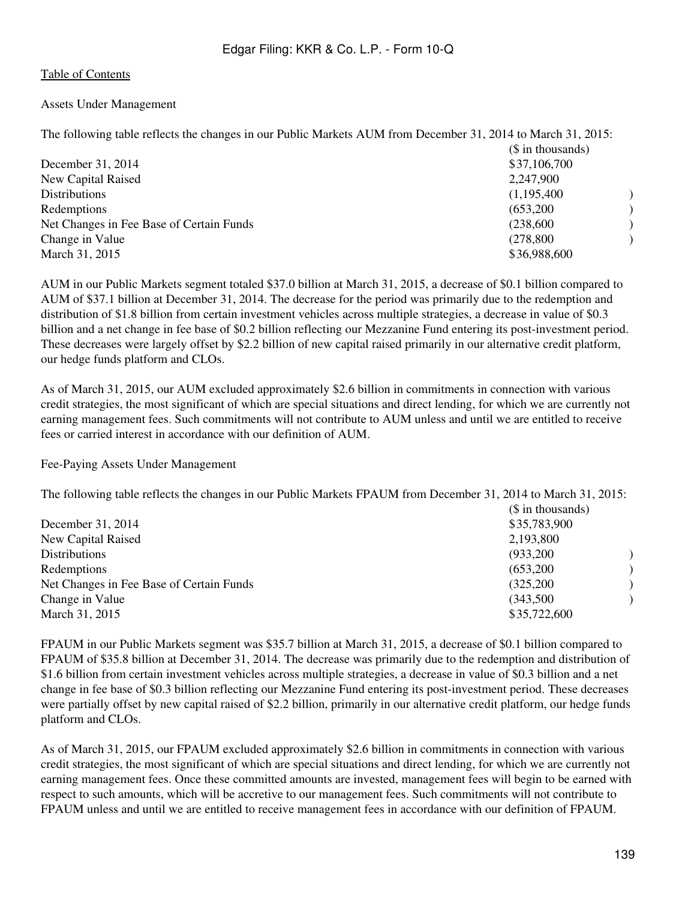## Assets Under Management

The following table reflects the changes in our Public Markets AUM from December 31, 2014 to March 31, 2015:

|                                          | $($$ in thousands) |  |
|------------------------------------------|--------------------|--|
| December 31, 2014                        | \$37,106,700       |  |
| New Capital Raised                       | 2,247,900          |  |
| Distributions                            | (1,195,400)        |  |
| Redemptions                              | (653,200)          |  |
| Net Changes in Fee Base of Certain Funds | (238,600)          |  |
| Change in Value                          | (278, 800)         |  |
| March 31, 2015                           | \$36,988,600       |  |

AUM in our Public Markets segment totaled \$37.0 billion at March 31, 2015, a decrease of \$0.1 billion compared to AUM of \$37.1 billion at December 31, 2014. The decrease for the period was primarily due to the redemption and distribution of \$1.8 billion from certain investment vehicles across multiple strategies, a decrease in value of \$0.3 billion and a net change in fee base of \$0.2 billion reflecting our Mezzanine Fund entering its post-investment period. These decreases were largely offset by \$2.2 billion of new capital raised primarily in our alternative credit platform, our hedge funds platform and CLOs.

As of March 31, 2015, our AUM excluded approximately \$2.6 billion in commitments in connection with various credit strategies, the most significant of which are special situations and direct lending, for which we are currently not earning management fees. Such commitments will not contribute to AUM unless and until we are entitled to receive fees or carried interest in accordance with our definition of AUM.

Fee-Paying Assets Under Management

The following table reflects the changes in our Public Markets FPAUM from December 31, 2014 to March 31, 2015:

|                                          | $($$ in thousands)<br>\$35,783,900 |  |
|------------------------------------------|------------------------------------|--|
| December 31, 2014                        |                                    |  |
| New Capital Raised                       | 2,193,800                          |  |
| Distributions                            | (933,200)                          |  |
| Redemptions                              | (653,200)                          |  |
| Net Changes in Fee Base of Certain Funds | (325, 200)                         |  |
| Change in Value                          | (343,500)                          |  |
| March 31, 2015                           | \$35,722,600                       |  |

FPAUM in our Public Markets segment was \$35.7 billion at March 31, 2015, a decrease of \$0.1 billion compared to FPAUM of \$35.8 billion at December 31, 2014. The decrease was primarily due to the redemption and distribution of \$1.6 billion from certain investment vehicles across multiple strategies, a decrease in value of \$0.3 billion and a net change in fee base of \$0.3 billion reflecting our Mezzanine Fund entering its post-investment period. These decreases were partially offset by new capital raised of \$2.2 billion, primarily in our alternative credit platform, our hedge funds platform and CLOs.

As of March 31, 2015, our FPAUM excluded approximately \$2.6 billion in commitments in connection with various credit strategies, the most significant of which are special situations and direct lending, for which we are currently not earning management fees. Once these committed amounts are invested, management fees will begin to be earned with respect to such amounts, which will be accretive to our management fees. Such commitments will not contribute to FPAUM unless and until we are entitled to receive management fees in accordance with our definition of FPAUM.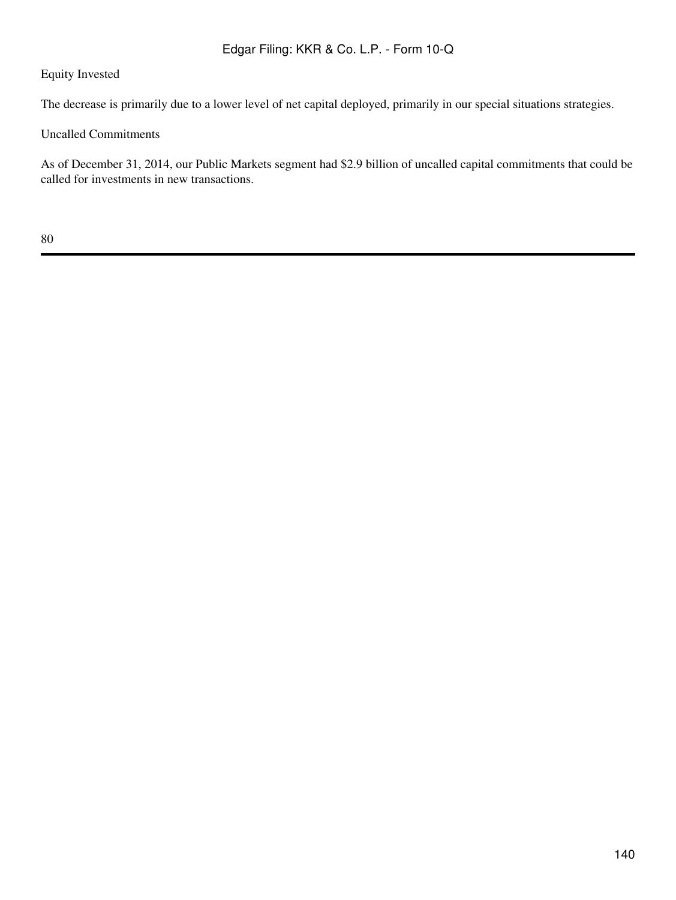# Equity Invested

The decrease is primarily due to a lower level of net capital deployed, primarily in our special situations strategies.

Uncalled Commitments

As of December 31, 2014, our Public Markets segment had \$2.9 billion of uncalled capital commitments that could be called for investments in new transactions.

80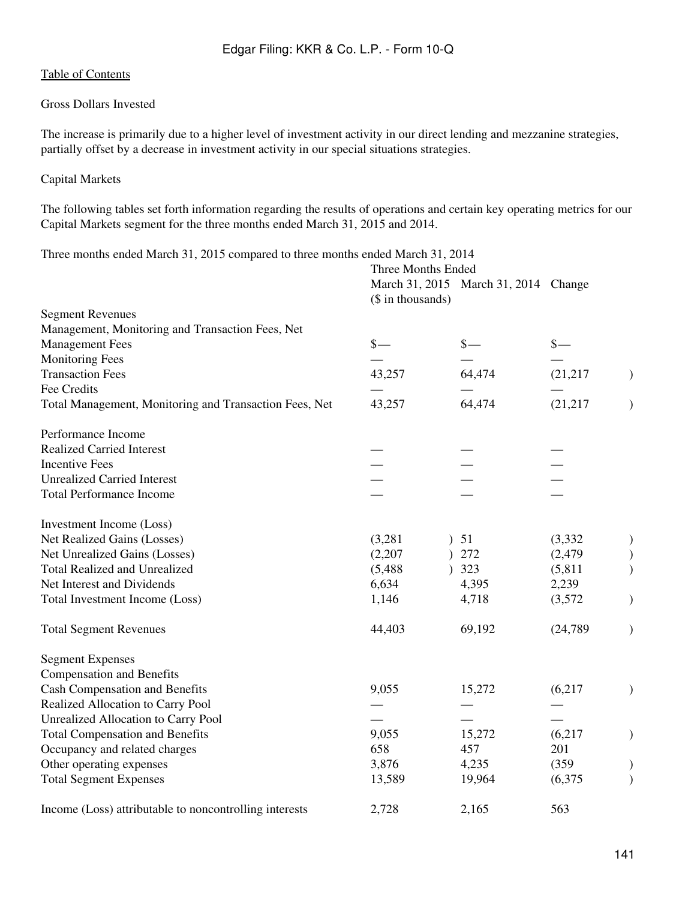# Gross Dollars Invested

The increase is primarily due to a higher level of investment activity in our direct lending and mezzanine strategies, partially offset by a decrease in investment activity in our special situations strategies.

# Capital Markets

The following tables set forth information regarding the results of operations and certain key operating metrics for our Capital Markets segment for the three months ended March 31, 2015 and 2014.

Three months ended March 31, 2015 compared to three months ended March 31, 2014

|                                                        | Three Months Ended |                                      |                 |               |
|--------------------------------------------------------|--------------------|--------------------------------------|-----------------|---------------|
|                                                        | (\$ in thousands)  | March 31, 2015 March 31, 2014 Change |                 |               |
| <b>Segment Revenues</b>                                |                    |                                      |                 |               |
| Management, Monitoring and Transaction Fees, Net       |                    |                                      |                 |               |
| <b>Management Fees</b>                                 | $\frac{\ }{s-}$    | $\frac{\ }{s-}$                      | $\frac{\S}{\S}$ |               |
| <b>Monitoring Fees</b>                                 |                    |                                      |                 |               |
| <b>Transaction Fees</b>                                | 43,257             | 64,474                               | (21, 217)       | $\mathcal{L}$ |
| Fee Credits                                            |                    |                                      |                 |               |
| Total Management, Monitoring and Transaction Fees, Net | 43,257             | 64,474                               | (21, 217)       | $\mathcal{E}$ |
| Performance Income                                     |                    |                                      |                 |               |
| <b>Realized Carried Interest</b>                       |                    |                                      |                 |               |
| <b>Incentive Fees</b>                                  |                    |                                      |                 |               |
| <b>Unrealized Carried Interest</b>                     |                    |                                      |                 |               |
| <b>Total Performance Income</b>                        |                    |                                      |                 |               |
| Investment Income (Loss)                               |                    |                                      |                 |               |
| Net Realized Gains (Losses)                            | (3,281)            | 51                                   | (3, 332)        | $\mathcal{E}$ |
| Net Unrealized Gains (Losses)                          | (2,207)            | 272                                  | (2, 479)        |               |
| <b>Total Realized and Unrealized</b>                   | (5,488)            | 323                                  | (5, 811)        |               |
| Net Interest and Dividends                             | 6,634              | 4,395                                | 2,239           |               |
| Total Investment Income (Loss)                         | 1,146              | 4,718                                | (3,572)         | $\mathcal{E}$ |
| <b>Total Segment Revenues</b>                          | 44,403             | 69,192                               | (24, 789)       | $\mathcal{E}$ |
| <b>Segment Expenses</b>                                |                    |                                      |                 |               |
| <b>Compensation and Benefits</b>                       |                    |                                      |                 |               |
| <b>Cash Compensation and Benefits</b>                  | 9,055              | 15,272                               | (6,217)         | $\big)$       |
| Realized Allocation to Carry Pool                      |                    |                                      |                 |               |
| <b>Unrealized Allocation to Carry Pool</b>             |                    |                                      |                 |               |
| <b>Total Compensation and Benefits</b>                 | 9,055              | 15,272                               | (6,217)         | $\mathcal{L}$ |
| Occupancy and related charges                          | 658                | 457                                  | 201             |               |
| Other operating expenses                               | 3,876              | 4,235                                | (359)           | $\mathcal{E}$ |
| <b>Total Segment Expenses</b>                          | 13,589             | 19,964                               | (6,375)         | $\mathcal{E}$ |
| Income (Loss) attributable to noncontrolling interests | 2,728              | 2,165                                | 563             |               |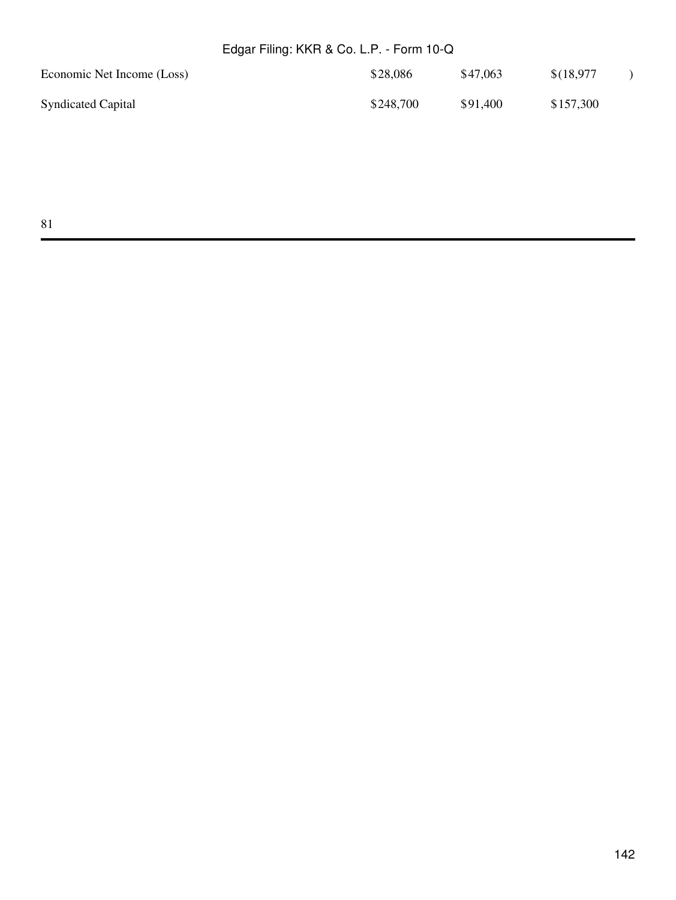| Economic Net Income (Loss) | \$28,086  | \$47,063 | \$(18,977 |  |
|----------------------------|-----------|----------|-----------|--|
| <b>Syndicated Capital</b>  | \$248,700 | \$91,400 | \$157,300 |  |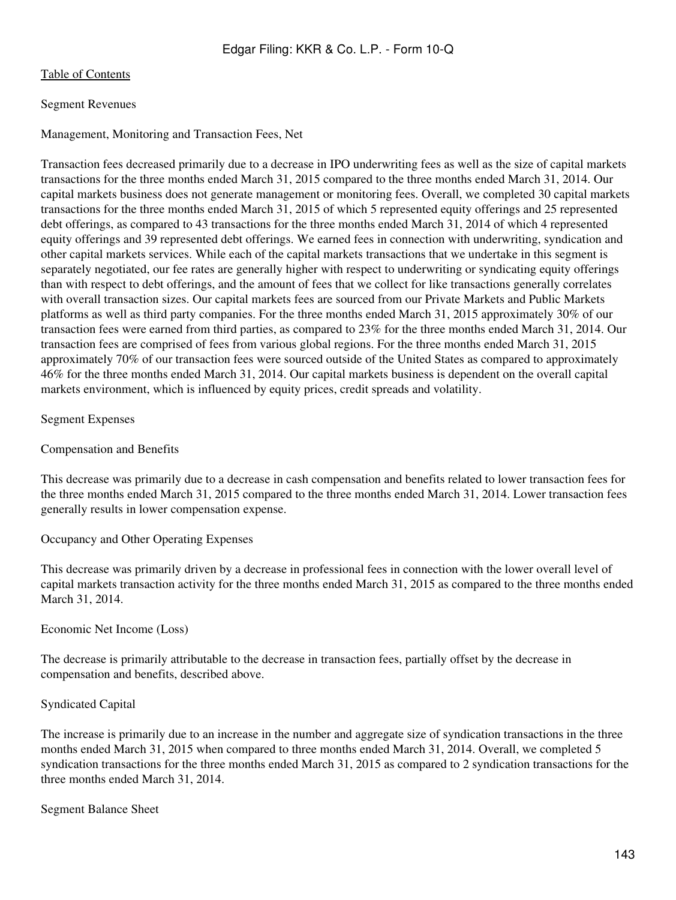# Segment Revenues

Management, Monitoring and Transaction Fees, Net

Transaction fees decreased primarily due to a decrease in IPO underwriting fees as well as the size of capital markets transactions for the three months ended March 31, 2015 compared to the three months ended March 31, 2014. Our capital markets business does not generate management or monitoring fees. Overall, we completed 30 capital markets transactions for the three months ended March 31, 2015 of which 5 represented equity offerings and 25 represented debt offerings, as compared to 43 transactions for the three months ended March 31, 2014 of which 4 represented equity offerings and 39 represented debt offerings. We earned fees in connection with underwriting, syndication and other capital markets services. While each of the capital markets transactions that we undertake in this segment is separately negotiated, our fee rates are generally higher with respect to underwriting or syndicating equity offerings than with respect to debt offerings, and the amount of fees that we collect for like transactions generally correlates with overall transaction sizes. Our capital markets fees are sourced from our Private Markets and Public Markets platforms as well as third party companies. For the three months ended March 31, 2015 approximately 30% of our transaction fees were earned from third parties, as compared to 23% for the three months ended March 31, 2014. Our transaction fees are comprised of fees from various global regions. For the three months ended March 31, 2015 approximately 70% of our transaction fees were sourced outside of the United States as compared to approximately 46% for the three months ended March 31, 2014. Our capital markets business is dependent on the overall capital markets environment, which is influenced by equity prices, credit spreads and volatility.

Segment Expenses

## Compensation and Benefits

This decrease was primarily due to a decrease in cash compensation and benefits related to lower transaction fees for the three months ended March 31, 2015 compared to the three months ended March 31, 2014. Lower transaction fees generally results in lower compensation expense.

Occupancy and Other Operating Expenses

This decrease was primarily driven by a decrease in professional fees in connection with the lower overall level of capital markets transaction activity for the three months ended March 31, 2015 as compared to the three months ended March 31, 2014.

Economic Net Income (Loss)

The decrease is primarily attributable to the decrease in transaction fees, partially offset by the decrease in compensation and benefits, described above.

# Syndicated Capital

The increase is primarily due to an increase in the number and aggregate size of syndication transactions in the three months ended March 31, 2015 when compared to three months ended March 31, 2014. Overall, we completed 5 syndication transactions for the three months ended March 31, 2015 as compared to 2 syndication transactions for the three months ended March 31, 2014.

## Segment Balance Sheet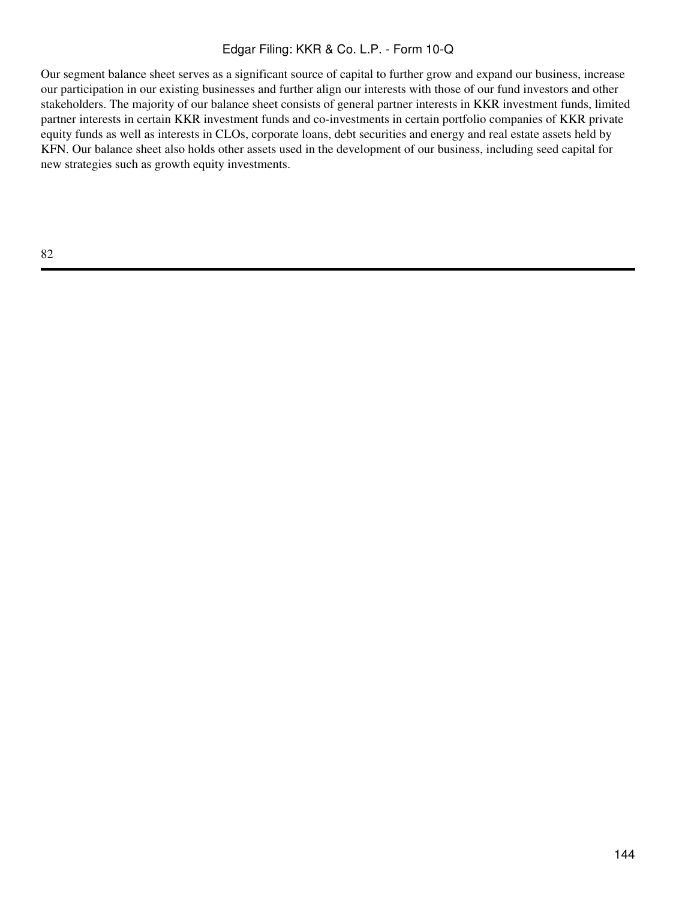Our segment balance sheet serves as a significant source of capital to further grow and expand our business, increase our participation in our existing businesses and further align our interests with those of our fund investors and other stakeholders. The majority of our balance sheet consists of general partner interests in KKR investment funds, limited partner interests in certain KKR investment funds and co-investments in certain portfolio companies of KKR private equity funds as well as interests in CLOs, corporate loans, debt securities and energy and real estate assets held by KFN. Our balance sheet also holds other assets used in the development of our business, including seed capital for new strategies such as growth equity investments.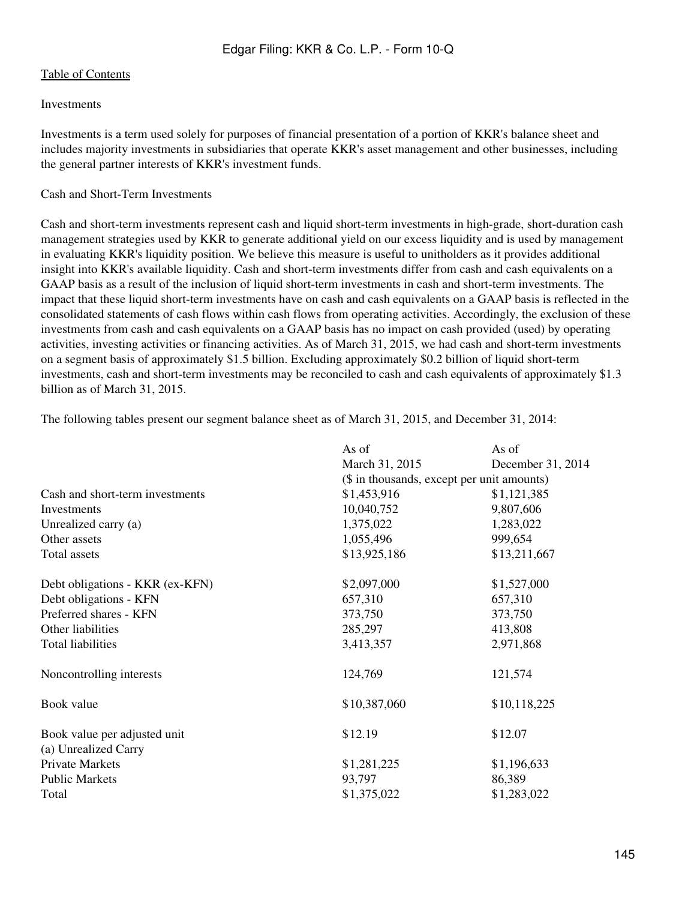### Investments

Investments is a term used solely for purposes of financial presentation of a portion of KKR's balance sheet and includes majority investments in subsidiaries that operate KKR's asset management and other businesses, including the general partner interests of KKR's investment funds.

### Cash and Short-Term Investments

Cash and short-term investments represent cash and liquid short-term investments in high-grade, short-duration cash management strategies used by KKR to generate additional yield on our excess liquidity and is used by management in evaluating KKR's liquidity position. We believe this measure is useful to unitholders as it provides additional insight into KKR's available liquidity. Cash and short-term investments differ from cash and cash equivalents on a GAAP basis as a result of the inclusion of liquid short-term investments in cash and short-term investments. The impact that these liquid short-term investments have on cash and cash equivalents on a GAAP basis is reflected in the consolidated statements of cash flows within cash flows from operating activities. Accordingly, the exclusion of these investments from cash and cash equivalents on a GAAP basis has no impact on cash provided (used) by operating activities, investing activities or financing activities. As of March 31, 2015, we had cash and short-term investments on a segment basis of approximately \$1.5 billion. Excluding approximately \$0.2 billion of liquid short-term investments, cash and short-term investments may be reconciled to cash and cash equivalents of approximately \$1.3 billion as of March 31, 2015.

|                                 | As of                                      | As of             |  |  |  |
|---------------------------------|--------------------------------------------|-------------------|--|--|--|
|                                 | March 31, 2015                             | December 31, 2014 |  |  |  |
|                                 | (\$ in thousands, except per unit amounts) |                   |  |  |  |
| Cash and short-term investments | \$1,453,916<br>\$1,121,385                 |                   |  |  |  |
| Investments                     | 10,040,752                                 | 9,807,606         |  |  |  |
| Unrealized carry (a)            | 1,375,022                                  | 1,283,022         |  |  |  |
| Other assets                    | 1,055,496                                  | 999,654           |  |  |  |
| Total assets                    | \$13,925,186                               | \$13,211,667      |  |  |  |
| Debt obligations - KKR (ex-KFN) | \$2,097,000                                | \$1,527,000       |  |  |  |
| Debt obligations - KFN          | 657,310                                    | 657,310           |  |  |  |
| Preferred shares - KFN          | 373,750                                    | 373,750           |  |  |  |
| Other liabilities               | 285,297                                    | 413,808           |  |  |  |
| <b>Total liabilities</b>        | 3,413,357                                  | 2,971,868         |  |  |  |
| Noncontrolling interests        | 124,769                                    | 121,574           |  |  |  |
| Book value                      | \$10,387,060                               | \$10,118,225      |  |  |  |
| Book value per adjusted unit    | \$12.19                                    | \$12.07           |  |  |  |
| (a) Unrealized Carry            |                                            |                   |  |  |  |
| Private Markets                 | \$1,281,225                                | \$1,196,633       |  |  |  |
| <b>Public Markets</b>           | 93,797                                     | 86,389            |  |  |  |
| Total                           | \$1,375,022                                | \$1,283,022       |  |  |  |

The following tables present our segment balance sheet as of March 31, 2015, and December 31, 2014: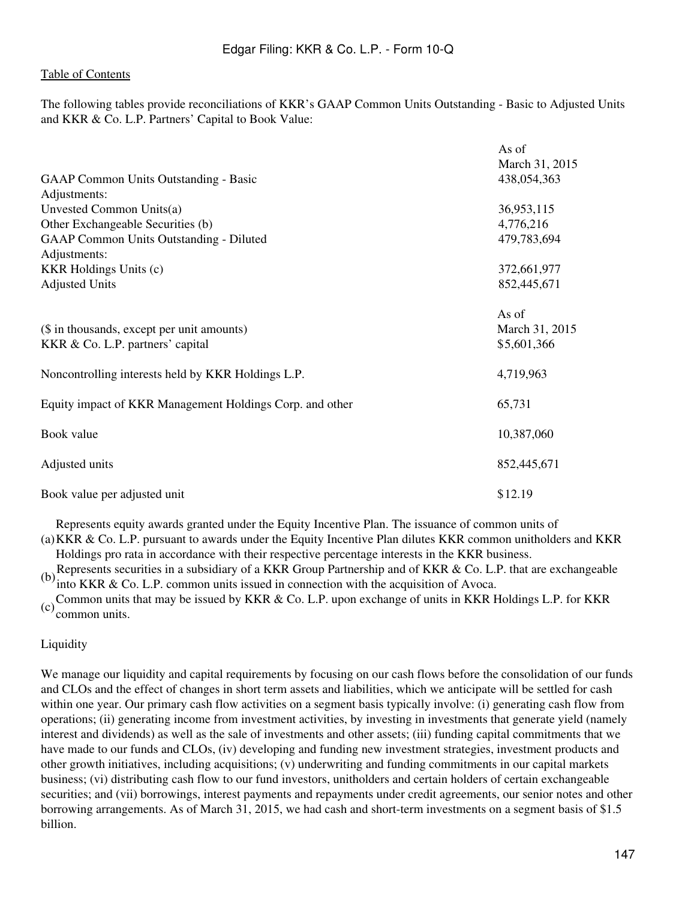The following tables provide reconciliations of KKR's GAAP Common Units Outstanding - Basic to Adjusted Units and KKR & Co. L.P. Partners' Capital to Book Value:

|                                                                                                          | As of<br>March 31, 2015                |
|----------------------------------------------------------------------------------------------------------|----------------------------------------|
| <b>GAAP Common Units Outstanding - Basic</b><br>Adjustments:                                             | 438,054,363                            |
| Unvested Common Units(a)<br>Other Exchangeable Securities (b)<br>GAAP Common Units Outstanding - Diluted | 36,953,115<br>4,776,216<br>479,783,694 |
| Adjustments:<br><b>KKR</b> Holdings Units (c)<br><b>Adjusted Units</b>                                   | 372,661,977<br>852,445,671             |
| (\$ in thousands, except per unit amounts)<br>KKR & Co. L.P. partners' capital                           | As of<br>March 31, 2015<br>\$5,601,366 |
| Noncontrolling interests held by KKR Holdings L.P.                                                       | 4,719,963                              |
| Equity impact of KKR Management Holdings Corp. and other                                                 | 65,731                                 |
| Book value                                                                                               | 10,387,060                             |
| Adjusted units                                                                                           | 852,445,671                            |
| Book value per adjusted unit                                                                             | \$12.19                                |

Represents equity awards granted under the Equity Incentive Plan. The issuance of common units of

(a) KKR & Co. L.P. pursuant to awards under the Equity Incentive Plan dilutes KKR common unitholders and KKR Holdings pro rata in accordance with their respective percentage interests in the KKR business.

(b) Represents securities in a subsidiary of a KKR Group Partnership and of KKR & Co. L.P. that are exchangeable into KKR & Co. L.P. common units issued in connection with the acquisition of Avoca.

(c) Common units that may be issued by KKR & Co. L.P. upon exchange of units in KKR Holdings L.P. for KKR common units.

## Liquidity

We manage our liquidity and capital requirements by focusing on our cash flows before the consolidation of our funds and CLOs and the effect of changes in short term assets and liabilities, which we anticipate will be settled for cash within one year. Our primary cash flow activities on a segment basis typically involve: (i) generating cash flow from operations; (ii) generating income from investment activities, by investing in investments that generate yield (namely interest and dividends) as well as the sale of investments and other assets; (iii) funding capital commitments that we have made to our funds and CLOs, (iv) developing and funding new investment strategies, investment products and other growth initiatives, including acquisitions; (v) underwriting and funding commitments in our capital markets business; (vi) distributing cash flow to our fund investors, unitholders and certain holders of certain exchangeable securities; and (vii) borrowings, interest payments and repayments under credit agreements, our senior notes and other borrowing arrangements. As of March 31, 2015, we had cash and short-term investments on a segment basis of \$1.5 billion.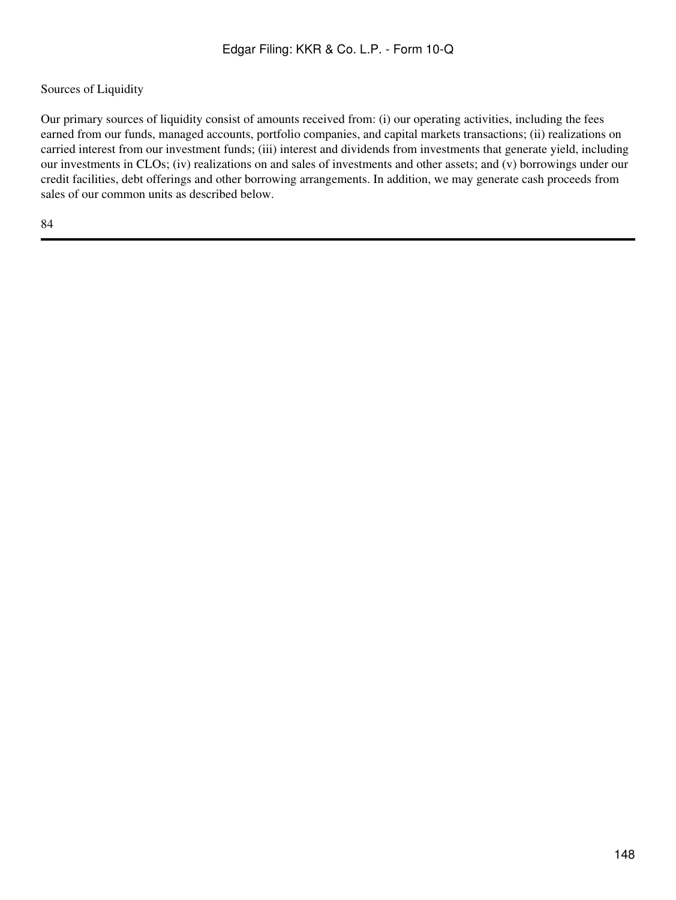# Sources of Liquidity

Our primary sources of liquidity consist of amounts received from: (i) our operating activities, including the fees earned from our funds, managed accounts, portfolio companies, and capital markets transactions; (ii) realizations on carried interest from our investment funds; (iii) interest and dividends from investments that generate yield, including our investments in CLOs; (iv) realizations on and sales of investments and other assets; and (v) borrowings under our credit facilities, debt offerings and other borrowing arrangements. In addition, we may generate cash proceeds from sales of our common units as described below.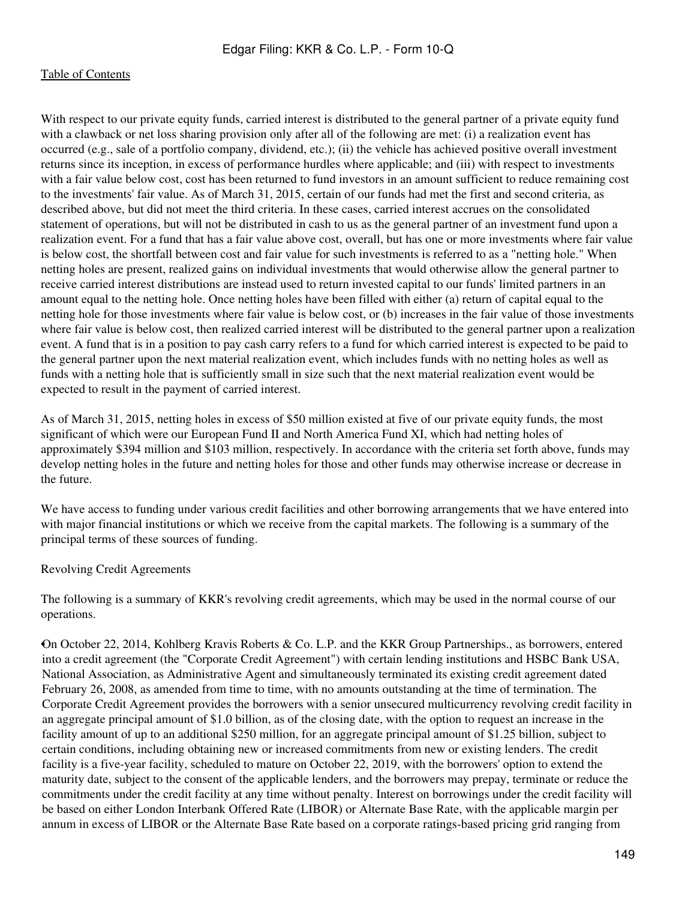With respect to our private equity funds, carried interest is distributed to the general partner of a private equity fund with a clawback or net loss sharing provision only after all of the following are met: (i) a realization event has occurred (e.g., sale of a portfolio company, dividend, etc.); (ii) the vehicle has achieved positive overall investment returns since its inception, in excess of performance hurdles where applicable; and (iii) with respect to investments with a fair value below cost, cost has been returned to fund investors in an amount sufficient to reduce remaining cost to the investments' fair value. As of March 31, 2015, certain of our funds had met the first and second criteria, as described above, but did not meet the third criteria. In these cases, carried interest accrues on the consolidated statement of operations, but will not be distributed in cash to us as the general partner of an investment fund upon a realization event. For a fund that has a fair value above cost, overall, but has one or more investments where fair value is below cost, the shortfall between cost and fair value for such investments is referred to as a "netting hole." When netting holes are present, realized gains on individual investments that would otherwise allow the general partner to receive carried interest distributions are instead used to return invested capital to our funds' limited partners in an amount equal to the netting hole. Once netting holes have been filled with either (a) return of capital equal to the netting hole for those investments where fair value is below cost, or (b) increases in the fair value of those investments where fair value is below cost, then realized carried interest will be distributed to the general partner upon a realization event. A fund that is in a position to pay cash carry refers to a fund for which carried interest is expected to be paid to the general partner upon the next material realization event, which includes funds with no netting holes as well as funds with a netting hole that is sufficiently small in size such that the next material realization event would be expected to result in the payment of carried interest.

As of March 31, 2015, netting holes in excess of \$50 million existed at five of our private equity funds, the most significant of which were our European Fund II and North America Fund XI, which had netting holes of approximately \$394 million and \$103 million, respectively. In accordance with the criteria set forth above, funds may develop netting holes in the future and netting holes for those and other funds may otherwise increase or decrease in the future.

We have access to funding under various credit facilities and other borrowing arrangements that we have entered into with major financial institutions or which we receive from the capital markets. The following is a summary of the principal terms of these sources of funding.

Revolving Credit Agreements

The following is a summary of KKR's revolving credit agreements, which may be used in the normal course of our operations.

•On October 22, 2014, Kohlberg Kravis Roberts & Co. L.P. and the KKR Group Partnerships., as borrowers, entered into a credit agreement (the "Corporate Credit Agreement") with certain lending institutions and HSBC Bank USA, National Association, as Administrative Agent and simultaneously terminated its existing credit agreement dated February 26, 2008, as amended from time to time, with no amounts outstanding at the time of termination. The Corporate Credit Agreement provides the borrowers with a senior unsecured multicurrency revolving credit facility in an aggregate principal amount of \$1.0 billion, as of the closing date, with the option to request an increase in the facility amount of up to an additional \$250 million, for an aggregate principal amount of \$1.25 billion, subject to certain conditions, including obtaining new or increased commitments from new or existing lenders. The credit facility is a five-year facility, scheduled to mature on October 22, 2019, with the borrowers' option to extend the maturity date, subject to the consent of the applicable lenders, and the borrowers may prepay, terminate or reduce the commitments under the credit facility at any time without penalty. Interest on borrowings under the credit facility will be based on either London Interbank Offered Rate (LIBOR) or Alternate Base Rate, with the applicable margin per annum in excess of LIBOR or the Alternate Base Rate based on a corporate ratings-based pricing grid ranging from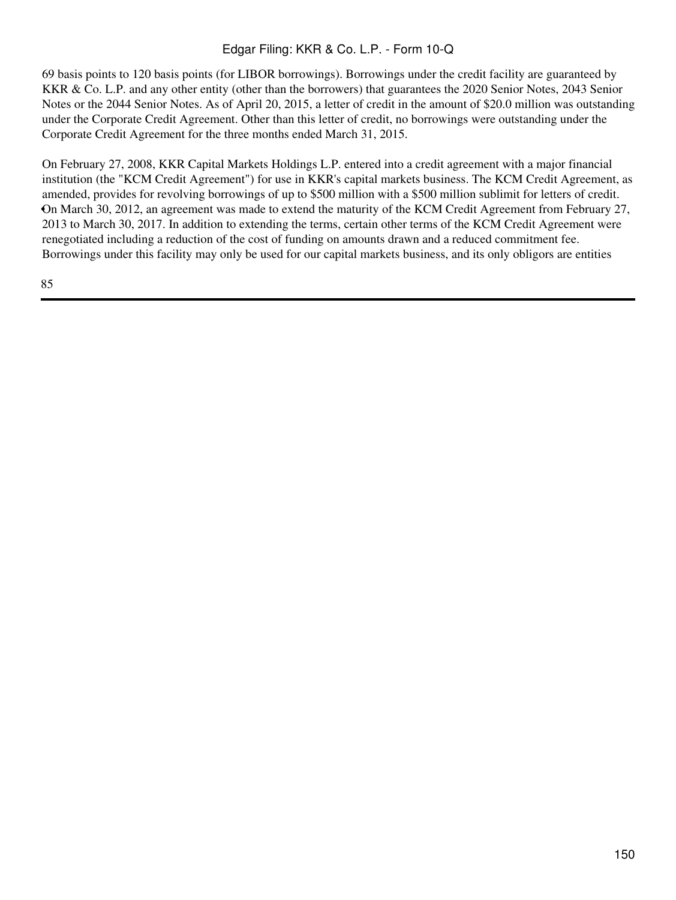69 basis points to 120 basis points (for LIBOR borrowings). Borrowings under the credit facility are guaranteed by KKR & Co. L.P. and any other entity (other than the borrowers) that guarantees the 2020 Senior Notes, 2043 Senior Notes or the 2044 Senior Notes. As of April 20, 2015, a letter of credit in the amount of \$20.0 million was outstanding under the Corporate Credit Agreement. Other than this letter of credit, no borrowings were outstanding under the Corporate Credit Agreement for the three months ended March 31, 2015.

• On March 30, 2012, an agreement was made to extend the maturity of the KCM Credit Agreement from February 27, On February 27, 2008, KKR Capital Markets Holdings L.P. entered into a credit agreement with a major financial institution (the "KCM Credit Agreement") for use in KKR's capital markets business. The KCM Credit Agreement, as amended, provides for revolving borrowings of up to \$500 million with a \$500 million sublimit for letters of credit. 2013 to March 30, 2017. In addition to extending the terms, certain other terms of the KCM Credit Agreement were renegotiated including a reduction of the cost of funding on amounts drawn and a reduced commitment fee. Borrowings under this facility may only be used for our capital markets business, and its only obligors are entities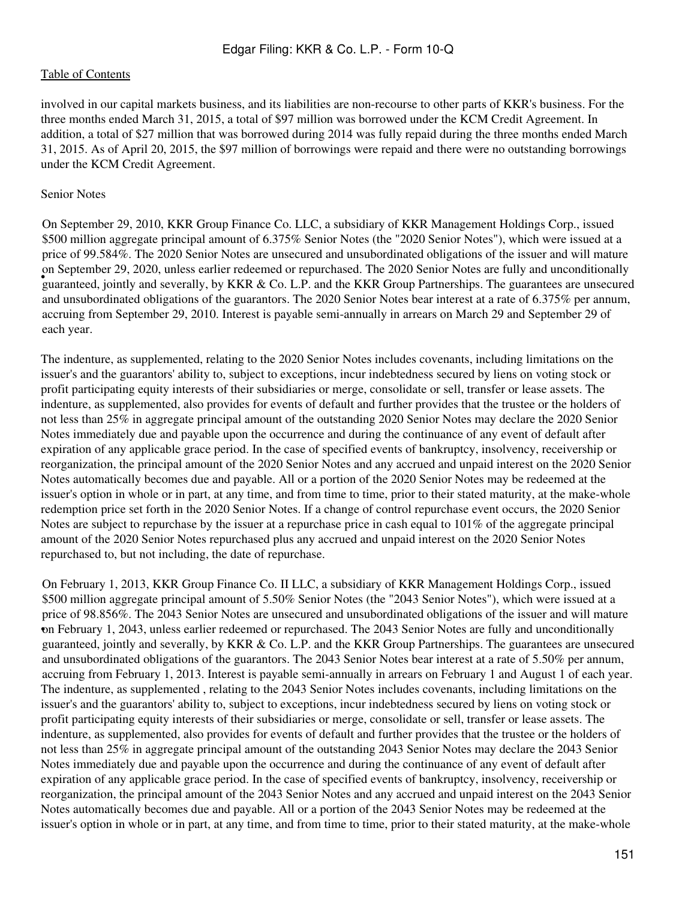involved in our capital markets business, and its liabilities are non-recourse to other parts of KKR's business. For the three months ended March 31, 2015, a total of \$97 million was borrowed under the KCM Credit Agreement. In addition, a total of \$27 million that was borrowed during 2014 was fully repaid during the three months ended March 31, 2015. As of April 20, 2015, the \$97 million of borrowings were repaid and there were no outstanding borrowings under the KCM Credit Agreement.

### Senior Notes

If september 25, 2020, antess carrier redeemed or reputents on the 2020 Semon Protes are runy and direonationally guaranteed, jointly and severally, by KKR & Co. L.P. and the KKR Group Partnerships. The guarantees are unse On September 29, 2010, KKR Group Finance Co. LLC, a subsidiary of KKR Management Holdings Corp., issued \$500 million aggregate principal amount of 6.375% Senior Notes (the "2020 Senior Notes"), which were issued at a price of 99.584%. The 2020 Senior Notes are unsecured and unsubordinated obligations of the issuer and will mature on September 29, 2020, unless earlier redeemed or repurchased. The 2020 Senior Notes are fully and unconditionally and unsubordinated obligations of the guarantors. The 2020 Senior Notes bear interest at a rate of 6.375% per annum, accruing from September 29, 2010. Interest is payable semi-annually in arrears on March 29 and September 29 of each year.

The indenture, as supplemented, relating to the 2020 Senior Notes includes covenants, including limitations on the issuer's and the guarantors' ability to, subject to exceptions, incur indebtedness secured by liens on voting stock or profit participating equity interests of their subsidiaries or merge, consolidate or sell, transfer or lease assets. The indenture, as supplemented, also provides for events of default and further provides that the trustee or the holders of not less than 25% in aggregate principal amount of the outstanding 2020 Senior Notes may declare the 2020 Senior Notes immediately due and payable upon the occurrence and during the continuance of any event of default after expiration of any applicable grace period. In the case of specified events of bankruptcy, insolvency, receivership or reorganization, the principal amount of the 2020 Senior Notes and any accrued and unpaid interest on the 2020 Senior Notes automatically becomes due and payable. All or a portion of the 2020 Senior Notes may be redeemed at the issuer's option in whole or in part, at any time, and from time to time, prior to their stated maturity, at the make-whole redemption price set forth in the 2020 Senior Notes. If a change of control repurchase event occurs, the 2020 Senior Notes are subject to repurchase by the issuer at a repurchase price in cash equal to 101% of the aggregate principal amount of the 2020 Senior Notes repurchased plus any accrued and unpaid interest on the 2020 Senior Notes repurchased to, but not including, the date of repurchase.

• on February 1, 2043, unless earlier redeemed or repurchased. The 2043 Senior Notes are fully and unconditionally On February 1, 2013, KKR Group Finance Co. II LLC, a subsidiary of KKR Management Holdings Corp., issued \$500 million aggregate principal amount of 5.50% Senior Notes (the "2043 Senior Notes"), which were issued at a price of 98.856%. The 2043 Senior Notes are unsecured and unsubordinated obligations of the issuer and will mature guaranteed, jointly and severally, by KKR & Co. L.P. and the KKR Group Partnerships. The guarantees are unsecured and unsubordinated obligations of the guarantors. The 2043 Senior Notes bear interest at a rate of 5.50% per annum, accruing from February 1, 2013. Interest is payable semi-annually in arrears on February 1 and August 1 of each year. The indenture, as supplemented , relating to the 2043 Senior Notes includes covenants, including limitations on the issuer's and the guarantors' ability to, subject to exceptions, incur indebtedness secured by liens on voting stock or profit participating equity interests of their subsidiaries or merge, consolidate or sell, transfer or lease assets. The indenture, as supplemented, also provides for events of default and further provides that the trustee or the holders of not less than 25% in aggregate principal amount of the outstanding 2043 Senior Notes may declare the 2043 Senior Notes immediately due and payable upon the occurrence and during the continuance of any event of default after expiration of any applicable grace period. In the case of specified events of bankruptcy, insolvency, receivership or reorganization, the principal amount of the 2043 Senior Notes and any accrued and unpaid interest on the 2043 Senior Notes automatically becomes due and payable. All or a portion of the 2043 Senior Notes may be redeemed at the issuer's option in whole or in part, at any time, and from time to time, prior to their stated maturity, at the make-whole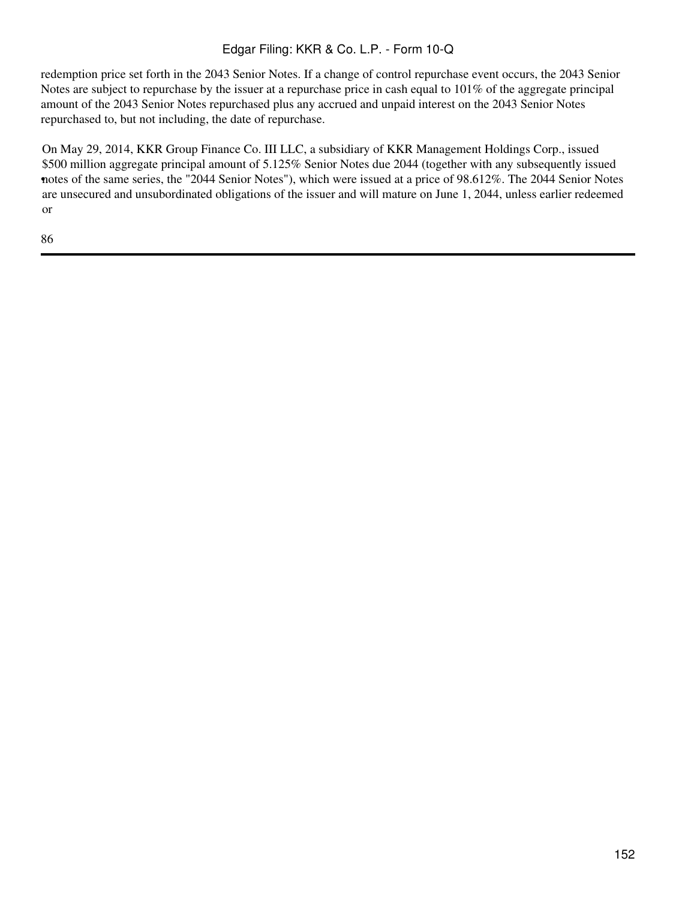redemption price set forth in the 2043 Senior Notes. If a change of control repurchase event occurs, the 2043 Senior Notes are subject to repurchase by the issuer at a repurchase price in cash equal to 101% of the aggregate principal amount of the 2043 Senior Notes repurchased plus any accrued and unpaid interest on the 2043 Senior Notes repurchased to, but not including, the date of repurchase.

• notes of the same series, the "2044 Senior Notes"), which were issued at a price of 98.612%. The 2044 Senior Notes On May 29, 2014, KKR Group Finance Co. III LLC, a subsidiary of KKR Management Holdings Corp., issued \$500 million aggregate principal amount of 5.125% Senior Notes due 2044 (together with any subsequently issued are unsecured and unsubordinated obligations of the issuer and will mature on June 1, 2044, unless earlier redeemed or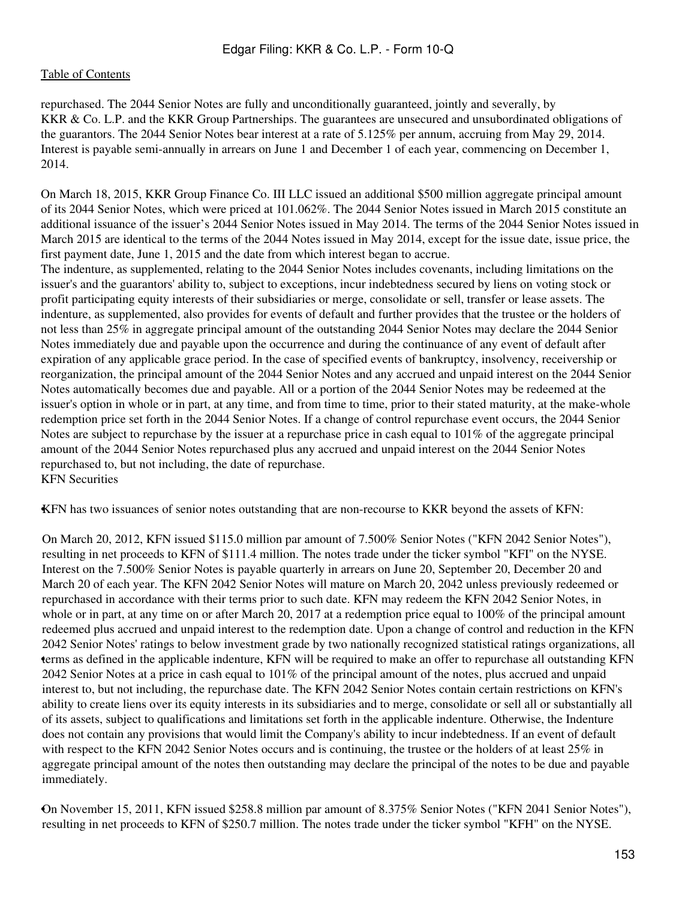repurchased. The 2044 Senior Notes are fully and unconditionally guaranteed, jointly and severally, by KKR & Co. L.P. and the KKR Group Partnerships. The guarantees are unsecured and unsubordinated obligations of the guarantors. The 2044 Senior Notes bear interest at a rate of 5.125% per annum, accruing from May 29, 2014. Interest is payable semi-annually in arrears on June 1 and December 1 of each year, commencing on December 1, 2014.

On March 18, 2015, KKR Group Finance Co. III LLC issued an additional \$500 million aggregate principal amount of its 2044 Senior Notes, which were priced at 101.062%. The 2044 Senior Notes issued in March 2015 constitute an additional issuance of the issuer's 2044 Senior Notes issued in May 2014. The terms of the 2044 Senior Notes issued in March 2015 are identical to the terms of the 2044 Notes issued in May 2014, except for the issue date, issue price, the first payment date, June 1, 2015 and the date from which interest began to accrue.

The indenture, as supplemented, relating to the 2044 Senior Notes includes covenants, including limitations on the issuer's and the guarantors' ability to, subject to exceptions, incur indebtedness secured by liens on voting stock or profit participating equity interests of their subsidiaries or merge, consolidate or sell, transfer or lease assets. The indenture, as supplemented, also provides for events of default and further provides that the trustee or the holders of not less than 25% in aggregate principal amount of the outstanding 2044 Senior Notes may declare the 2044 Senior Notes immediately due and payable upon the occurrence and during the continuance of any event of default after expiration of any applicable grace period. In the case of specified events of bankruptcy, insolvency, receivership or reorganization, the principal amount of the 2044 Senior Notes and any accrued and unpaid interest on the 2044 Senior Notes automatically becomes due and payable. All or a portion of the 2044 Senior Notes may be redeemed at the issuer's option in whole or in part, at any time, and from time to time, prior to their stated maturity, at the make-whole redemption price set forth in the 2044 Senior Notes. If a change of control repurchase event occurs, the 2044 Senior Notes are subject to repurchase by the issuer at a repurchase price in cash equal to 101% of the aggregate principal amount of the 2044 Senior Notes repurchased plus any accrued and unpaid interest on the 2044 Senior Notes repurchased to, but not including, the date of repurchase. KFN Securities

•KFN has two issuances of senior notes outstanding that are non-recourse to KKR beyond the assets of KFN:

• terms as defined in the applicable indenture, KFN will be required to make an offer to repurchase all outstanding KFN On March 20, 2012, KFN issued \$115.0 million par amount of 7.500% Senior Notes ("KFN 2042 Senior Notes"), resulting in net proceeds to KFN of \$111.4 million. The notes trade under the ticker symbol "KFI" on the NYSE. Interest on the 7.500% Senior Notes is payable quarterly in arrears on June 20, September 20, December 20 and March 20 of each year. The KFN 2042 Senior Notes will mature on March 20, 2042 unless previously redeemed or repurchased in accordance with their terms prior to such date. KFN may redeem the KFN 2042 Senior Notes, in whole or in part, at any time on or after March 20, 2017 at a redemption price equal to 100% of the principal amount redeemed plus accrued and unpaid interest to the redemption date. Upon a change of control and reduction in the KFN 2042 Senior Notes' ratings to below investment grade by two nationally recognized statistical ratings organizations, all 2042 Senior Notes at a price in cash equal to 101% of the principal amount of the notes, plus accrued and unpaid interest to, but not including, the repurchase date. The KFN 2042 Senior Notes contain certain restrictions on KFN's ability to create liens over its equity interests in its subsidiaries and to merge, consolidate or sell all or substantially all of its assets, subject to qualifications and limitations set forth in the applicable indenture. Otherwise, the Indenture does not contain any provisions that would limit the Company's ability to incur indebtedness. If an event of default with respect to the KFN 2042 Senior Notes occurs and is continuing, the trustee or the holders of at least 25% in aggregate principal amount of the notes then outstanding may declare the principal of the notes to be due and payable immediately.

•On November 15, 2011, KFN issued \$258.8 million par amount of 8.375% Senior Notes ("KFN 2041 Senior Notes"), resulting in net proceeds to KFN of \$250.7 million. The notes trade under the ticker symbol "KFH" on the NYSE.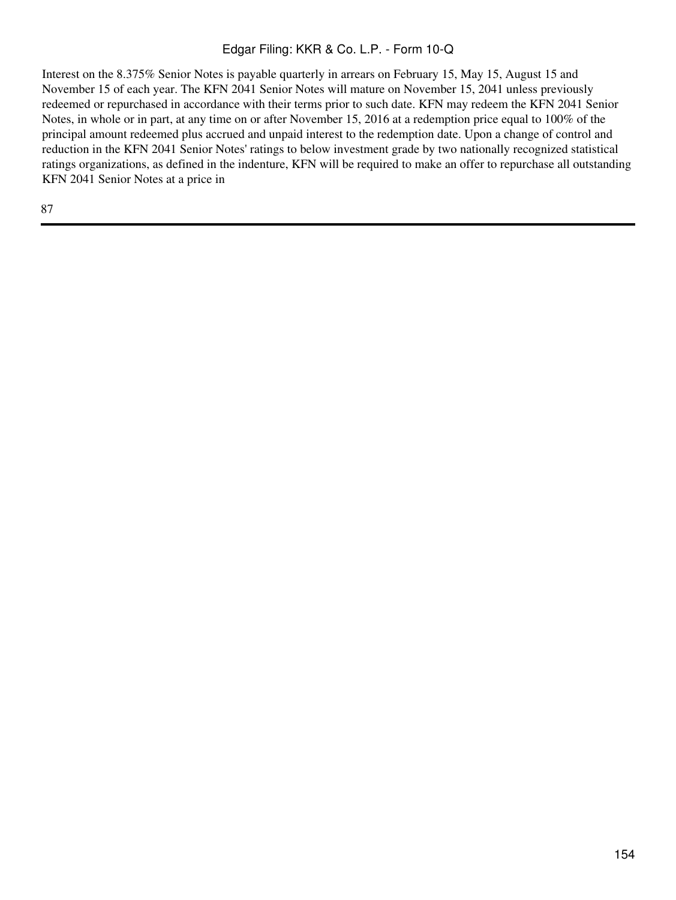Interest on the 8.375% Senior Notes is payable quarterly in arrears on February 15, May 15, August 15 and November 15 of each year. The KFN 2041 Senior Notes will mature on November 15, 2041 unless previously redeemed or repurchased in accordance with their terms prior to such date. KFN may redeem the KFN 2041 Senior Notes, in whole or in part, at any time on or after November 15, 2016 at a redemption price equal to 100% of the principal amount redeemed plus accrued and unpaid interest to the redemption date. Upon a change of control and reduction in the KFN 2041 Senior Notes' ratings to below investment grade by two nationally recognized statistical ratings organizations, as defined in the indenture, KFN will be required to make an offer to repurchase all outstanding KFN 2041 Senior Notes at a price in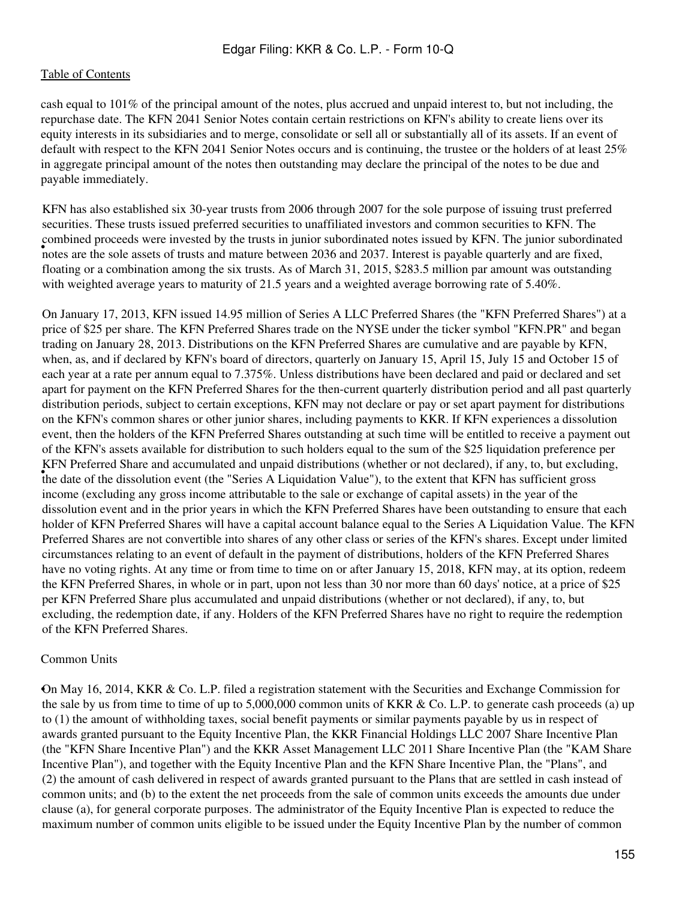cash equal to 101% of the principal amount of the notes, plus accrued and unpaid interest to, but not including, the repurchase date. The KFN 2041 Senior Notes contain certain restrictions on KFN's ability to create liens over its equity interests in its subsidiaries and to merge, consolidate or sell all or substantially all of its assets. If an event of default with respect to the KFN 2041 Senior Notes occurs and is continuing, the trustee or the holders of at least 25% in aggregate principal amount of the notes then outstanding may declare the principal of the notes to be due and payable immediately.

• notes are the sole assets of trusts and mature between 2036 and 2037. Interest is payable quarterly and are fixed, KFN has also established six 30-year trusts from 2006 through 2007 for the sole purpose of issuing trust preferred securities. These trusts issued preferred securities to unaffiliated investors and common securities to KFN. The combined proceeds were invested by the trusts in junior subordinated notes issued by KFN. The junior subordinated floating or a combination among the six trusts. As of March 31, 2015, \$283.5 million par amount was outstanding with weighted average years to maturity of 21.5 years and a weighted average borrowing rate of 5.40%.

the date of the dissolution event (the "Series A Liquidation Value"), to the extent that KFN has sufficient gross On January 17, 2013, KFN issued 14.95 million of Series A LLC Preferred Shares (the "KFN Preferred Shares") at a price of \$25 per share. The KFN Preferred Shares trade on the NYSE under the ticker symbol "KFN.PR" and began trading on January 28, 2013. Distributions on the KFN Preferred Shares are cumulative and are payable by KFN, when, as, and if declared by KFN's board of directors, quarterly on January 15, April 15, July 15 and October 15 of each year at a rate per annum equal to 7.375%. Unless distributions have been declared and paid or declared and set apart for payment on the KFN Preferred Shares for the then-current quarterly distribution period and all past quarterly distribution periods, subject to certain exceptions, KFN may not declare or pay or set apart payment for distributions on the KFN's common shares or other junior shares, including payments to KKR. If KFN experiences a dissolution event, then the holders of the KFN Preferred Shares outstanding at such time will be entitled to receive a payment out of the KFN's assets available for distribution to such holders equal to the sum of the \$25 liquidation preference per KFN Preferred Share and accumulated and unpaid distributions (whether or not declared), if any, to, but excluding, income (excluding any gross income attributable to the sale or exchange of capital assets) in the year of the dissolution event and in the prior years in which the KFN Preferred Shares have been outstanding to ensure that each holder of KFN Preferred Shares will have a capital account balance equal to the Series A Liquidation Value. The KFN Preferred Shares are not convertible into shares of any other class or series of the KFN's shares. Except under limited circumstances relating to an event of default in the payment of distributions, holders of the KFN Preferred Shares have no voting rights. At any time or from time to time on or after January 15, 2018, KFN may, at its option, redeem the KFN Preferred Shares, in whole or in part, upon not less than 30 nor more than 60 days' notice, at a price of \$25 per KFN Preferred Share plus accumulated and unpaid distributions (whether or not declared), if any, to, but excluding, the redemption date, if any. Holders of the KFN Preferred Shares have no right to require the redemption of the KFN Preferred Shares.

#### Common Units

•On May 16, 2014, KKR & Co. L.P. filed a registration statement with the Securities and Exchange Commission for the sale by us from time to time of up to 5,000,000 common units of KKR & Co. L.P. to generate cash proceeds (a) up to (1) the amount of withholding taxes, social benefit payments or similar payments payable by us in respect of awards granted pursuant to the Equity Incentive Plan, the KKR Financial Holdings LLC 2007 Share Incentive Plan (the "KFN Share Incentive Plan") and the KKR Asset Management LLC 2011 Share Incentive Plan (the "KAM Share Incentive Plan"), and together with the Equity Incentive Plan and the KFN Share Incentive Plan, the "Plans", and (2) the amount of cash delivered in respect of awards granted pursuant to the Plans that are settled in cash instead of common units; and (b) to the extent the net proceeds from the sale of common units exceeds the amounts due under clause (a), for general corporate purposes. The administrator of the Equity Incentive Plan is expected to reduce the maximum number of common units eligible to be issued under the Equity Incentive Plan by the number of common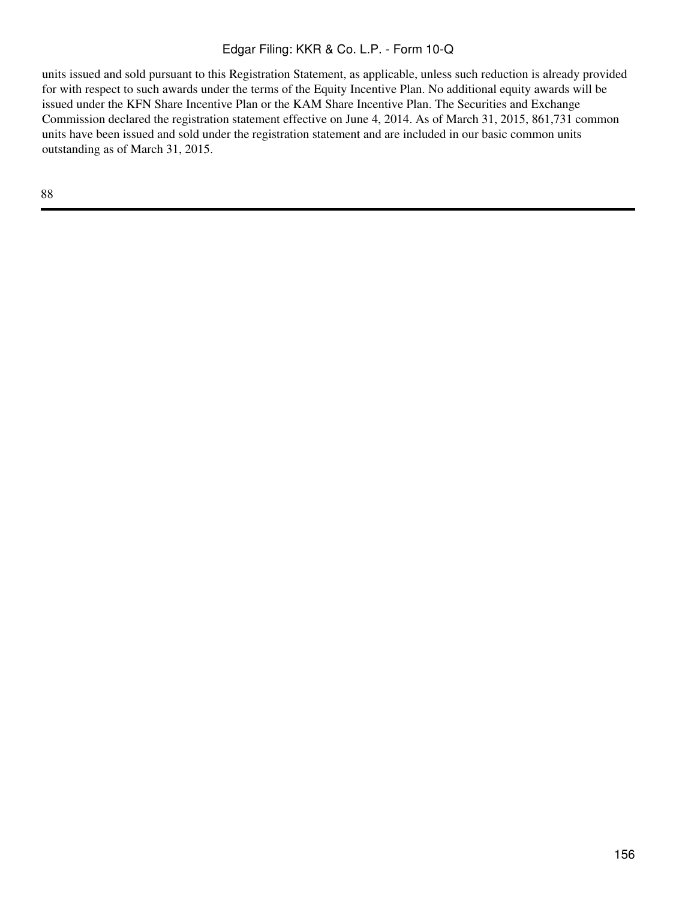units issued and sold pursuant to this Registration Statement, as applicable, unless such reduction is already provided for with respect to such awards under the terms of the Equity Incentive Plan. No additional equity awards will be issued under the KFN Share Incentive Plan or the KAM Share Incentive Plan. The Securities and Exchange Commission declared the registration statement effective on June 4, 2014. As of March 31, 2015, 861,731 common units have been issued and sold under the registration statement and are included in our basic common units outstanding as of March 31, 2015.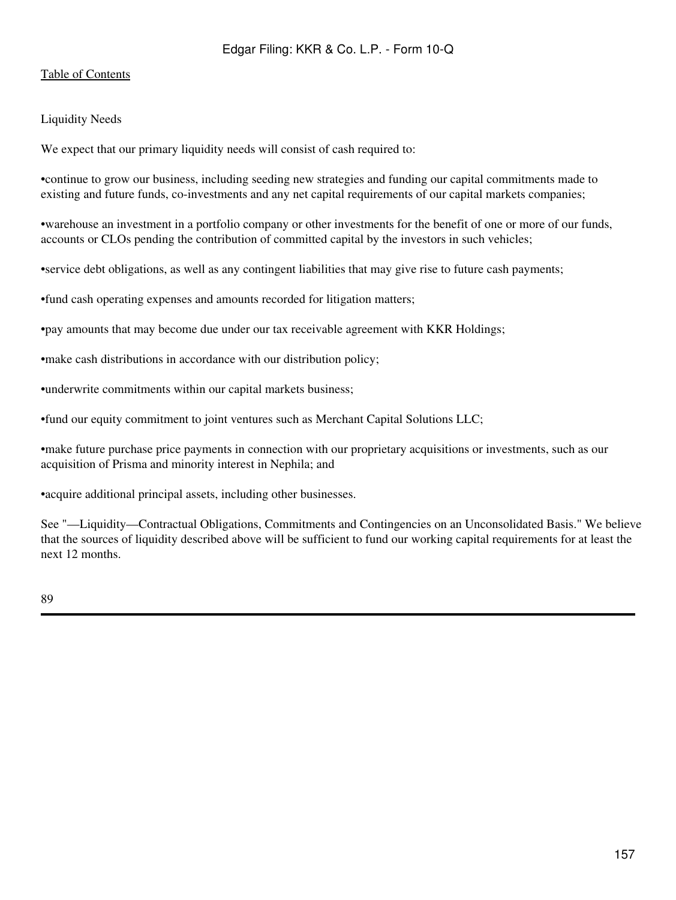## [Table of Contents](#page-2-0)

## Liquidity Needs

We expect that our primary liquidity needs will consist of cash required to:

•continue to grow our business, including seeding new strategies and funding our capital commitments made to existing and future funds, co-investments and any net capital requirements of our capital markets companies;

•warehouse an investment in a portfolio company or other investments for the benefit of one or more of our funds, accounts or CLOs pending the contribution of committed capital by the investors in such vehicles;

•service debt obligations, as well as any contingent liabilities that may give rise to future cash payments;

•fund cash operating expenses and amounts recorded for litigation matters;

•pay amounts that may become due under our tax receivable agreement with KKR Holdings;

•make cash distributions in accordance with our distribution policy;

•underwrite commitments within our capital markets business;

•fund our equity commitment to joint ventures such as Merchant Capital Solutions LLC;

•make future purchase price payments in connection with our proprietary acquisitions or investments, such as our acquisition of Prisma and minority interest in Nephila; and

•acquire additional principal assets, including other businesses.

See "—Liquidity—Contractual Obligations, Commitments and Contingencies on an Unconsolidated Basis." We believe that the sources of liquidity described above will be sufficient to fund our working capital requirements for at least the next 12 months.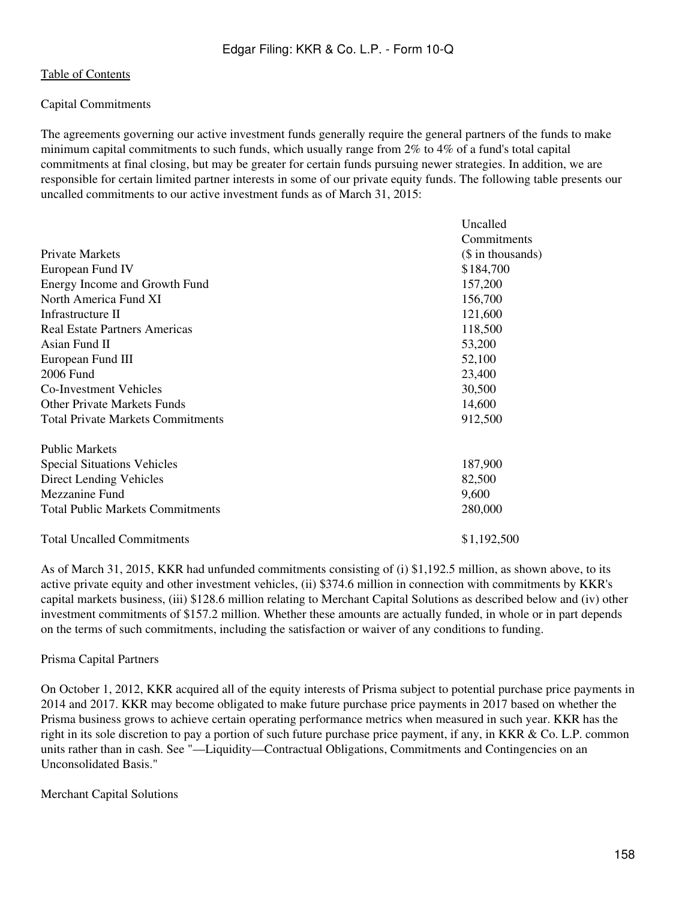### Capital Commitments

The agreements governing our active investment funds generally require the general partners of the funds to make minimum capital commitments to such funds, which usually range from 2% to 4% of a fund's total capital commitments at final closing, but may be greater for certain funds pursuing newer strategies. In addition, we are responsible for certain limited partner interests in some of our private equity funds. The following table presents our uncalled commitments to our active investment funds as of March 31, 2015:

|                                          | Uncalled           |
|------------------------------------------|--------------------|
|                                          | Commitments        |
| <b>Private Markets</b>                   | $($$ in thousands) |
| European Fund IV                         | \$184,700          |
| Energy Income and Growth Fund            | 157,200            |
| North America Fund XI                    | 156,700            |
| Infrastructure II                        | 121,600            |
| Real Estate Partners Americas            | 118,500            |
| Asian Fund II                            | 53,200             |
| European Fund III                        | 52,100             |
| 2006 Fund                                | 23,400             |
| <b>Co-Investment Vehicles</b>            | 30,500             |
| <b>Other Private Markets Funds</b>       | 14,600             |
| <b>Total Private Markets Commitments</b> | 912,500            |
| <b>Public Markets</b>                    |                    |
| <b>Special Situations Vehicles</b>       | 187,900            |
| <b>Direct Lending Vehicles</b>           | 82,500             |
| Mezzanine Fund                           | 9,600              |
| <b>Total Public Markets Commitments</b>  | 280,000            |
| <b>Total Uncalled Commitments</b>        | \$1,192,500        |

As of March 31, 2015, KKR had unfunded commitments consisting of (i) \$1,192.5 million, as shown above, to its active private equity and other investment vehicles, (ii) \$374.6 million in connection with commitments by KKR's capital markets business, (iii) \$128.6 million relating to Merchant Capital Solutions as described below and (iv) other investment commitments of \$157.2 million. Whether these amounts are actually funded, in whole or in part depends on the terms of such commitments, including the satisfaction or waiver of any conditions to funding.

#### Prisma Capital Partners

On October 1, 2012, KKR acquired all of the equity interests of Prisma subject to potential purchase price payments in 2014 and 2017. KKR may become obligated to make future purchase price payments in 2017 based on whether the Prisma business grows to achieve certain operating performance metrics when measured in such year. KKR has the right in its sole discretion to pay a portion of such future purchase price payment, if any, in KKR & Co. L.P. common units rather than in cash. See "—Liquidity—Contractual Obligations, Commitments and Contingencies on an Unconsolidated Basis."

Merchant Capital Solutions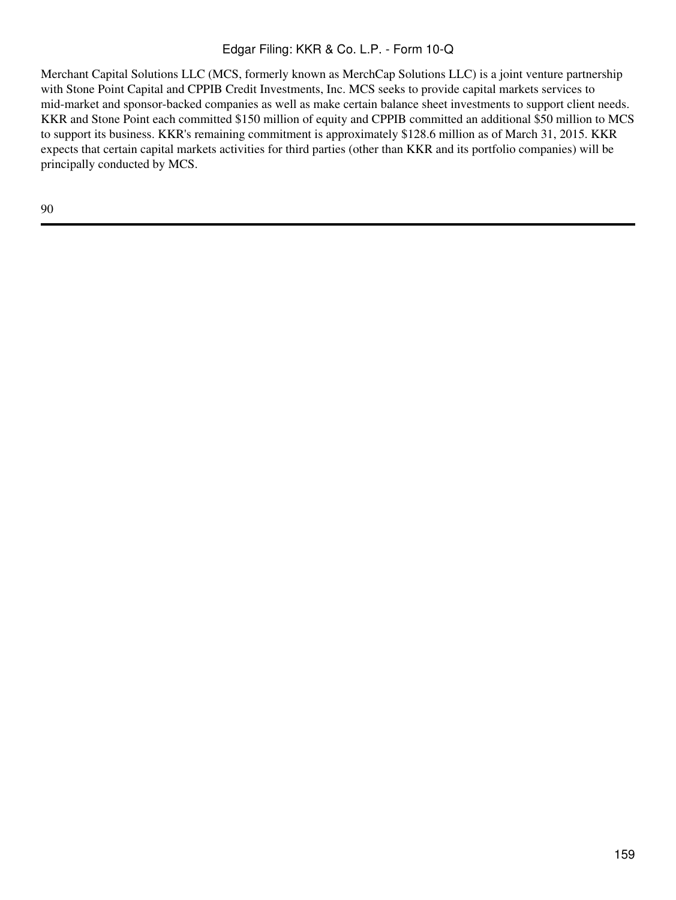Merchant Capital Solutions LLC (MCS, formerly known as MerchCap Solutions LLC) is a joint venture partnership with Stone Point Capital and CPPIB Credit Investments, Inc. MCS seeks to provide capital markets services to mid-market and sponsor-backed companies as well as make certain balance sheet investments to support client needs. KKR and Stone Point each committed \$150 million of equity and CPPIB committed an additional \$50 million to MCS to support its business. KKR's remaining commitment is approximately \$128.6 million as of March 31, 2015. KKR expects that certain capital markets activities for third parties (other than KKR and its portfolio companies) will be principally conducted by MCS.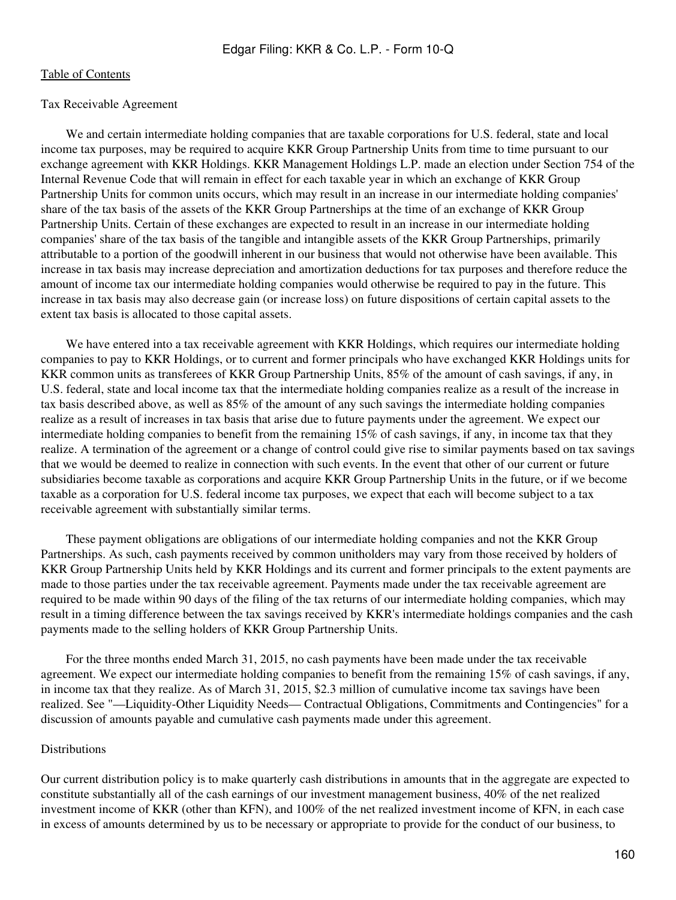#### Tax Receivable Agreement

 We and certain intermediate holding companies that are taxable corporations for U.S. federal, state and local income tax purposes, may be required to acquire KKR Group Partnership Units from time to time pursuant to our exchange agreement with KKR Holdings. KKR Management Holdings L.P. made an election under Section 754 of the Internal Revenue Code that will remain in effect for each taxable year in which an exchange of KKR Group Partnership Units for common units occurs, which may result in an increase in our intermediate holding companies' share of the tax basis of the assets of the KKR Group Partnerships at the time of an exchange of KKR Group Partnership Units. Certain of these exchanges are expected to result in an increase in our intermediate holding companies' share of the tax basis of the tangible and intangible assets of the KKR Group Partnerships, primarily attributable to a portion of the goodwill inherent in our business that would not otherwise have been available. This increase in tax basis may increase depreciation and amortization deductions for tax purposes and therefore reduce the amount of income tax our intermediate holding companies would otherwise be required to pay in the future. This increase in tax basis may also decrease gain (or increase loss) on future dispositions of certain capital assets to the extent tax basis is allocated to those capital assets.

We have entered into a tax receivable agreement with KKR Holdings, which requires our intermediate holding companies to pay to KKR Holdings, or to current and former principals who have exchanged KKR Holdings units for KKR common units as transferees of KKR Group Partnership Units, 85% of the amount of cash savings, if any, in U.S. federal, state and local income tax that the intermediate holding companies realize as a result of the increase in tax basis described above, as well as 85% of the amount of any such savings the intermediate holding companies realize as a result of increases in tax basis that arise due to future payments under the agreement. We expect our intermediate holding companies to benefit from the remaining 15% of cash savings, if any, in income tax that they realize. A termination of the agreement or a change of control could give rise to similar payments based on tax savings that we would be deemed to realize in connection with such events. In the event that other of our current or future subsidiaries become taxable as corporations and acquire KKR Group Partnership Units in the future, or if we become taxable as a corporation for U.S. federal income tax purposes, we expect that each will become subject to a tax receivable agreement with substantially similar terms.

 These payment obligations are obligations of our intermediate holding companies and not the KKR Group Partnerships. As such, cash payments received by common unitholders may vary from those received by holders of KKR Group Partnership Units held by KKR Holdings and its current and former principals to the extent payments are made to those parties under the tax receivable agreement. Payments made under the tax receivable agreement are required to be made within 90 days of the filing of the tax returns of our intermediate holding companies, which may result in a timing difference between the tax savings received by KKR's intermediate holdings companies and the cash payments made to the selling holders of KKR Group Partnership Units.

 For the three months ended March 31, 2015, no cash payments have been made under the tax receivable agreement. We expect our intermediate holding companies to benefit from the remaining 15% of cash savings, if any, in income tax that they realize. As of March 31, 2015, \$2.3 million of cumulative income tax savings have been realized. See "—Liquidity-Other Liquidity Needs— Contractual Obligations, Commitments and Contingencies" for a discussion of amounts payable and cumulative cash payments made under this agreement.

#### Distributions

Our current distribution policy is to make quarterly cash distributions in amounts that in the aggregate are expected to constitute substantially all of the cash earnings of our investment management business, 40% of the net realized investment income of KKR (other than KFN), and 100% of the net realized investment income of KFN, in each case in excess of amounts determined by us to be necessary or appropriate to provide for the conduct of our business, to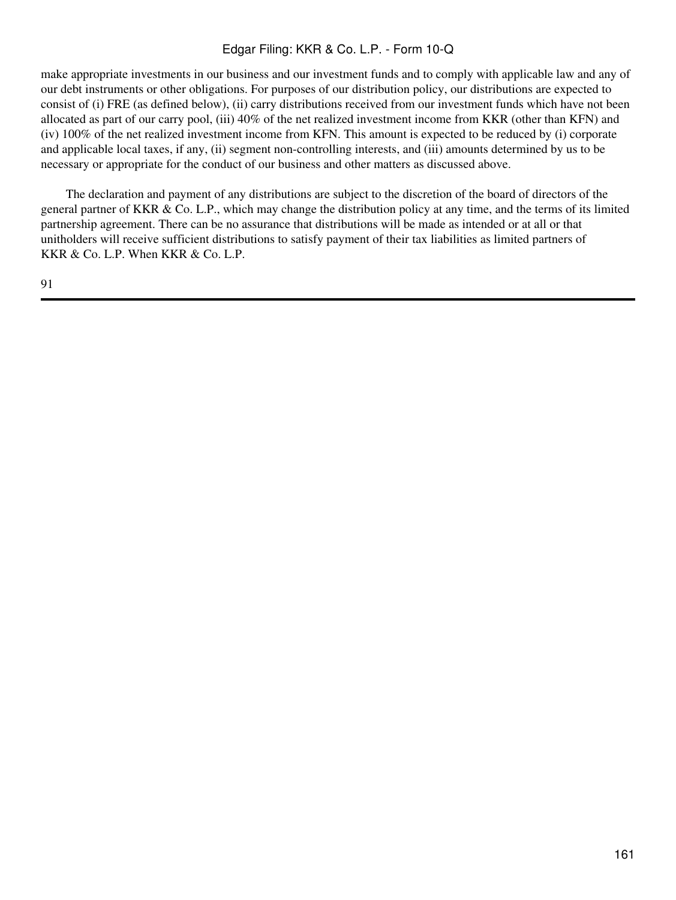make appropriate investments in our business and our investment funds and to comply with applicable law and any of our debt instruments or other obligations. For purposes of our distribution policy, our distributions are expected to consist of (i) FRE (as defined below), (ii) carry distributions received from our investment funds which have not been allocated as part of our carry pool, (iii) 40% of the net realized investment income from KKR (other than KFN) and (iv) 100% of the net realized investment income from KFN. This amount is expected to be reduced by (i) corporate and applicable local taxes, if any, (ii) segment non-controlling interests, and (iii) amounts determined by us to be necessary or appropriate for the conduct of our business and other matters as discussed above.

 The declaration and payment of any distributions are subject to the discretion of the board of directors of the general partner of KKR & Co. L.P., which may change the distribution policy at any time, and the terms of its limited partnership agreement. There can be no assurance that distributions will be made as intended or at all or that unitholders will receive sufficient distributions to satisfy payment of their tax liabilities as limited partners of KKR & Co. L.P. When KKR & Co. L.P.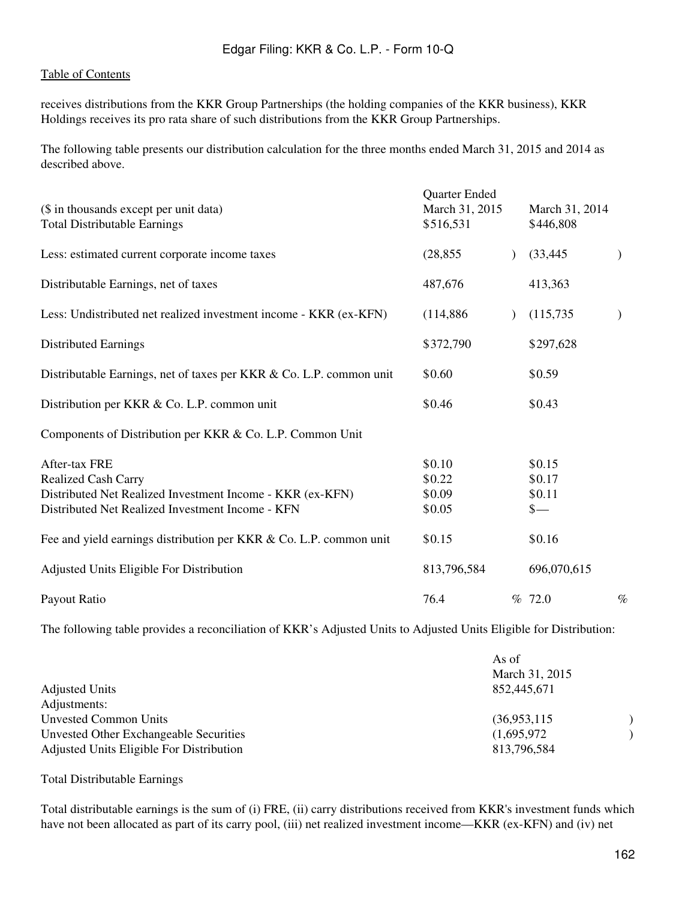receives distributions from the KKR Group Partnerships (the holding companies of the KKR business), KKR Holdings receives its pro rata share of such distributions from the KKR Group Partnerships.

The following table presents our distribution calculation for the three months ended March 31, 2015 and 2014 as described above.

| (\$ in thousands except per unit data)<br><b>Total Distributable Earnings</b>                                                                                | Quarter Ended<br>March 31, 2015<br>\$516,531 | March 31, 2014<br>\$446,808                 |               |
|--------------------------------------------------------------------------------------------------------------------------------------------------------------|----------------------------------------------|---------------------------------------------|---------------|
| Less: estimated current corporate income taxes                                                                                                               | (28, 855)                                    | (33, 445)                                   | $\mathcal{E}$ |
| Distributable Earnings, net of taxes                                                                                                                         | 487,676                                      | 413,363                                     |               |
| Less: Undistributed net realized investment income - KKR (ex-KFN)                                                                                            | (114,886)                                    | (115, 735)                                  | $\mathcal{E}$ |
| <b>Distributed Earnings</b>                                                                                                                                  | \$372,790                                    | \$297,628                                   |               |
| Distributable Earnings, net of taxes per KKR & Co. L.P. common unit                                                                                          | \$0.60                                       | \$0.59                                      |               |
| Distribution per KKR & Co. L.P. common unit                                                                                                                  | \$0.46                                       | \$0.43                                      |               |
| Components of Distribution per KKR & Co. L.P. Common Unit                                                                                                    |                                              |                                             |               |
| After-tax FRE<br><b>Realized Cash Carry</b><br>Distributed Net Realized Investment Income - KKR (ex-KFN)<br>Distributed Net Realized Investment Income - KFN | \$0.10<br>\$0.22<br>\$0.09<br>\$0.05         | \$0.15<br>\$0.17<br>\$0.11<br>$\frac{1}{2}$ |               |
| Fee and yield earnings distribution per KKR & Co. L.P. common unit                                                                                           | \$0.15                                       | \$0.16                                      |               |
| Adjusted Units Eligible For Distribution                                                                                                                     | 813,796,584                                  | 696,070,615                                 |               |
| Payout Ratio                                                                                                                                                 | 76.4                                         | % 72.0                                      | $\%$          |

The following table provides a reconciliation of KKR's Adjusted Units to Adjusted Units Eligible for Distribution:

| <b>Adjusted Units</b>                    | As of<br>March 31, 2015<br>852,445,671 |  |
|------------------------------------------|----------------------------------------|--|
| Adjustments:                             |                                        |  |
| Unvested Common Units                    | (36,953,115)                           |  |
| Unvested Other Exchangeable Securities   | (1,695,972)                            |  |
| Adjusted Units Eligible For Distribution | 813,796,584                            |  |

Total Distributable Earnings

Total distributable earnings is the sum of (i) FRE, (ii) carry distributions received from KKR's investment funds which have not been allocated as part of its carry pool, (iii) net realized investment income—KKR (ex-KFN) and (iv) net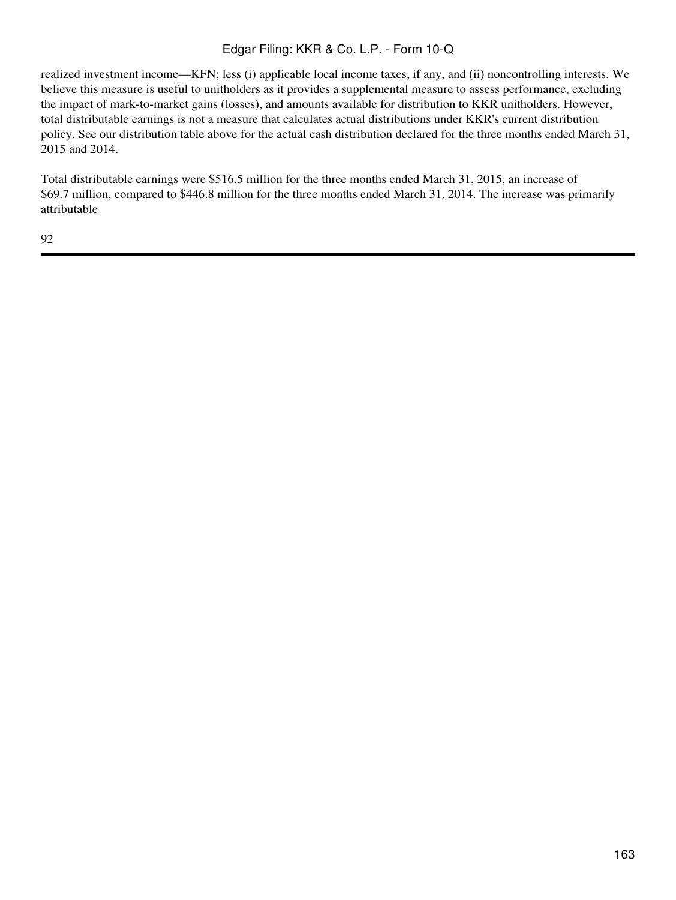realized investment income—KFN; less (i) applicable local income taxes, if any, and (ii) noncontrolling interests. We believe this measure is useful to unitholders as it provides a supplemental measure to assess performance, excluding the impact of mark-to-market gains (losses), and amounts available for distribution to KKR unitholders. However, total distributable earnings is not a measure that calculates actual distributions under KKR's current distribution policy. See our distribution table above for the actual cash distribution declared for the three months ended March 31, 2015 and 2014.

Total distributable earnings were \$516.5 million for the three months ended March 31, 2015, an increase of \$69.7 million, compared to \$446.8 million for the three months ended March 31, 2014. The increase was primarily attributable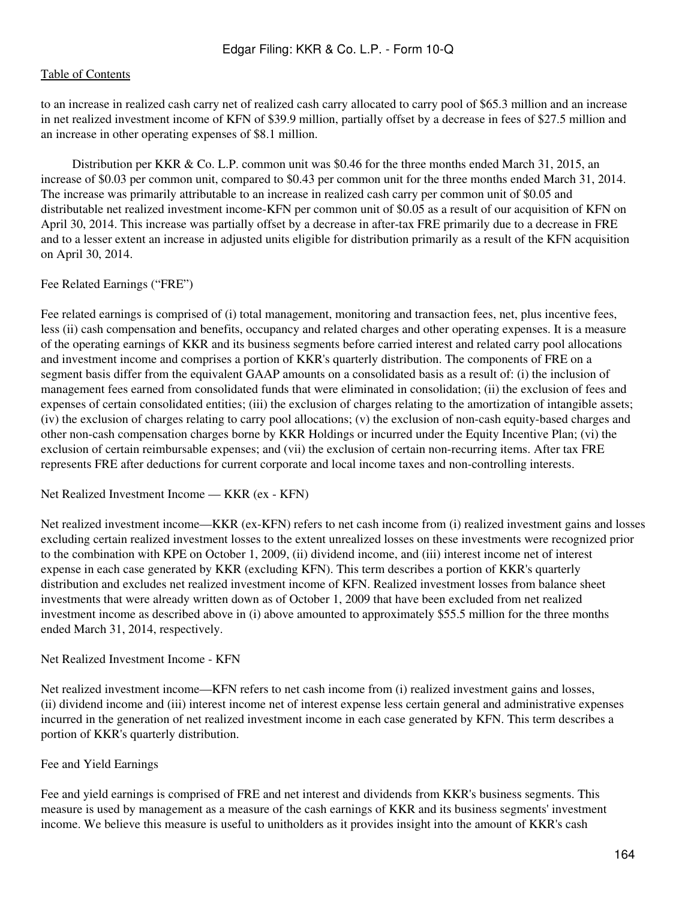to an increase in realized cash carry net of realized cash carry allocated to carry pool of \$65.3 million and an increase in net realized investment income of KFN of \$39.9 million, partially offset by a decrease in fees of \$27.5 million and an increase in other operating expenses of \$8.1 million.

 Distribution per KKR & Co. L.P. common unit was \$0.46 for the three months ended March 31, 2015, an increase of \$0.03 per common unit, compared to \$0.43 per common unit for the three months ended March 31, 2014. The increase was primarily attributable to an increase in realized cash carry per common unit of \$0.05 and distributable net realized investment income-KFN per common unit of \$0.05 as a result of our acquisition of KFN on April 30, 2014. This increase was partially offset by a decrease in after-tax FRE primarily due to a decrease in FRE and to a lesser extent an increase in adjusted units eligible for distribution primarily as a result of the KFN acquisition on April 30, 2014.

#### Fee Related Earnings ("FRE")

Fee related earnings is comprised of (i) total management, monitoring and transaction fees, net, plus incentive fees, less (ii) cash compensation and benefits, occupancy and related charges and other operating expenses. It is a measure of the operating earnings of KKR and its business segments before carried interest and related carry pool allocations and investment income and comprises a portion of KKR's quarterly distribution. The components of FRE on a segment basis differ from the equivalent GAAP amounts on a consolidated basis as a result of: (i) the inclusion of management fees earned from consolidated funds that were eliminated in consolidation; (ii) the exclusion of fees and expenses of certain consolidated entities; (iii) the exclusion of charges relating to the amortization of intangible assets; (iv) the exclusion of charges relating to carry pool allocations; (v) the exclusion of non-cash equity-based charges and other non-cash compensation charges borne by KKR Holdings or incurred under the Equity Incentive Plan; (vi) the exclusion of certain reimbursable expenses; and (vii) the exclusion of certain non-recurring items. After tax FRE represents FRE after deductions for current corporate and local income taxes and non-controlling interests.

Net Realized Investment Income — KKR (ex - KFN)

Net realized investment income—KKR (ex-KFN) refers to net cash income from (i) realized investment gains and losses excluding certain realized investment losses to the extent unrealized losses on these investments were recognized prior to the combination with KPE on October 1, 2009, (ii) dividend income, and (iii) interest income net of interest expense in each case generated by KKR (excluding KFN). This term describes a portion of KKR's quarterly distribution and excludes net realized investment income of KFN. Realized investment losses from balance sheet investments that were already written down as of October 1, 2009 that have been excluded from net realized investment income as described above in (i) above amounted to approximately \$55.5 million for the three months ended March 31, 2014, respectively.

#### Net Realized Investment Income - KFN

Net realized investment income—KFN refers to net cash income from (i) realized investment gains and losses, (ii) dividend income and (iii) interest income net of interest expense less certain general and administrative expenses incurred in the generation of net realized investment income in each case generated by KFN. This term describes a portion of KKR's quarterly distribution.

## Fee and Yield Earnings

Fee and yield earnings is comprised of FRE and net interest and dividends from KKR's business segments. This measure is used by management as a measure of the cash earnings of KKR and its business segments' investment income. We believe this measure is useful to unitholders as it provides insight into the amount of KKR's cash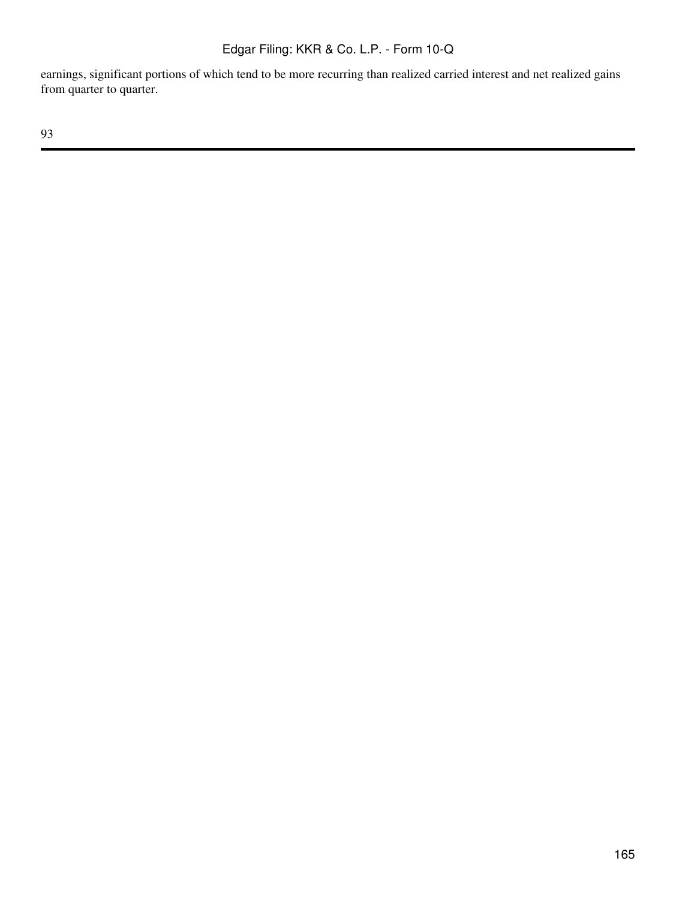earnings, significant portions of which tend to be more recurring than realized carried interest and net realized gains from quarter to quarter.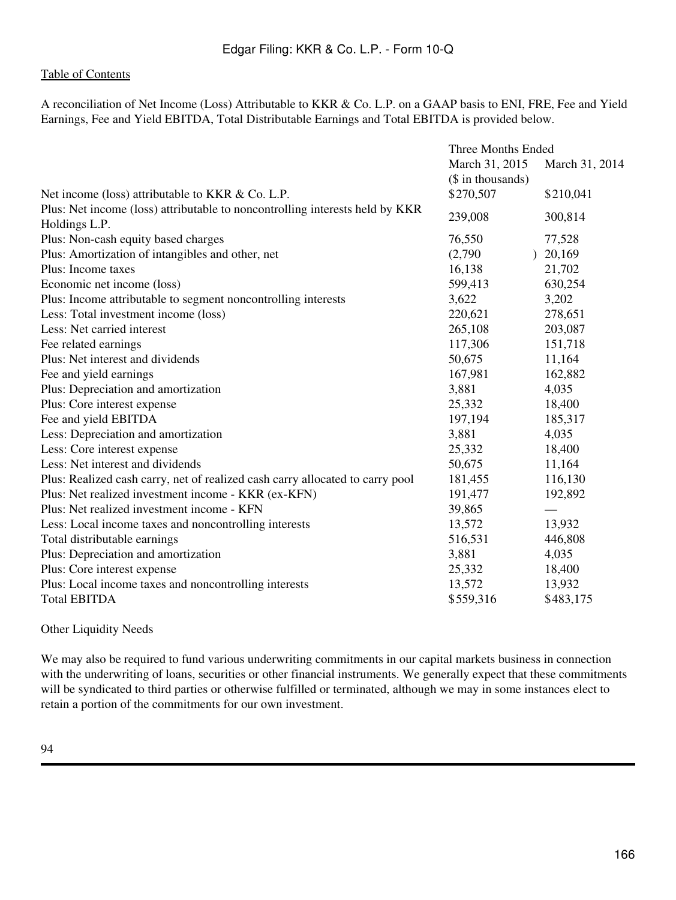A reconciliation of Net Income (Loss) Attributable to KKR & Co. L.P. on a GAAP basis to ENI, FRE, Fee and Yield Earnings, Fee and Yield EBITDA, Total Distributable Earnings and Total EBITDA is provided below.

|                                                                               | Three Months Ended |                |  |
|-------------------------------------------------------------------------------|--------------------|----------------|--|
|                                                                               | March 31, 2015     | March 31, 2014 |  |
|                                                                               | (\$ in thousands)  |                |  |
| Net income (loss) attributable to KKR & Co. L.P.                              | \$270,507          | \$210,041      |  |
| Plus: Net income (loss) attributable to noncontrolling interests held by KKR  | 239,008            | 300,814        |  |
| Holdings L.P.                                                                 |                    |                |  |
| Plus: Non-cash equity based charges                                           | 76,550             | 77,528         |  |
| Plus: Amortization of intangibles and other, net                              | (2,790)            | 20,169         |  |
| Plus: Income taxes                                                            | 16,138             | 21,702         |  |
| Economic net income (loss)                                                    | 599,413            | 630,254        |  |
| Plus: Income attributable to segment noncontrolling interests                 | 3,622              | 3,202          |  |
| Less: Total investment income (loss)                                          | 220,621            | 278,651        |  |
| Less: Net carried interest                                                    | 265,108            | 203,087        |  |
| Fee related earnings                                                          | 117,306            | 151,718        |  |
| Plus: Net interest and dividends                                              | 50,675             | 11,164         |  |
| Fee and yield earnings                                                        | 167,981            | 162,882        |  |
| Plus: Depreciation and amortization                                           | 3,881              | 4,035          |  |
| Plus: Core interest expense                                                   | 25,332             | 18,400         |  |
| Fee and yield EBITDA                                                          | 197,194            | 185,317        |  |
| Less: Depreciation and amortization                                           | 3,881              | 4,035          |  |
| Less: Core interest expense                                                   | 25,332             | 18,400         |  |
| Less: Net interest and dividends                                              | 50,675             | 11,164         |  |
| Plus: Realized cash carry, net of realized cash carry allocated to carry pool | 181,455            | 116,130        |  |
| Plus: Net realized investment income - KKR (ex-KFN)                           | 191,477            | 192,892        |  |
| Plus: Net realized investment income - KFN                                    | 39,865             |                |  |
| Less: Local income taxes and noncontrolling interests                         | 13,572             | 13,932         |  |
| Total distributable earnings                                                  | 516,531            | 446,808        |  |
| Plus: Depreciation and amortization                                           | 3,881              | 4,035          |  |
| Plus: Core interest expense                                                   | 25,332             | 18,400         |  |
| Plus: Local income taxes and noncontrolling interests                         | 13,572             | 13,932         |  |
| <b>Total EBITDA</b>                                                           | \$559,316          | \$483,175      |  |

#### Other Liquidity Needs

We may also be required to fund various underwriting commitments in our capital markets business in connection with the underwriting of loans, securities or other financial instruments. We generally expect that these commitments will be syndicated to third parties or otherwise fulfilled or terminated, although we may in some instances elect to retain a portion of the commitments for our own investment.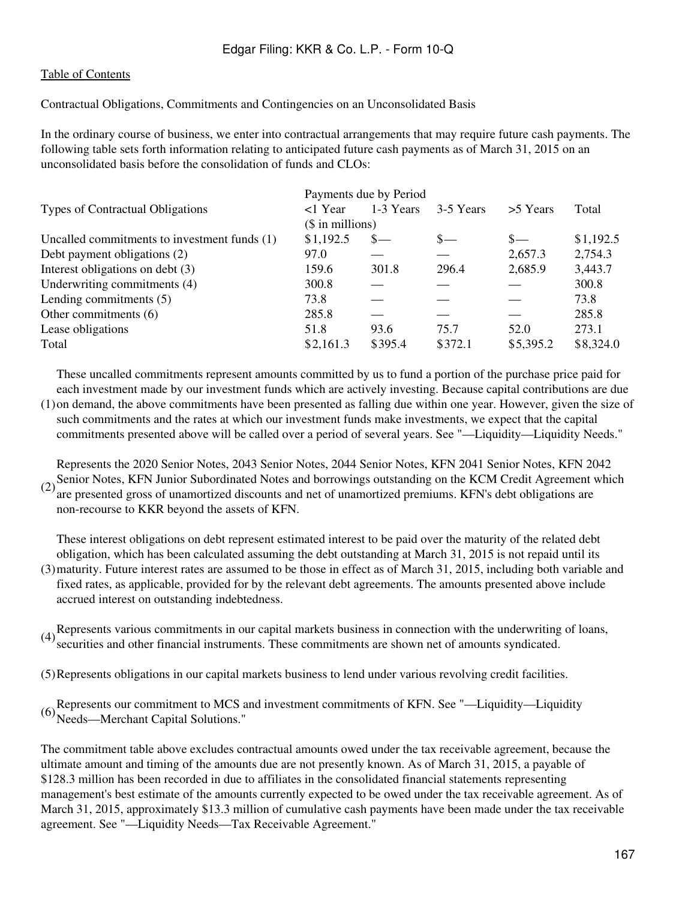Contractual Obligations, Commitments and Contingencies on an Unconsolidated Basis

In the ordinary course of business, we enter into contractual arrangements that may require future cash payments. The following table sets forth information relating to anticipated future cash payments as of March 31, 2015 on an unconsolidated basis before the consolidation of funds and CLOs:

|                                              | Payments due by Period |           |           |           |           |  |
|----------------------------------------------|------------------------|-----------|-----------|-----------|-----------|--|
| Types of Contractual Obligations             | <1 Year                | 1-3 Years | 3-5 Years | >5 Years  | Total     |  |
|                                              | $($$ in millions)      |           |           |           |           |  |
| Uncalled commitments to investment funds (1) | \$1,192.5              | $S-$      | $S-$      | $S-$      | \$1,192.5 |  |
| Debt payment obligations (2)                 | 97.0                   |           |           | 2,657.3   | 2,754.3   |  |
| Interest obligations on debt (3)             | 159.6                  | 301.8     | 296.4     | 2,685.9   | 3,443.7   |  |
| Underwriting commitments (4)                 | 300.8                  |           |           |           | 300.8     |  |
| Lending commitments $(5)$                    | 73.8                   |           |           |           | 73.8      |  |
| Other commitments (6)                        | 285.8                  |           |           |           | 285.8     |  |
| Lease obligations                            | 51.8                   | 93.6      | 75.7      | 52.0      | 273.1     |  |
| Total                                        | \$2,161.3              | \$395.4   | \$372.1   | \$5,395.2 | \$8,324.0 |  |

(1) on demand, the above commitments have been presented as falling due within one year. However, given the size of These uncalled commitments represent amounts committed by us to fund a portion of the purchase price paid for each investment made by our investment funds which are actively investing. Because capital contributions are due such commitments and the rates at which our investment funds make investments, we expect that the capital commitments presented above will be called over a period of several years. See "—Liquidity—Liquidity Needs."

(2) Senior Notes, KFN Junior Subordinated Notes and borrowings outstanding on the KCM Credit Agreement which<br>(2) are presented gross of unomortized discounts and not of unomortized promiums. KEN's dabt abligations are Represents the 2020 Senior Notes, 2043 Senior Notes, 2044 Senior Notes, KFN 2041 Senior Notes, KFN 2042 are presented gross of unamortized discounts and net of unamortized premiums. KFN's debt obligations are non-recourse to KKR beyond the assets of KFN.

(3) maturity. Future interest rates are assumed to be those in effect as of March 31, 2015, including both variable and These interest obligations on debt represent estimated interest to be paid over the maturity of the related debt obligation, which has been calculated assuming the debt outstanding at March 31, 2015 is not repaid until its fixed rates, as applicable, provided for by the relevant debt agreements. The amounts presented above include accrued interest on outstanding indebtedness.

(4) Represents various commitments in our capital markets business in connection with the underwriting of loans, securities and other financial instruments. These commitments are shown net of amounts syndicated.

(5)Represents obligations in our capital markets business to lend under various revolving credit facilities.

(6)Represents our commitment to MCS and investment commitments of KFN. See "—Liquidity—Liquidity Needs—Merchant Capital Solutions."

The commitment table above excludes contractual amounts owed under the tax receivable agreement, because the ultimate amount and timing of the amounts due are not presently known. As of March 31, 2015, a payable of \$128.3 million has been recorded in due to affiliates in the consolidated financial statements representing management's best estimate of the amounts currently expected to be owed under the tax receivable agreement. As of March 31, 2015, approximately \$13.3 million of cumulative cash payments have been made under the tax receivable agreement. See "—Liquidity Needs—Tax Receivable Agreement."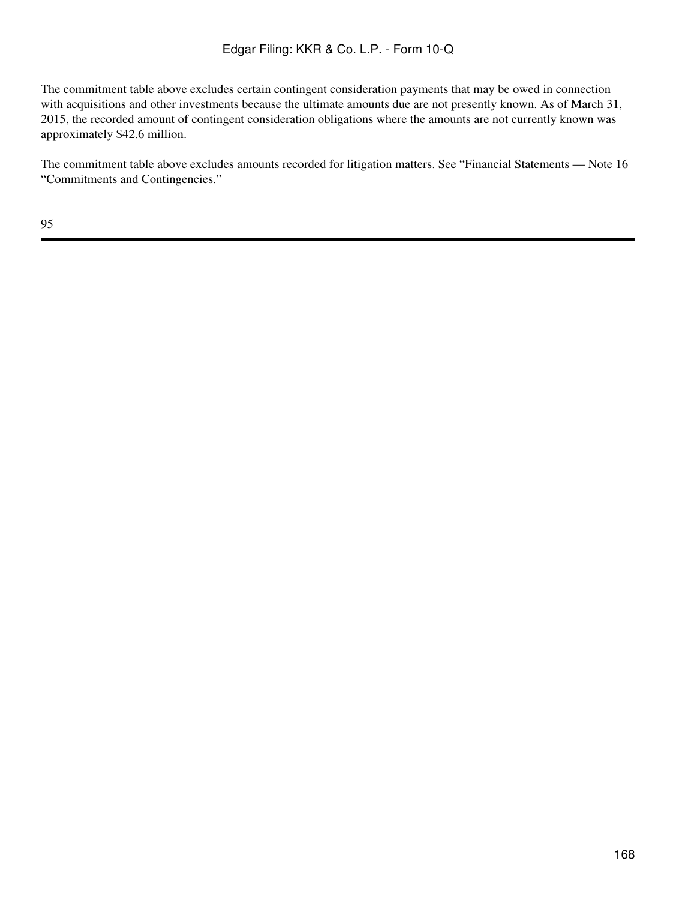The commitment table above excludes certain contingent consideration payments that may be owed in connection with acquisitions and other investments because the ultimate amounts due are not presently known. As of March 31, 2015, the recorded amount of contingent consideration obligations where the amounts are not currently known was approximately \$42.6 million.

The commitment table above excludes amounts recorded for litigation matters. See "Financial Statements — Note 16 "Commitments and Contingencies."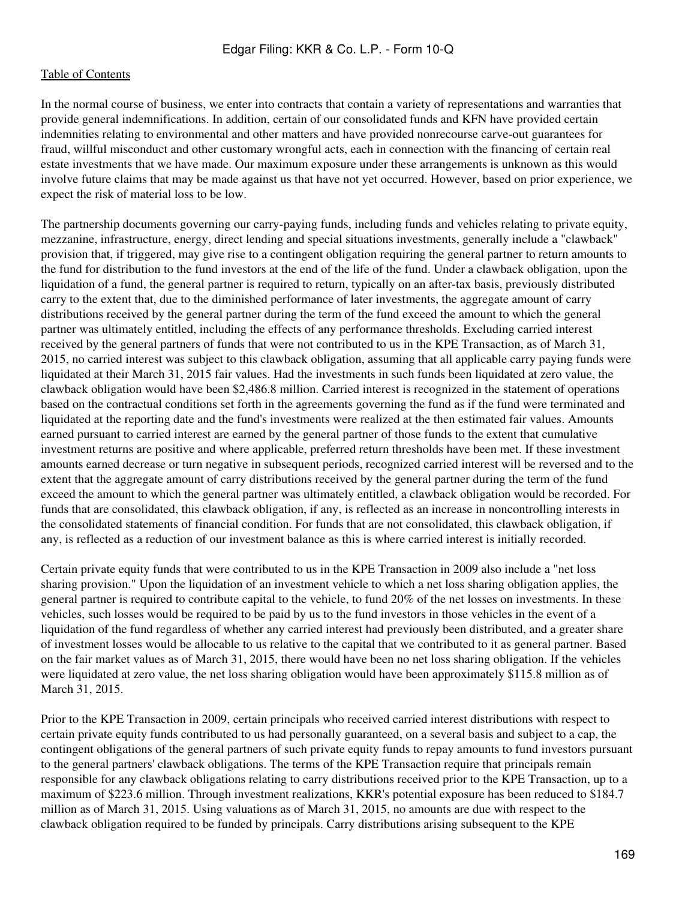In the normal course of business, we enter into contracts that contain a variety of representations and warranties that provide general indemnifications. In addition, certain of our consolidated funds and KFN have provided certain indemnities relating to environmental and other matters and have provided nonrecourse carve-out guarantees for fraud, willful misconduct and other customary wrongful acts, each in connection with the financing of certain real estate investments that we have made. Our maximum exposure under these arrangements is unknown as this would involve future claims that may be made against us that have not yet occurred. However, based on prior experience, we expect the risk of material loss to be low.

The partnership documents governing our carry-paying funds, including funds and vehicles relating to private equity, mezzanine, infrastructure, energy, direct lending and special situations investments, generally include a "clawback" provision that, if triggered, may give rise to a contingent obligation requiring the general partner to return amounts to the fund for distribution to the fund investors at the end of the life of the fund. Under a clawback obligation, upon the liquidation of a fund, the general partner is required to return, typically on an after-tax basis, previously distributed carry to the extent that, due to the diminished performance of later investments, the aggregate amount of carry distributions received by the general partner during the term of the fund exceed the amount to which the general partner was ultimately entitled, including the effects of any performance thresholds. Excluding carried interest received by the general partners of funds that were not contributed to us in the KPE Transaction, as of March 31, 2015, no carried interest was subject to this clawback obligation, assuming that all applicable carry paying funds were liquidated at their March 31, 2015 fair values. Had the investments in such funds been liquidated at zero value, the clawback obligation would have been \$2,486.8 million. Carried interest is recognized in the statement of operations based on the contractual conditions set forth in the agreements governing the fund as if the fund were terminated and liquidated at the reporting date and the fund's investments were realized at the then estimated fair values. Amounts earned pursuant to carried interest are earned by the general partner of those funds to the extent that cumulative investment returns are positive and where applicable, preferred return thresholds have been met. If these investment amounts earned decrease or turn negative in subsequent periods, recognized carried interest will be reversed and to the extent that the aggregate amount of carry distributions received by the general partner during the term of the fund exceed the amount to which the general partner was ultimately entitled, a clawback obligation would be recorded. For funds that are consolidated, this clawback obligation, if any, is reflected as an increase in noncontrolling interests in the consolidated statements of financial condition. For funds that are not consolidated, this clawback obligation, if any, is reflected as a reduction of our investment balance as this is where carried interest is initially recorded.

Certain private equity funds that were contributed to us in the KPE Transaction in 2009 also include a "net loss sharing provision." Upon the liquidation of an investment vehicle to which a net loss sharing obligation applies, the general partner is required to contribute capital to the vehicle, to fund 20% of the net losses on investments. In these vehicles, such losses would be required to be paid by us to the fund investors in those vehicles in the event of a liquidation of the fund regardless of whether any carried interest had previously been distributed, and a greater share of investment losses would be allocable to us relative to the capital that we contributed to it as general partner. Based on the fair market values as of March 31, 2015, there would have been no net loss sharing obligation. If the vehicles were liquidated at zero value, the net loss sharing obligation would have been approximately \$115.8 million as of March 31, 2015.

Prior to the KPE Transaction in 2009, certain principals who received carried interest distributions with respect to certain private equity funds contributed to us had personally guaranteed, on a several basis and subject to a cap, the contingent obligations of the general partners of such private equity funds to repay amounts to fund investors pursuant to the general partners' clawback obligations. The terms of the KPE Transaction require that principals remain responsible for any clawback obligations relating to carry distributions received prior to the KPE Transaction, up to a maximum of \$223.6 million. Through investment realizations, KKR's potential exposure has been reduced to \$184.7 million as of March 31, 2015. Using valuations as of March 31, 2015, no amounts are due with respect to the clawback obligation required to be funded by principals. Carry distributions arising subsequent to the KPE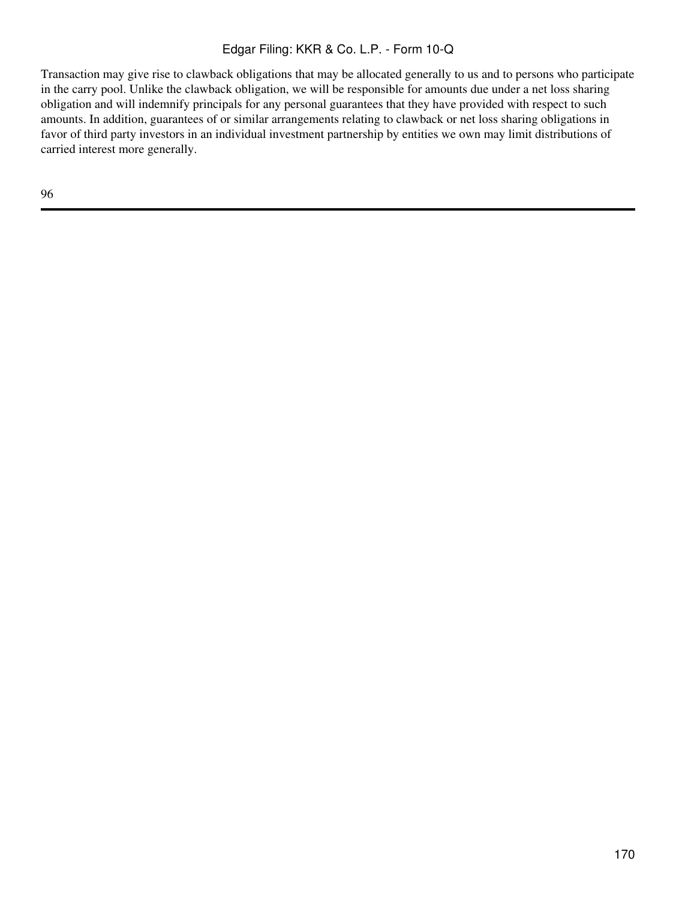Transaction may give rise to clawback obligations that may be allocated generally to us and to persons who participate in the carry pool. Unlike the clawback obligation, we will be responsible for amounts due under a net loss sharing obligation and will indemnify principals for any personal guarantees that they have provided with respect to such amounts. In addition, guarantees of or similar arrangements relating to clawback or net loss sharing obligations in favor of third party investors in an individual investment partnership by entities we own may limit distributions of carried interest more generally.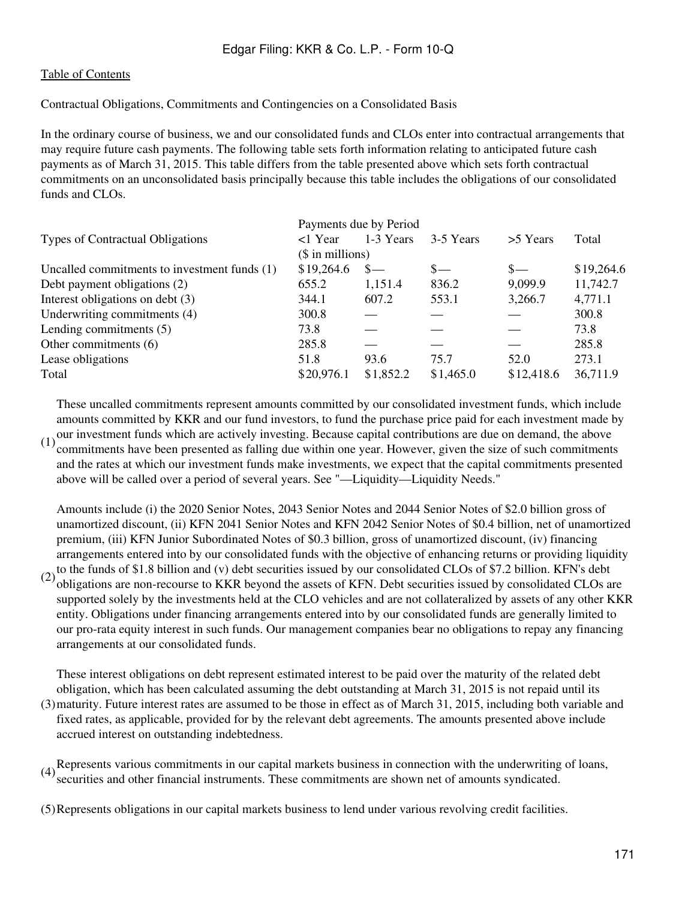### [Table of Contents](#page-2-0)

Contractual Obligations, Commitments and Contingencies on a Consolidated Basis

In the ordinary course of business, we and our consolidated funds and CLOs enter into contractual arrangements that may require future cash payments. The following table sets forth information relating to anticipated future cash payments as of March 31, 2015. This table differs from the table presented above which sets forth contractual commitments on an unconsolidated basis principally because this table includes the obligations of our consolidated funds and CLOs.

|                                              | Payments due by Period |           |           |            |            |  |
|----------------------------------------------|------------------------|-----------|-----------|------------|------------|--|
| Types of Contractual Obligations             | <1 Year                | 1-3 Years | 3-5 Years | >5 Years   | Total      |  |
|                                              | $($$ in millions)      |           |           |            |            |  |
| Uncalled commitments to investment funds (1) | \$19,264.6             | $S-$      | $S-$      | $S-$       | \$19,264.6 |  |
| Debt payment obligations (2)                 | 655.2                  | 1,151.4   | 836.2     | 9,099.9    | 11,742.7   |  |
| Interest obligations on debt (3)             | 344.1                  | 607.2     | 553.1     | 3,266.7    | 4,771.1    |  |
| Underwriting commitments (4)                 | 300.8                  |           |           |            | 300.8      |  |
| Lending commitments $(5)$                    | 73.8                   |           |           |            | 73.8       |  |
| Other commitments (6)                        | 285.8                  |           |           |            | 285.8      |  |
| Lease obligations                            | 51.8                   | 93.6      | 75.7      | 52.0       | 273.1      |  |
| Total                                        | \$20,976.1             | \$1,852.2 | \$1,465.0 | \$12,418.6 | 36,711.9   |  |

These uncalled commitments represent amounts committed by our consolidated investment funds, which include amounts committed by KKR and our fund investors, to fund the purchase price paid for each investment made by

(1) our investment funds which are actively investing. Because capital contributions are due on demand, the above<br>(1) commitments have been researted as folling due within and your Hauguer, given the size of such commitmen commitments have been presented as falling due within one year. However, given the size of such commitments and the rates at which our investment funds make investments, we expect that the capital commitments presented above will be called over a period of several years. See "—Liquidity—Liquidity Needs."

(2) to the funds of \$1.8 billion and (v) debt securities issued by our consolidated CLOs of \$7.2 billion. KFN's debt  $(2)$  obligations are non-negative to  $VVD$  beyond the second of  $VEN$ . Debt sequesting issued by consolid Amounts include (i) the 2020 Senior Notes, 2043 Senior Notes and 2044 Senior Notes of \$2.0 billion gross of unamortized discount, (ii) KFN 2041 Senior Notes and KFN 2042 Senior Notes of \$0.4 billion, net of unamortized premium, (iii) KFN Junior Subordinated Notes of \$0.3 billion, gross of unamortized discount, (iv) financing arrangements entered into by our consolidated funds with the objective of enhancing returns or providing liquidity obligations are non-recourse to KKR beyond the assets of KFN. Debt securities issued by consolidated CLOs are supported solely by the investments held at the CLO vehicles and are not collateralized by assets of any other KKR entity. Obligations under financing arrangements entered into by our consolidated funds are generally limited to our pro-rata equity interest in such funds. Our management companies bear no obligations to repay any financing arrangements at our consolidated funds.

(3) maturity. Future interest rates are assumed to be those in effect as of March 31, 2015, including both variable and These interest obligations on debt represent estimated interest to be paid over the maturity of the related debt obligation, which has been calculated assuming the debt outstanding at March 31, 2015 is not repaid until its fixed rates, as applicable, provided for by the relevant debt agreements. The amounts presented above include accrued interest on outstanding indebtedness.

(4)Represents various commitments in our capital markets business in connection with the underwriting of loans, securities and other financial instruments. These commitments are shown net of amounts syndicated.

(5)Represents obligations in our capital markets business to lend under various revolving credit facilities.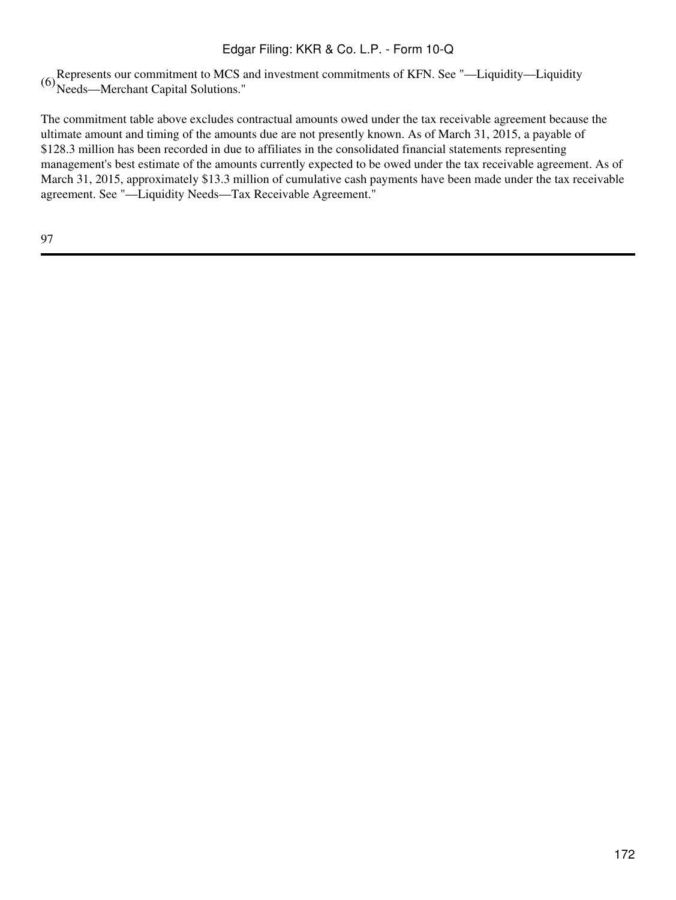(6)Represents our commitment to MCS and investment commitments of KFN. See "—Liquidity—Liquidity Needs—Merchant Capital Solutions."

The commitment table above excludes contractual amounts owed under the tax receivable agreement because the ultimate amount and timing of the amounts due are not presently known. As of March 31, 2015, a payable of \$128.3 million has been recorded in due to affiliates in the consolidated financial statements representing management's best estimate of the amounts currently expected to be owed under the tax receivable agreement. As of March 31, 2015, approximately \$13.3 million of cumulative cash payments have been made under the tax receivable agreement. See "—Liquidity Needs—Tax Receivable Agreement."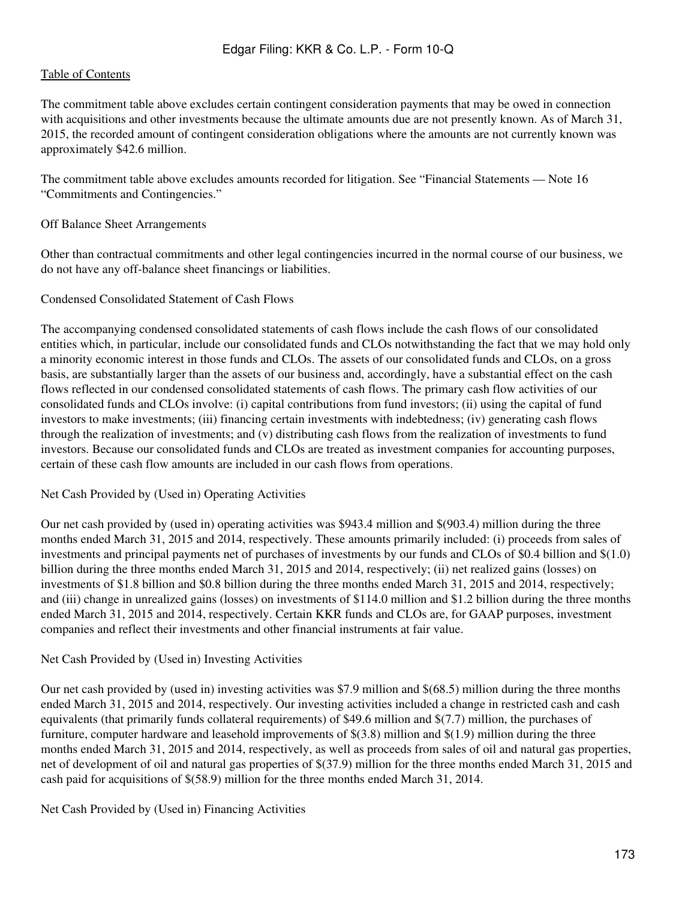The commitment table above excludes certain contingent consideration payments that may be owed in connection with acquisitions and other investments because the ultimate amounts due are not presently known. As of March 31, 2015, the recorded amount of contingent consideration obligations where the amounts are not currently known was approximately \$42.6 million.

The commitment table above excludes amounts recorded for litigation. See "Financial Statements — Note 16 "Commitments and Contingencies."

### Off Balance Sheet Arrangements

Other than contractual commitments and other legal contingencies incurred in the normal course of our business, we do not have any off-balance sheet financings or liabilities.

#### Condensed Consolidated Statement of Cash Flows

The accompanying condensed consolidated statements of cash flows include the cash flows of our consolidated entities which, in particular, include our consolidated funds and CLOs notwithstanding the fact that we may hold only a minority economic interest in those funds and CLOs. The assets of our consolidated funds and CLOs, on a gross basis, are substantially larger than the assets of our business and, accordingly, have a substantial effect on the cash flows reflected in our condensed consolidated statements of cash flows. The primary cash flow activities of our consolidated funds and CLOs involve: (i) capital contributions from fund investors; (ii) using the capital of fund investors to make investments; (iii) financing certain investments with indebtedness; (iv) generating cash flows through the realization of investments; and (v) distributing cash flows from the realization of investments to fund investors. Because our consolidated funds and CLOs are treated as investment companies for accounting purposes, certain of these cash flow amounts are included in our cash flows from operations.

#### Net Cash Provided by (Used in) Operating Activities

Our net cash provided by (used in) operating activities was \$943.4 million and \$(903.4) million during the three months ended March 31, 2015 and 2014, respectively. These amounts primarily included: (i) proceeds from sales of investments and principal payments net of purchases of investments by our funds and CLOs of \$0.4 billion and \$(1.0) billion during the three months ended March 31, 2015 and 2014, respectively; (ii) net realized gains (losses) on investments of \$1.8 billion and \$0.8 billion during the three months ended March 31, 2015 and 2014, respectively; and (iii) change in unrealized gains (losses) on investments of \$114.0 million and \$1.2 billion during the three months ended March 31, 2015 and 2014, respectively. Certain KKR funds and CLOs are, for GAAP purposes, investment companies and reflect their investments and other financial instruments at fair value.

#### Net Cash Provided by (Used in) Investing Activities

Our net cash provided by (used in) investing activities was \$7.9 million and \$(68.5) million during the three months ended March 31, 2015 and 2014, respectively. Our investing activities included a change in restricted cash and cash equivalents (that primarily funds collateral requirements) of \$49.6 million and \$(7.7) million, the purchases of furniture, computer hardware and leasehold improvements of \$(3.8) million and \$(1.9) million during the three months ended March 31, 2015 and 2014, respectively, as well as proceeds from sales of oil and natural gas properties, net of development of oil and natural gas properties of \$(37.9) million for the three months ended March 31, 2015 and cash paid for acquisitions of \$(58.9) million for the three months ended March 31, 2014.

Net Cash Provided by (Used in) Financing Activities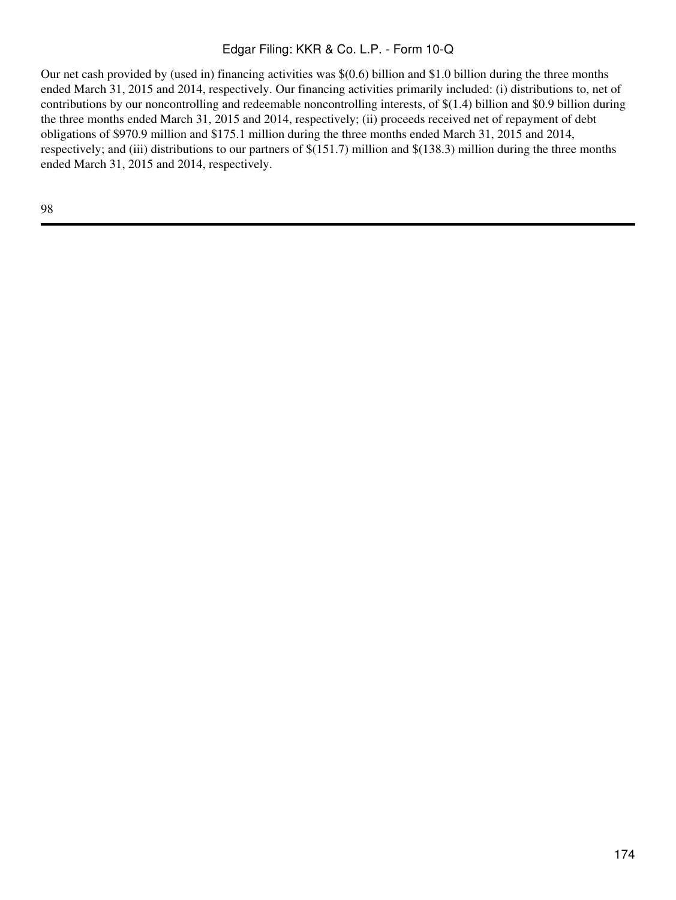Our net cash provided by (used in) financing activities was \$(0.6) billion and \$1.0 billion during the three months ended March 31, 2015 and 2014, respectively. Our financing activities primarily included: (i) distributions to, net of contributions by our noncontrolling and redeemable noncontrolling interests, of \$(1.4) billion and \$0.9 billion during the three months ended March 31, 2015 and 2014, respectively; (ii) proceeds received net of repayment of debt obligations of \$970.9 million and \$175.1 million during the three months ended March 31, 2015 and 2014, respectively; and (iii) distributions to our partners of \$(151.7) million and \$(138.3) million during the three months ended March 31, 2015 and 2014, respectively.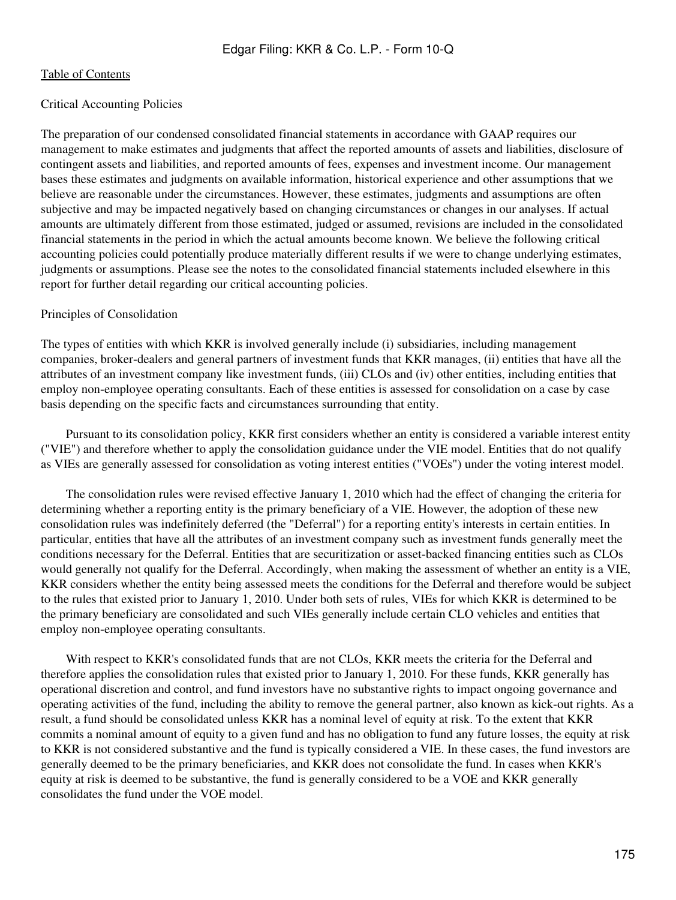### Critical Accounting Policies

The preparation of our condensed consolidated financial statements in accordance with GAAP requires our management to make estimates and judgments that affect the reported amounts of assets and liabilities, disclosure of contingent assets and liabilities, and reported amounts of fees, expenses and investment income. Our management bases these estimates and judgments on available information, historical experience and other assumptions that we believe are reasonable under the circumstances. However, these estimates, judgments and assumptions are often subjective and may be impacted negatively based on changing circumstances or changes in our analyses. If actual amounts are ultimately different from those estimated, judged or assumed, revisions are included in the consolidated financial statements in the period in which the actual amounts become known. We believe the following critical accounting policies could potentially produce materially different results if we were to change underlying estimates, judgments or assumptions. Please see the notes to the consolidated financial statements included elsewhere in this report for further detail regarding our critical accounting policies.

#### Principles of Consolidation

The types of entities with which KKR is involved generally include (i) subsidiaries, including management companies, broker-dealers and general partners of investment funds that KKR manages, (ii) entities that have all the attributes of an investment company like investment funds, (iii) CLOs and (iv) other entities, including entities that employ non-employee operating consultants. Each of these entities is assessed for consolidation on a case by case basis depending on the specific facts and circumstances surrounding that entity.

 Pursuant to its consolidation policy, KKR first considers whether an entity is considered a variable interest entity ("VIE") and therefore whether to apply the consolidation guidance under the VIE model. Entities that do not qualify as VIEs are generally assessed for consolidation as voting interest entities ("VOEs") under the voting interest model.

 The consolidation rules were revised effective January 1, 2010 which had the effect of changing the criteria for determining whether a reporting entity is the primary beneficiary of a VIE. However, the adoption of these new consolidation rules was indefinitely deferred (the "Deferral") for a reporting entity's interests in certain entities. In particular, entities that have all the attributes of an investment company such as investment funds generally meet the conditions necessary for the Deferral. Entities that are securitization or asset-backed financing entities such as CLOs would generally not qualify for the Deferral. Accordingly, when making the assessment of whether an entity is a VIE, KKR considers whether the entity being assessed meets the conditions for the Deferral and therefore would be subject to the rules that existed prior to January 1, 2010. Under both sets of rules, VIEs for which KKR is determined to be the primary beneficiary are consolidated and such VIEs generally include certain CLO vehicles and entities that employ non-employee operating consultants.

With respect to KKR's consolidated funds that are not CLOs, KKR meets the criteria for the Deferral and therefore applies the consolidation rules that existed prior to January 1, 2010. For these funds, KKR generally has operational discretion and control, and fund investors have no substantive rights to impact ongoing governance and operating activities of the fund, including the ability to remove the general partner, also known as kick-out rights. As a result, a fund should be consolidated unless KKR has a nominal level of equity at risk. To the extent that KKR commits a nominal amount of equity to a given fund and has no obligation to fund any future losses, the equity at risk to KKR is not considered substantive and the fund is typically considered a VIE. In these cases, the fund investors are generally deemed to be the primary beneficiaries, and KKR does not consolidate the fund. In cases when KKR's equity at risk is deemed to be substantive, the fund is generally considered to be a VOE and KKR generally consolidates the fund under the VOE model.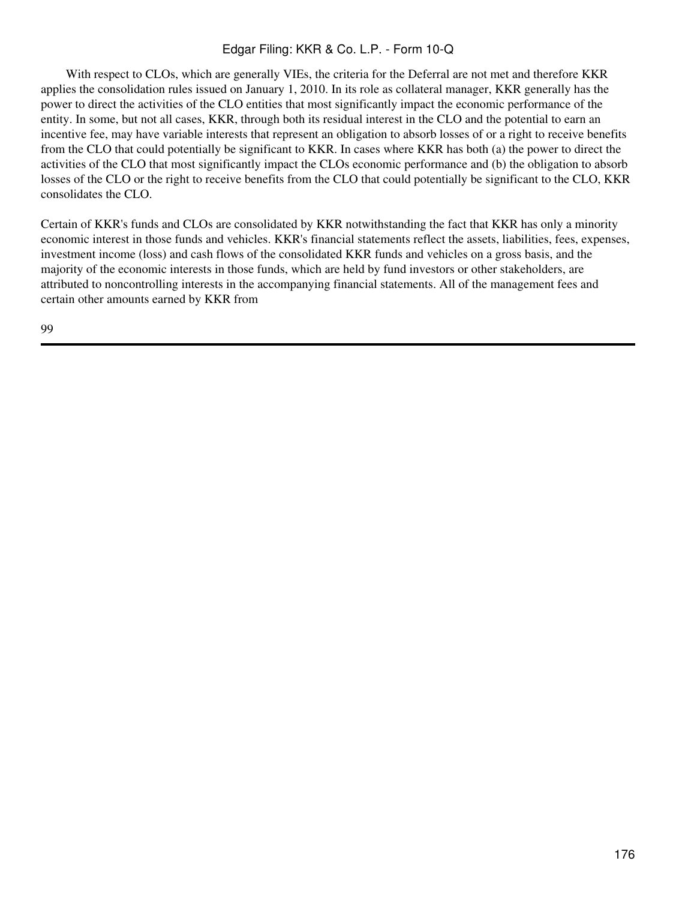With respect to CLOs, which are generally VIEs, the criteria for the Deferral are not met and therefore KKR applies the consolidation rules issued on January 1, 2010. In its role as collateral manager, KKR generally has the power to direct the activities of the CLO entities that most significantly impact the economic performance of the entity. In some, but not all cases, KKR, through both its residual interest in the CLO and the potential to earn an incentive fee, may have variable interests that represent an obligation to absorb losses of or a right to receive benefits from the CLO that could potentially be significant to KKR. In cases where KKR has both (a) the power to direct the activities of the CLO that most significantly impact the CLOs economic performance and (b) the obligation to absorb losses of the CLO or the right to receive benefits from the CLO that could potentially be significant to the CLO, KKR consolidates the CLO.

Certain of KKR's funds and CLOs are consolidated by KKR notwithstanding the fact that KKR has only a minority economic interest in those funds and vehicles. KKR's financial statements reflect the assets, liabilities, fees, expenses, investment income (loss) and cash flows of the consolidated KKR funds and vehicles on a gross basis, and the majority of the economic interests in those funds, which are held by fund investors or other stakeholders, are attributed to noncontrolling interests in the accompanying financial statements. All of the management fees and certain other amounts earned by KKR from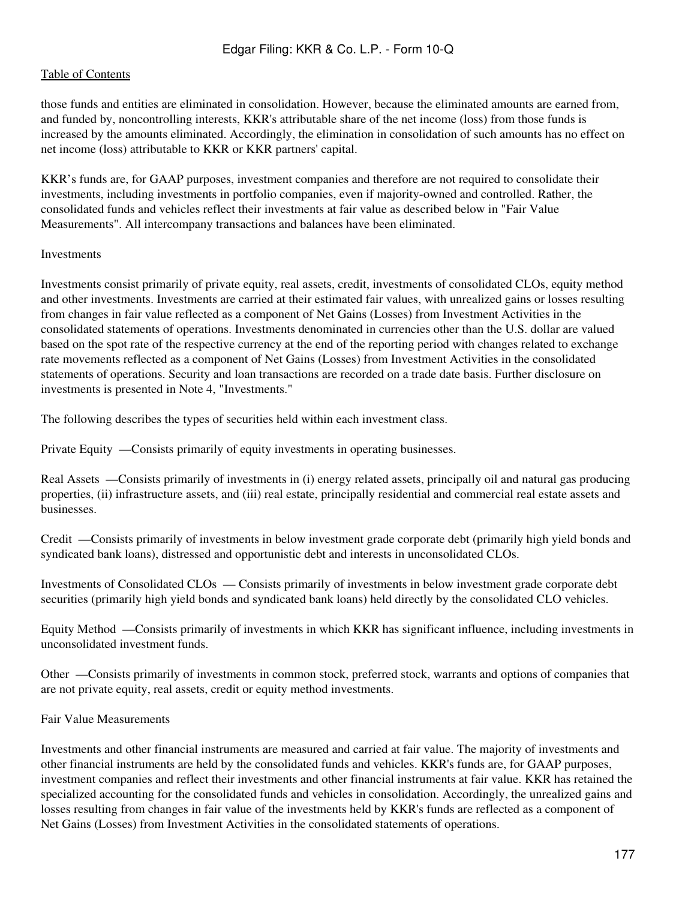those funds and entities are eliminated in consolidation. However, because the eliminated amounts are earned from, and funded by, noncontrolling interests, KKR's attributable share of the net income (loss) from those funds is increased by the amounts eliminated. Accordingly, the elimination in consolidation of such amounts has no effect on net income (loss) attributable to KKR or KKR partners' capital.

KKR's funds are, for GAAP purposes, investment companies and therefore are not required to consolidate their investments, including investments in portfolio companies, even if majority-owned and controlled. Rather, the consolidated funds and vehicles reflect their investments at fair value as described below in "Fair Value Measurements". All intercompany transactions and balances have been eliminated.

#### Investments

Investments consist primarily of private equity, real assets, credit, investments of consolidated CLOs, equity method and other investments. Investments are carried at their estimated fair values, with unrealized gains or losses resulting from changes in fair value reflected as a component of Net Gains (Losses) from Investment Activities in the consolidated statements of operations. Investments denominated in currencies other than the U.S. dollar are valued based on the spot rate of the respective currency at the end of the reporting period with changes related to exchange rate movements reflected as a component of Net Gains (Losses) from Investment Activities in the consolidated statements of operations. Security and loan transactions are recorded on a trade date basis. Further disclosure on investments is presented in Note 4, "Investments."

The following describes the types of securities held within each investment class.

Private Equity —Consists primarily of equity investments in operating businesses.

Real Assets —Consists primarily of investments in (i) energy related assets, principally oil and natural gas producing properties, (ii) infrastructure assets, and (iii) real estate, principally residential and commercial real estate assets and businesses.

Credit —Consists primarily of investments in below investment grade corporate debt (primarily high yield bonds and syndicated bank loans), distressed and opportunistic debt and interests in unconsolidated CLOs.

Investments of Consolidated CLOs — Consists primarily of investments in below investment grade corporate debt securities (primarily high yield bonds and syndicated bank loans) held directly by the consolidated CLO vehicles.

Equity Method —Consists primarily of investments in which KKR has significant influence, including investments in unconsolidated investment funds.

Other —Consists primarily of investments in common stock, preferred stock, warrants and options of companies that are not private equity, real assets, credit or equity method investments.

Fair Value Measurements

Investments and other financial instruments are measured and carried at fair value. The majority of investments and other financial instruments are held by the consolidated funds and vehicles. KKR's funds are, for GAAP purposes, investment companies and reflect their investments and other financial instruments at fair value. KKR has retained the specialized accounting for the consolidated funds and vehicles in consolidation. Accordingly, the unrealized gains and losses resulting from changes in fair value of the investments held by KKR's funds are reflected as a component of Net Gains (Losses) from Investment Activities in the consolidated statements of operations.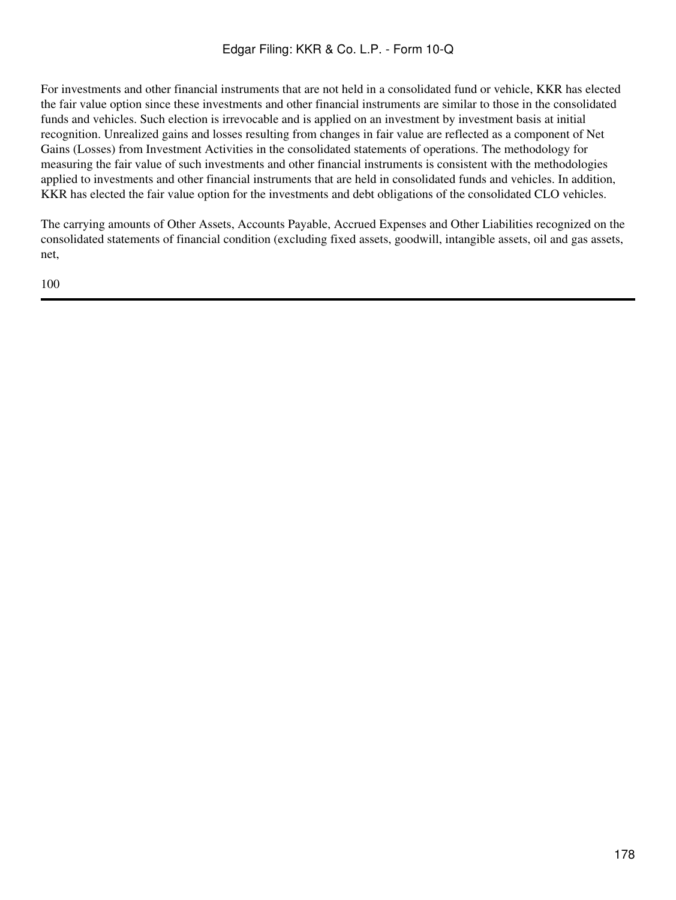For investments and other financial instruments that are not held in a consolidated fund or vehicle, KKR has elected the fair value option since these investments and other financial instruments are similar to those in the consolidated funds and vehicles. Such election is irrevocable and is applied on an investment by investment basis at initial recognition. Unrealized gains and losses resulting from changes in fair value are reflected as a component of Net Gains (Losses) from Investment Activities in the consolidated statements of operations. The methodology for measuring the fair value of such investments and other financial instruments is consistent with the methodologies applied to investments and other financial instruments that are held in consolidated funds and vehicles. In addition, KKR has elected the fair value option for the investments and debt obligations of the consolidated CLO vehicles.

The carrying amounts of Other Assets, Accounts Payable, Accrued Expenses and Other Liabilities recognized on the consolidated statements of financial condition (excluding fixed assets, goodwill, intangible assets, oil and gas assets, net,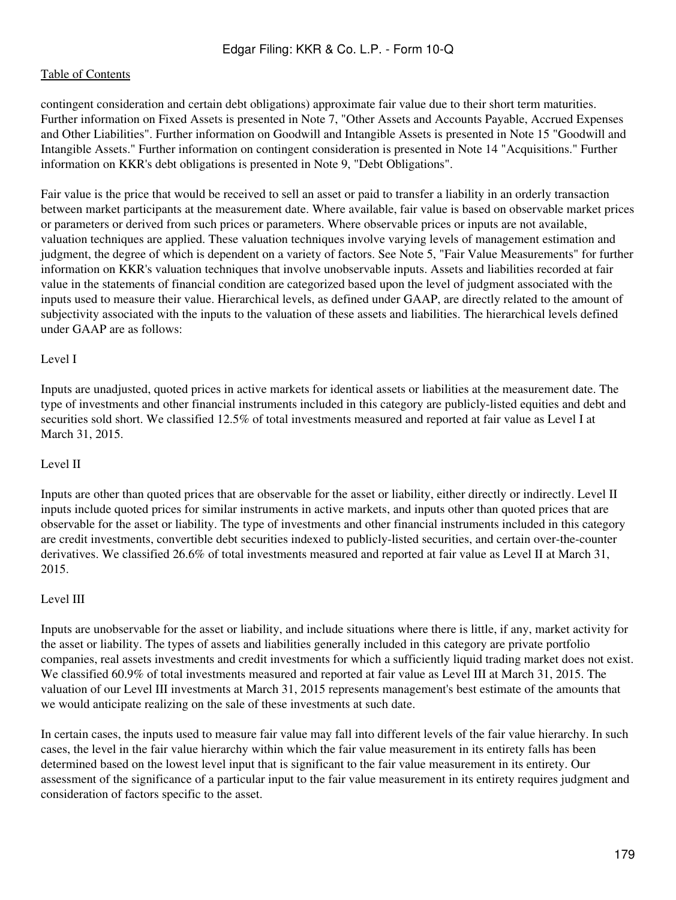contingent consideration and certain debt obligations) approximate fair value due to their short term maturities. Further information on Fixed Assets is presented in Note 7, "Other Assets and Accounts Payable, Accrued Expenses and Other Liabilities". Further information on Goodwill and Intangible Assets is presented in Note 15 "Goodwill and Intangible Assets." Further information on contingent consideration is presented in Note 14 "Acquisitions." Further information on KKR's debt obligations is presented in Note 9, "Debt Obligations".

Fair value is the price that would be received to sell an asset or paid to transfer a liability in an orderly transaction between market participants at the measurement date. Where available, fair value is based on observable market prices or parameters or derived from such prices or parameters. Where observable prices or inputs are not available, valuation techniques are applied. These valuation techniques involve varying levels of management estimation and judgment, the degree of which is dependent on a variety of factors. See Note 5, "Fair Value Measurements" for further information on KKR's valuation techniques that involve unobservable inputs. Assets and liabilities recorded at fair value in the statements of financial condition are categorized based upon the level of judgment associated with the inputs used to measure their value. Hierarchical levels, as defined under GAAP, are directly related to the amount of subjectivity associated with the inputs to the valuation of these assets and liabilities. The hierarchical levels defined under GAAP are as follows:

## Level I

Inputs are unadjusted, quoted prices in active markets for identical assets or liabilities at the measurement date. The type of investments and other financial instruments included in this category are publicly-listed equities and debt and securities sold short. We classified 12.5% of total investments measured and reported at fair value as Level I at March 31, 2015.

#### Level II

Inputs are other than quoted prices that are observable for the asset or liability, either directly or indirectly. Level II inputs include quoted prices for similar instruments in active markets, and inputs other than quoted prices that are observable for the asset or liability. The type of investments and other financial instruments included in this category are credit investments, convertible debt securities indexed to publicly-listed securities, and certain over-the-counter derivatives. We classified 26.6% of total investments measured and reported at fair value as Level II at March 31, 2015.

#### Level III

Inputs are unobservable for the asset or liability, and include situations where there is little, if any, market activity for the asset or liability. The types of assets and liabilities generally included in this category are private portfolio companies, real assets investments and credit investments for which a sufficiently liquid trading market does not exist. We classified 60.9% of total investments measured and reported at fair value as Level III at March 31, 2015. The valuation of our Level III investments at March 31, 2015 represents management's best estimate of the amounts that we would anticipate realizing on the sale of these investments at such date.

In certain cases, the inputs used to measure fair value may fall into different levels of the fair value hierarchy. In such cases, the level in the fair value hierarchy within which the fair value measurement in its entirety falls has been determined based on the lowest level input that is significant to the fair value measurement in its entirety. Our assessment of the significance of a particular input to the fair value measurement in its entirety requires judgment and consideration of factors specific to the asset.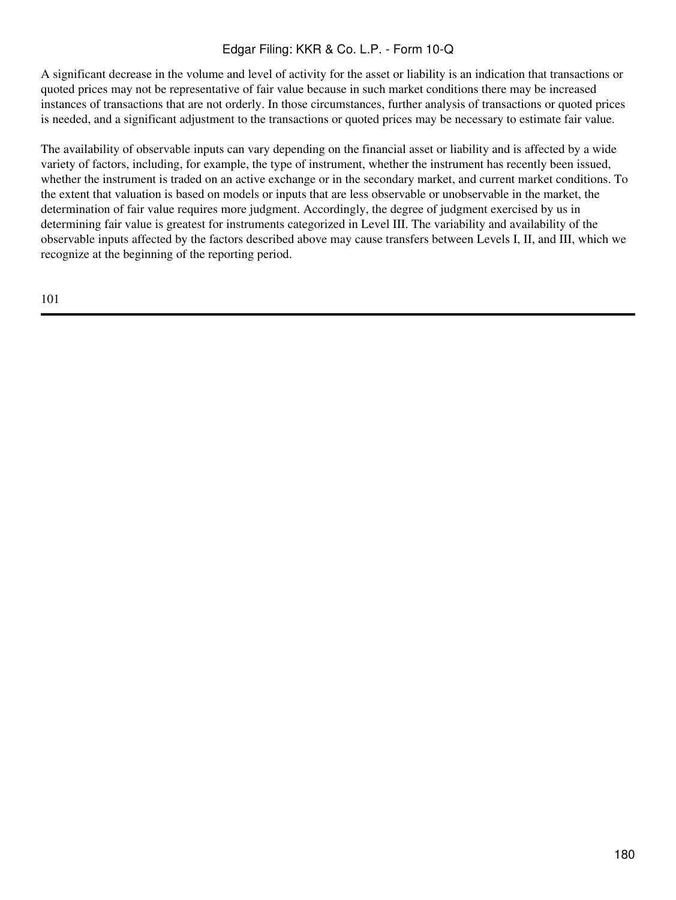A significant decrease in the volume and level of activity for the asset or liability is an indication that transactions or quoted prices may not be representative of fair value because in such market conditions there may be increased instances of transactions that are not orderly. In those circumstances, further analysis of transactions or quoted prices is needed, and a significant adjustment to the transactions or quoted prices may be necessary to estimate fair value.

The availability of observable inputs can vary depending on the financial asset or liability and is affected by a wide variety of factors, including, for example, the type of instrument, whether the instrument has recently been issued, whether the instrument is traded on an active exchange or in the secondary market, and current market conditions. To the extent that valuation is based on models or inputs that are less observable or unobservable in the market, the determination of fair value requires more judgment. Accordingly, the degree of judgment exercised by us in determining fair value is greatest for instruments categorized in Level III. The variability and availability of the observable inputs affected by the factors described above may cause transfers between Levels I, II, and III, which we recognize at the beginning of the reporting period.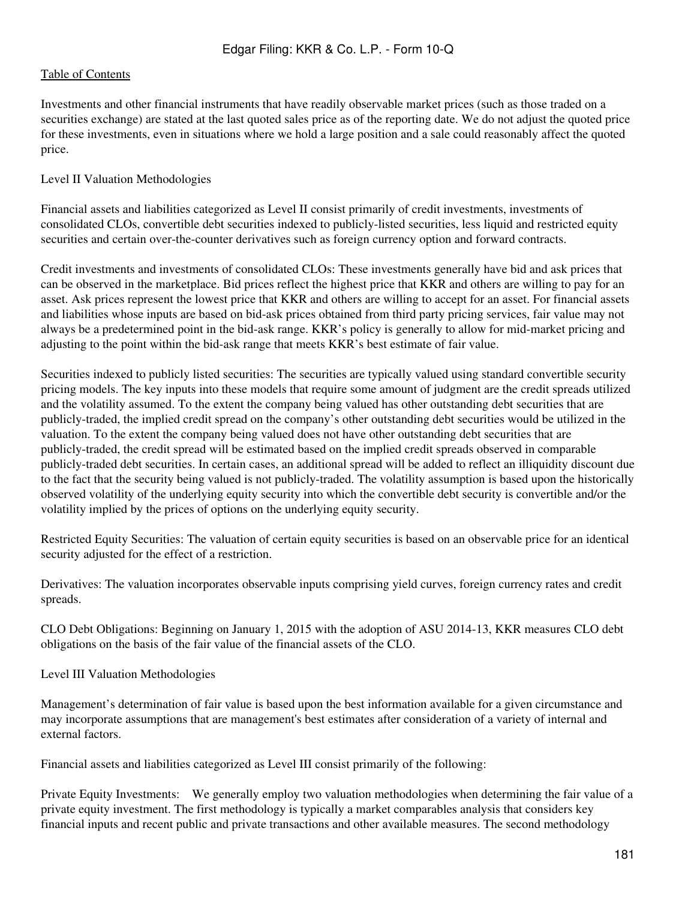Investments and other financial instruments that have readily observable market prices (such as those traded on a securities exchange) are stated at the last quoted sales price as of the reporting date. We do not adjust the quoted price for these investments, even in situations where we hold a large position and a sale could reasonably affect the quoted price.

#### Level II Valuation Methodologies

Financial assets and liabilities categorized as Level II consist primarily of credit investments, investments of consolidated CLOs, convertible debt securities indexed to publicly-listed securities, less liquid and restricted equity securities and certain over-the-counter derivatives such as foreign currency option and forward contracts.

Credit investments and investments of consolidated CLOs: These investments generally have bid and ask prices that can be observed in the marketplace. Bid prices reflect the highest price that KKR and others are willing to pay for an asset. Ask prices represent the lowest price that KKR and others are willing to accept for an asset. For financial assets and liabilities whose inputs are based on bid-ask prices obtained from third party pricing services, fair value may not always be a predetermined point in the bid-ask range. KKR's policy is generally to allow for mid-market pricing and adjusting to the point within the bid-ask range that meets KKR's best estimate of fair value.

Securities indexed to publicly listed securities: The securities are typically valued using standard convertible security pricing models. The key inputs into these models that require some amount of judgment are the credit spreads utilized and the volatility assumed. To the extent the company being valued has other outstanding debt securities that are publicly-traded, the implied credit spread on the company's other outstanding debt securities would be utilized in the valuation. To the extent the company being valued does not have other outstanding debt securities that are publicly-traded, the credit spread will be estimated based on the implied credit spreads observed in comparable publicly-traded debt securities. In certain cases, an additional spread will be added to reflect an illiquidity discount due to the fact that the security being valued is not publicly-traded. The volatility assumption is based upon the historically observed volatility of the underlying equity security into which the convertible debt security is convertible and/or the volatility implied by the prices of options on the underlying equity security.

Restricted Equity Securities: The valuation of certain equity securities is based on an observable price for an identical security adjusted for the effect of a restriction.

Derivatives: The valuation incorporates observable inputs comprising yield curves, foreign currency rates and credit spreads.

CLO Debt Obligations: Beginning on January 1, 2015 with the adoption of ASU 2014-13, KKR measures CLO debt obligations on the basis of the fair value of the financial assets of the CLO.

Level III Valuation Methodologies

Management's determination of fair value is based upon the best information available for a given circumstance and may incorporate assumptions that are management's best estimates after consideration of a variety of internal and external factors.

Financial assets and liabilities categorized as Level III consist primarily of the following:

Private Equity Investments: We generally employ two valuation methodologies when determining the fair value of a private equity investment. The first methodology is typically a market comparables analysis that considers key financial inputs and recent public and private transactions and other available measures. The second methodology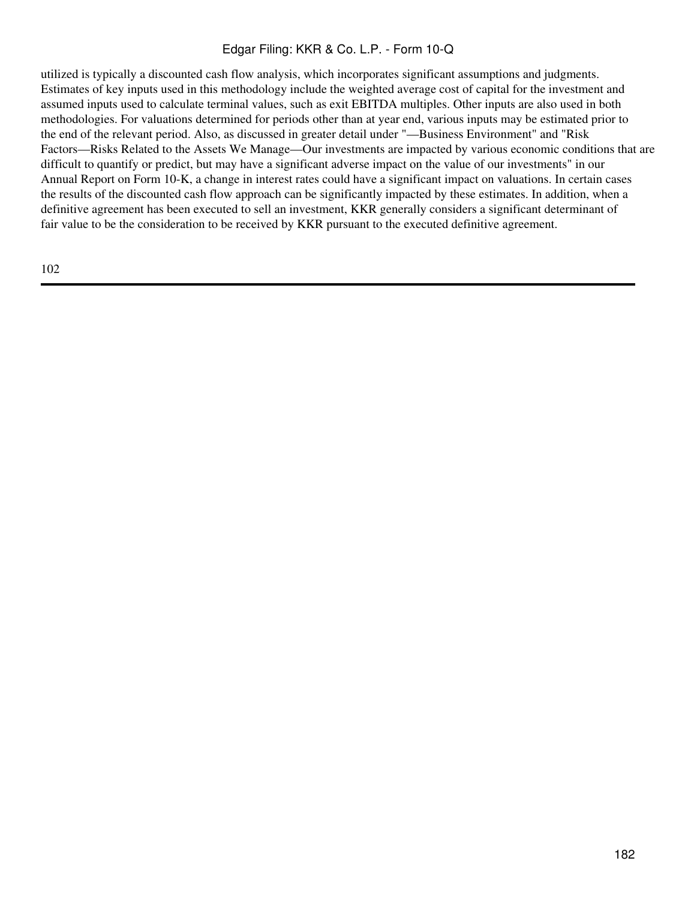utilized is typically a discounted cash flow analysis, which incorporates significant assumptions and judgments. Estimates of key inputs used in this methodology include the weighted average cost of capital for the investment and assumed inputs used to calculate terminal values, such as exit EBITDA multiples. Other inputs are also used in both methodologies. For valuations determined for periods other than at year end, various inputs may be estimated prior to the end of the relevant period. Also, as discussed in greater detail under "—Business Environment" and "Risk Factors—Risks Related to the Assets We Manage—Our investments are impacted by various economic conditions that are difficult to quantify or predict, but may have a significant adverse impact on the value of our investments" in our Annual Report on Form 10-K, a change in interest rates could have a significant impact on valuations. In certain cases the results of the discounted cash flow approach can be significantly impacted by these estimates. In addition, when a definitive agreement has been executed to sell an investment, KKR generally considers a significant determinant of fair value to be the consideration to be received by KKR pursuant to the executed definitive agreement.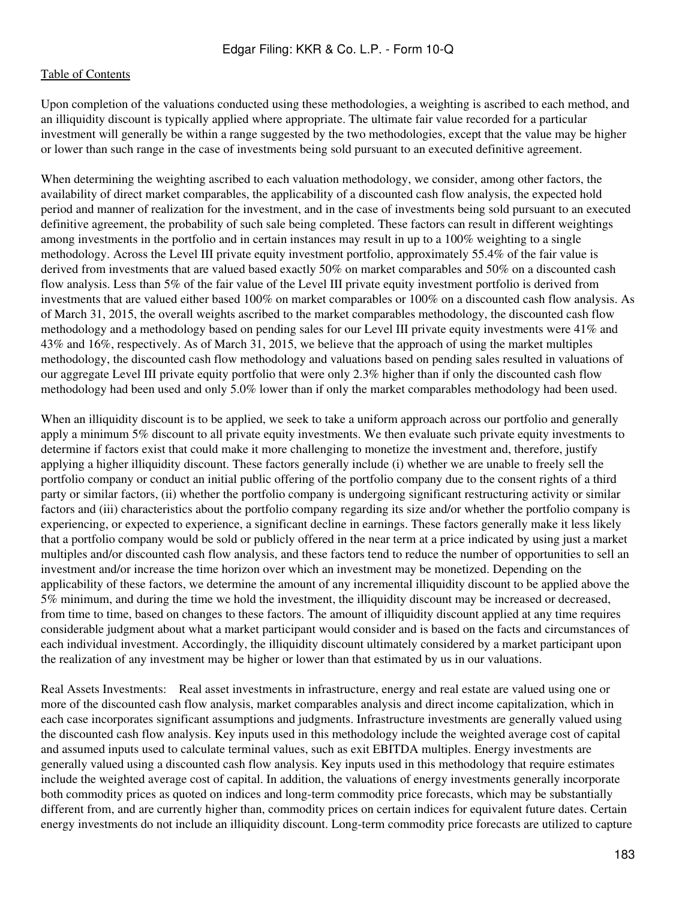Upon completion of the valuations conducted using these methodologies, a weighting is ascribed to each method, and an illiquidity discount is typically applied where appropriate. The ultimate fair value recorded for a particular investment will generally be within a range suggested by the two methodologies, except that the value may be higher or lower than such range in the case of investments being sold pursuant to an executed definitive agreement.

When determining the weighting ascribed to each valuation methodology, we consider, among other factors, the availability of direct market comparables, the applicability of a discounted cash flow analysis, the expected hold period and manner of realization for the investment, and in the case of investments being sold pursuant to an executed definitive agreement, the probability of such sale being completed. These factors can result in different weightings among investments in the portfolio and in certain instances may result in up to a 100% weighting to a single methodology. Across the Level III private equity investment portfolio, approximately 55.4% of the fair value is derived from investments that are valued based exactly 50% on market comparables and 50% on a discounted cash flow analysis. Less than 5% of the fair value of the Level III private equity investment portfolio is derived from investments that are valued either based 100% on market comparables or 100% on a discounted cash flow analysis. As of March 31, 2015, the overall weights ascribed to the market comparables methodology, the discounted cash flow methodology and a methodology based on pending sales for our Level III private equity investments were 41% and 43% and 16%, respectively. As of March 31, 2015, we believe that the approach of using the market multiples methodology, the discounted cash flow methodology and valuations based on pending sales resulted in valuations of our aggregate Level III private equity portfolio that were only 2.3% higher than if only the discounted cash flow methodology had been used and only 5.0% lower than if only the market comparables methodology had been used.

When an illiquidity discount is to be applied, we seek to take a uniform approach across our portfolio and generally apply a minimum 5% discount to all private equity investments. We then evaluate such private equity investments to determine if factors exist that could make it more challenging to monetize the investment and, therefore, justify applying a higher illiquidity discount. These factors generally include (i) whether we are unable to freely sell the portfolio company or conduct an initial public offering of the portfolio company due to the consent rights of a third party or similar factors, (ii) whether the portfolio company is undergoing significant restructuring activity or similar factors and (iii) characteristics about the portfolio company regarding its size and/or whether the portfolio company is experiencing, or expected to experience, a significant decline in earnings. These factors generally make it less likely that a portfolio company would be sold or publicly offered in the near term at a price indicated by using just a market multiples and/or discounted cash flow analysis, and these factors tend to reduce the number of opportunities to sell an investment and/or increase the time horizon over which an investment may be monetized. Depending on the applicability of these factors, we determine the amount of any incremental illiquidity discount to be applied above the 5% minimum, and during the time we hold the investment, the illiquidity discount may be increased or decreased, from time to time, based on changes to these factors. The amount of illiquidity discount applied at any time requires considerable judgment about what a market participant would consider and is based on the facts and circumstances of each individual investment. Accordingly, the illiquidity discount ultimately considered by a market participant upon the realization of any investment may be higher or lower than that estimated by us in our valuations.

Real Assets Investments: Real asset investments in infrastructure, energy and real estate are valued using one or more of the discounted cash flow analysis, market comparables analysis and direct income capitalization, which in each case incorporates significant assumptions and judgments. Infrastructure investments are generally valued using the discounted cash flow analysis. Key inputs used in this methodology include the weighted average cost of capital and assumed inputs used to calculate terminal values, such as exit EBITDA multiples. Energy investments are generally valued using a discounted cash flow analysis. Key inputs used in this methodology that require estimates include the weighted average cost of capital. In addition, the valuations of energy investments generally incorporate both commodity prices as quoted on indices and long-term commodity price forecasts, which may be substantially different from, and are currently higher than, commodity prices on certain indices for equivalent future dates. Certain energy investments do not include an illiquidity discount. Long-term commodity price forecasts are utilized to capture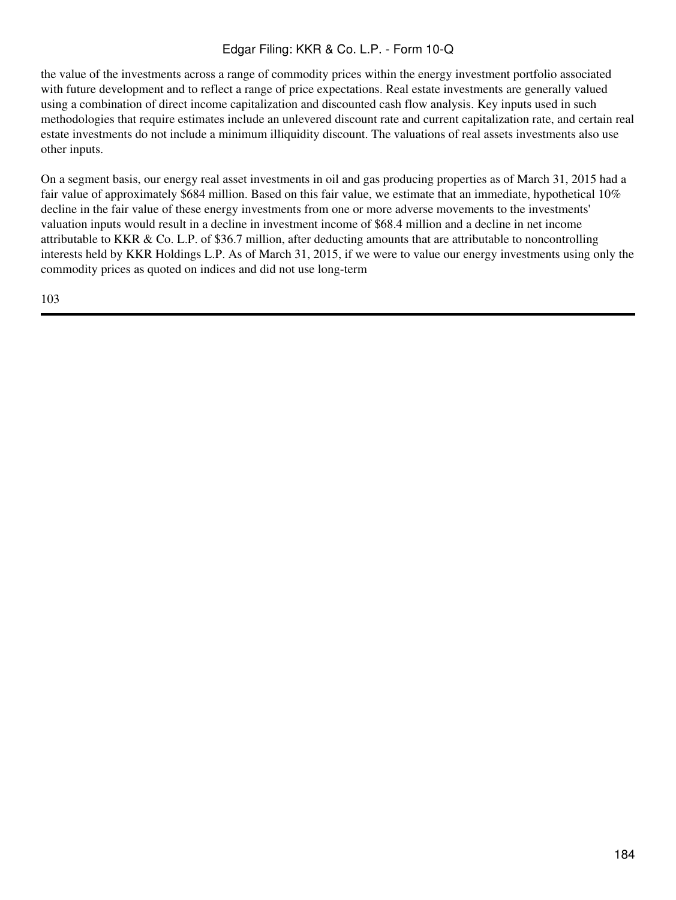the value of the investments across a range of commodity prices within the energy investment portfolio associated with future development and to reflect a range of price expectations. Real estate investments are generally valued using a combination of direct income capitalization and discounted cash flow analysis. Key inputs used in such methodologies that require estimates include an unlevered discount rate and current capitalization rate, and certain real estate investments do not include a minimum illiquidity discount. The valuations of real assets investments also use other inputs.

On a segment basis, our energy real asset investments in oil and gas producing properties as of March 31, 2015 had a fair value of approximately \$684 million. Based on this fair value, we estimate that an immediate, hypothetical 10% decline in the fair value of these energy investments from one or more adverse movements to the investments' valuation inputs would result in a decline in investment income of \$68.4 million and a decline in net income attributable to KKR & Co. L.P. of \$36.7 million, after deducting amounts that are attributable to noncontrolling interests held by KKR Holdings L.P. As of March 31, 2015, if we were to value our energy investments using only the commodity prices as quoted on indices and did not use long-term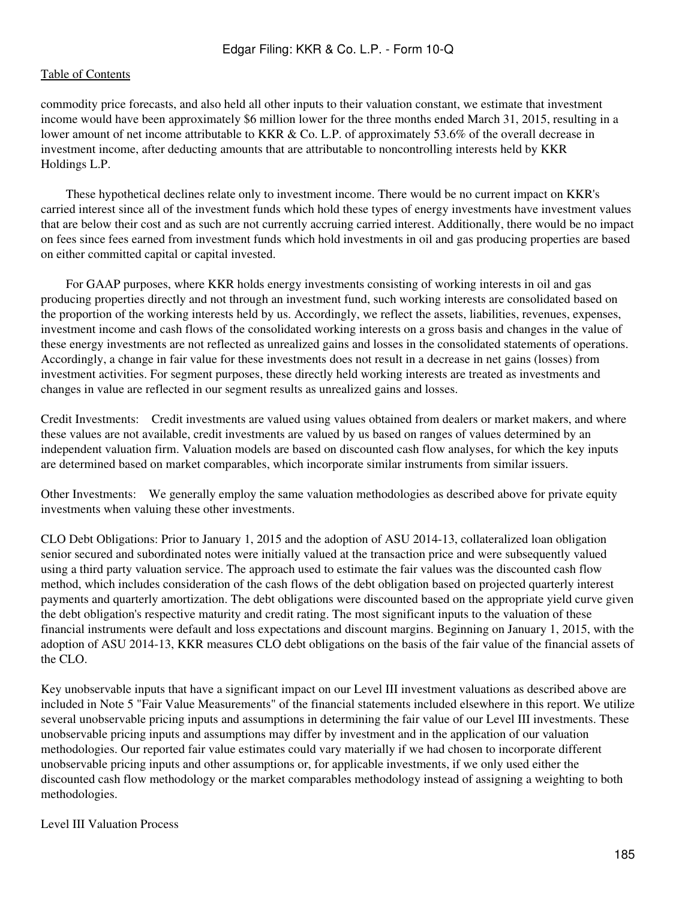commodity price forecasts, and also held all other inputs to their valuation constant, we estimate that investment income would have been approximately \$6 million lower for the three months ended March 31, 2015, resulting in a lower amount of net income attributable to KKR & Co. L.P. of approximately 53.6% of the overall decrease in investment income, after deducting amounts that are attributable to noncontrolling interests held by KKR Holdings L.P.

 These hypothetical declines relate only to investment income. There would be no current impact on KKR's carried interest since all of the investment funds which hold these types of energy investments have investment values that are below their cost and as such are not currently accruing carried interest. Additionally, there would be no impact on fees since fees earned from investment funds which hold investments in oil and gas producing properties are based on either committed capital or capital invested.

 For GAAP purposes, where KKR holds energy investments consisting of working interests in oil and gas producing properties directly and not through an investment fund, such working interests are consolidated based on the proportion of the working interests held by us. Accordingly, we reflect the assets, liabilities, revenues, expenses, investment income and cash flows of the consolidated working interests on a gross basis and changes in the value of these energy investments are not reflected as unrealized gains and losses in the consolidated statements of operations. Accordingly, a change in fair value for these investments does not result in a decrease in net gains (losses) from investment activities. For segment purposes, these directly held working interests are treated as investments and changes in value are reflected in our segment results as unrealized gains and losses.

Credit Investments: Credit investments are valued using values obtained from dealers or market makers, and where these values are not available, credit investments are valued by us based on ranges of values determined by an independent valuation firm. Valuation models are based on discounted cash flow analyses, for which the key inputs are determined based on market comparables, which incorporate similar instruments from similar issuers.

Other Investments: We generally employ the same valuation methodologies as described above for private equity investments when valuing these other investments.

CLO Debt Obligations: Prior to January 1, 2015 and the adoption of ASU 2014-13, collateralized loan obligation senior secured and subordinated notes were initially valued at the transaction price and were subsequently valued using a third party valuation service. The approach used to estimate the fair values was the discounted cash flow method, which includes consideration of the cash flows of the debt obligation based on projected quarterly interest payments and quarterly amortization. The debt obligations were discounted based on the appropriate yield curve given the debt obligation's respective maturity and credit rating. The most significant inputs to the valuation of these financial instruments were default and loss expectations and discount margins. Beginning on January 1, 2015, with the adoption of ASU 2014-13, KKR measures CLO debt obligations on the basis of the fair value of the financial assets of the CLO.

Key unobservable inputs that have a significant impact on our Level III investment valuations as described above are included in Note 5 "Fair Value Measurements" of the financial statements included elsewhere in this report. We utilize several unobservable pricing inputs and assumptions in determining the fair value of our Level III investments. These unobservable pricing inputs and assumptions may differ by investment and in the application of our valuation methodologies. Our reported fair value estimates could vary materially if we had chosen to incorporate different unobservable pricing inputs and other assumptions or, for applicable investments, if we only used either the discounted cash flow methodology or the market comparables methodology instead of assigning a weighting to both methodologies.

#### Level III Valuation Process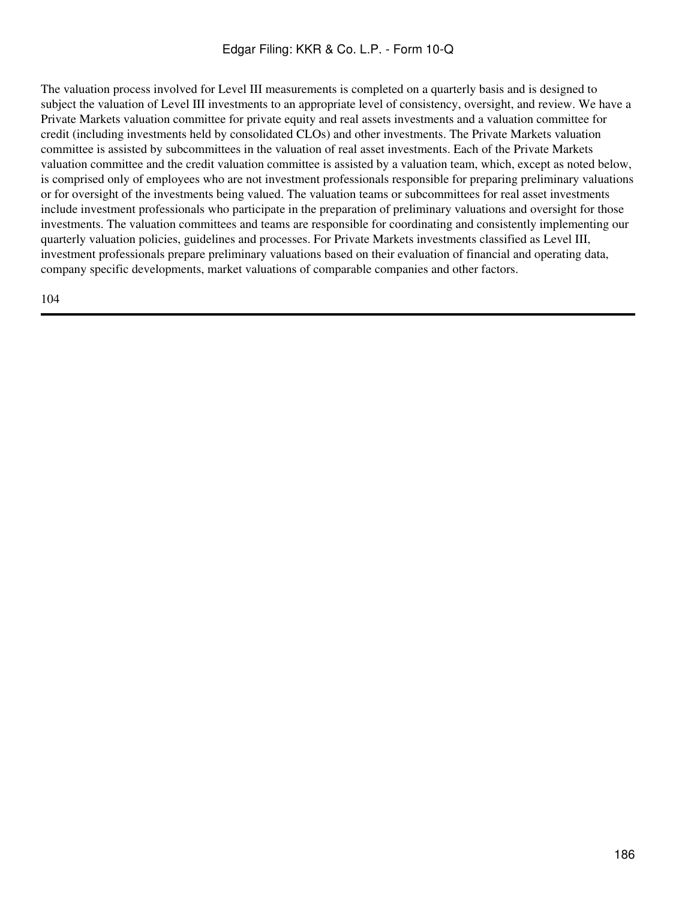The valuation process involved for Level III measurements is completed on a quarterly basis and is designed to subject the valuation of Level III investments to an appropriate level of consistency, oversight, and review. We have a Private Markets valuation committee for private equity and real assets investments and a valuation committee for credit (including investments held by consolidated CLOs) and other investments. The Private Markets valuation committee is assisted by subcommittees in the valuation of real asset investments. Each of the Private Markets valuation committee and the credit valuation committee is assisted by a valuation team, which, except as noted below, is comprised only of employees who are not investment professionals responsible for preparing preliminary valuations or for oversight of the investments being valued. The valuation teams or subcommittees for real asset investments include investment professionals who participate in the preparation of preliminary valuations and oversight for those investments. The valuation committees and teams are responsible for coordinating and consistently implementing our quarterly valuation policies, guidelines and processes. For Private Markets investments classified as Level III, investment professionals prepare preliminary valuations based on their evaluation of financial and operating data, company specific developments, market valuations of comparable companies and other factors.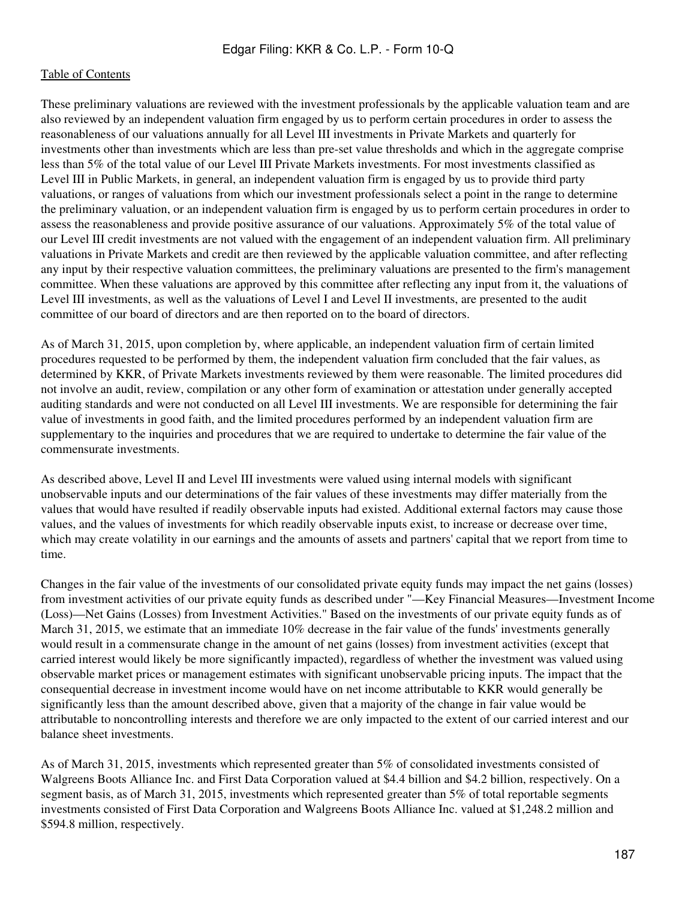These preliminary valuations are reviewed with the investment professionals by the applicable valuation team and are also reviewed by an independent valuation firm engaged by us to perform certain procedures in order to assess the reasonableness of our valuations annually for all Level III investments in Private Markets and quarterly for investments other than investments which are less than pre-set value thresholds and which in the aggregate comprise less than 5% of the total value of our Level III Private Markets investments. For most investments classified as Level III in Public Markets, in general, an independent valuation firm is engaged by us to provide third party valuations, or ranges of valuations from which our investment professionals select a point in the range to determine the preliminary valuation, or an independent valuation firm is engaged by us to perform certain procedures in order to assess the reasonableness and provide positive assurance of our valuations. Approximately 5% of the total value of our Level III credit investments are not valued with the engagement of an independent valuation firm. All preliminary valuations in Private Markets and credit are then reviewed by the applicable valuation committee, and after reflecting any input by their respective valuation committees, the preliminary valuations are presented to the firm's management committee. When these valuations are approved by this committee after reflecting any input from it, the valuations of Level III investments, as well as the valuations of Level I and Level II investments, are presented to the audit committee of our board of directors and are then reported on to the board of directors.

As of March 31, 2015, upon completion by, where applicable, an independent valuation firm of certain limited procedures requested to be performed by them, the independent valuation firm concluded that the fair values, as determined by KKR, of Private Markets investments reviewed by them were reasonable. The limited procedures did not involve an audit, review, compilation or any other form of examination or attestation under generally accepted auditing standards and were not conducted on all Level III investments. We are responsible for determining the fair value of investments in good faith, and the limited procedures performed by an independent valuation firm are supplementary to the inquiries and procedures that we are required to undertake to determine the fair value of the commensurate investments.

As described above, Level II and Level III investments were valued using internal models with significant unobservable inputs and our determinations of the fair values of these investments may differ materially from the values that would have resulted if readily observable inputs had existed. Additional external factors may cause those values, and the values of investments for which readily observable inputs exist, to increase or decrease over time, which may create volatility in our earnings and the amounts of assets and partners' capital that we report from time to time.

Changes in the fair value of the investments of our consolidated private equity funds may impact the net gains (losses) from investment activities of our private equity funds as described under "—Key Financial Measures—Investment Income (Loss)—Net Gains (Losses) from Investment Activities." Based on the investments of our private equity funds as of March 31, 2015, we estimate that an immediate 10% decrease in the fair value of the funds' investments generally would result in a commensurate change in the amount of net gains (losses) from investment activities (except that carried interest would likely be more significantly impacted), regardless of whether the investment was valued using observable market prices or management estimates with significant unobservable pricing inputs. The impact that the consequential decrease in investment income would have on net income attributable to KKR would generally be significantly less than the amount described above, given that a majority of the change in fair value would be attributable to noncontrolling interests and therefore we are only impacted to the extent of our carried interest and our balance sheet investments.

As of March 31, 2015, investments which represented greater than 5% of consolidated investments consisted of Walgreens Boots Alliance Inc. and First Data Corporation valued at \$4.4 billion and \$4.2 billion, respectively. On a segment basis, as of March 31, 2015, investments which represented greater than 5% of total reportable segments investments consisted of First Data Corporation and Walgreens Boots Alliance Inc. valued at \$1,248.2 million and \$594.8 million, respectively.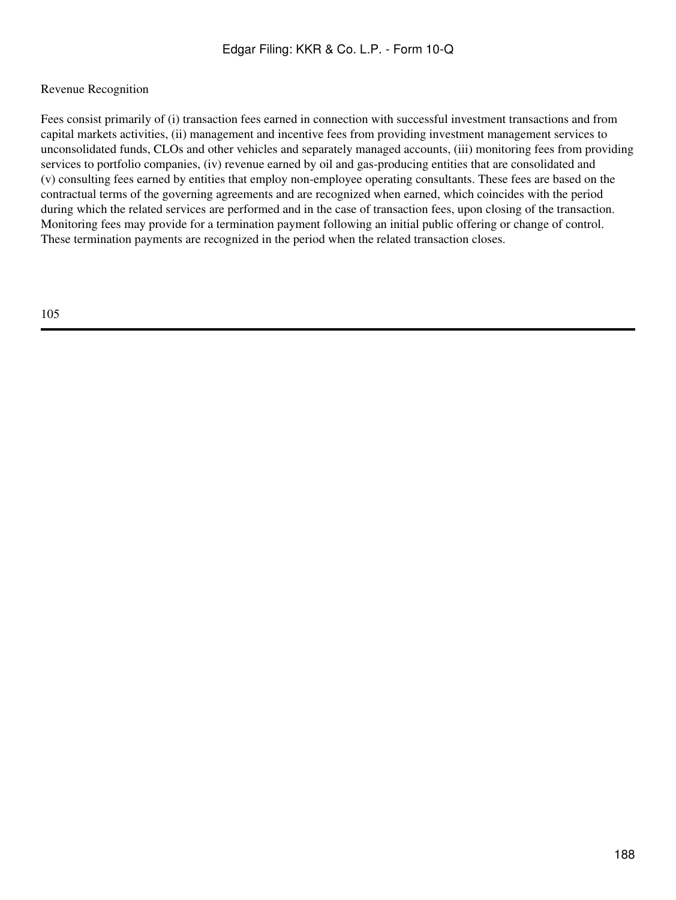## Revenue Recognition

Fees consist primarily of (i) transaction fees earned in connection with successful investment transactions and from capital markets activities, (ii) management and incentive fees from providing investment management services to unconsolidated funds, CLOs and other vehicles and separately managed accounts, (iii) monitoring fees from providing services to portfolio companies, (iv) revenue earned by oil and gas-producing entities that are consolidated and (v) consulting fees earned by entities that employ non-employee operating consultants. These fees are based on the contractual terms of the governing agreements and are recognized when earned, which coincides with the period during which the related services are performed and in the case of transaction fees, upon closing of the transaction. Monitoring fees may provide for a termination payment following an initial public offering or change of control. These termination payments are recognized in the period when the related transaction closes.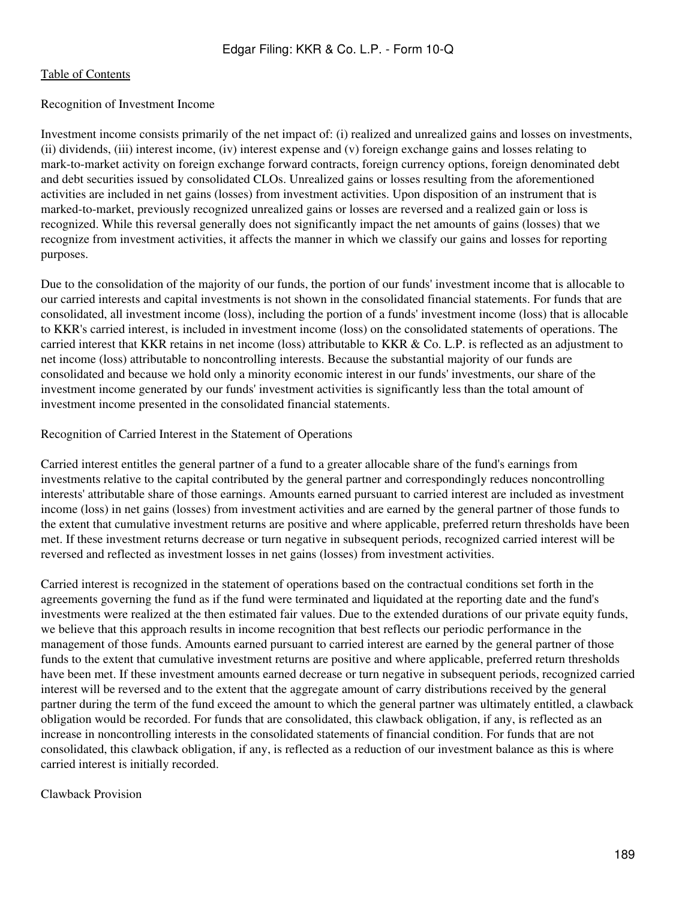### Recognition of Investment Income

Investment income consists primarily of the net impact of: (i) realized and unrealized gains and losses on investments, (ii) dividends, (iii) interest income, (iv) interest expense and (v) foreign exchange gains and losses relating to mark-to-market activity on foreign exchange forward contracts, foreign currency options, foreign denominated debt and debt securities issued by consolidated CLOs. Unrealized gains or losses resulting from the aforementioned activities are included in net gains (losses) from investment activities. Upon disposition of an instrument that is marked-to-market, previously recognized unrealized gains or losses are reversed and a realized gain or loss is recognized. While this reversal generally does not significantly impact the net amounts of gains (losses) that we recognize from investment activities, it affects the manner in which we classify our gains and losses for reporting purposes.

Due to the consolidation of the majority of our funds, the portion of our funds' investment income that is allocable to our carried interests and capital investments is not shown in the consolidated financial statements. For funds that are consolidated, all investment income (loss), including the portion of a funds' investment income (loss) that is allocable to KKR's carried interest, is included in investment income (loss) on the consolidated statements of operations. The carried interest that KKR retains in net income (loss) attributable to KKR & Co. L.P. is reflected as an adjustment to net income (loss) attributable to noncontrolling interests. Because the substantial majority of our funds are consolidated and because we hold only a minority economic interest in our funds' investments, our share of the investment income generated by our funds' investment activities is significantly less than the total amount of investment income presented in the consolidated financial statements.

Recognition of Carried Interest in the Statement of Operations

Carried interest entitles the general partner of a fund to a greater allocable share of the fund's earnings from investments relative to the capital contributed by the general partner and correspondingly reduces noncontrolling interests' attributable share of those earnings. Amounts earned pursuant to carried interest are included as investment income (loss) in net gains (losses) from investment activities and are earned by the general partner of those funds to the extent that cumulative investment returns are positive and where applicable, preferred return thresholds have been met. If these investment returns decrease or turn negative in subsequent periods, recognized carried interest will be reversed and reflected as investment losses in net gains (losses) from investment activities.

Carried interest is recognized in the statement of operations based on the contractual conditions set forth in the agreements governing the fund as if the fund were terminated and liquidated at the reporting date and the fund's investments were realized at the then estimated fair values. Due to the extended durations of our private equity funds, we believe that this approach results in income recognition that best reflects our periodic performance in the management of those funds. Amounts earned pursuant to carried interest are earned by the general partner of those funds to the extent that cumulative investment returns are positive and where applicable, preferred return thresholds have been met. If these investment amounts earned decrease or turn negative in subsequent periods, recognized carried interest will be reversed and to the extent that the aggregate amount of carry distributions received by the general partner during the term of the fund exceed the amount to which the general partner was ultimately entitled, a clawback obligation would be recorded. For funds that are consolidated, this clawback obligation, if any, is reflected as an increase in noncontrolling interests in the consolidated statements of financial condition. For funds that are not consolidated, this clawback obligation, if any, is reflected as a reduction of our investment balance as this is where carried interest is initially recorded.

## Clawback Provision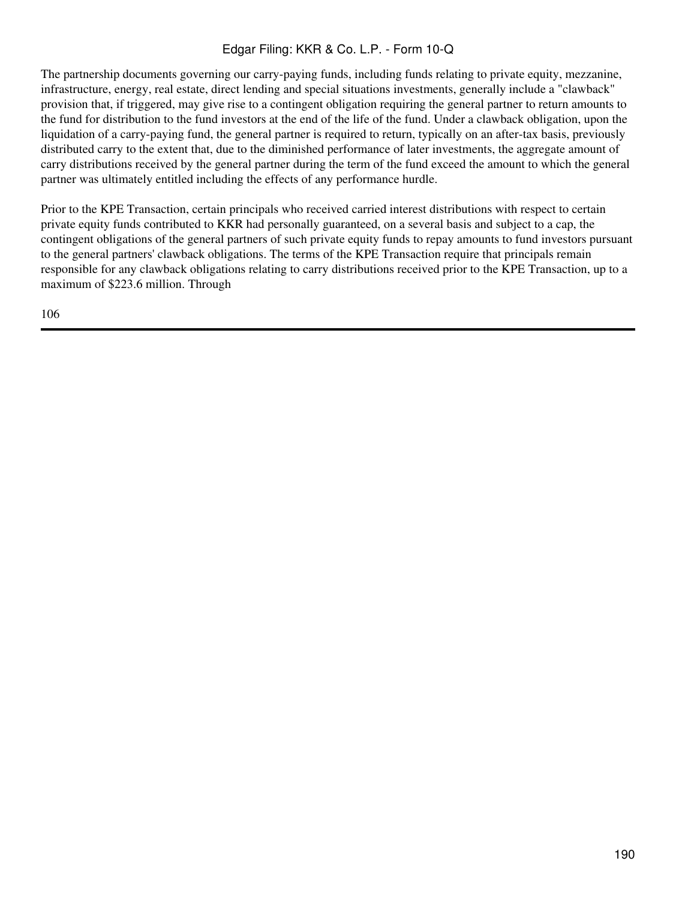The partnership documents governing our carry-paying funds, including funds relating to private equity, mezzanine, infrastructure, energy, real estate, direct lending and special situations investments, generally include a "clawback" provision that, if triggered, may give rise to a contingent obligation requiring the general partner to return amounts to the fund for distribution to the fund investors at the end of the life of the fund. Under a clawback obligation, upon the liquidation of a carry-paying fund, the general partner is required to return, typically on an after-tax basis, previously distributed carry to the extent that, due to the diminished performance of later investments, the aggregate amount of carry distributions received by the general partner during the term of the fund exceed the amount to which the general partner was ultimately entitled including the effects of any performance hurdle.

Prior to the KPE Transaction, certain principals who received carried interest distributions with respect to certain private equity funds contributed to KKR had personally guaranteed, on a several basis and subject to a cap, the contingent obligations of the general partners of such private equity funds to repay amounts to fund investors pursuant to the general partners' clawback obligations. The terms of the KPE Transaction require that principals remain responsible for any clawback obligations relating to carry distributions received prior to the KPE Transaction, up to a maximum of \$223.6 million. Through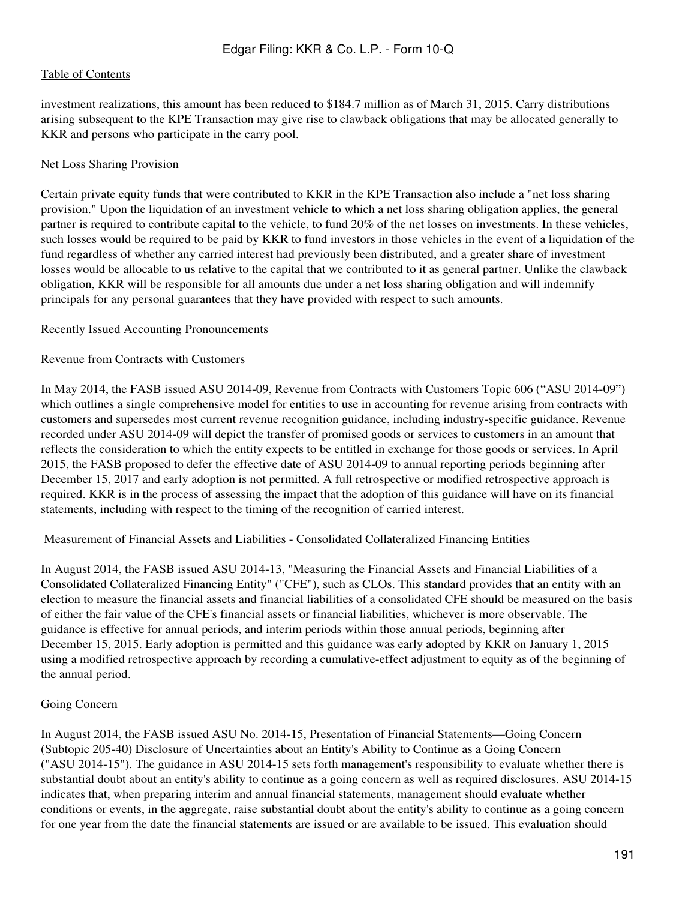investment realizations, this amount has been reduced to \$184.7 million as of March 31, 2015. Carry distributions arising subsequent to the KPE Transaction may give rise to clawback obligations that may be allocated generally to KKR and persons who participate in the carry pool.

#### Net Loss Sharing Provision

Certain private equity funds that were contributed to KKR in the KPE Transaction also include a "net loss sharing provision." Upon the liquidation of an investment vehicle to which a net loss sharing obligation applies, the general partner is required to contribute capital to the vehicle, to fund 20% of the net losses on investments. In these vehicles, such losses would be required to be paid by KKR to fund investors in those vehicles in the event of a liquidation of the fund regardless of whether any carried interest had previously been distributed, and a greater share of investment losses would be allocable to us relative to the capital that we contributed to it as general partner. Unlike the clawback obligation, KKR will be responsible for all amounts due under a net loss sharing obligation and will indemnify principals for any personal guarantees that they have provided with respect to such amounts.

#### Recently Issued Accounting Pronouncements

### Revenue from Contracts with Customers

In May 2014, the FASB issued ASU 2014-09, Revenue from Contracts with Customers Topic 606 ("ASU 2014-09") which outlines a single comprehensive model for entities to use in accounting for revenue arising from contracts with customers and supersedes most current revenue recognition guidance, including industry-specific guidance. Revenue recorded under ASU 2014-09 will depict the transfer of promised goods or services to customers in an amount that reflects the consideration to which the entity expects to be entitled in exchange for those goods or services. In April 2015, the FASB proposed to defer the effective date of ASU 2014-09 to annual reporting periods beginning after December 15, 2017 and early adoption is not permitted. A full retrospective or modified retrospective approach is required. KKR is in the process of assessing the impact that the adoption of this guidance will have on its financial statements, including with respect to the timing of the recognition of carried interest.

Measurement of Financial Assets and Liabilities - Consolidated Collateralized Financing Entities

In August 2014, the FASB issued ASU 2014-13, "Measuring the Financial Assets and Financial Liabilities of a Consolidated Collateralized Financing Entity" ("CFE"), such as CLOs. This standard provides that an entity with an election to measure the financial assets and financial liabilities of a consolidated CFE should be measured on the basis of either the fair value of the CFE's financial assets or financial liabilities, whichever is more observable. The guidance is effective for annual periods, and interim periods within those annual periods, beginning after December 15, 2015. Early adoption is permitted and this guidance was early adopted by KKR on January 1, 2015 using a modified retrospective approach by recording a cumulative-effect adjustment to equity as of the beginning of the annual period.

#### Going Concern

In August 2014, the FASB issued ASU No. 2014-15, Presentation of Financial Statements—Going Concern (Subtopic 205-40) Disclosure of Uncertainties about an Entity's Ability to Continue as a Going Concern ("ASU 2014-15"). The guidance in ASU 2014-15 sets forth management's responsibility to evaluate whether there is substantial doubt about an entity's ability to continue as a going concern as well as required disclosures. ASU 2014-15 indicates that, when preparing interim and annual financial statements, management should evaluate whether conditions or events, in the aggregate, raise substantial doubt about the entity's ability to continue as a going concern for one year from the date the financial statements are issued or are available to be issued. This evaluation should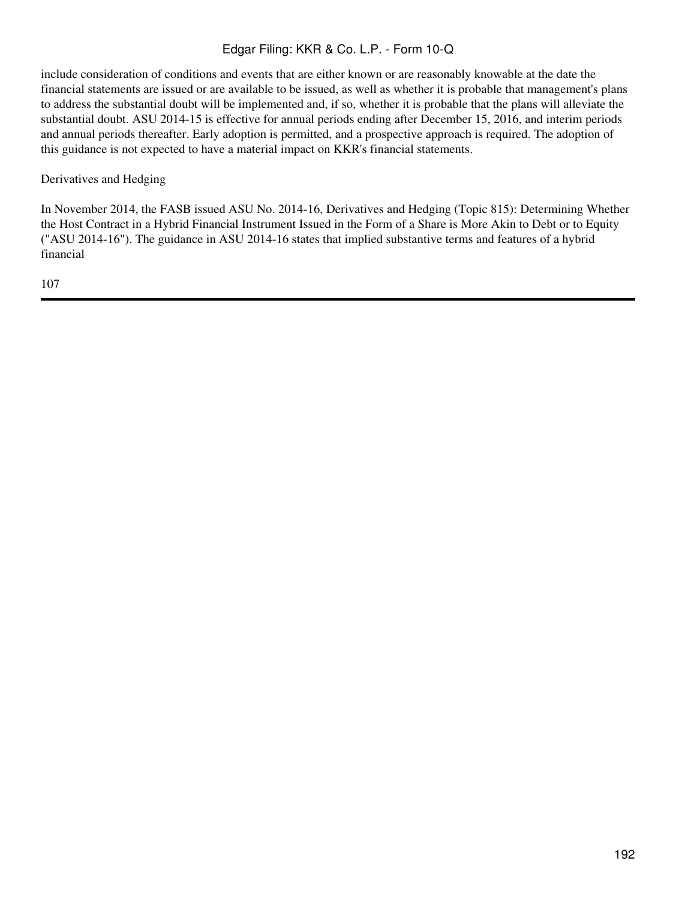include consideration of conditions and events that are either known or are reasonably knowable at the date the financial statements are issued or are available to be issued, as well as whether it is probable that management's plans to address the substantial doubt will be implemented and, if so, whether it is probable that the plans will alleviate the substantial doubt. ASU 2014-15 is effective for annual periods ending after December 15, 2016, and interim periods and annual periods thereafter. Early adoption is permitted, and a prospective approach is required. The adoption of this guidance is not expected to have a material impact on KKR's financial statements.

Derivatives and Hedging

In November 2014, the FASB issued ASU No. 2014-16, Derivatives and Hedging (Topic 815): Determining Whether the Host Contract in a Hybrid Financial Instrument Issued in the Form of a Share is More Akin to Debt or to Equity ("ASU 2014-16"). The guidance in ASU 2014-16 states that implied substantive terms and features of a hybrid financial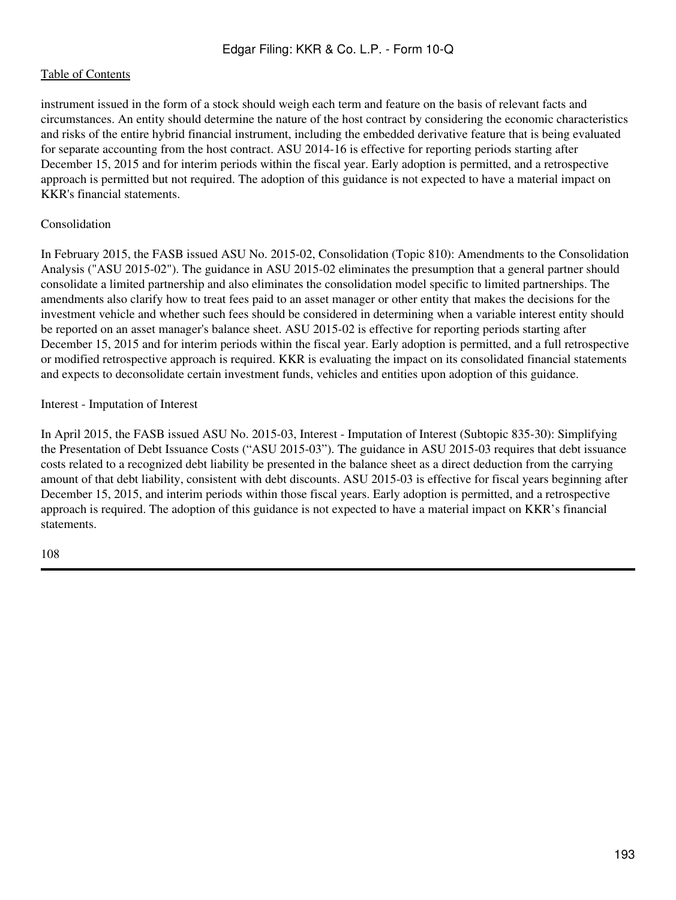instrument issued in the form of a stock should weigh each term and feature on the basis of relevant facts and circumstances. An entity should determine the nature of the host contract by considering the economic characteristics and risks of the entire hybrid financial instrument, including the embedded derivative feature that is being evaluated for separate accounting from the host contract. ASU 2014-16 is effective for reporting periods starting after December 15, 2015 and for interim periods within the fiscal year. Early adoption is permitted, and a retrospective approach is permitted but not required. The adoption of this guidance is not expected to have a material impact on KKR's financial statements.

## Consolidation

In February 2015, the FASB issued ASU No. 2015-02, Consolidation (Topic 810): Amendments to the Consolidation Analysis ("ASU 2015-02"). The guidance in ASU 2015-02 eliminates the presumption that a general partner should consolidate a limited partnership and also eliminates the consolidation model specific to limited partnerships. The amendments also clarify how to treat fees paid to an asset manager or other entity that makes the decisions for the investment vehicle and whether such fees should be considered in determining when a variable interest entity should be reported on an asset manager's balance sheet. ASU 2015-02 is effective for reporting periods starting after December 15, 2015 and for interim periods within the fiscal year. Early adoption is permitted, and a full retrospective or modified retrospective approach is required. KKR is evaluating the impact on its consolidated financial statements and expects to deconsolidate certain investment funds, vehicles and entities upon adoption of this guidance.

## Interest - Imputation of Interest

In April 2015, the FASB issued ASU No. 2015-03, Interest - Imputation of Interest (Subtopic 835-30): Simplifying the Presentation of Debt Issuance Costs ("ASU 2015-03"). The guidance in ASU 2015-03 requires that debt issuance costs related to a recognized debt liability be presented in the balance sheet as a direct deduction from the carrying amount of that debt liability, consistent with debt discounts. ASU 2015-03 is effective for fiscal years beginning after December 15, 2015, and interim periods within those fiscal years. Early adoption is permitted, and a retrospective approach is required. The adoption of this guidance is not expected to have a material impact on KKR's financial statements.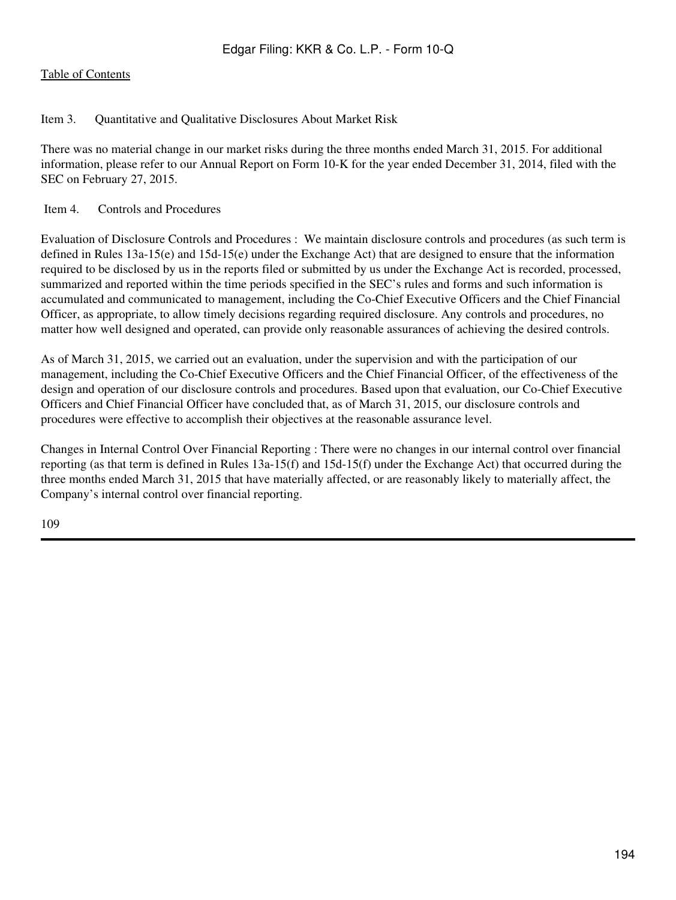## Item 3. Quantitative and Qualitative Disclosures About Market Risk

There was no material change in our market risks during the three months ended March 31, 2015. For additional information, please refer to our Annual Report on Form 10-K for the year ended December 31, 2014, filed with the SEC on February 27, 2015.

### Item 4. Controls and Procedures

Evaluation of Disclosure Controls and Procedures : We maintain disclosure controls and procedures (as such term is defined in Rules 13a-15(e) and 15d-15(e) under the Exchange Act) that are designed to ensure that the information required to be disclosed by us in the reports filed or submitted by us under the Exchange Act is recorded, processed, summarized and reported within the time periods specified in the SEC's rules and forms and such information is accumulated and communicated to management, including the Co-Chief Executive Officers and the Chief Financial Officer, as appropriate, to allow timely decisions regarding required disclosure. Any controls and procedures, no matter how well designed and operated, can provide only reasonable assurances of achieving the desired controls.

As of March 31, 2015, we carried out an evaluation, under the supervision and with the participation of our management, including the Co-Chief Executive Officers and the Chief Financial Officer, of the effectiveness of the design and operation of our disclosure controls and procedures. Based upon that evaluation, our Co-Chief Executive Officers and Chief Financial Officer have concluded that, as of March 31, 2015, our disclosure controls and procedures were effective to accomplish their objectives at the reasonable assurance level.

Changes in Internal Control Over Financial Reporting : There were no changes in our internal control over financial reporting (as that term is defined in Rules 13a-15(f) and 15d-15(f) under the Exchange Act) that occurred during the three months ended March 31, 2015 that have materially affected, or are reasonably likely to materially affect, the Company's internal control over financial reporting.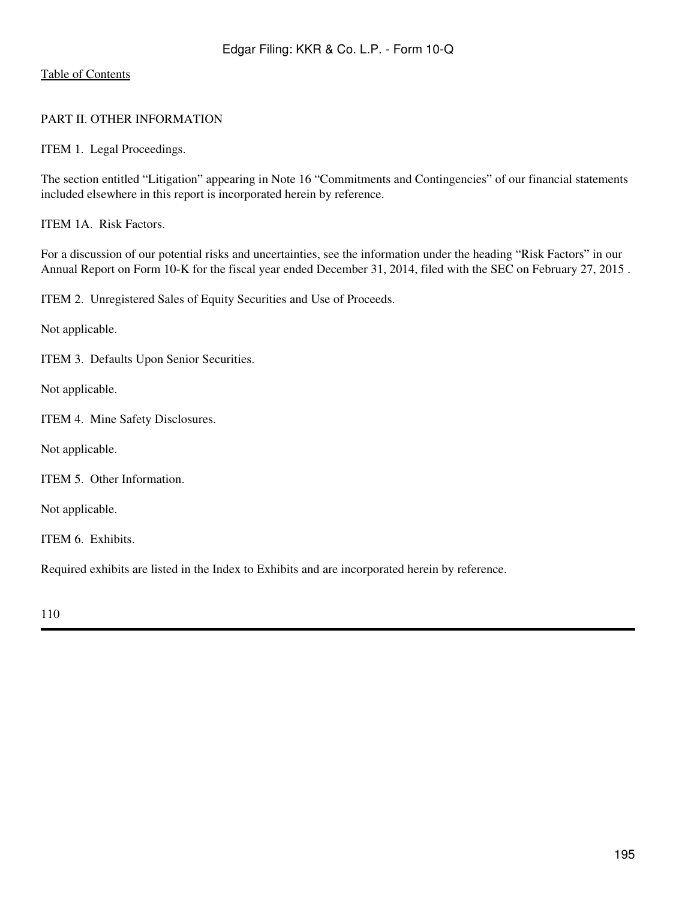## PART II. OTHER INFORMATION

ITEM 1. Legal Proceedings.

The section entitled "Litigation" appearing in Note 16 "Commitments and Contingencies" of our financial statements included elsewhere in this report is incorporated herein by reference.

ITEM 1A. Risk Factors.

For a discussion of our potential risks and uncertainties, see the information under the heading "Risk Factors" in our Annual Report on Form 10-K for the fiscal year ended December 31, 2014, filed with the SEC on February 27, 2015 .

ITEM 2. Unregistered Sales of Equity Securities and Use of Proceeds.

Not applicable.

ITEM 3. Defaults Upon Senior Securities.

Not applicable.

ITEM 4. Mine Safety Disclosures.

Not applicable.

ITEM 5. Other Information.

Not applicable.

ITEM 6. Exhibits.

Required exhibits are listed in the Index to Exhibits and are incorporated herein by reference.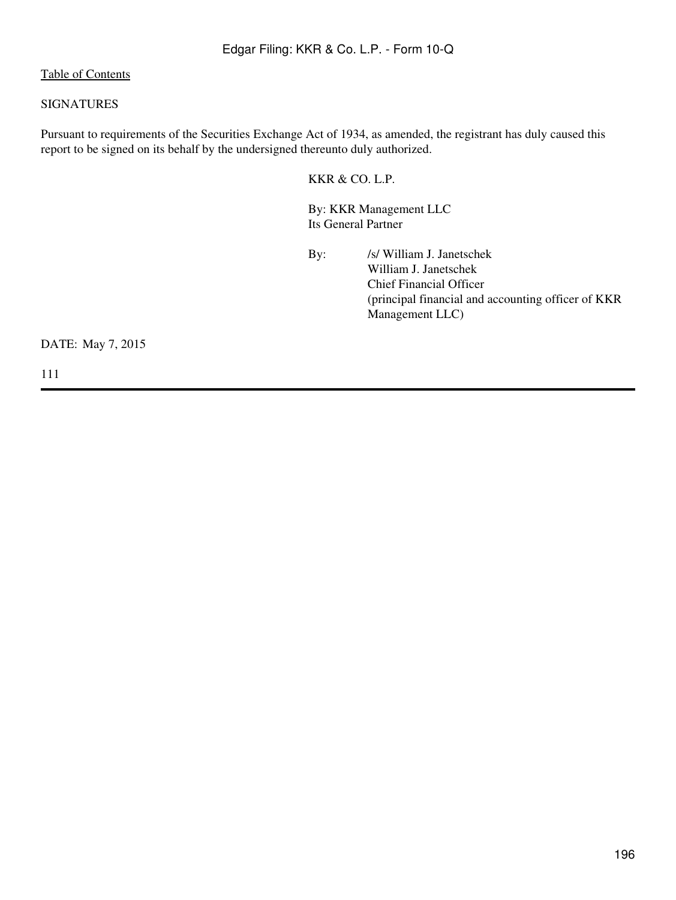## SIGNATURES

Pursuant to requirements of the Securities Exchange Act of 1934, as amended, the registrant has duly caused this report to be signed on its behalf by the undersigned thereunto duly authorized.

KKR & CO. L.P.

By: KKR Management LLC Its General Partner

By: /s/ William J. Janetschek William J. Janetschek Chief Financial Officer (principal financial and accounting officer of KKR Management LLC)

DATE: May 7, 2015